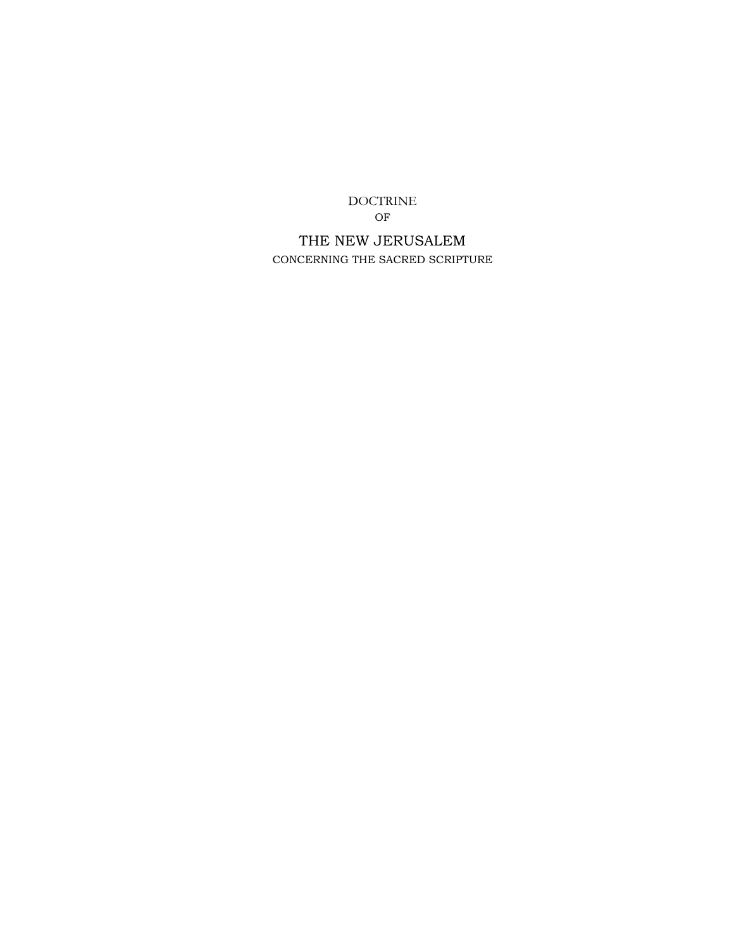DOCTRINE OF

THE NEW JERUSALEM CONCERNING THE SACRED SCRIPTURE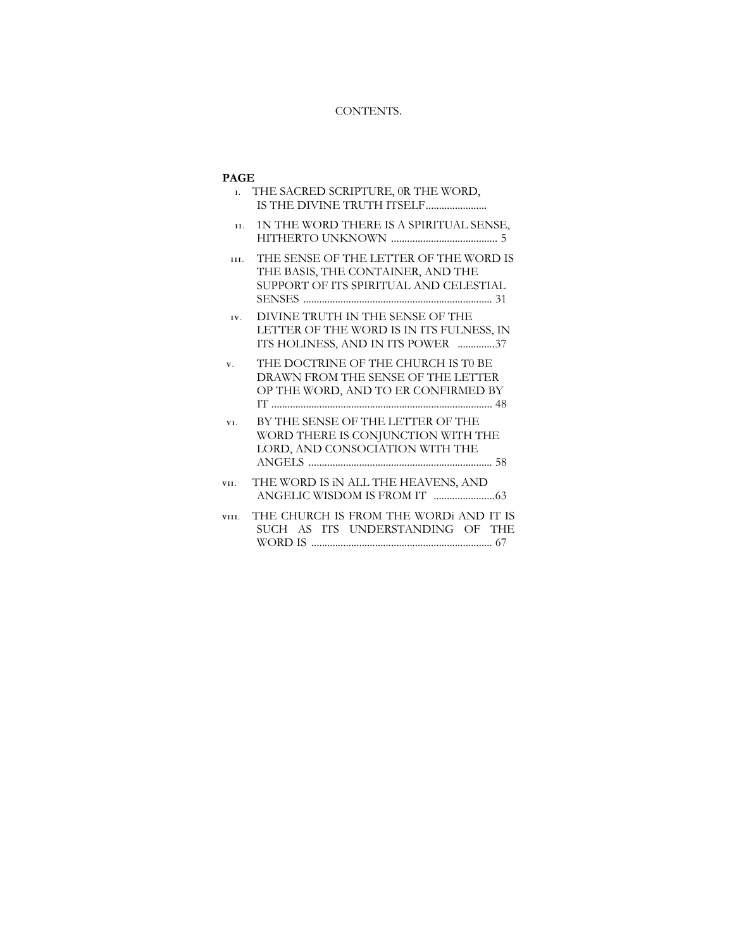# CONTENTS.

# **PAGE**

| L.          | THE SACRED SCRIPTURE, OR THE WORD,                                                                                    |
|-------------|-----------------------------------------------------------------------------------------------------------------------|
| II.         | 1N THE WORD THERE IS A SPIRITUAL SENSE,                                                                               |
| III.        | THE SENSE OF THE LETTER OF THE WORD IS<br>THE BASIS, THE CONTAINER, AND THE<br>SUPPORT OF ITS SPIRITUAL AND CELESTIAL |
| IV.         | DIVINE TRUTH IN THE SENSE OF THE<br>LETTER OF THE WORD IS IN ITS FULNESS, IN<br>ITS HOLINESS, AND IN ITS POWER 37     |
| $V_{\cdot}$ | THE DOCTRINE OF THE CHURCH IS TO BE<br>DRAWN FROM THE SENSE OF THE LETTER<br>OP THE WORD, AND TO ER CONFIRMED BY      |
| VI.         | BY THE SENSE OF THE LETTER OF THE<br>WORD THERE IS CONJUNCTION WITH THE<br>LORD, AND CONSOCIATION WITH THE            |
| VII.        | THE WORD IS IN ALL THE HEAVENS, AND                                                                                   |
| VIII.       | THE CHURCH IS FROM THE WORDI AND IT IS<br>SUCH AS ITS UNDERSTANDING OF THE                                            |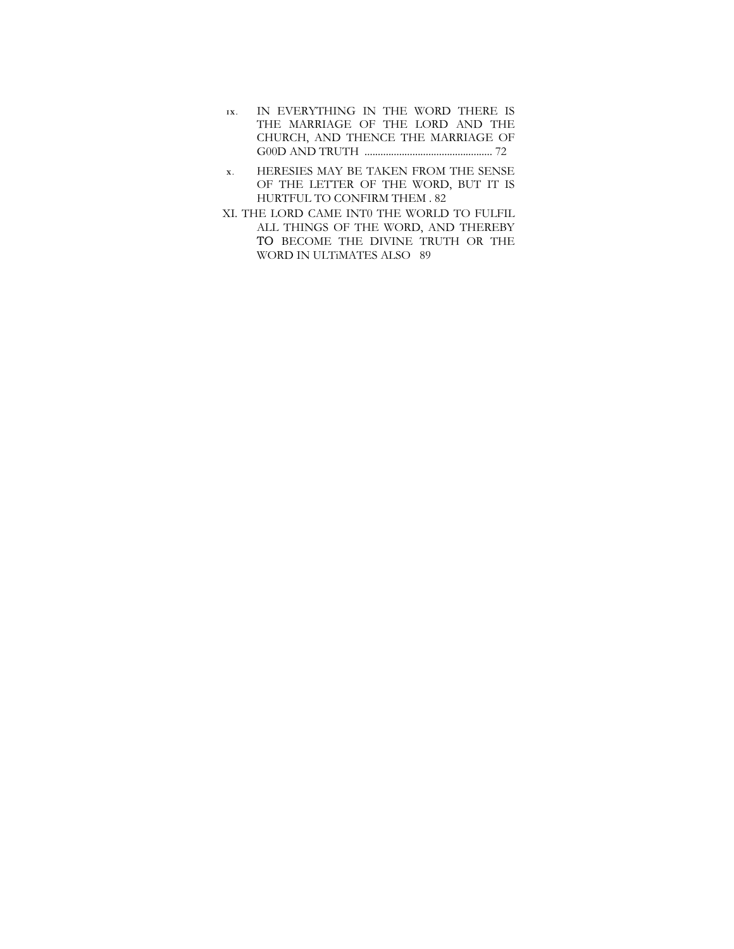- **IX.** IN EVERYTHING IN THE WORD THERE IS THE MARRIAGE OF THE LORD AND THE CHURCH, AND THENCE THE MARRIAGE OF G00D AND TRUTH ................................................ 72
- **X .** HERESIES MAY BE TAKEN FROM THE SENSE OF THE LETTER OF THE WORD, BUT IT IS HURTFUL TO CONFIRM THEM . 82
- XI. THE LORD CAME INT0 THE WORLD TO FULFIL ALL THINGS OF THE WORD, AND THEREBY TO BECOME THE DIVINE TRUTH OR THE WORD IN ULTiMATES ALSO 89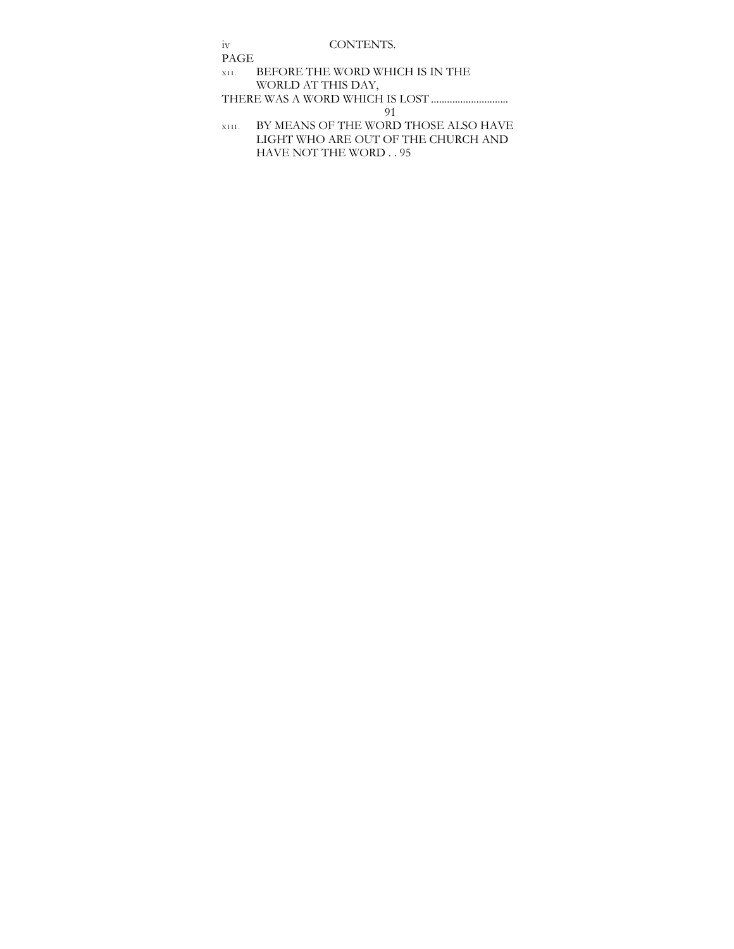iv CONTENTS. PAGE XII. BEFORE THE WORD WHICH IS IN THE WORLD AT THIS DAY, THERE WAS A WORD WHICH IS LOST ............................. 91 XIII. BY MEANS OF THE WORD THOSE ALSO HAVE LIGHT WHO ARE OUT OF THE CHURCH AND

HAVE NOT THE WORD . . 95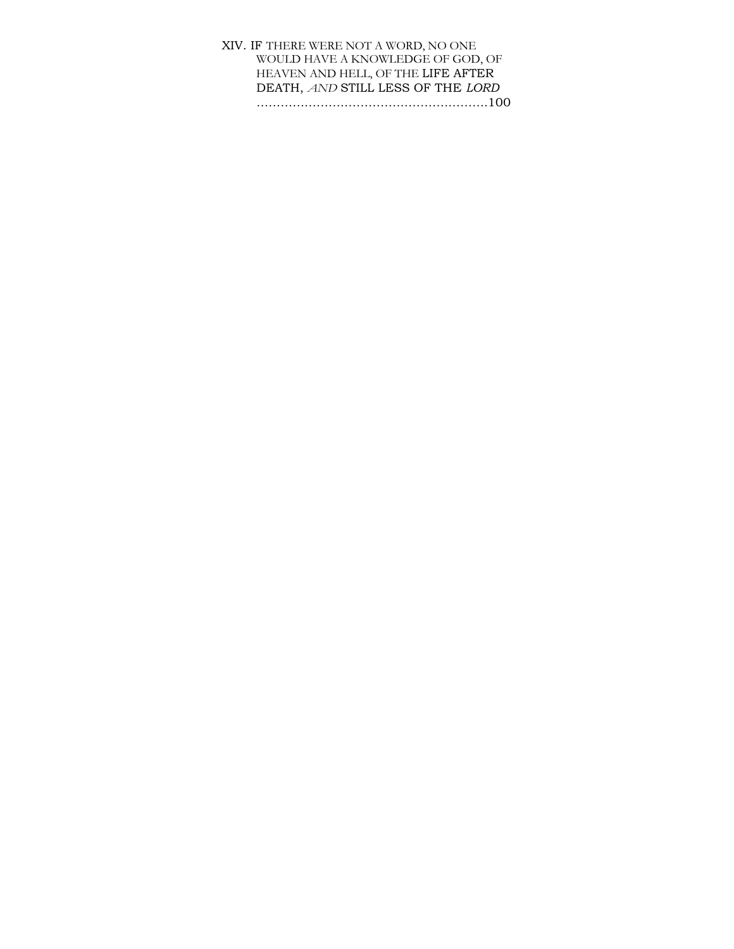# XIV. IF THERE WERE NOT A WORD, NO ONE WOULD HAVE A KNOWLEDGE OF GOD, OF HEAVEN AND HELL, OF THE LIFE AFTER DEATH, *AND* STILL LESS OF THE *LORD ………………………………………………….*100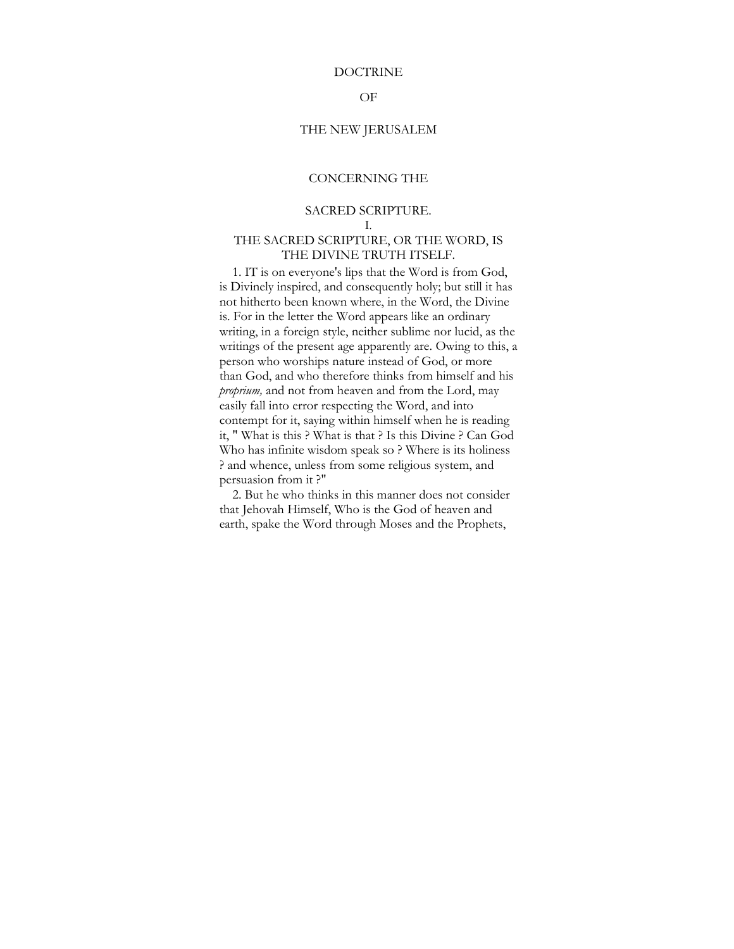#### DOCTRINE

## OF

### THE NEW JERUSALEM

# CONCERNING THE

# SACRED SCRIPTURE.

I.

### THE SACRED SCRIPTURE, OR THE WORD, IS THE DIVINE TRUTH ITSELF.

1. IT is on everyone's lips that the Word is from God, is Divinely inspired, and consequently holy; but still it has not hitherto been known where, in the Word, the Divine is. For in the letter the Word appears like an ordinary writing, in a foreign style, neither sublime nor lucid, as the writings of the present age apparently are. Owing to this, a person who worships nature instead of God, or more than God, and who therefore thinks from himself and his *proprium,* and not from heaven and from the Lord, may easily fall into error respecting the Word, and into contempt for it, saying within himself when he is reading it, " What is this ? What is that ? Is this Divine ? Can God Who has infinite wisdom speak so ? Where is its holiness ? and whence, unless from some religious system, and persuasion from it ?"

2. But he who thinks in this manner does not consider that Jehovah Himself, Who is the God of heaven and earth, spake the Word through Moses and the Prophets,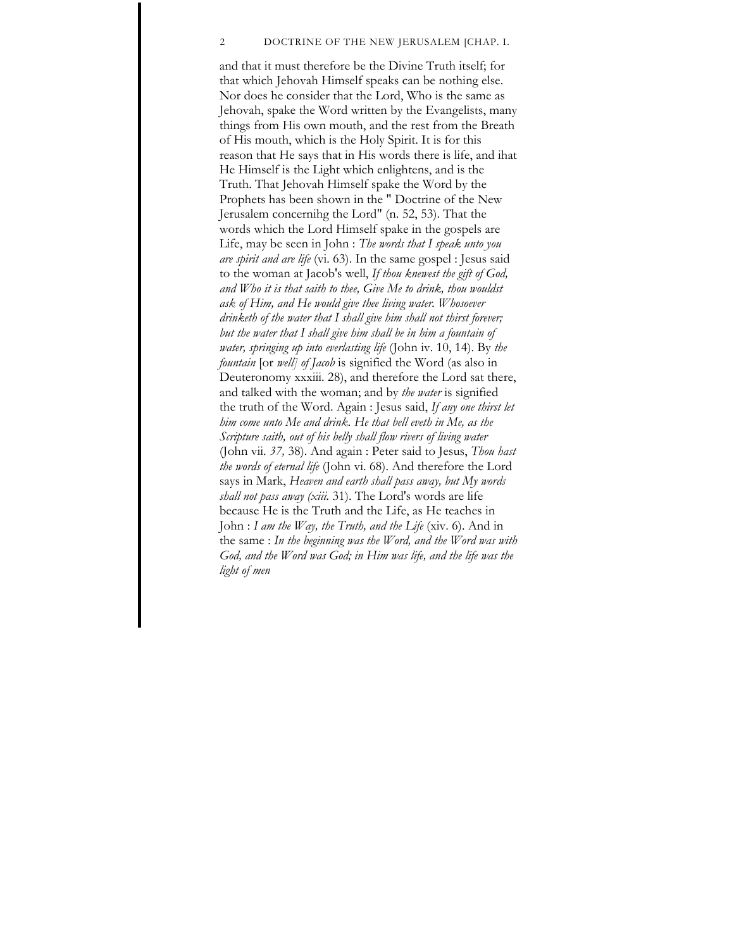### 2 DOCTRINE OF THE NEW JERUSALEM [CHAP. I.

and that it must therefore be the Divine Truth itself; for that which Jehovah Himself speaks can be nothing else. Nor does he consider that the Lord, Who is the same as Jehovah, spake the Word written by the Evangelists, many things from His own mouth, and the rest from the Breath of His mouth, which is the Holy Spirit. It is for this reason that He says that in His words there is life, and ihat He Himself is the Light which enlightens, and is the Truth. That Jehovah Himself spake the Word by the Prophets has been shown in the " Doctrine of the New Jerusalem concernihg the Lord" (n. 52, 53). That the words which the Lord Himself spake in the gospels are Life, may be seen in John : *The words that I speak unto you are spirit and are life* (vi. 63). In the same gospel : Jesus said to the woman at Jacob's well, *If thou knewest the gift of God, and Who it is that saith to thee, Give Me to drink, thou wouldst ask of Him, and He would give thee living water. Whosoever drinketh of the water that I shall give him shall not thirst forever; but the water that I shall give him shall be in him a fountain of water, springing up into everlasting life* (John iv. 10, 14). By *the fountain* [or *well] of Jacob* is signified the Word (as also in Deuteronomy xxxiii. 28), and therefore the Lord sat there, and talked with the woman; and by *the water* is signified the truth of the Word. Again : Jesus said, *If any one thirst let him come unto Me and drink. He that bell eveth in Me, as the Scripture saith, out of his belly shall flow rivers of living water*  (John vii. *37,* 38). And again : Peter said to Jesus, *Thou hast the words of eternal life* (John vi. 68). And therefore the Lord says in Mark, *Heaven and earth shall pass away, but My words shall not pass away (xiii.* 31). The Lord's words are life because He is the Truth and the Life, as He teaches in John : *I am the Way, the Truth, and the Life* (xiv. 6). And in the same : *In the beginning was the Word, and the Word was with God, and the Word was God; in Him was life, and the life was the light of men*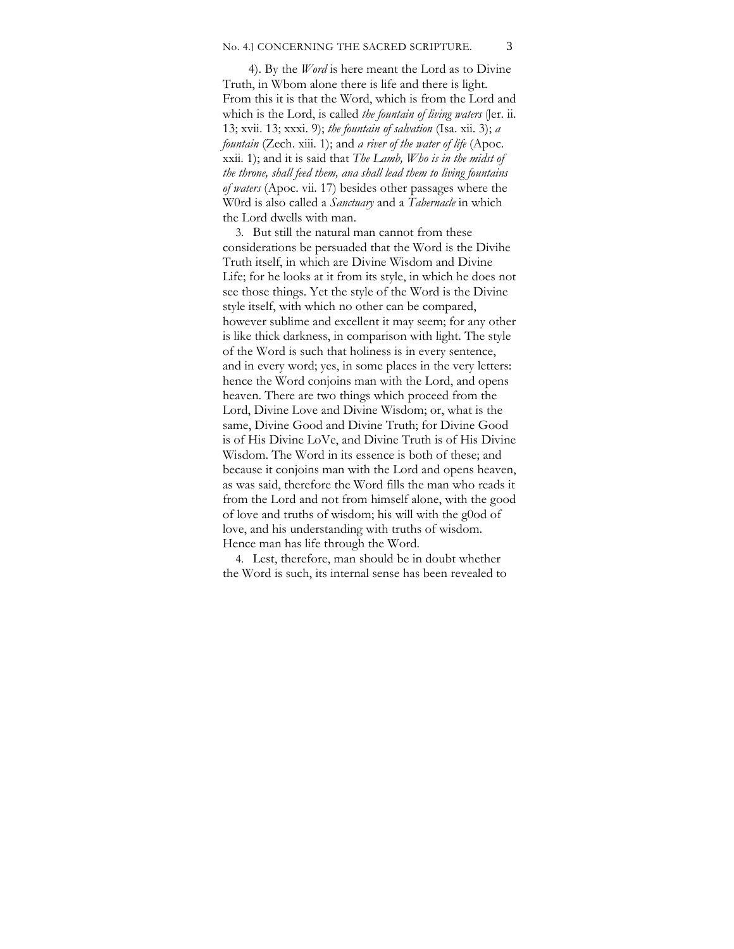#### No. 4.1 CONCERNING THE SACRED SCRIPTURE. 3

4). By the *Word* is here meant the Lord as to Divine Truth, in Wbom alone there is life and there is light. From this it is that the Word, which is from the Lord and which is the Lord, is called *the fountain of living waters* (Jer. ii. 13; xvii. 13; xxxi. 9); *the fountain of salvation* (Isa. xii. 3); *a fountain* (Zech. xiii. 1); and *a river of the water of life* (Apoc. xxii. 1); and it is said that *The Lamb, Who is in the midst of the throne, shall feed them, ana shall lead them to living fountains of waters* (Apoc. vii. 17) besides other passages where the W0rd is also called a *Sanctuary* and a *Tabernacle* in which the Lord dwells with man.

3. But still the natural man cannot from these considerations be persuaded that the Word is the Divihe Truth itself, in which are Divine Wisdom and Divine Life; for he looks at it from its style, in which he does not see those things. Yet the style of the Word is the Divine style itself, with which no other can be compared, however sublime and excellent it may seem; for any other is like thick darkness, in comparison with light. The style of the Word is such that holiness is in every sentence, and in every word; yes, in some places in the very letters: hence the Word conjoins man with the Lord, and opens heaven. There are two things which proceed from the Lord, Divine Love and Divine Wisdom; or, what is the same, Divine Good and Divine Truth; for Divine Good is of His Divine LoVe, and Divine Truth is of His Divine Wisdom. The Word in its essence is both of these; and because it conjoins man with the Lord and opens heaven, as was said, therefore the Word fills the man who reads it from the Lord and not from himself alone, with the good of love and truths of wisdom; his will with the g0od of love, and his understanding with truths of wisdom. Hence man has life through the Word.

4. Lest, therefore, man should be in doubt whether the Word is such, its internal sense has been revealed to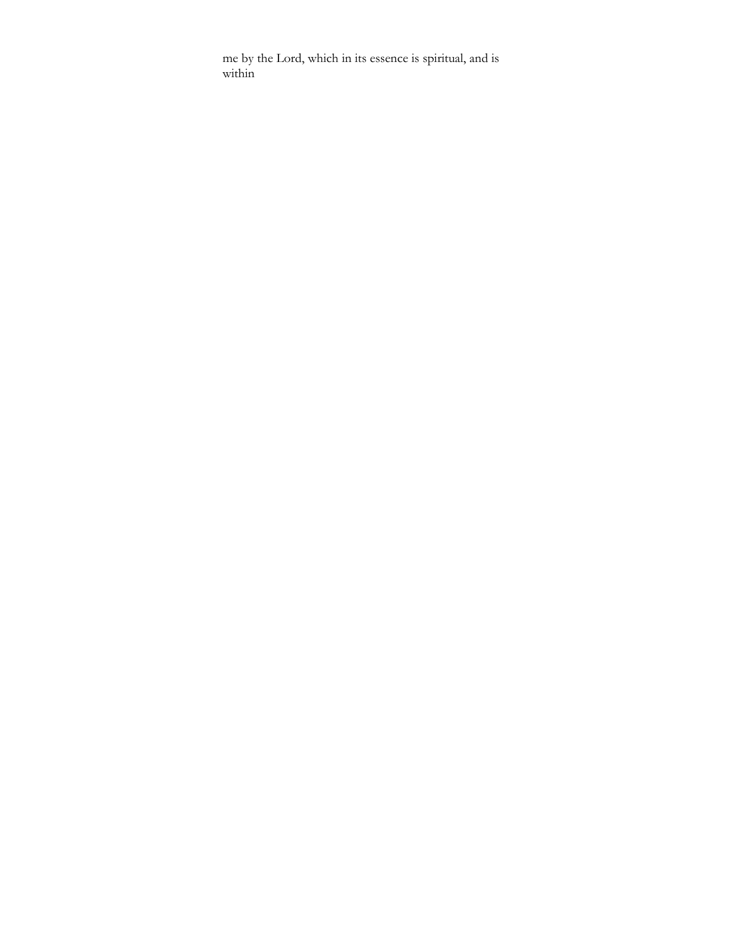me by the Lord, which in its essence is spiritual, and is within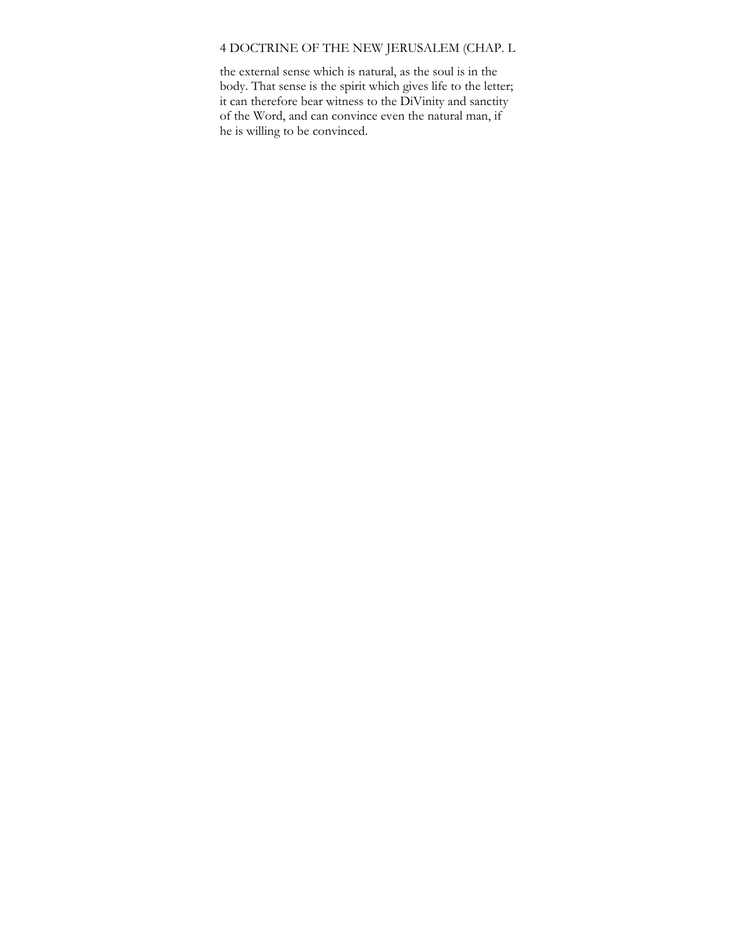# 4 DOCTRINE OF THE NEW JERUSALEM (CHAP. L

the external sense which is natural, as the soul is in the body. That sense is the spirit which gives life to the letter; it can therefore bear witness to the DiVinity and sanctity of the Word, and can convince even the natural man, if he is willing to be convinced.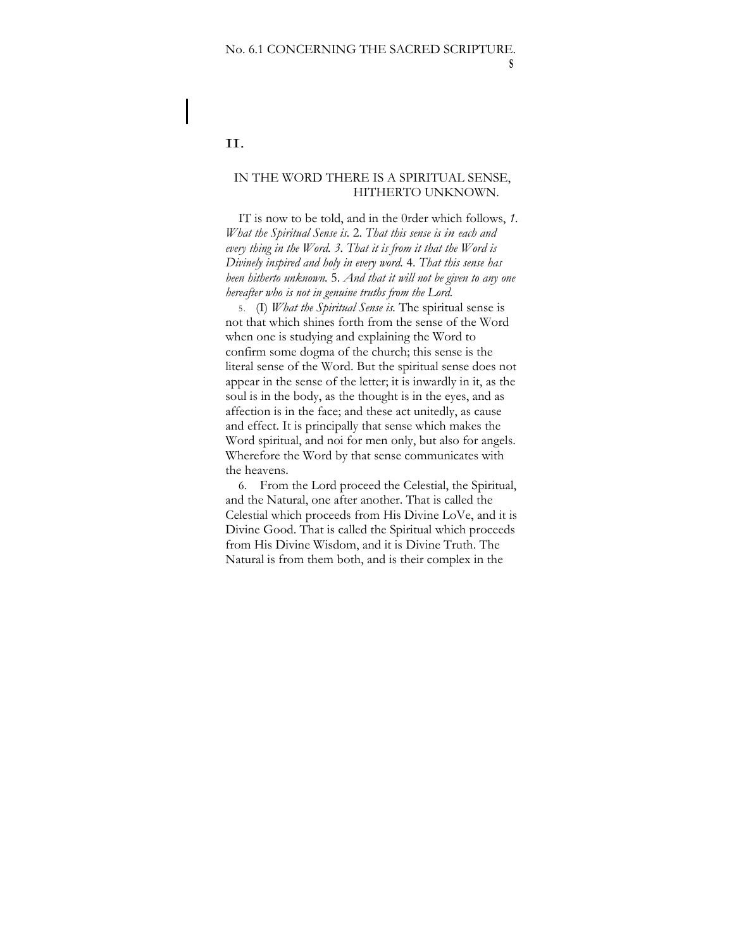### II.

# IN THE WORD THERE IS A SPIRITUAL SENSE, HITHERTO UNKNOWN.

IT is now to be told, and in the 0rder which follows, *1. What the Spiritual Sense is.* 2. *That this sense is in each and every thing in the Word. 3. That it is from it that the Word is Divinely inspired and holy in every word.* 4. *That this sense has been hitherto unknown.* 5. *And that it will not be given to any one hereafter who is not in genuine truths from the Lord.* 

5. (I) *What the Spiritual Sense is.* The spiritual sense is not that which shines forth from the sense of the Word when one is studying and explaining the Word to confirm some dogma of the church; this sense is the literal sense of the Word. But the spiritual sense does not appear in the sense of the letter; it is inwardly in it, as the soul is in the body, as the thought is in the eyes, and as affection is in the face; and these act unitedly, as cause and effect. It is principally that sense which makes the Word spiritual, and noi for men only, but also for angels. Wherefore the Word by that sense communicates with the heavens.

6. From the Lord proceed the Celestial, the Spiritual, and the Natural, one after another. That is called the Celestial which proceeds from His Divine LoVe, and it is Divine Good. That is called the Spiritual which proceeds from His Divine Wisdom, and it is Divine Truth. The Natural is from them both, and is their complex in the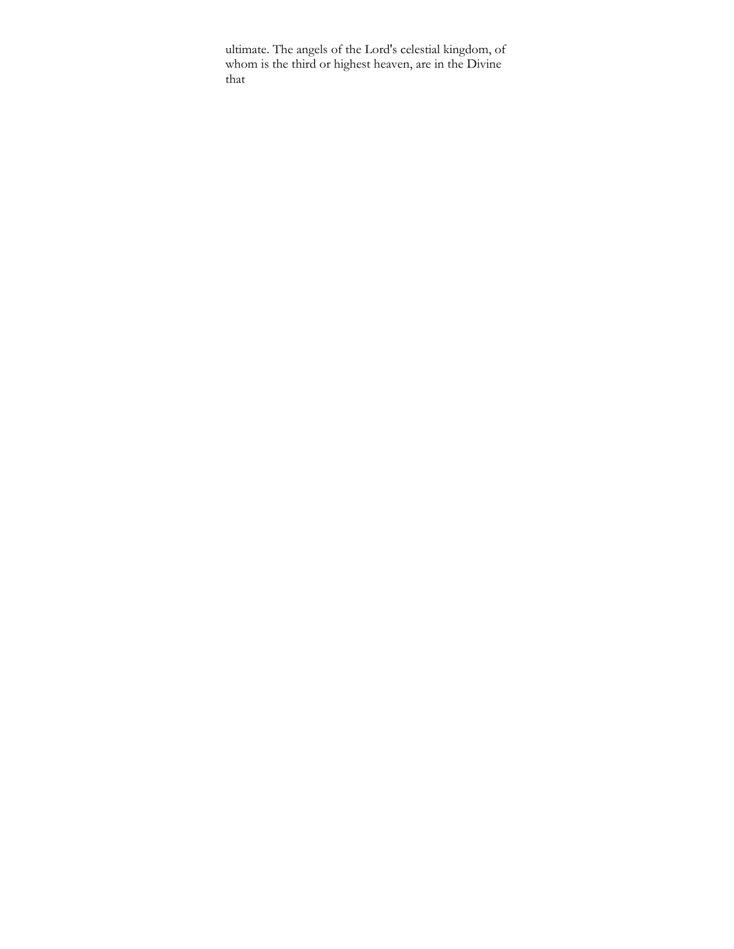ultimate. The angels of the Lord's celestial kingdom, of whom is the third or highest heaven, are in the Divine that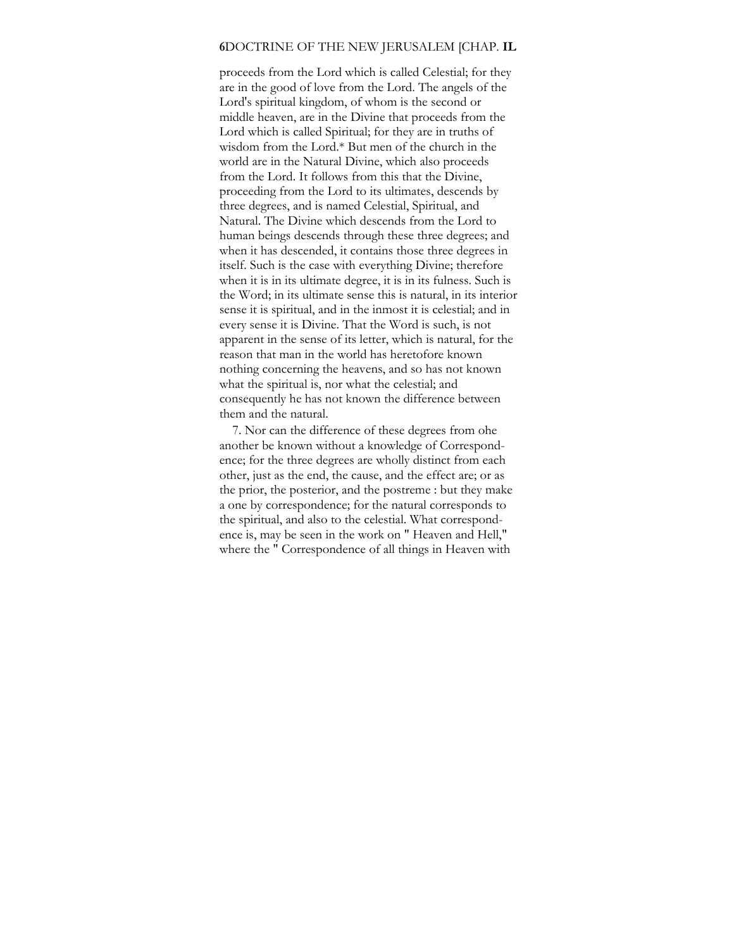#### **6**DOCTRINE OF THE NEW JERUSALEM [CHAP. **IL**

proceeds from the Lord which is called Celestial; for they are in the good of love from the Lord. The angels of the Lord's spiritual kingdom, of whom is the second or middle heaven, are in the Divine that proceeds from the Lord which is called Spiritual; for they are in truths of wisdom from the Lord.\* But men of the church in the world are in the Natural Divine, which also proceeds from the Lord. It follows from this that the Divine, proceeding from the Lord to its ultimates, descends by three degrees, and is named Celestial, Spiritual, and Natural. The Divine which descends from the Lord to human beings descends through these three degrees; and when it has descended, it contains those three degrees in itself. Such is the case with everything Divine; therefore when it is in its ultimate degree, it is in its fulness. Such is the Word; in its ultimate sense this is natural, in its interior sense it is spiritual, and in the inmost it is celestial; and in every sense it is Divine. That the Word is such, is not apparent in the sense of its letter, which is natural, for the reason that man in the world has heretofore known nothing concerning the heavens, and so has not known what the spiritual is, nor what the celestial; and consequently he has not known the difference between them and the natural.

7. Nor can the difference of these degrees from ohe another be known without a knowledge of Correspondence; for the three degrees are wholly distinct from each other, just as the end, the cause, and the effect are; or as the prior, the posterior, and the postreme : but they make a one by correspondence; for the natural corresponds to the spiritual, and also to the celestial. What correspondence is, may be seen in the work on " Heaven and Hell," where the " Correspondence of all things in Heaven with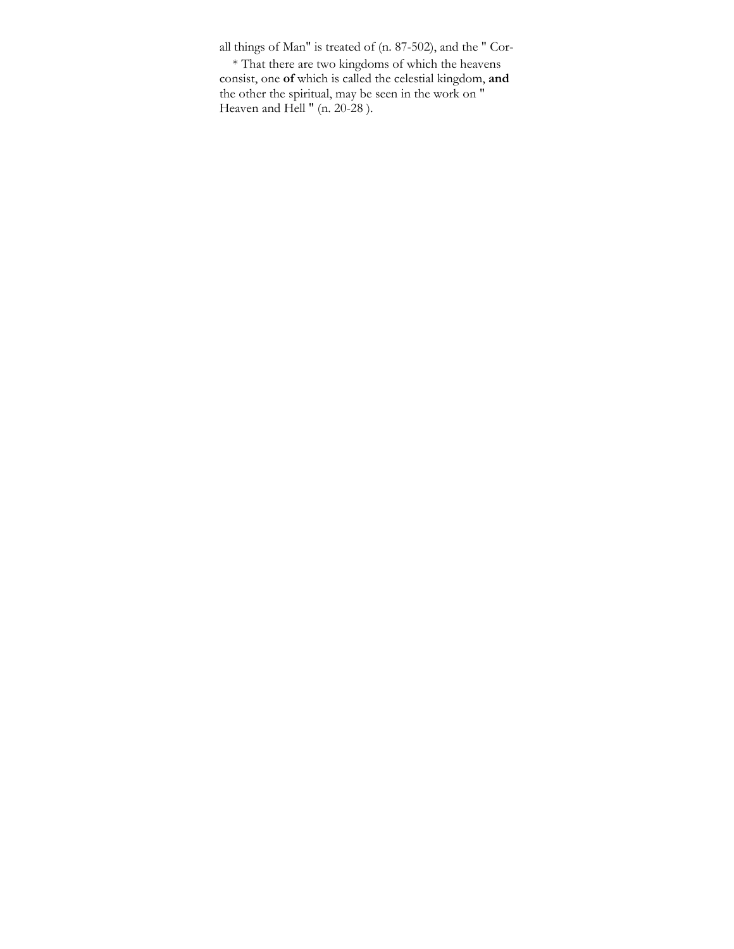all things of Man" is treated of (n. 87-502), and the " Cor-

\* That there are two kingdoms of which the heavens consist, one **of** which is called the celestial kingdom, **and**  the other the spiritual, may be seen in the work on " Heaven and Hell " (n. 20-28 ).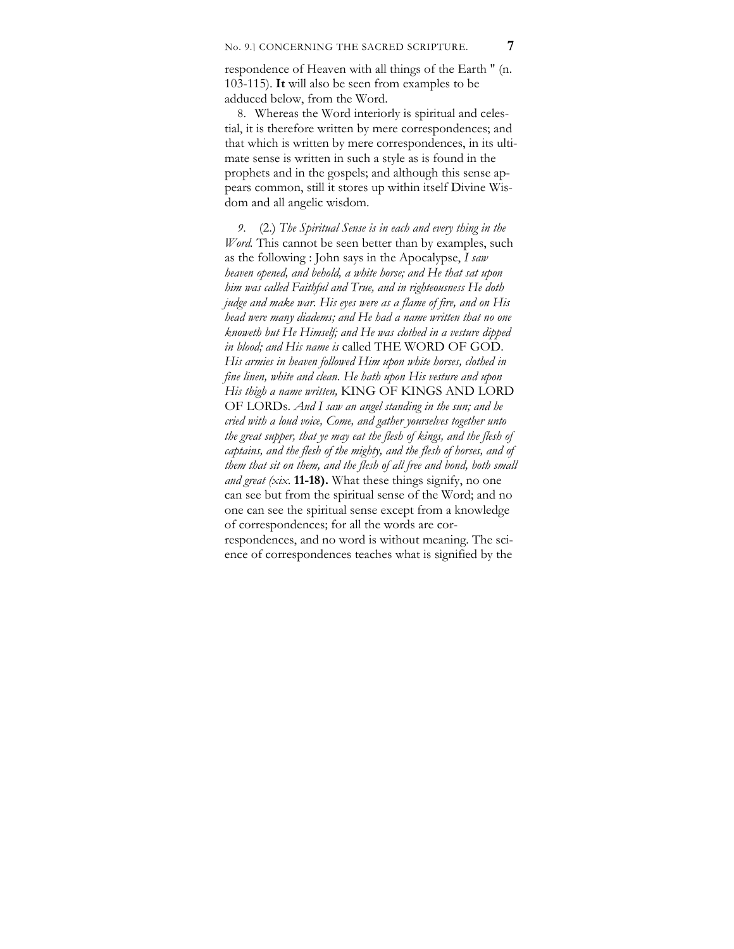respondence of Heaven with all things of the Earth " (n. 103-115). **It** will also be seen from examples to be adduced below, from the Word.

8. Whereas the Word interiorly is spiritual and celestial, it is therefore written by mere correspondences; and that which is written by mere correspondences, in its ultimate sense is written in such a style as is found in the prophets and in the gospels; and although this sense appears common, still it stores up within itself Divine Wisdom and all angelic wisdom.

*9.* (2.) *The Spiritual Sense is in each and every thing in the Word*. This cannot be seen better than by examples, such as the following : John says in the Apocalypse, *I saw heaven opened, and behold, a white horse; and He that sat upon him was called Faithful and True, and in righteousness He doth judge and make war. His eyes were as a flame of fire, and on His head were many diadems; and He had a name written that no one knoweth but He Himself; and He was clothed in a vesture dipped in blood; and His name is* called THE WORD OF GOD. *His armies in heaven followed Him upon white horses, clothed in fine linen, white and clean. He hath upon His vesture and upon His thigh a name written,* KING OF KINGS AND LORD OF LORDs. *And I saw an angel standing in the sun; and he cried with a loud voice, Come, and gather yourselves together unto the great supper, that ye may eat the flesh of kings, and the flesh of captains, and the flesh of the mighty, and the flesh of horses, and of them that sit on them, and the flesh of all free and bond, both small and great (xix.* **11-18).** What these things signify, no one can see but from the spiritual sense of the Word; and no one can see the spiritual sense except from a knowledge of correspondences; for all the words are correspondences, and no word is without meaning. The science of correspondences teaches what is signified by the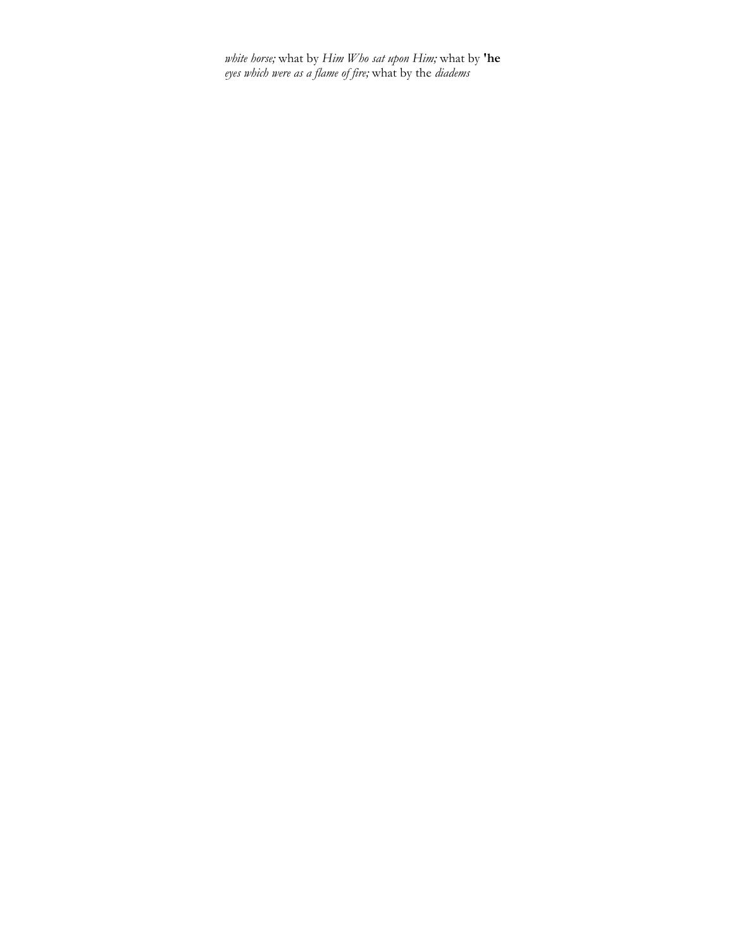*white horse;* what by *Him Who sat upon Him;* what by **'he**  *eyes which were as a flame of fire;* what by the *diadems*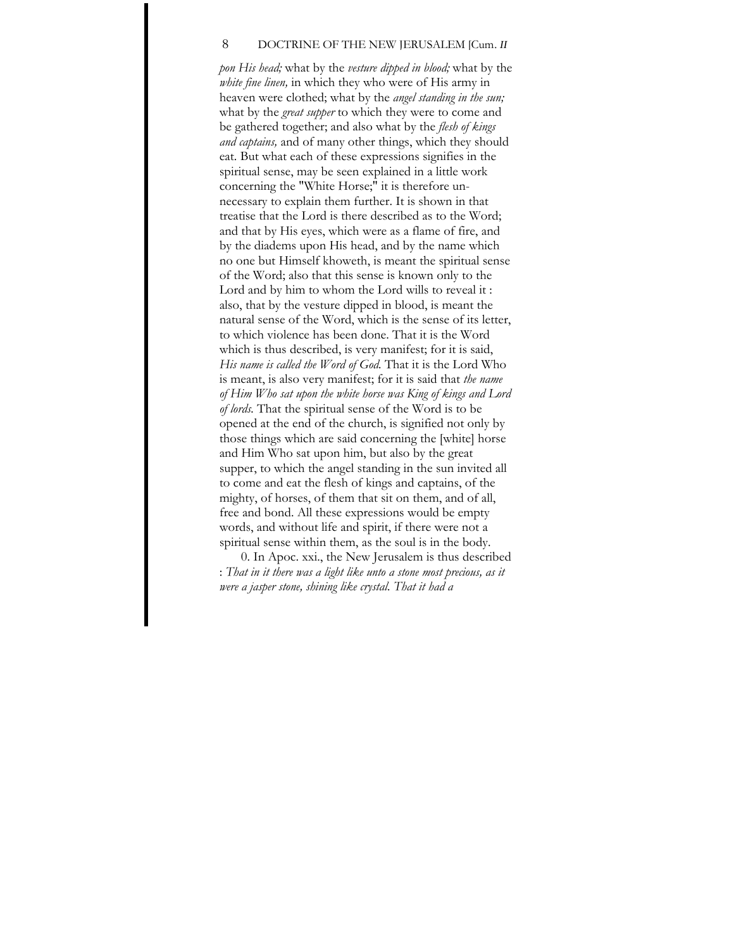#### 8 DOCTRINE OF THE NEW JERUSALEM [Cum,. *II*

*pon His head;* what by the *vesture dipped in blood;* what by the *white fine linen,* in which they who were of His army in heaven were clothed; what by the *angel standing in the sun;*  what by the *great supper* to which they were to come and be gathered together; and also what by the *flesh of kings and captains,* and of many other things, which they should eat. But what each of these expressions signifies in the spiritual sense, may be seen explained in a little work concerning the "White Horse;" it is therefore unnecessary to explain them further. It is shown in that treatise that the Lord is there described as to the Word; and that by His eyes, which were as a flame of fire, and by the diadems upon His head, and by the name which no one but Himself khoweth, is meant the spiritual sense of the Word; also that this sense is known only to the Lord and by him to whom the Lord wills to reveal it : also, that by the vesture dipped in blood, is meant the natural sense of the Word, which is the sense of its letter, to which violence has been done. That it is the Word which is thus described, is very manifest; for it is said, *His name is called the Word of God.* That it is the Lord Who is meant, is also very manifest; for it is said that *the name of Him Who sat upon the white horse was King of kings and Lord of lords.* That the spiritual sense of the Word is to be opened at the end of the church, is signified not only by those things which are said concerning the [white] horse and Him Who sat upon him, but also by the great supper, to which the angel standing in the sun invited all to come and eat the flesh of kings and captains, of the mighty, of horses, of them that sit on them, and of all, free and bond. All these expressions would be empty words, and without life and spirit, if there were not a spiritual sense within them, as the soul is in the body.

0. In Apoc. xxi., the New Jerusalem is thus described : *That in it there was a light like unto a stone most precious, as it were a jasper stone, shining like crystal. That it had a*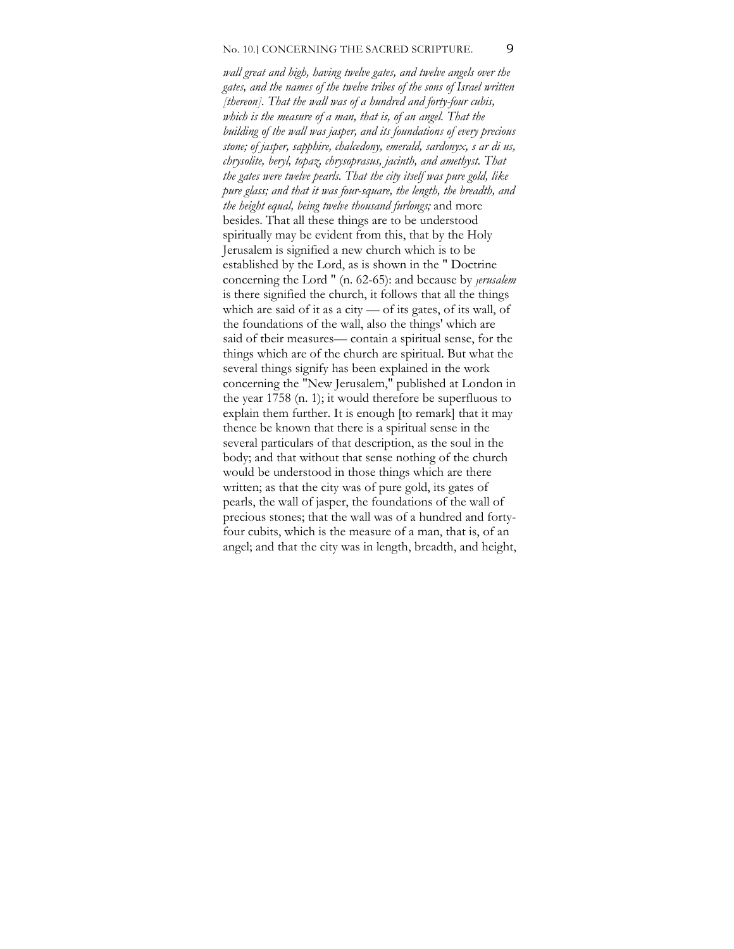### No. 10.] CONCERNING THE SACRED SCRIPTURE. 9

*wall great and high, having twelve gates, and twelve angels over the gates, and the names of the twelve tribes of the sons of Israel written [thereon]. That the wall was of a hundred and forty-four cubis, which is the measure of a man, that is, of an angel. That the building of the wall was jasper, and its foundations of every precious stone; of jasper, sapphire, chalcedony, emerald, sardonyx, s ar di us, chrysolite, beryl, topaz, chrysoprasus, jacinth, and amethyst. That the gates were twelve pearls. That the city itself was pure gold, like pure glass; and that it was four-square, the length, the breadth, and the height equal, being twelve thousand furlongs;* and more besides. That all these things are to be understood spiritually may be evident from this, that by the Holy Jerusalem is signified a new church which is to be established by the Lord, as is shown in the " Doctrine concerning the Lord " (n. 62-65): and because by *Jerusalem* is there signified the church, it follows that all the things which are said of it as a city — of its gates, of its wall, of the foundations of the wall, also the things' which are said of tbeir measures— contain a spiritual sense, for the things which are of the church are spiritual. But what the several things signify has been explained in the work concerning the "New Jerusalem," published at London in the year 1758 (n. 1); it would therefore be superfluous to explain them further. It is enough [to remark] that it may thence be known that there is a spiritual sense in the several particulars of that description, as the soul in the body; and that without that sense nothing of the church would be understood in those things which are there written; as that the city was of pure gold, its gates of pearls, the wall of jasper, the foundations of the wall of precious stones; that the wall was of a hundred and fortyfour cubits, which is the measure of a man, that is, of an angel; and that the city was in length, breadth, and height,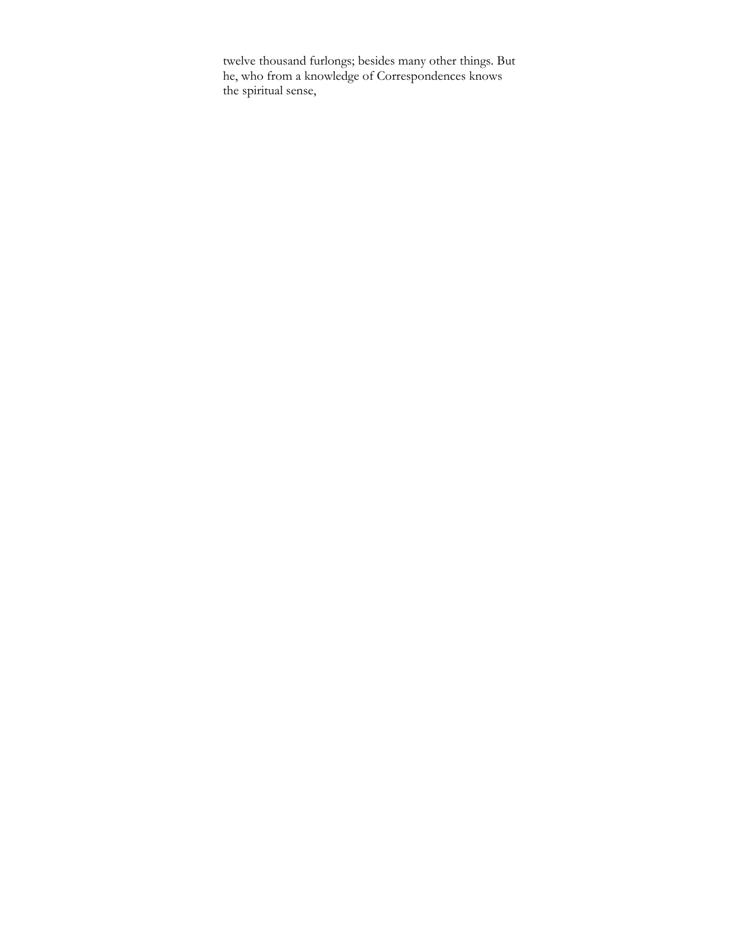twelve thousand furlongs; besides many other things. But he, who from a knowledge of Correspondences knows the spiritual sense,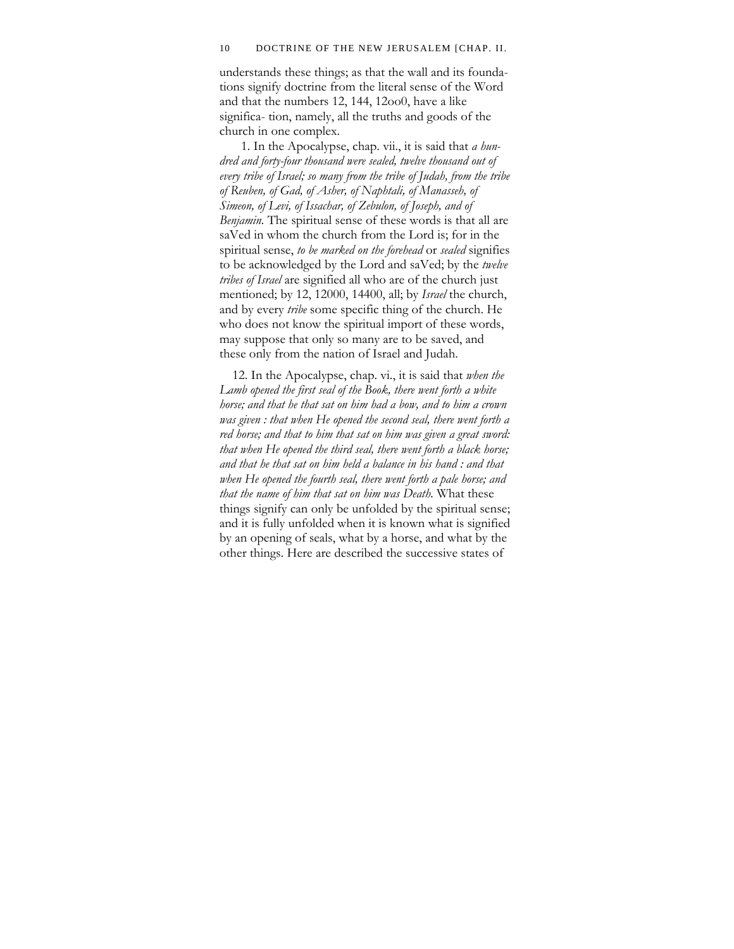#### 10 DOCTRINE OF THE NEW JERUSALEM [CHAP. II.

understands these things; as that the wall and its foundations signify doctrine from the literal sense of the Word and that the numbers 12, 144, 12oo0, have a like significa- tion, namely, all the truths and goods of the church in one complex.

1. In the Apocalypse, chap. vii., it is said that *a hundred and forty-four thousand were sealed, twelve thousand out of every tribe of Israel; so many from the tribe of Judah, from the tribe of Reuben, of Gad, of Asher, of Naphtali, of Manasseh, of Simeon, of Levi, of Issachar, of Zebulon, of Joseph, and of Benjamin.* The spiritual sense of these words is that all are saVed in whom the church from the Lord is; for in the spiritual sense, *to be marked on the forehead* or *sealed* signifies to be acknowledged by the Lord and saVed; by the *twelve tribes of Israel* are signified all who are of the church just mentioned; by 12, 12000, 14400, all; by *Israel* the church, and by every *tribe* some specific thing of the church. He who does not know the spiritual import of these words, may suppose that only so many are to be saved, and these only from the nation of Israel and Judah.

12. In the Apocalypse, chap. vi., it is said that *when the Lamb opened the first seal of the Book, there went forth a white horse; and that he that sat on him had a bow, and to him a crown was given : that when He opened the second seal, there went forth a red horse; and that to him that sat on him was given a great sword: that when He opened the third seal, there went forth a black horse; and that he that sat on him held a balance in his hand : and that when He opened the fourth seal, there went forth a pale horse; and that the name of him that sat on him was Death.* What these things signify can only be unfolded by the spiritual sense; and it is fully unfolded when it is known what is signified by an opening of seals, what by a horse, and what by the other things. Here are described the successive states of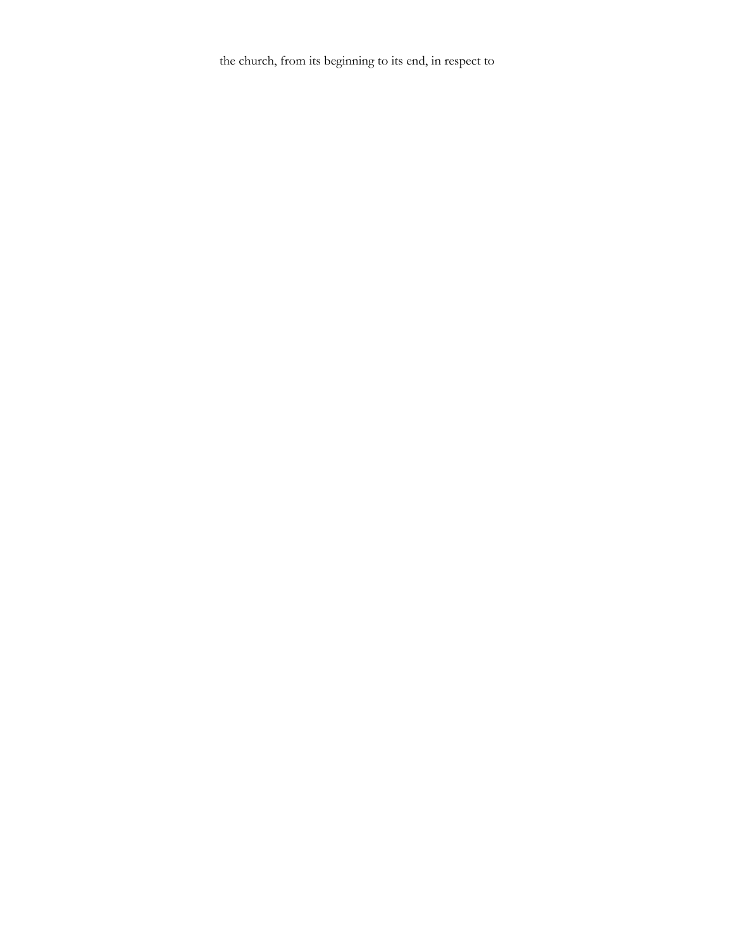the church, from its beginning to its end, in respect to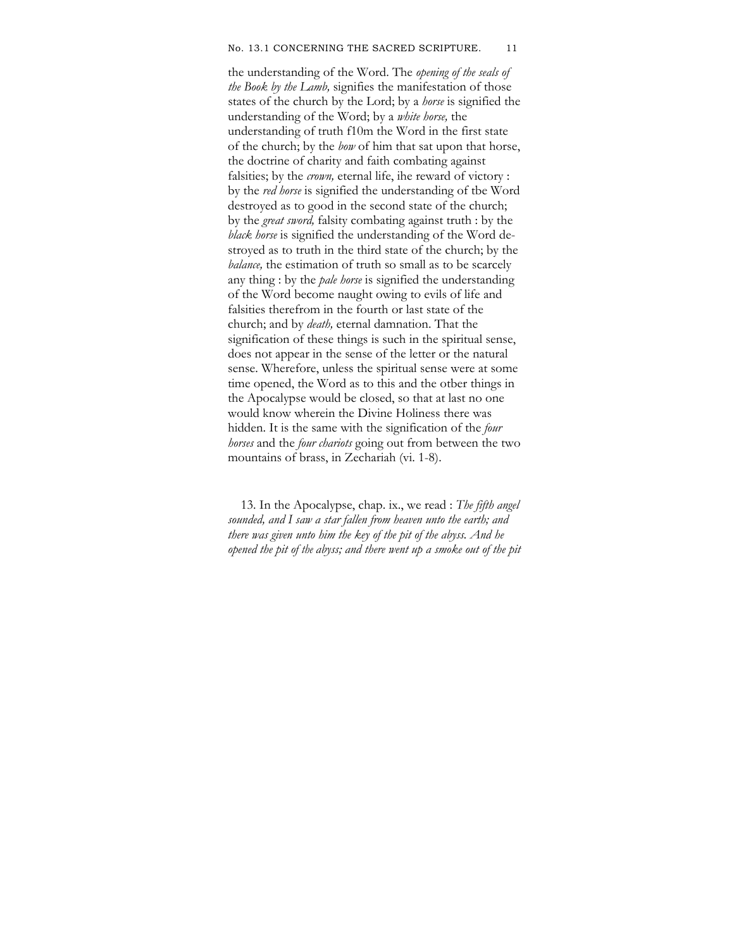#### No. 13.1 CONCERNING THE SACRED SCRIPTURE. 11

the understanding of the Word. The *opening of the seals of the Book by the Lamb,* signifies the manifestation of those states of the church by the Lord; by a *horse* is signified the understanding of the Word; by a *white horse,* the understanding of truth f10m the Word in the first state of the church; by the *bow* of him that sat upon that horse, the doctrine of charity and faith combating against falsities; by the *crown,* eternal life, ihe reward of victory : by the *red horse* is signified the understanding of tbe Word destroyed as to good in the second state of the church; by the *great sword,* falsity combating against truth : by the *black horse* is signified the understanding of the Word destroyed as to truth in the third state of the church; by the *balance*, the estimation of truth so small as to be scarcely any thing : by the *pale horse* is signified the understanding of the Word become naught owing to evils of life and falsities therefrom in the fourth or last state of the church; and by *death,* eternal damnation. That the signification of these things is such in the spiritual sense, does not appear in the sense of the letter or the natural sense. Wherefore, unless the spiritual sense were at some time opened, the Word as to this and the otber things in the Apocalypse would be closed, so that at last no one would know wherein the Divine Holiness there was hidden. It is the same with the signification of the *four horses* and the *four chariots* going out from between the two mountains of brass, in Zechariah (vi. 1-8).

13. In the Apocalypse, chap. ix., we read : *The fifth angel sounded, and I saw a star fallen from heaven unto the earth; and there was given unto him the key of the pit of the abyss. And he opened the pit of the abyss; and there went up a smoke out of the pit*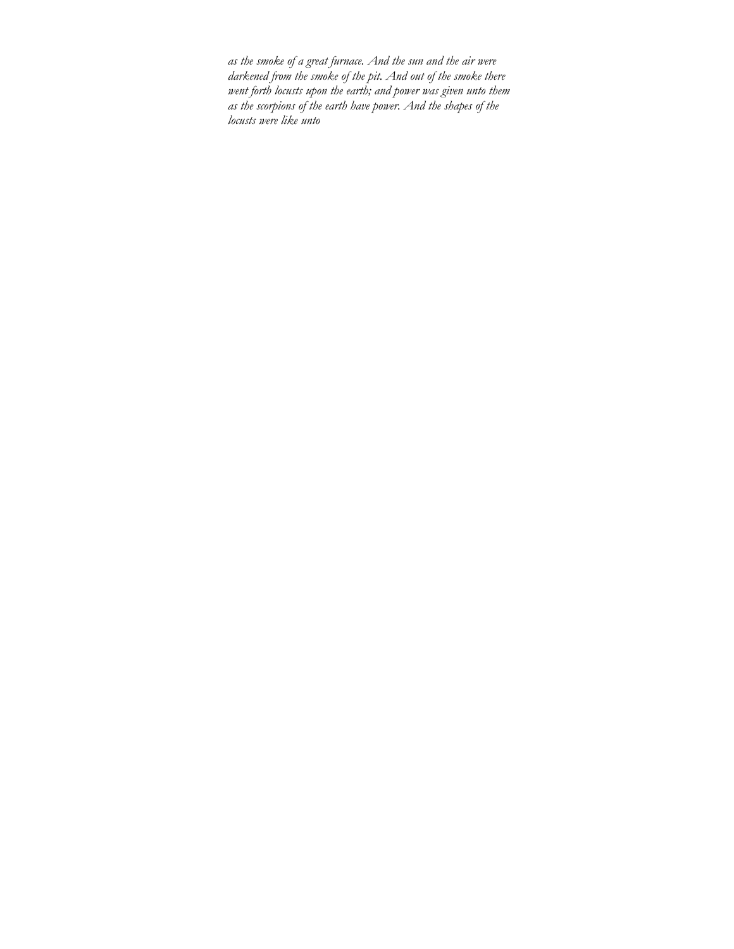*as the smoke of a great furnace. And the sun and the air were darkened from the smoke of the pit. And out of the smoke there went forth locusts upon the earth; and power was given unto them as the scorpions of the earth have power. And the shapes of the locusts were like unto*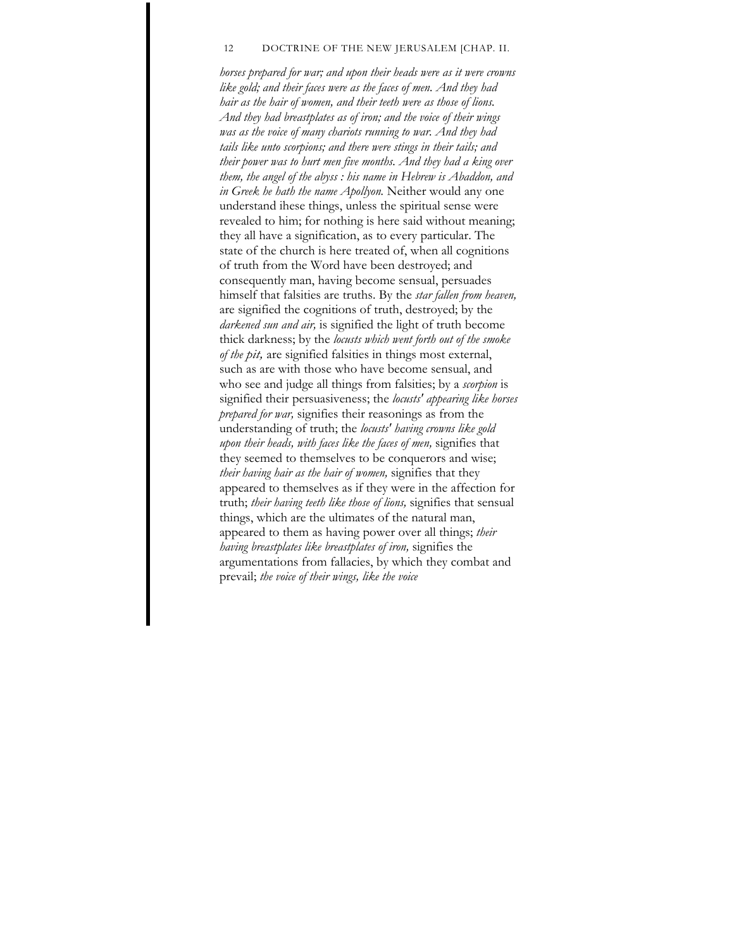#### 12 DOCTRINE OF THE NEW JERUSALEM [CHAP. II.

*horses prepared for war; and upon their heads were as it were crowns like gold; and their faces were as the faces of men. And they had hair as the hair of women, and their teeth were as those of lions. And they had breastplates as of iron; and the voice of their wings was as the voice of many chariots running to war. And they had tails like unto scorpions; and there were stings in their tails; and their power was to hurt men five months. And they had a king over them, the angel of the abyss : his name in Hebrew is Abaddon, and in Greek he hath the name Apollyon.* Neither would any one understand ihese things, unless the spiritual sense were revealed to him; for nothing is here said without meaning; they all have a signification, as to every particular. The state of the church is here treated of, when all cognitions of truth from the Word have been destroyed; and consequently man, having become sensual, persuades himself that falsities are truths. By the *star fallen from heaven,*  are signified the cognitions of truth, destroyed; by the *darkened sun and air,* is signified the light of truth become thick darkness; by the *locusts which went forth out of the smoke of the pit,* are signified falsities in things most external, such as are with those who have become sensual, and who see and judge all things from falsities; by a *scorpion* is signified their persuasiveness; the *locusts' appearing like horses prepared for war,* signifies their reasonings as from the understanding of truth; the *locusts' having crowns like gold upon their heads, with faces like the faces of men,* signifies that they seemed to themselves to be conquerors and wise; *their having hair as the hair of women,* signifies that they appeared to themselves as if they were in the affection for truth; *their having teeth like those of lions,* signifies that sensual things, which are the ultimates of the natural man, appeared to them as having power over all things; *their having breastplates like breastplates of iron,* signifies the argumentations from fallacies, by which they combat and prevail; *the voice of their wings, like the voice*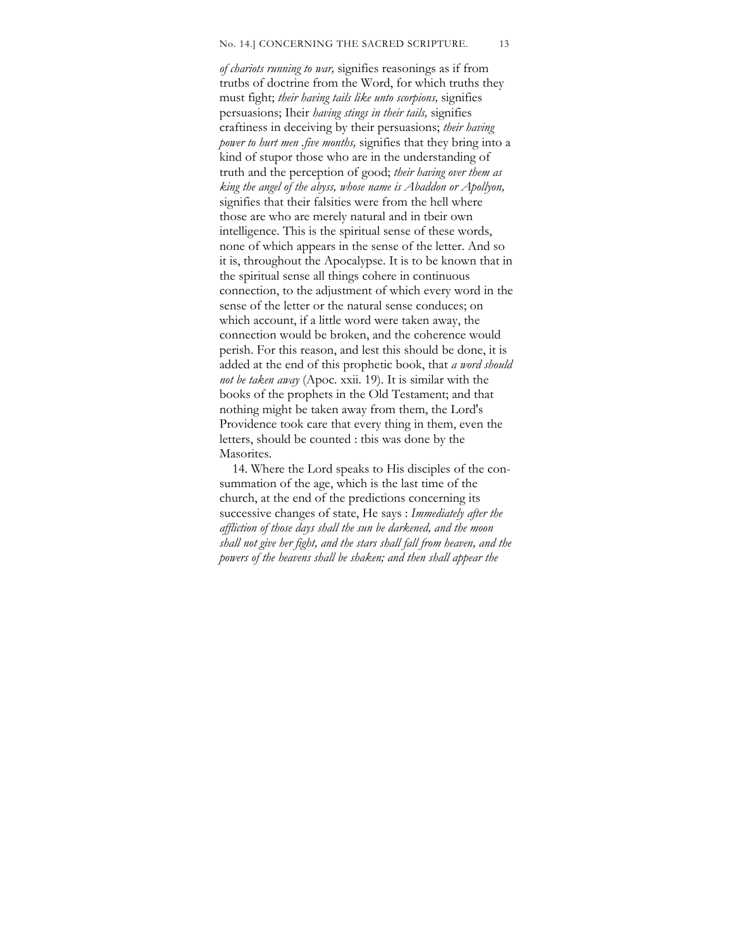*of chariots running to war,* signifies reasonings as if from trutbs of doctrine from the Word, for which truths they must fight; *their having tails like unto scorpions,* signifies persuasions; Iheir *having stings in their tails,* signifies craftiness in deceiving by their persuasions; *their having power to hurt men .five months,* signifies that they bring into a kind of stupor those who are in the understanding of truth and the perception of good; *their having over them as king the angel of the abyss, whose name is Abaddon or Apollyon,*  signifies that their falsities were from the hell where those are who are merely natural and in tbeir own intelligence. This is the spiritual sense of these words, none of which appears in the sense of the letter. And so it is, throughout the Apocalypse. It is to be known that in the spiritual sense all things cohere in continuous connection, to the adjustment of which every word in the sense of the letter or the natural sense conduces; on which account, if a little word were taken away, the connection would be broken, and the coherence would perish. For this reason, and lest this should be done, it is added at the end of this prophetic book, that *a word should not be taken away* (Apoc. xxii. 19). It is similar with the books of the prophets in the Old Testament; and that nothing might be taken away from them, the Lord's Providence took care that every thing in them, even the letters, should be counted : tbis was done by the Masorites.

14. Where the Lord speaks to His disciples of the consummation of the age, which is the last time of the church, at the end of the predictions concerning its successive changes of state, He says : *Immediately after the affliction of those days shall the sun be darkened, and the moon shall not give her fight, and the stars shall fall from heaven, and the powers of the heavens shall be shaken; and then shall appear the*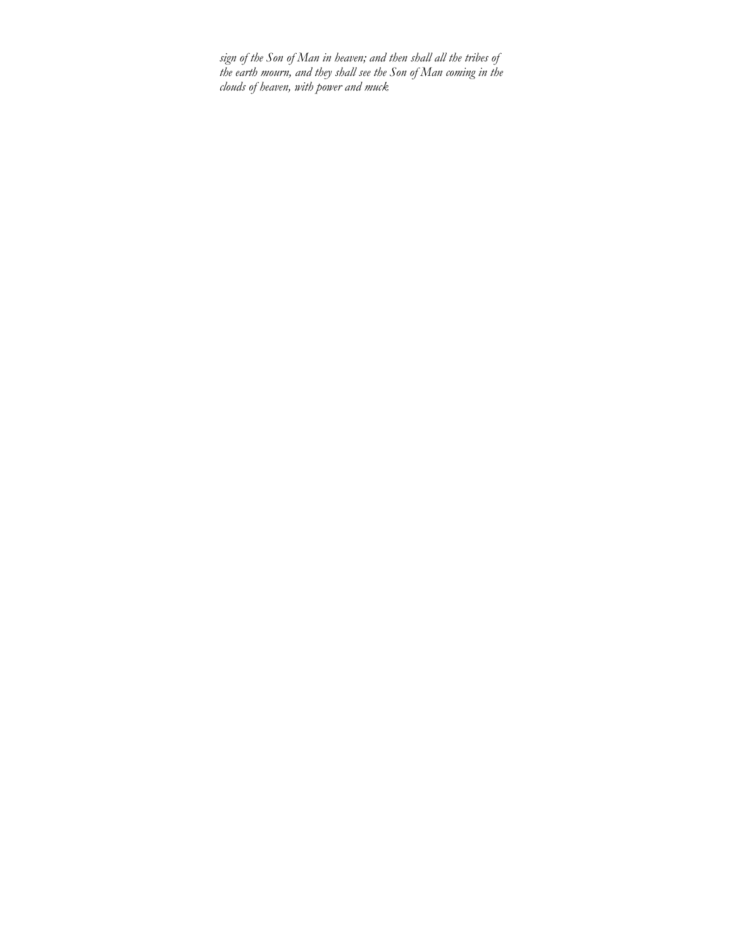*sign of the Son of Man in heaven; and then shall all the tribes of the earth mourn, and they shall see the Son of Man coming in the clouds of heaven, with power and muck*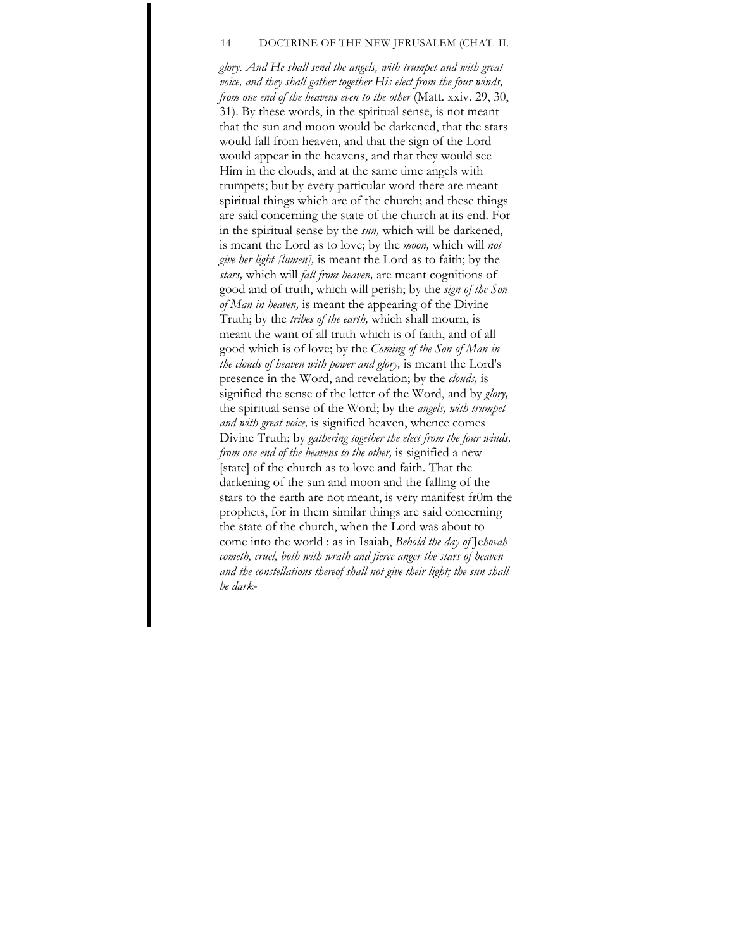#### 14 DOCTRINE OF THE NEW JERUSALEM (CHAT. II.

*glory. And He shall send the angels, with trumpet and with great voice, and they shall gather together His elect from the four winds, from one end of the heavens even to the other* (Matt. xxiv. 29, 30, 31). By these words, in the spiritual sense, is not meant that the sun and moon would be darkened, that the stars would fall from heaven, and that the sign of the Lord would appear in the heavens, and that they would see Him in the clouds, and at the same time angels with trumpets; but by every particular word there are meant spiritual things which are of the church; and these things are said concerning the state of the church at its end. For in the spiritual sense by the *sun,* which will be darkened, is meant the Lord as to love; by the *moon,* which will *not give her light [lumen],* is meant the Lord as to faith; by the *stars,* which will *fall from heaven,* are meant cognitions of good and of truth, which will perish; by the *sign of the Son of Man in heaven,* is meant the appearing of the Divine Truth; by the *tribes of the earth,* which shall mourn, is meant the want of all truth which is of faith, and of all good which is of love; by the *Coming of the Son of Man in the clouds of heaven with power and glory,* is meant the Lord's presence in the Word, and revelation; by the *clouds,* is signified the sense of the letter of the Word, and by *glory,*  the spiritual sense of the Word; by the *angels, with trumpet and with great voice,* is signified heaven, whence comes Divine Truth; by *gathering together the elect from the four winds, from one end of the heavens to the other,* is signified a new [state] of the church as to love and faith. That the darkening of the sun and moon and the falling of the stars to the earth are not meant, is very manifest fr0m the prophets, for in them similar things are said concerning the state of the church, when the Lord was about to come into the world : as in Isaiah, *Behold the day of* Je*hovah cometh, cruel, both with wrath and fierce anger the stars of heaven and the constellations thereof shall not give their light; the sun shall be dark-*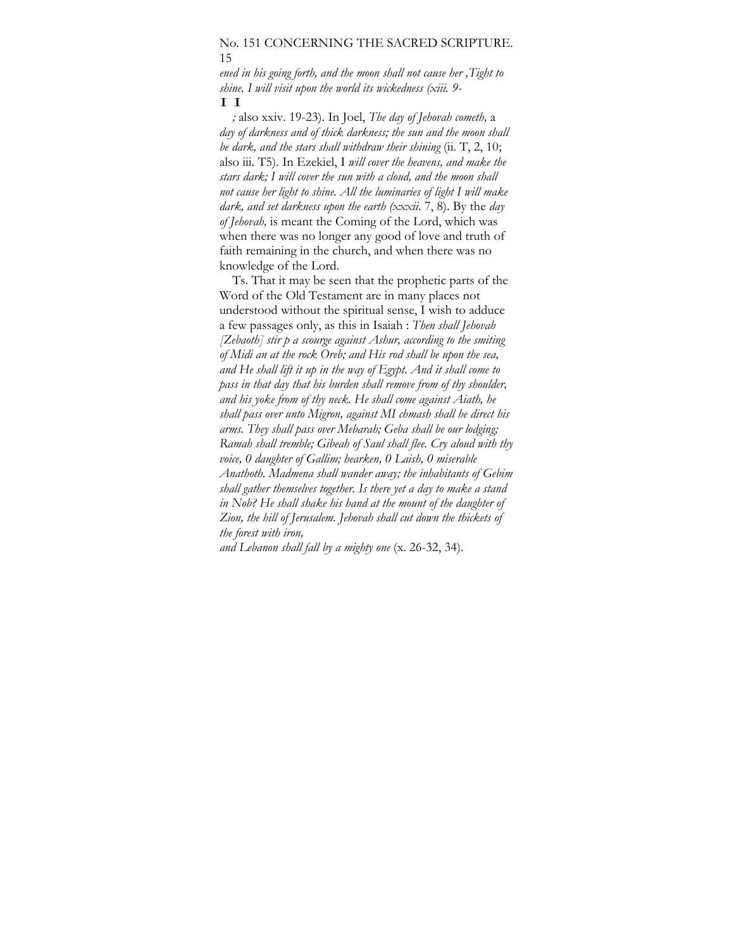#### No. 151 CONCERNING THE SACRED SCRIPTURE. 15

*ened in his going forth, and the moon shall not cause her ,Tight to shine. I will visit upon the world its wickedness (xiii. 9-*  I I

*;* also xxiv. 19-23). In Joel, *The day of Jehovah cometh,* a *day of darkness and of thick darkness; the sun and the moon shall be dark, and the stars shall withdraw their shining* (ii. T, 2, 10; also iii. T5). In Ezekiel, I *will cover the heavens, and make the stars dark; I will cover the sun with a cloud, and the moon shall not cause her light to shine. All the luminaries of light I will make dark, and set darkness upon the earth (xxxii.* 7, 8). By the *day of Jehovah,* is meant the Coming of the Lord, which was when there was no longer any good of love and truth of faith remaining in the church, and when there was no knowledge of the Lord.

Ts. That it may be seen that the prophetic parts of the Word of the Old Testament are in many places not understood without the spiritual sense, I wish to adduce a few passages only, as this in Isaiah : *Then shall Jehovah [Zebaoth] stir p a scourge against Ashur, according to the smiting of Midi an at the rock Oreb; and His rod shall be upon the sea, and He shall lift it up in the way of Egypt. And it shall come to pass in that day that his burden shall remove from of thy shoulder, and his yoke from of thy neck. He shall come against Aiath, he shall pass over unto Migron, against MI chmash shall he direct his arms. They shall pass over Mebarah; Geba shall be our lodging; Ramah shall tremble; Gibeah of Saul shall flee. Cry aloud with thy voice, 0 daughter of Gallim; hearken, 0 Laish, 0 miserable Anathoth. Madmena shall wander away; the inhabitants of Gebim shall gather themselves together. Is there yet a day to make a stand*  in Nob? He shall shake his hand at the mount of the daughter of *Zion, the hill of Jerusalem. Jehovah shall cut down the thickets of the forest with iron,* 

*and Lebanon shall fall by a mighty one* (x. 26-32, 34).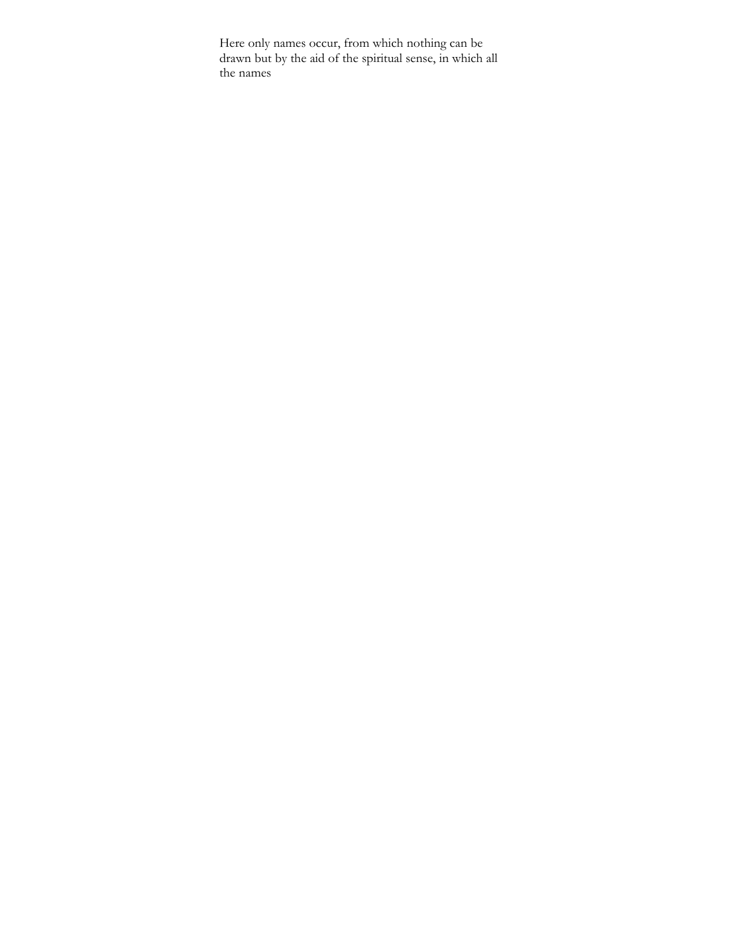Here only names occur, from which nothing can be drawn but by the aid of the spiritual sense, in which all the names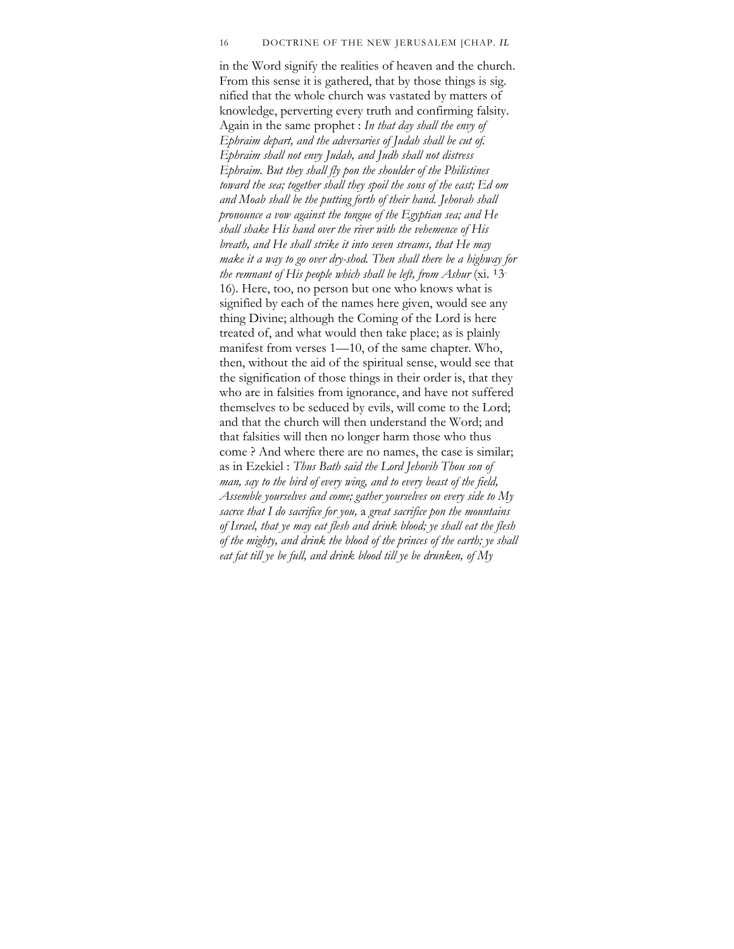#### 16 DOCTRINE OF THE NEW JERUSALEM [CHAP. *IL*

in the Word signify the realities of heaven and the church. From this sense it is gathered, that by those things is sig. nified that the whole church was vastated by matters of knowledge, perverting every truth and confirming falsity. Again in the same prophet : *In that day shall the envy of Ephraim depart, and the adversaries of Judah shall be cut of. Ephraim shall not envy Judah, and Judh shall not distress Ephraim. But they shall fly pon the shoulder of the Philistines toward the sea; together shall they spoil the sons of the east; Ed om and Moab shall be the putting forth of their hand. Jehovah shall pronounce a vow against the tongue of the Egyptian sea; and He shall shake His hand over the river with the vehemence of His breath, and He shall strike it into seven streams, that He may make it a way to go over dry-shod. Then shall there be a highway for the remnant of His people which shall be left, from Ashur* (xi. 13-16). Here, too, no person but one who knows what is signified by each of the names here given, would see any thing Divine; although the Coming of the Lord is here treated of, and what would then take place; as is plainly manifest from verses 1—10, of the same chapter. Who, then, without the aid of the spiritual sense, would see that the signification of those things in their order is, that they who are in falsities from ignorance, and have not suffered themselves to be seduced by evils, will come to the Lord; and that the church will then understand the Word; and that falsities will then no longer harm those who thus come ? And where there are no names, the case is similar; as in Ezekiel : *Thus Bath said the Lord Jehovih Thou son of man, say to the bird of every wing, and to every beast of the field, Assemble yourselves and come; gather yourselves on every side to My sacrce that I do sacrifice for you,* a *great sacrifice pon the mountains of Israel, that ye may eat flesh and drink blood; ye shall eat the flesh of the mighty, and drink the blood of the princes of the earth; ye shall eat fat till ye be full, and drink blood till ye be drunken, of My*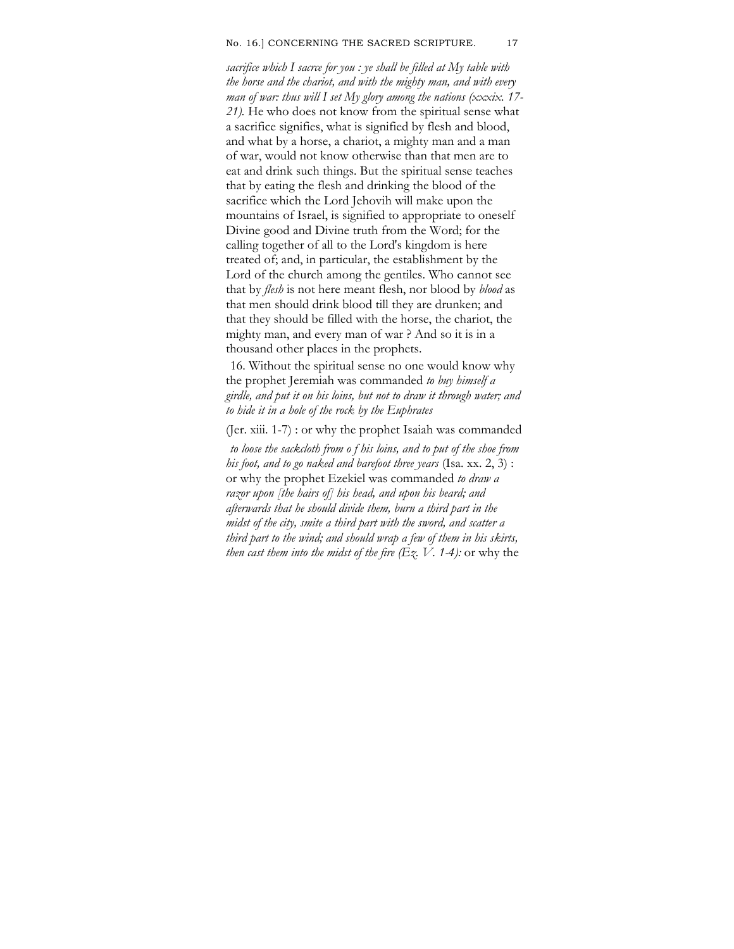#### No. 16.] CONCERNING THE SACRED SCRIPTURE. 17

*sacrifice which I sacrce for you : ye shall be filled at My table with the horse and the chariot, and with the mighty man, and with every man of war: thus will I set My glory among the nations (xxxix. 17- 21).* He who does not know from the spiritual sense what a sacrifice signifies, what is signified by flesh and blood, and what by a horse, a chariot, a mighty man and a man of war, would not know otherwise than that men are to eat and drink such things. But the spiritual sense teaches that by eating the flesh and drinking the blood of the sacrifice which the Lord Jehovih will make upon the mountains of Israel, is signified to appropriate to oneself Divine good and Divine truth from the Word; for the calling together of all to the Lord's kingdom is here treated of; and, in particular, the establishment by the Lord of the church among the gentiles. Who cannot see that by *flesh* is not here meant flesh, nor blood by *blood* as that men should drink blood till they are drunken; and that they should be filled with the horse, the chariot, the mighty man, and every man of war ? And so it is in a thousand other places in the prophets.

16. Without the spiritual sense no one would know why the prophet Jeremiah was commanded *to buy himself a girdle, and put it on his loins, but not to draw it through water; and to hide it in a hole of the rock by the Euphrates* 

(Jer. xiii. 1-7) : or why the prophet Isaiah was commanded

*to loose the sackcloth from o f his loins, and to put of the shoe from his foot, and to go naked and barefoot three years* (Isa. xx. 2, 3) : or why the prophet Ezekiel was commanded *to draw a razor upon [the hairs of] his head, and upon his beard; and afterwards that he should divide them, burn a third part in the midst of the city, smite a third part with the sword, and scatter a third part to the wind; and should wrap a few of them in his skirts, then cast them into the midst of the fire*  $(Ez, V. 1-4)$ *: or why the*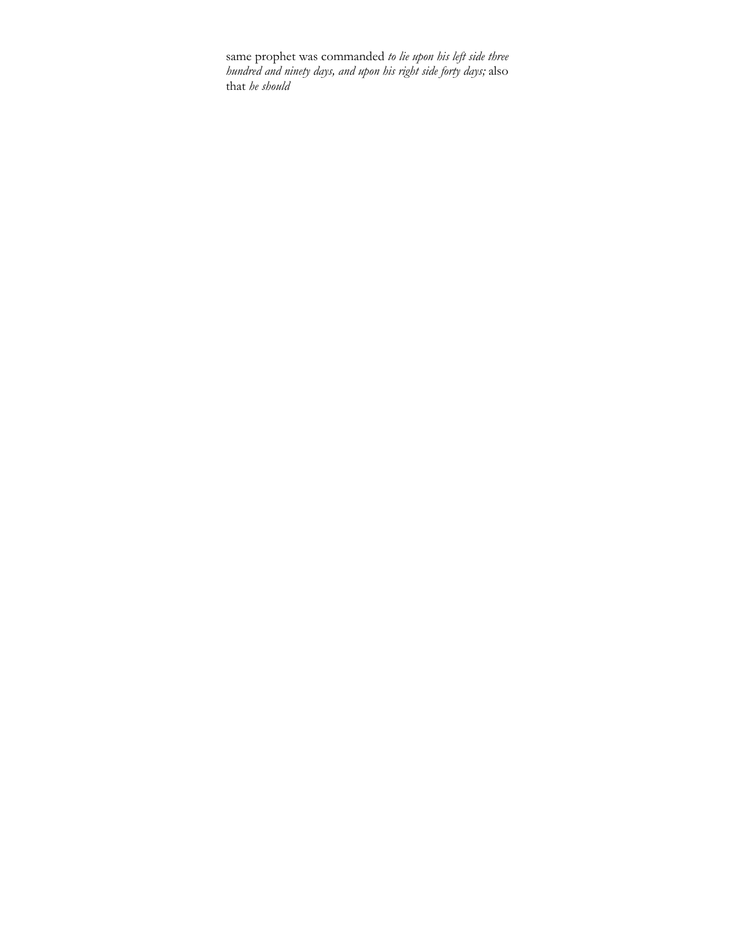same prophet was commanded *to lie upon his left side three hundred and ninety days, and upon his right side forty days;* also that *he should*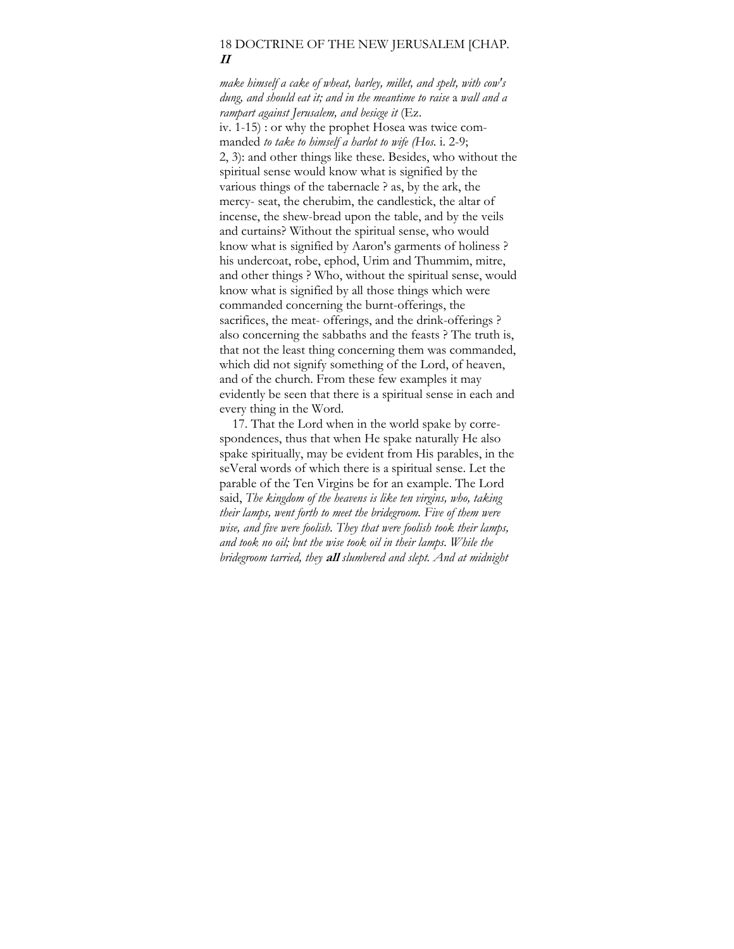## 18 DOCTRINE OF THE NEW JERUSALEM [CHAP. **II**

*make himself a cake of wheat, barley, millet, and spelt, with cow's dung, and should eat it; and in the meantime to raise* a *wall and a rampart against Jerusalem, and besicge it* (Ez. iv. 1-15) : or why the prophet Hosea was twice commanded *to take to himself a harlot to wife (Hos.* i. 2-9; 2, 3): and other things like these. Besides, who without the spiritual sense would know what is signified by the various things of the tabernacle ? as, by the ark, the mercy- seat, the cherubim, the candlestick, the altar of incense, the shew-bread upon the table, and by the veils and curtains? Without the spiritual sense, who would know what is signified by Aaron's garments of holiness ? his undercoat, robe, ephod, Urim and Thummim, mitre, and other things ? Who, without the spiritual sense, would know what is signified by all those things which were commanded concerning the burnt-offerings, the sacrifices, the meat- offerings, and the drink-offerings ? also concerning the sabbaths and the feasts ? The truth is, that not the least thing concerning them was commanded, which did not signify something of the Lord, of heaven, and of the church. From these few examples it may evidently be seen that there is a spiritual sense in each and every thing in the Word.

17. That the Lord when in the world spake by correspondences, thus that when He spake naturally He also spake spiritually, may be evident from His parables, in the seVeral words of which there is a spiritual sense. Let the parable of the Ten Virgins be for an example. The Lord said, *The kingdom of the heavens is like ten virgins, who, taking their lamps, went forth to meet the bridegroom. Five of them were wise, and five were foolish. They that were foolish took their lamps, and took no oil; but the wise took oil in their lamps. While the bridegroom tarried, they* **all** *slumbered and slept. And at midnight*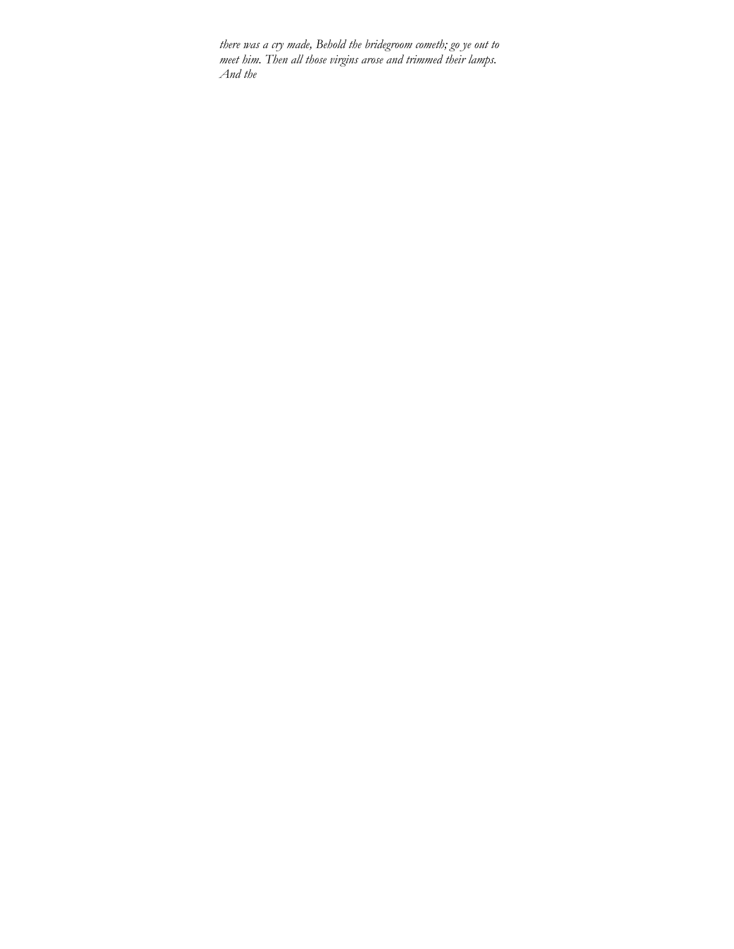*there was a cry made, Behold the bridegroom cometh; go ye out to meet him. Then all those virgins arose and trimmed their lamps. And the*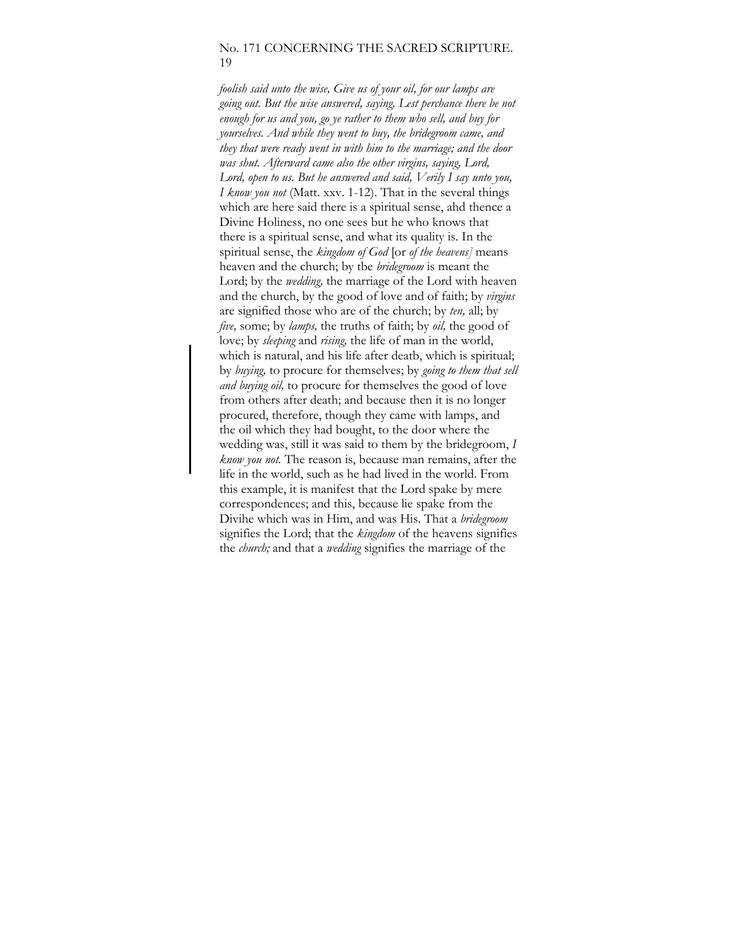### No. 171 CONCERNING THE SACRED SCRIPTURE. 19

*foolish said unto the wise, Give us of your oil, for our lamps are going out. But the wise answered, saying, Lest perchance there be not enough for us and you, go ye rather to them who sell, and buy for yourselves. And while they went to buy, the bridegroom came, and they that were ready went in with him to the marriage; and the door was shut. Afterward came also the other virgins, saying, Lord, Lord, open to us. But he answered and said, Verily I say unto you, I know you not* (Matt. xxv. 1-12). That in the several things which are here said there is a spiritual sense, ahd thence a Divine Holiness, no one sees but he who knows that there is a spiritual sense, and what its quality is. In the spiritual sense, the *kingdom of God* [or *of the heavens]* means heaven and the church; by tbe *bridegroom* is meant the Lord; by the *wedding,* the marriage of the Lord with heaven and the church, by the good of love and of faith; by *virgins*  are signified those who are of the church; by *ten,* all; by *five,* some; by *lamps,* the truths of faith; by *oil,* the good of love; by *sleeping* and *rising,* the life of man in the world, which is natural, and his life after deatb, which is spiritual; by *buying,* to procure for themselves; by *going to them that sell and buying oil,* to procure for themselves the good of love from others after death; and because then it is no longer procured, therefore, though they came with lamps, and the oil which they had bought, to the door where the wedding was, still it was said to them by the bridegroom, *I know you not.* The reason is, because man remains, after the life in the world, such as he had lived in the world. From this example, it is manifest that the Lord spake by mere correspondences; and this, because lie spake from the Divihe which was in Him, and was His. That a *bridegroom*  signifies the Lord; that the *kingdom* of the heavens signifies the *church;* and that a *wedding* signifies the marriage of the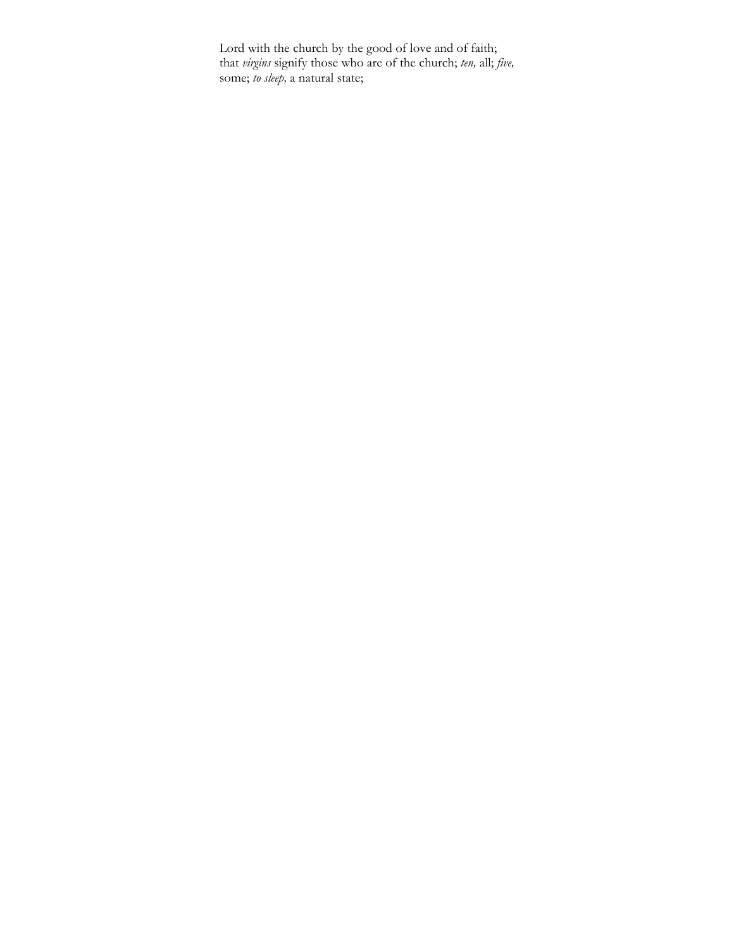Lord with the church by the good of love and of faith; that *virgins* signify those who are of the church; *ten,* all; *five,*  some; *to sleep,* a natural state;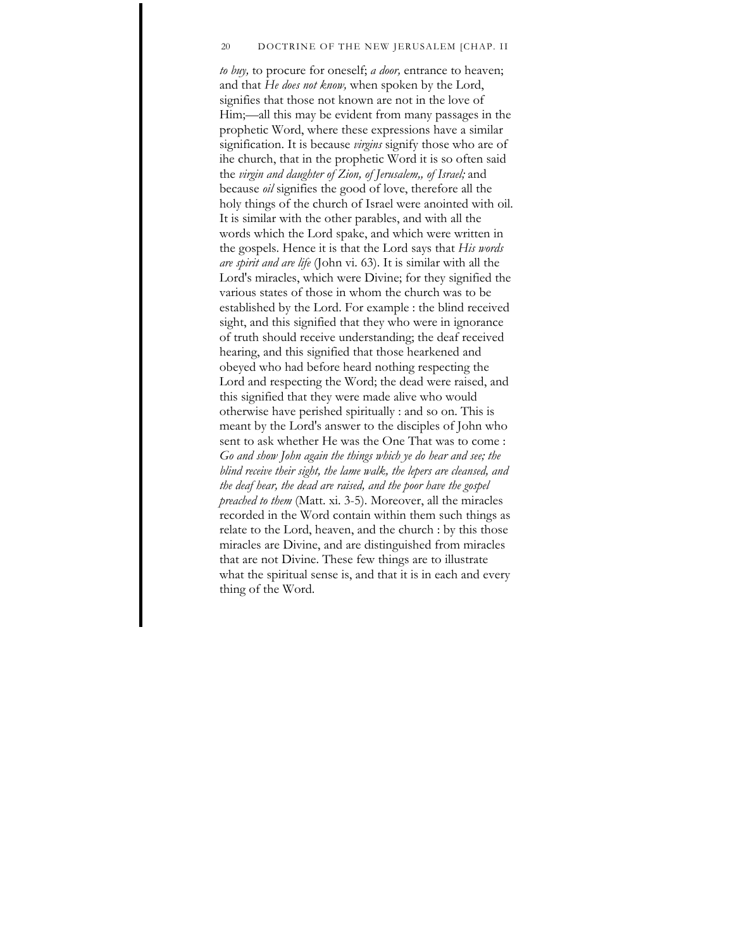#### 20 DOCTRINE OF THE NEW JERUSALEM [CHAP. II

*to buy,* to procure for oneself; *a door,* entrance to heaven; and that *He does not know,* when spoken by the Lord, signifies that those not known are not in the love of Him;—all this may be evident from many passages in the prophetic Word, where these expressions have a similar signification. It is because *virgins* signify those who are of ihe church, that in the prophetic Word it is so often said the *virgin and daughter of Zion, of Jerusalem,, of Israel;* and because *oil* signifies the good of love, therefore all the holy things of the church of Israel were anointed with oil. It is similar with the other parables, and with all the words which the Lord spake, and which were written in the gospels. Hence it is that the Lord says that *His words are spirit and are life* (John vi. 63). It is similar with all the Lord's miracles, which were Divine; for they signified the various states of those in whom the church was to be established by the Lord. For example : the blind received sight, and this signified that they who were in ignorance of truth should receive understanding; the deaf received hearing, and this signified that those hearkened and obeyed who had before heard nothing respecting the Lord and respecting the Word; the dead were raised, and this signified that they were made alive who would otherwise have perished spiritually : and so on. This is meant by the Lord's answer to the disciples of John who sent to ask whether He was the One That was to come : *Go and show John again the things which ye do hear and see; the blind receive their sight, the lame walk, the lepers are cleansed, and the deaf hear, the dead are raised, and the poor have the gospel preached to them* (Matt. xi. 3-5). Moreover, all the miracles recorded in the Word contain within them such things as relate to the Lord, heaven, and the church : by this those miracles are Divine, and are distinguished from miracles that are not Divine. These few things are to illustrate what the spiritual sense is, and that it is in each and every thing of the Word.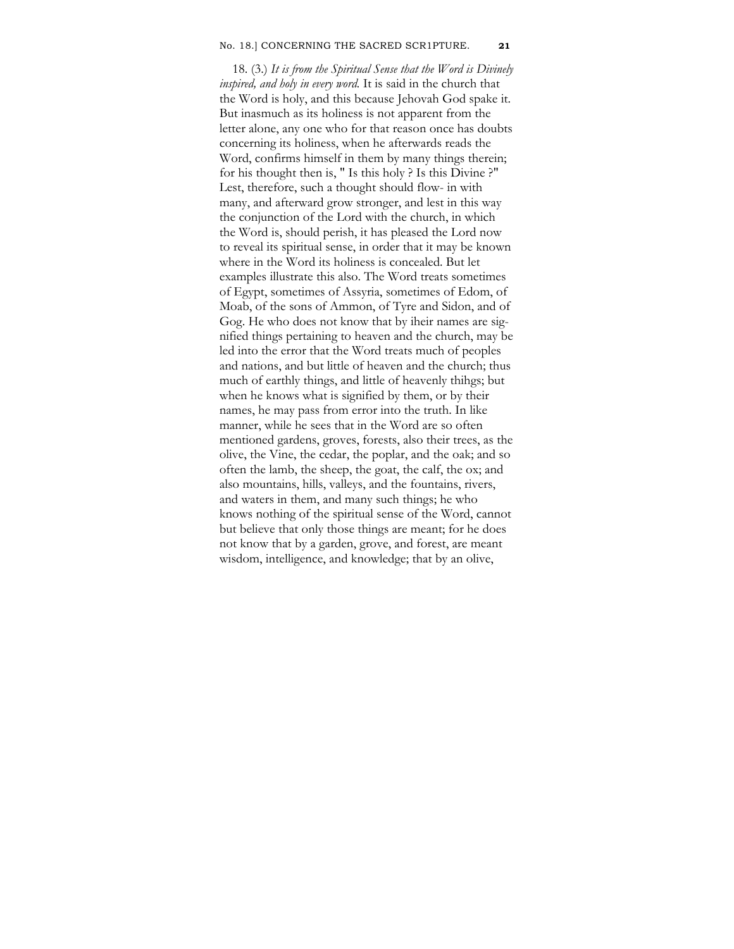#### No. 18.] CONCERNING THE SACRED SCR1PTURE. **21**

18. (3.) *It is from the Spiritual Sense that the Word is Divinely inspired, and holy in every word.* It is said in the church that the Word is holy, and this because Jehovah God spake it. But inasmuch as its holiness is not apparent from the letter alone, any one who for that reason once has doubts concerning its holiness, when he afterwards reads the Word, confirms himself in them by many things therein; for his thought then is, " Is this holy ? Is this Divine ?" Lest, therefore, such a thought should flow- in with many, and afterward grow stronger, and lest in this way the conjunction of the Lord with the church, in which the Word is, should perish, it has pleased the Lord now to reveal its spiritual sense, in order that it may be known where in the Word its holiness is concealed. But let examples illustrate this also. The Word treats sometimes of Egypt, sometimes of Assyria, sometimes of Edom, of Moab, of the sons of Ammon, of Tyre and Sidon, and of Gog. He who does not know that by iheir names are signified things pertaining to heaven and the church, may be led into the error that the Word treats much of peoples and nations, and but little of heaven and the church; thus much of earthly things, and little of heavenly thihgs; but when he knows what is signified by them, or by their names, he may pass from error into the truth. In like manner, while he sees that in the Word are so often mentioned gardens, groves, forests, also their trees, as the olive, the Vine, the cedar, the poplar, and the oak; and so often the lamb, the sheep, the goat, the calf, the ox; and also mountains, hills, valleys, and the fountains, rivers, and waters in them, and many such things; he who knows nothing of the spiritual sense of the Word, cannot but believe that only those things are meant; for he does not know that by a garden, grove, and forest, are meant wisdom, intelligence, and knowledge; that by an olive,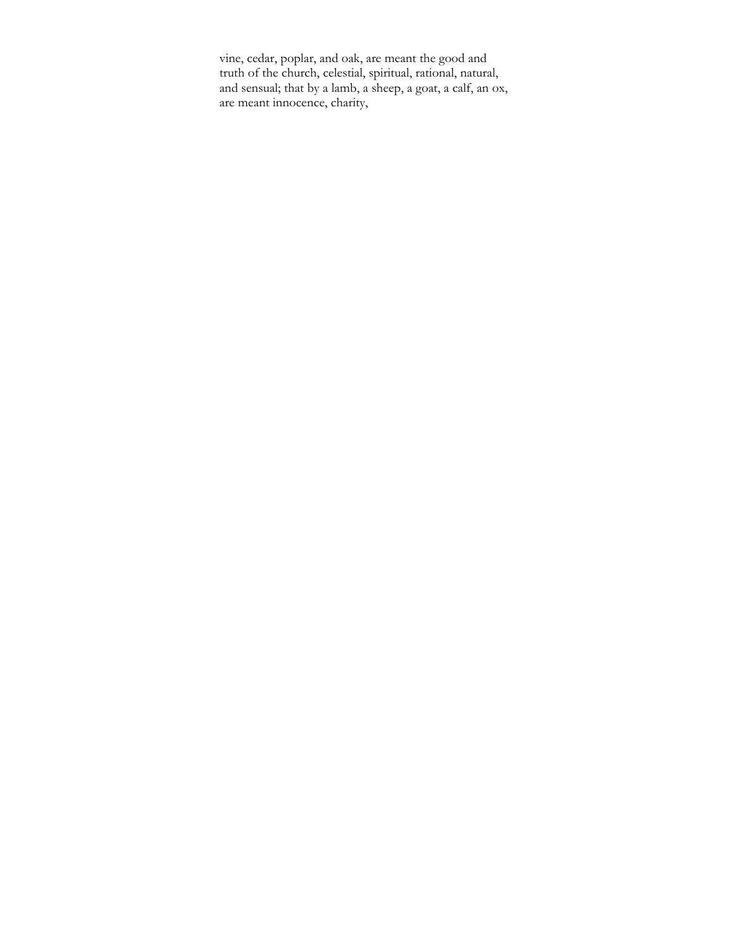vine, cedar, poplar, and oak, are meant the good and truth of the church, celestial, spiritual, rational, natural, and sensual; that by a lamb, a sheep, a goat, a calf, an ox, are meant innocence, charity,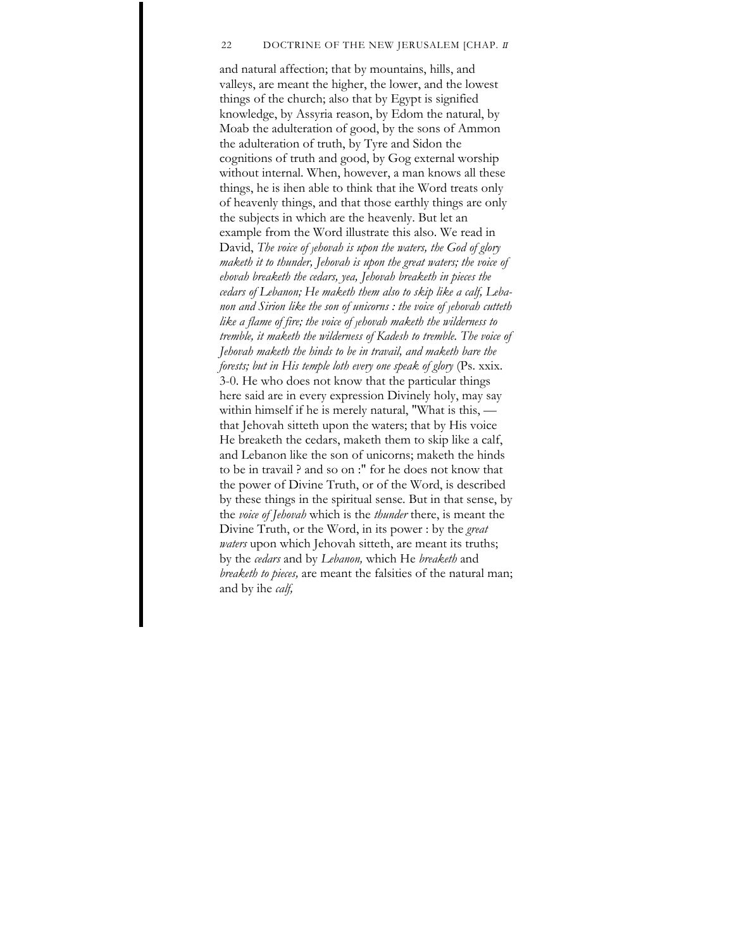### 22 DOCTRINE OF THE NEW JERUSALEM [CHAP. *II*

and natural affection; that by mountains, hills, and valleys, are meant the higher, the lower, and the lowest things of the church; also that by Egypt is signified knowledge, by Assyria reason, by Edom the natural, by Moab the adulteration of good, by the sons of Ammon the adulteration of truth, by Tyre and Sidon the cognitions of truth and good, by Gog external worship without internal. When, however, a man knows all these things, he is ihen able to think that ihe Word treats only of heavenly things, and that those earthly things are only the subjects in which are the heavenly. But let an example from the Word illustrate this also. We read in David, *The voice of <sub>J</sub>ehovah is upon the waters, the God of glory maketh it to thunder, Jehovah is upon the great waters; the voice of ehovah breaketh the cedars, yea, Jehovah breaketh in pieces the cedars of Lebanon; He maketh them also to skip like a calf, Lebanon and Sirion like the son of unicorns : the voice of Jehovah cutteth like a flame of fire; the voice of Jehovah maketh the wilderness to tremble, it maketh the wilderness of Kadesh to tremble. The voice of Jehovah maketh the hinds to be in travail, and maketh bare the forests; but in His temple loth every one speak of glory* (Ps. xxix. 3-0. He who does not know that the particular things here said are in every expression Divinely holy, may say within himself if he is merely natural, "What is this, that Jehovah sitteth upon the waters; that by His voice He breaketh the cedars, maketh them to skip like a calf, and Lebanon like the son of unicorns; maketh the hinds to be in travail ? and so on :" for he does not know that the power of Divine Truth, or of the Word, is described by these things in the spiritual sense. But in that sense, by the *voice of Jehovah* which is the *thunder* there, is meant the Divine Truth, or the Word, in its power : by the *great waters* upon which Jehovah sitteth, are meant its truths; by the *cedars* and by *Lebanon,* which He *breaketh* and *breaketh to pieces,* are meant the falsities of the natural man; and by ihe *calf,*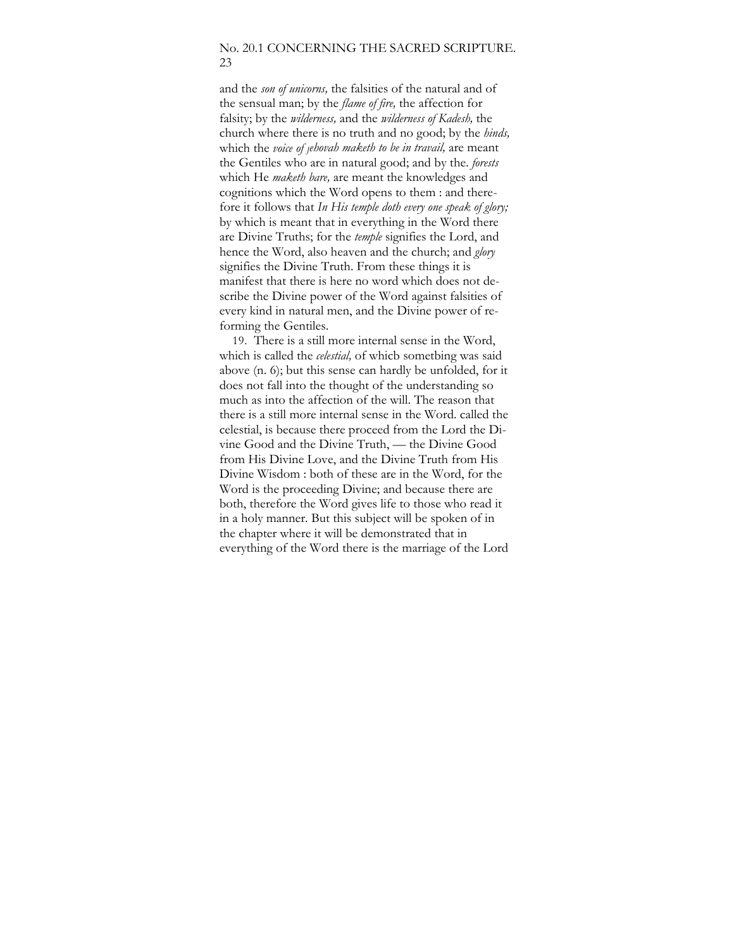## No. 20.1 CONCERNING THE SACRED SCRIPTURE. 23

and the *son of unicorns,* the falsities of the natural and of the sensual man; by the *flame of fire,* the affection for falsity; by the *wilderness,* and the *wilderness of Kadesh,* the church where there is no truth and no good; by the *hinds,*  which the *voice of Jehovah maketh to be in travail,* are meant the Gentiles who are in natural good; and by the. *forests*  which He *maketh bare,* are meant the knowledges and cognitions which the Word opens to them : and therefore it follows that *In His temple doth every one speak of glory;*  by which is meant that in everything in the Word there are Divine Truths; for the *temple* signifies the Lord, and hence the Word, also heaven and the church; and *glory*  signifies the Divine Truth. From these things it is manifest that there is here no word which does not describe the Divine power of the Word against falsities of every kind in natural men, and the Divine power of reforming the Gentiles.

19. There is a still more internal sense in the Word, which is called the *celestial,* of whicb sometbing was said above (n. 6); but this sense can hardly be unfolded, for it does not fall into the thought of the understanding so much as into the affection of the will. The reason that there is a still more internal sense in the Word. called the celestial, is because there proceed from the Lord the Divine Good and the Divine Truth, — the Divine Good from His Divine Love, and the Divine Truth from His Divine Wisdom : both of these are in the Word, for the Word is the proceeding Divine; and because there are both, therefore the Word gives life to those who read it in a holy manner. But this subject will be spoken of in the chapter where it will be demonstrated that in everything of the Word there is the marriage of the Lord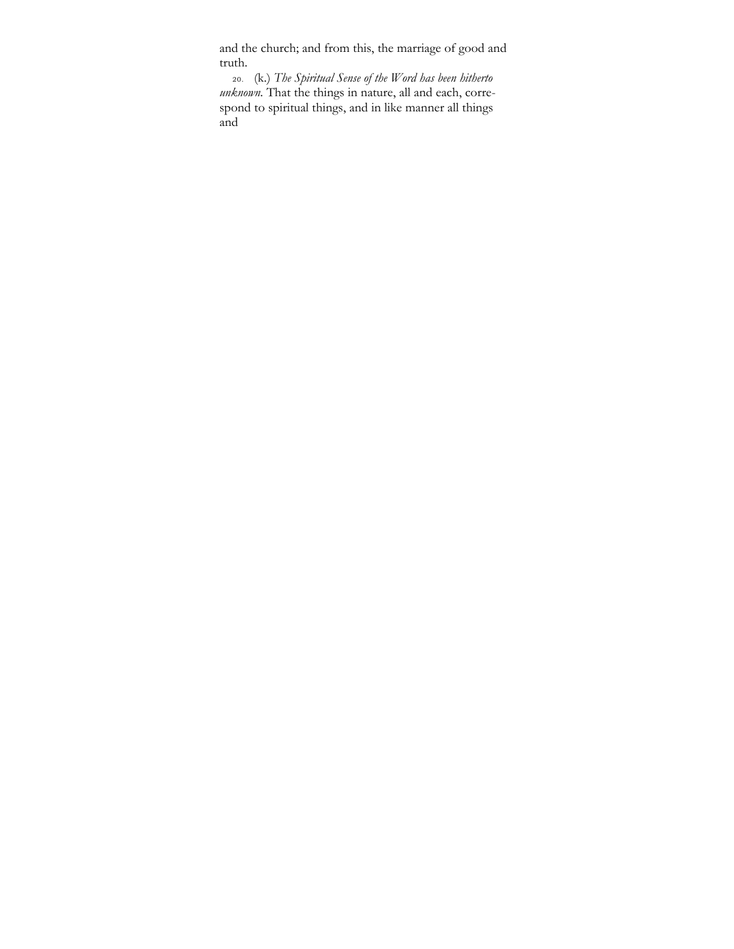and the church; and from this, the marriage of good and truth.

20. (k.) *The Spiritual Sense of the Word has been hitherto unknown.* That the things in nature, all and each, correspond to spiritual things, and in like manner all things and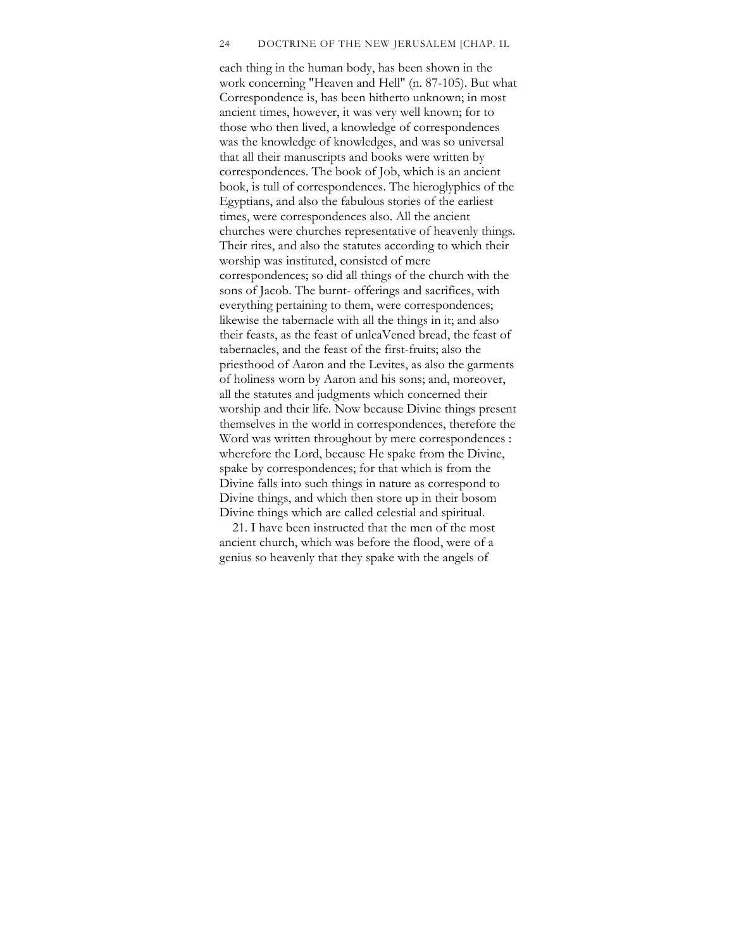#### 24 DOCTRINE OF THE NEW JERUSALEM [CHAP. IL

each thing in the human body, has been shown in the work concerning "Heaven and Hell" (n. 87-105). But what Correspondence is, has been hitherto unknown; in most ancient times, however, it was very well known; for to those who then lived, a knowledge of correspondences was the knowledge of knowledges, and was so universal that all their manuscripts and books were written by correspondences. The book of Job, which is an ancient book, is tull of correspondences. The hieroglyphics of the Egyptians, and also the fabulous stories of the earliest times, were correspondences also. All the ancient churches were churches representative of heavenly things. Their rites, and also the statutes according to which their worship was instituted, consisted of mere correspondences; so did all things of the church with the sons of Jacob. The burnt- offerings and sacrifices, with everything pertaining to them, were correspondences; likewise the tabernacle with all the things in it; and also their feasts, as the feast of unleaVened bread, the feast of tabernacles, and the feast of the first-fruits; also the priesthood of Aaron and the Levites, as also the garments of holiness worn by Aaron and his sons; and, moreover, all the statutes and judgments which concerned their worship and their life. Now because Divine things present themselves in the world in correspondences, therefore the Word was written throughout by mere correspondences : wherefore the Lord, because He spake from the Divine, spake by correspondences; for that which is from the Divine falls into such things in nature as correspond to Divine things, and which then store up in their bosom Divine things which are called celestial and spiritual.

21. I have been instructed that the men of the most ancient church, which was before the flood, were of a genius so heavenly that they spake with the angels of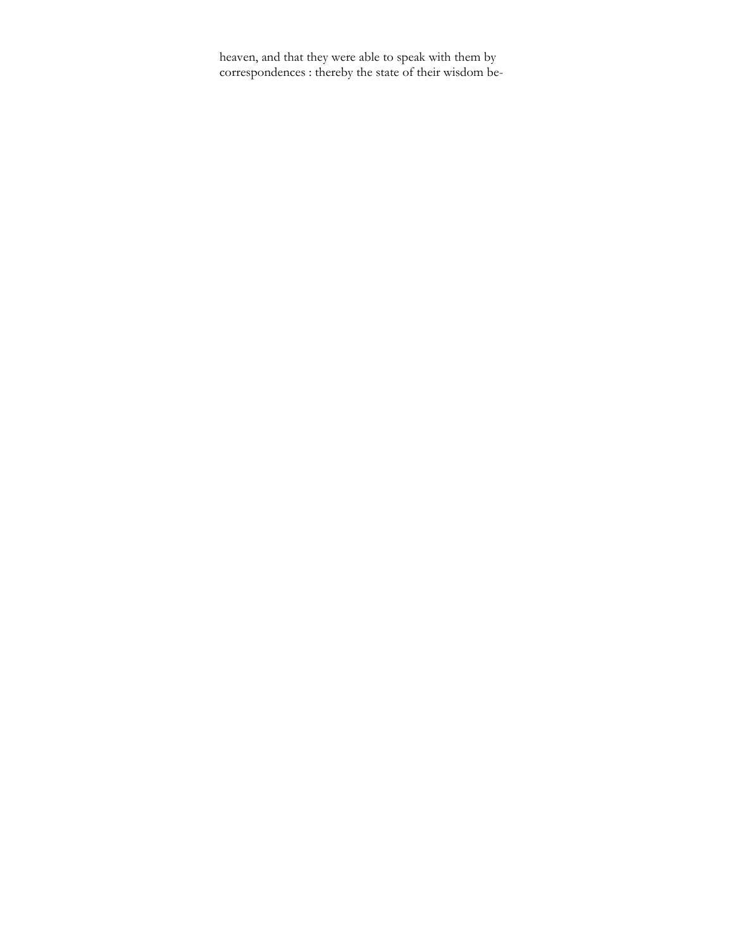heaven, and that they were able to speak with them by correspondences : thereby the state of their wisdom be-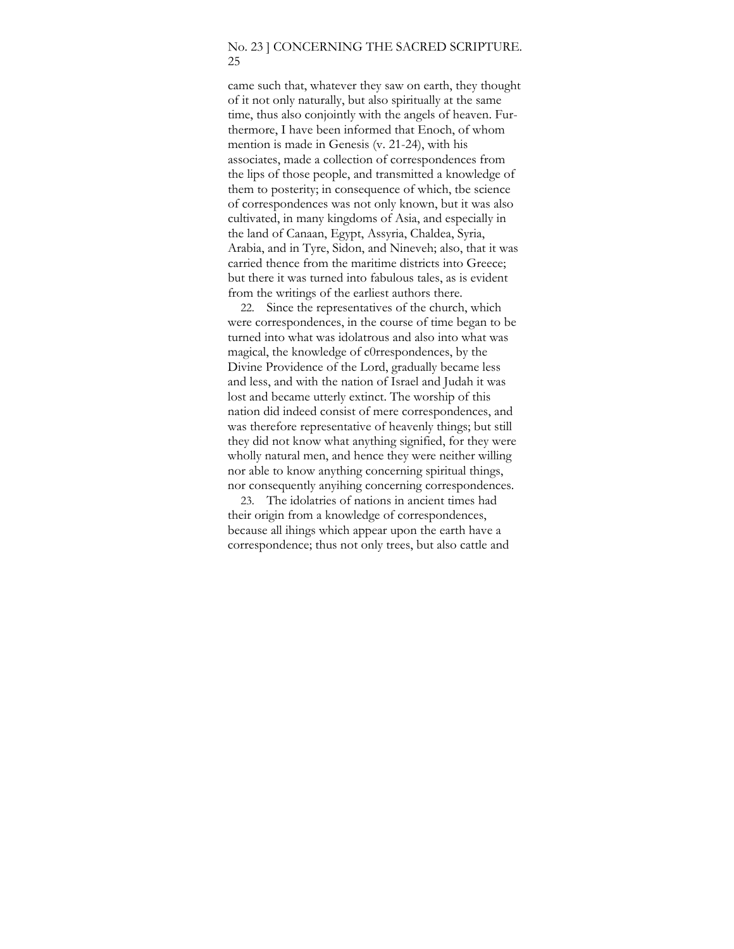### No. 23 ] CONCERNING THE SACRED SCRIPTURE. 25

came such that, whatever they saw on earth, they thought of it not only naturally, but also spiritually at the same time, thus also conjointly with the angels of heaven. Furthermore, I have been informed that Enoch, of whom mention is made in Genesis (v. 21-24), with his associates, made a collection of correspondences from the lips of those people, and transmitted a knowledge of them to posterity; in consequence of which, tbe science of correspondences was not only known, but it was also cultivated, in many kingdoms of Asia, and especially in the land of Canaan, Egypt, Assyria, Chaldea, Syria, Arabia, and in Tyre, Sidon, and Nineveh; also, that it was carried thence from the maritime districts into Greece; but there it was turned into fabulous tales, as is evident from the writings of the earliest authors there.

22. Since the representatives of the church, which were correspondences, in the course of time began to be turned into what was idolatrous and also into what was magical, the knowledge of c0rrespondences, by the Divine Providence of the Lord, gradually became less and less, and with the nation of Israel and Judah it was lost and became utterly extinct. The worship of this nation did indeed consist of mere correspondences, and was therefore representative of heavenly things; but still they did not know what anything signified, for they were wholly natural men, and hence they were neither willing nor able to know anything concerning spiritual things, nor consequently anyihing concerning correspondences.

23. The idolatries of nations in ancient times had their origin from a knowledge of correspondences, because all ihings which appear upon the earth have a correspondence; thus not only trees, but also cattle and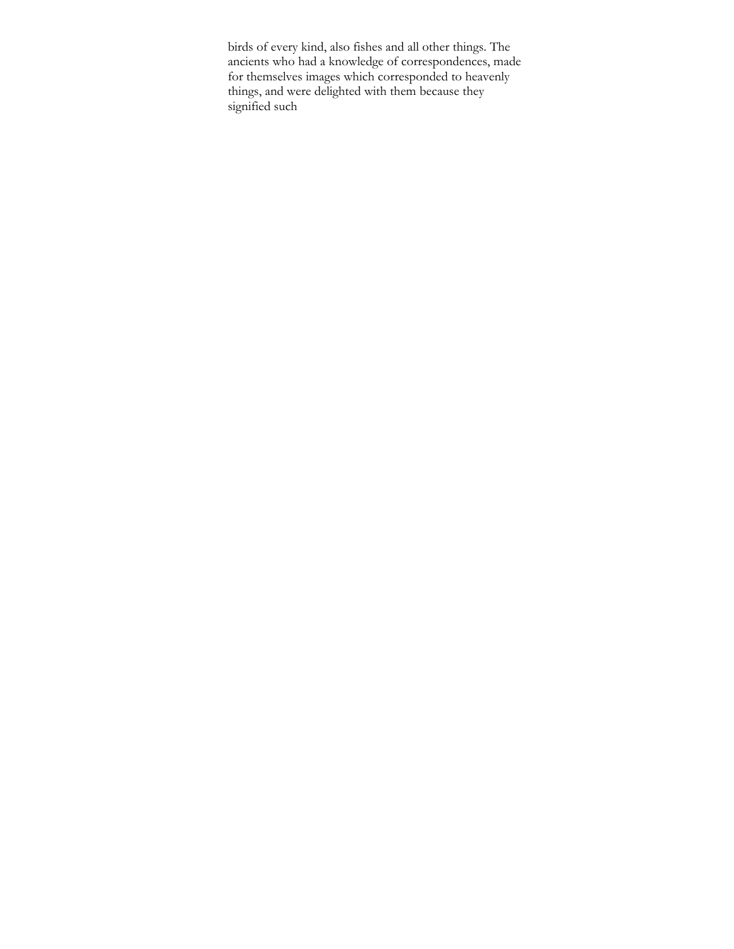birds of every kind, also fishes and all other things. The ancients who had a knowledge of correspondences, made for themselves images which corresponded to heavenly things, and were delighted with them because they signified such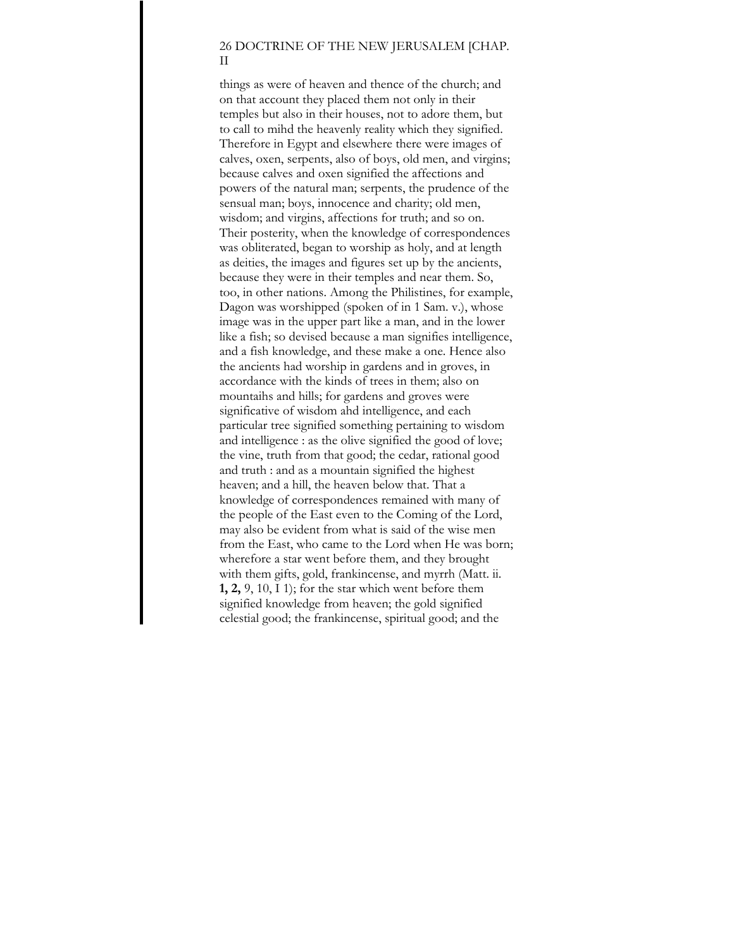# 26 DOCTRINE OF THE NEW JERUSALEM [CHAP. II

things as were of heaven and thence of the church; and on that account they placed them not only in their temples but also in their houses, not to adore them, but to call to mihd the heavenly reality which they signified. Therefore in Egypt and elsewhere there were images of calves, oxen, serpents, also of boys, old men, and virgins; because calves and oxen signified the affections and powers of the natural man; serpents, the prudence of the sensual man; boys, innocence and charity; old men, wisdom; and virgins, affections for truth; and so on. Their posterity, when the knowledge of correspondences was obliterated, began to worship as holy, and at length as deities, the images and figures set up by the ancients, because they were in their temples and near them. So, too, in other nations. Among the Philistines, for example, Dagon was worshipped (spoken of in 1 Sam. v.), whose image was in the upper part like a man, and in the lower like a fish; so devised because a man signifies intelligence, and a fish knowledge, and these make a one. Hence also the ancients had worship in gardens and in groves, in accordance with the kinds of trees in them; also on mountaihs and hills; for gardens and groves were significative of wisdom ahd intelligence, and each particular tree signified something pertaining to wisdom and intelligence : as the olive signified the good of love; the vine, truth from that good; the cedar, rational good and truth : and as a mountain signified the highest heaven; and a hill, the heaven below that. That a knowledge of correspondences remained with many of the people of the East even to the Coming of the Lord, may also be evident from what is said of the wise men from the East, who came to the Lord when He was born; wherefore a star went before them, and they brought with them gifts, gold, frankincense, and myrrh (Matt. ii. **1, 2,** 9, 10, I 1); for the star which went before them signified knowledge from heaven; the gold signified celestial good; the frankincense, spiritual good; and the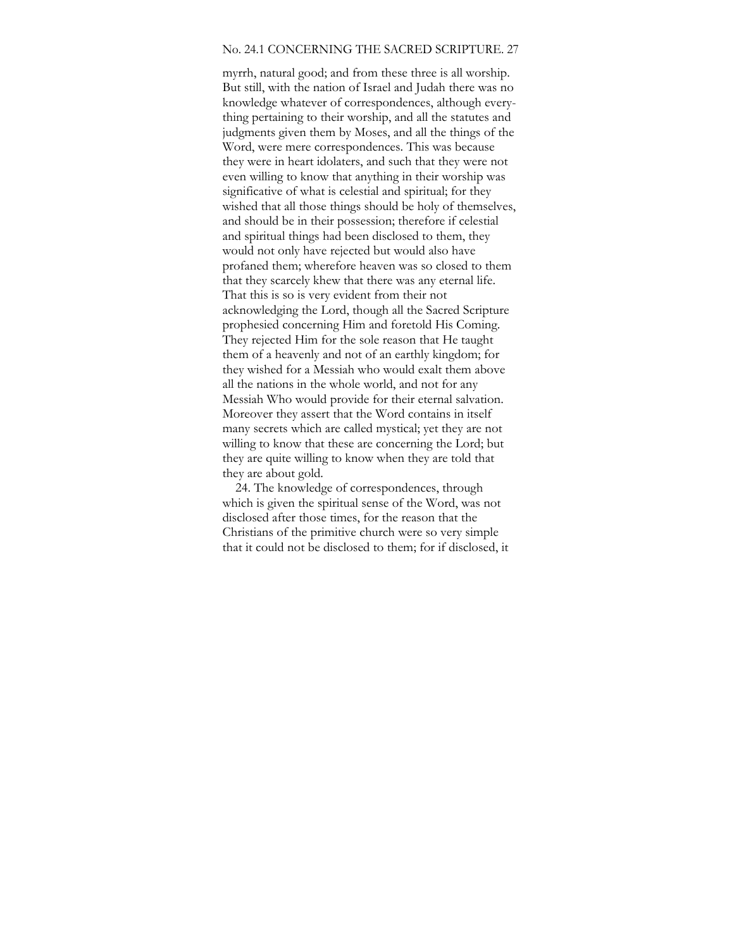### No. 24.1 CONCERNING THE SACRED SCRIPTURE. 27

myrrh, natural good; and from these three is all worship. But still, with the nation of Israel and Judah there was no knowledge whatever of correspondences, although everything pertaining to their worship, and all the statutes and judgments given them by Moses, and all the things of the Word, were mere correspondences. This was because they were in heart idolaters, and such that they were not even willing to know that anything in their worship was significative of what is celestial and spiritual; for they wished that all those things should be holy of themselves, and should be in their possession; therefore if celestial and spiritual things had been disclosed to them, they would not only have rejected but would also have profaned them; wherefore heaven was so closed to them that they scarcely khew that there was any eternal life. That this is so is very evident from their not acknowledging the Lord, though all the Sacred Scripture prophesied concerning Him and foretold His Coming. They rejected Him for the sole reason that He taught them of a heavenly and not of an earthly kingdom; for they wished for a Messiah who would exalt them above all the nations in the whole world, and not for any Messiah Who would provide for their eternal salvation. Moreover they assert that the Word contains in itself many secrets which are called mystical; yet they are not willing to know that these are concerning the Lord; but they are quite willing to know when they are told that they are about gold.

24. The knowledge of correspondences, through which is given the spiritual sense of the Word, was not disclosed after those times, for the reason that the Christians of the primitive church were so very simple that it could not be disclosed to them; for if disclosed, it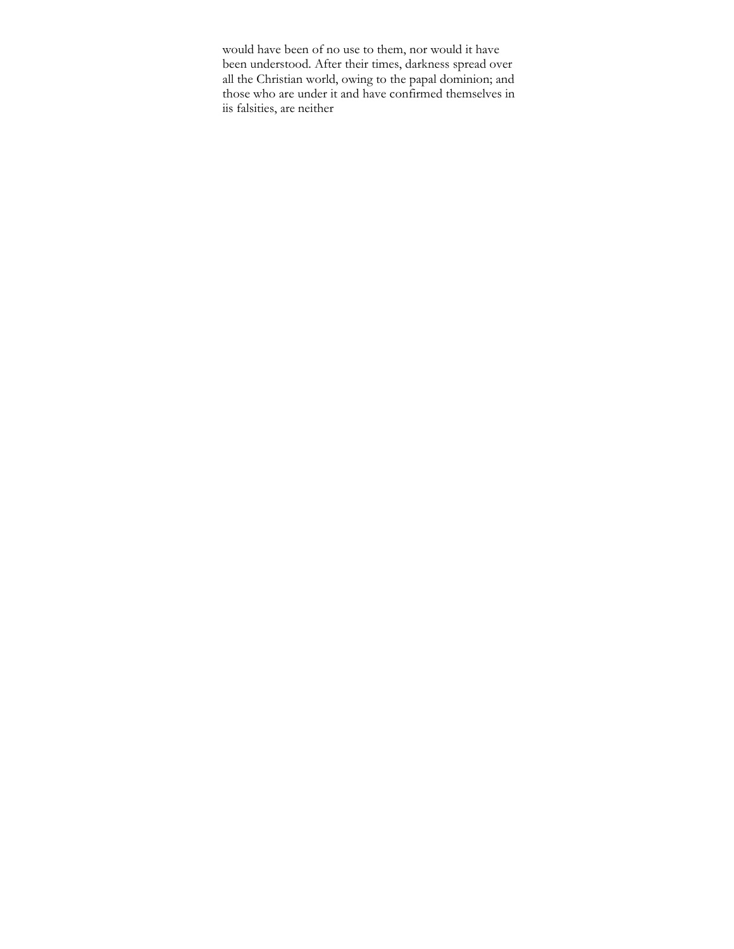would have been of no use to them, nor would it have been understood. After their times, darkness spread over all the Christian world, owing to the papal dominion; and those who are under it and have confirmed themselves in iis falsities, are neither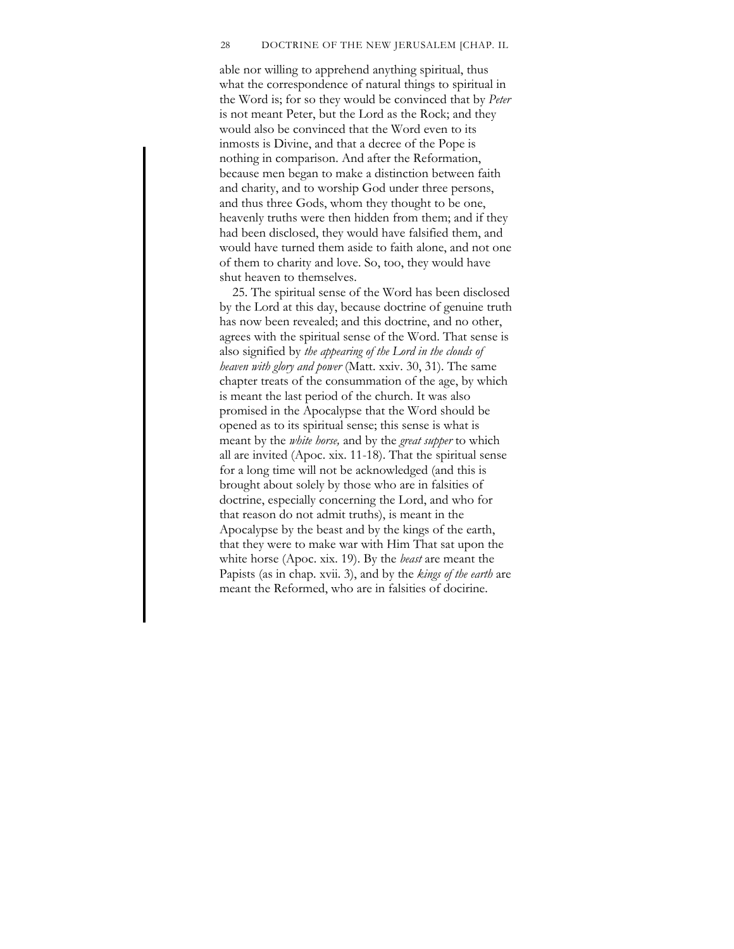#### 28 DOCTRINE OF THE NEW JERUSALEM [CHAP. IL

able nor willing to apprehend anything spiritual, thus what the correspondence of natural things to spiritual in the Word is; for so they would be convinced that by *Peter*  is not meant Peter, but the Lord as the Rock; and they would also be convinced that the Word even to its inmosts is Divine, and that a decree of the Pope is nothing in comparison. And after the Reformation, because men began to make a distinction between faith and charity, and to worship God under three persons, and thus three Gods, whom they thought to be one, heavenly truths were then hidden from them; and if they had been disclosed, they would have falsified them, and would have turned them aside to faith alone, and not one of them to charity and love. So, too, they would have shut heaven to themselves.

25. The spiritual sense of the Word has been disclosed by the Lord at this day, because doctrine of genuine truth has now been revealed; and this doctrine, and no other, agrees with the spiritual sense of the Word. That sense is also signified by *the appearing of the Lord in the clouds of heaven with glory and power* (Matt. xxiv. 30, 31). The same chapter treats of the consummation of the age, by which is meant the last period of the church. It was also promised in the Apocalypse that the Word should be opened as to its spiritual sense; this sense is what is meant by the *white horse,* and by the *great supper* to which all are invited (Apoc. xix. 11-18). That the spiritual sense for a long time will not be acknowledged (and this is brought about solely by those who are in falsities of doctrine, especially concerning the Lord, and who for that reason do not admit truths), is meant in the Apocalypse by the beast and by the kings of the earth, that they were to make war with Him That sat upon the white horse (Apoc. xix. 19). By the *beast* are meant the Papists (as in chap. xvii. 3), and by the *kings of the earth* are meant the Reformed, who are in falsities of docirine.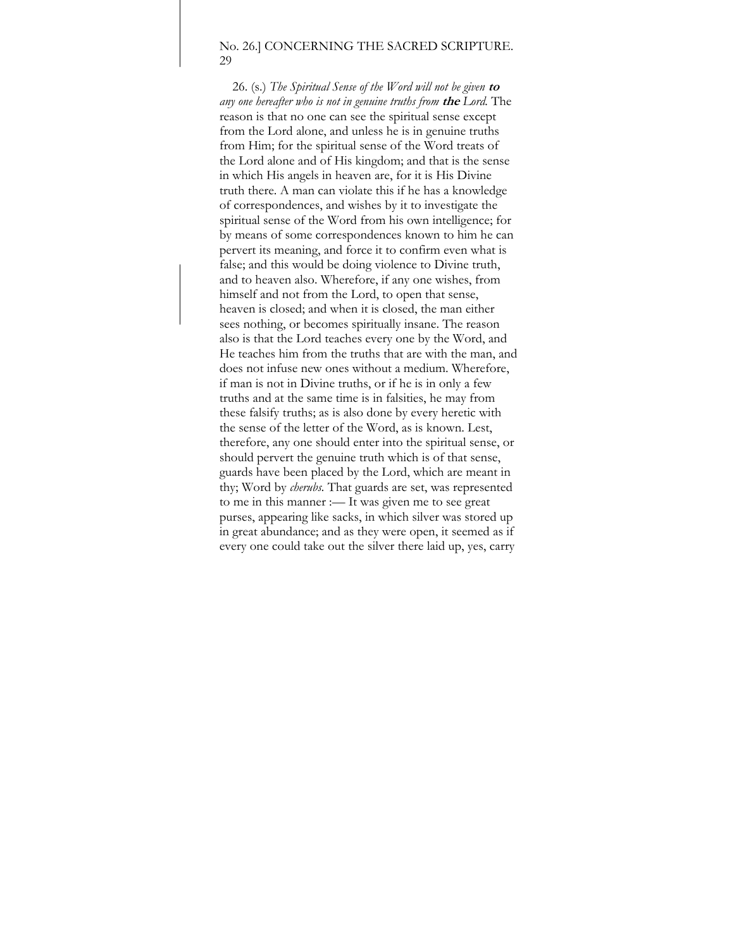#### No. 26.] CONCERNING THE SACRED SCRIPTURE. 29

26. (s.) *The Spiritual Sense of the Word will not be given* **to**  *any one hereafter who is not in genuine truths from* **the** *Lord.* The reason is that no one can see the spiritual sense except from the Lord alone, and unless he is in genuine truths from Him; for the spiritual sense of the Word treats of the Lord alone and of His kingdom; and that is the sense in which His angels in heaven are, for it is His Divine truth there. A man can violate this if he has a knowledge of correspondences, and wishes by it to investigate the spiritual sense of the Word from his own intelligence; for by means of some correspondences known to him he can pervert its meaning, and force it to confirm even what is false; and this would be doing violence to Divine truth, and to heaven also. Wherefore, if any one wishes, from himself and not from the Lord, to open that sense, heaven is closed; and when it is closed, the man either sees nothing, or becomes spiritually insane. The reason also is that the Lord teaches every one by the Word, and He teaches him from the truths that are with the man, and does not infuse new ones without a medium. Wherefore, if man is not in Divine truths, or if he is in only a few truths and at the same time is in falsities, he may from these falsify truths; as is also done by every heretic with the sense of the letter of the Word, as is known. Lest, therefore, any one should enter into the spiritual sense, or should pervert the genuine truth which is of that sense, guards have been placed by the Lord, which are meant in thy; Word by *cherubs.* That guards are set, was represented to me in this manner :— It was given me to see great purses, appearing like sacks, in which silver was stored up in great abundance; and as they were open, it seemed as if every one could take out the silver there laid up, yes, carry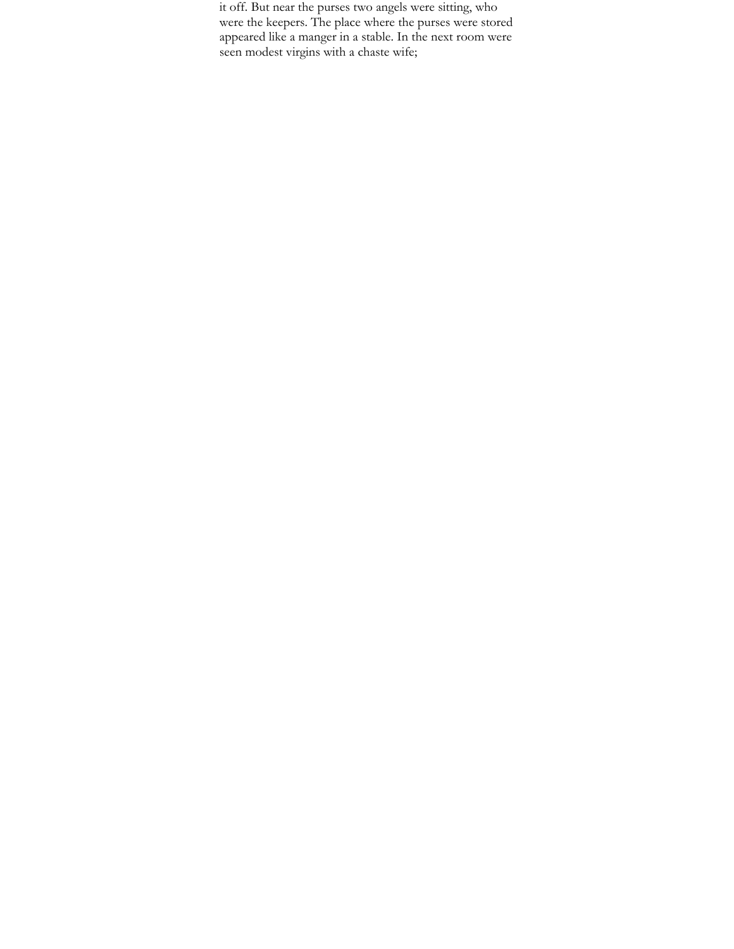it off. But near the purses two angels were sitting, who were the keepers. The place where the purses were stored appeared like a manger in a stable. In the next room were seen modest virgins with a chaste wife;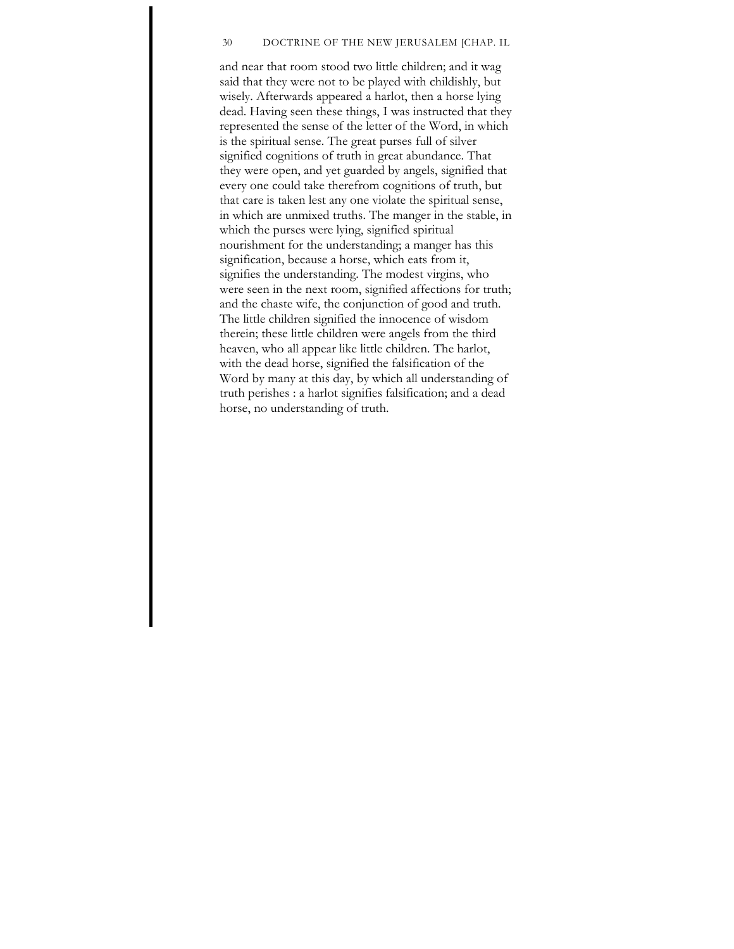#### 30 DOCTRINE OF THE NEW JERUSALEM [CHAP. IL

and near that room stood two little children; and it wag said that they were not to be played with childishly, but wisely. Afterwards appeared a harlot, then a horse lying dead. Having seen these things, I was instructed that they represented the sense of the letter of the Word, in which is the spiritual sense. The great purses full of silver signified cognitions of truth in great abundance. That they were open, and yet guarded by angels, signified that every one could take therefrom cognitions of truth, but that care is taken lest any one violate the spiritual sense, in which are unmixed truths. The manger in the stable, in which the purses were lying, signified spiritual nourishment for the understanding; a manger has this signification, because a horse, which eats from it, signifies the understanding. The modest virgins, who were seen in the next room, signified affections for truth; and the chaste wife, the conjunction of good and truth. The little children signified the innocence of wisdom therein; these little children were angels from the third heaven, who all appear like little children. The harlot, with the dead horse, signified the falsification of the Word by many at this day, by which all understanding of truth perishes : a harlot signifies falsification; and a dead horse, no understanding of truth.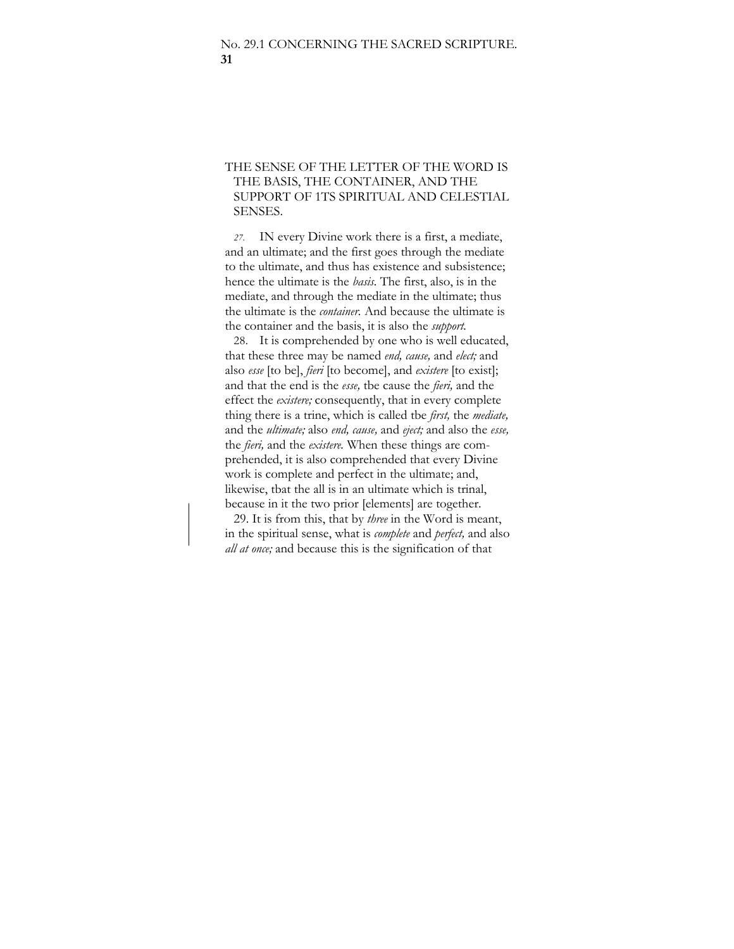# THE SENSE OF THE LETTER OF THE WORD IS THE BASIS, THE CONTAINER, AND THE SUPPORT OF 1TS SPIRITUAL AND CELESTIAL SENSES.

*27.* IN every Divine work there is a first, a mediate, and an ultimate; and the first goes through the mediate to the ultimate, and thus has existence and subsistence; hence the ultimate is the *basis.* The first, also, is in the mediate, and through the mediate in the ultimate; thus the ultimate is the *container.* And because the ultimate is the container and the basis, it is also the *support.* 

28. It is comprehended by one who is well educated, that these three may be named *end, cause,* and *elect;* and also *esse* [to be], *fieri* [to become], and *existere* [to exist]; and that the end is the *esse,* tbe cause the *fieri,* and the effect the *existere;* consequently, that in every complete thing there is a trine, which is called tbe *first,* the *mediate,*  and the *ultimate;* also *end, cause,* and *eject;* and also the *esse,*  the *fieri,* and the *existere.* When these things are comprehended, it is also comprehended that every Divine work is complete and perfect in the ultimate; and, likewise, tbat the all is in an ultimate which is trinal, because in it the two prior [elements] are together.

29. It is from this, that by *three* in the Word is meant, in the spiritual sense, what is *complete* and *perfect,* and also *all at once;* and because this is the signification of that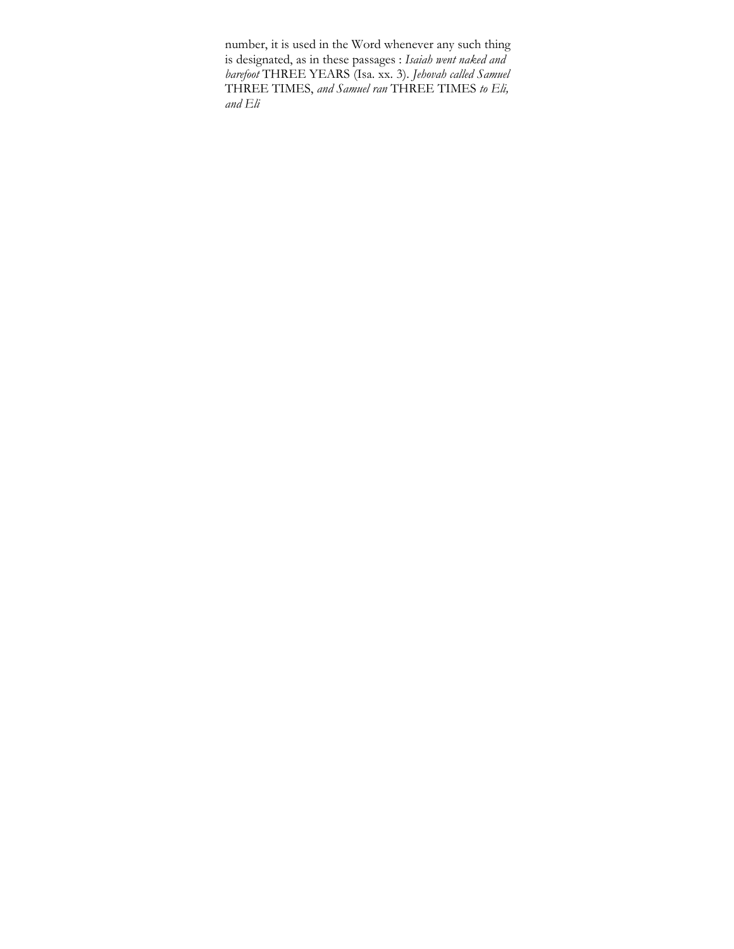number, it is used in the Word whenever any such thing is designated, as in these passages : *Isaiah went naked and barefoot* THREE YEARS (Isa. xx. 3). *Jehovah called Samuel*  THREE TIMES, *and Samuel ran* THREE TIMES *to Eli, and Eli*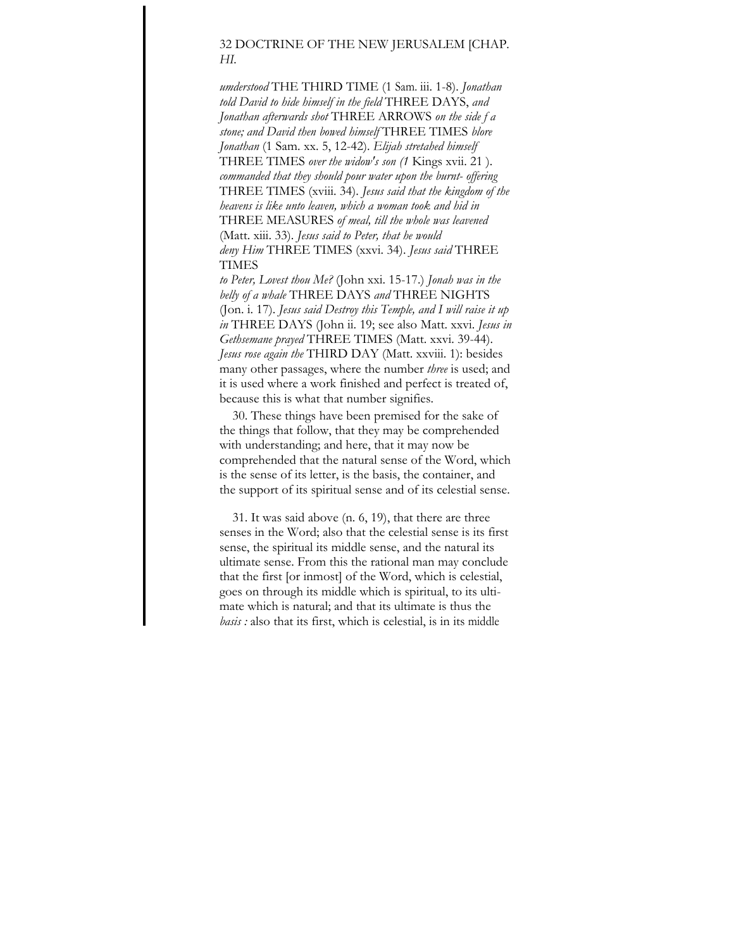# 32 DOCTRINE OF THE NEW JERUSALEM [CHAP. *HI.*

*umderstood* THE THIRD TIME (1 Sam. iii. 1-8). *Jonathan told David to hide himself in the field* THREE DAYS, *and Jonathan afterwards shot* THREE ARROWS *on the side f a stone; and David then bowed himself* THREE TIMES *blore Jonathan* (1 Sam. xx. 5, 12-42). *Elijah stretahed himself*  THREE TIMES *over the widow's son (1* Kings xvii. 21 ). *commanded that they should pour water upon the burnt- offering*  THREE TIMES (xviii. 34). *Jesus said that the kingdom of the heavens is like unto leaven, which a woman took and hid in*  THREE MEASURES *of meal, till the whole was leavened*  (Matt. xiii. 33). *Jesus said to Peter, that he would deny Him* THREE TIMES (xxvi. 34). *Jesus said* THREE TIMES

*to Peter, Lovest thou Me?* (John xxi. 15-17.) *Jonah was in the belly of a whale* THREE DAYS *and* THREE NIGHTS (Jon. i. 17). *Jesus said Destroy this Temple, and I will raise it up in* THREE DAYS (John ii. 19; see also Matt. xxvi. *Jesus in Gethsemane prayed* THREE TIMES (Matt. xxvi. 39-44). *Jesus rose again the* THIRD DAY (Matt. xxviii. 1): besides many other passages, where the number *three* is used; and it is used where a work finished and perfect is treated of, because this is what that number signifies.

30. These things have been premised for the sake of the things that follow, that they may be comprehended with understanding; and here, that it may now be comprehended that the natural sense of the Word, which is the sense of its letter, is the basis, the container, and the support of its spiritual sense and of its celestial sense.

31. It was said above (n. 6, 19), that there are three senses in the Word; also that the celestial sense is its first sense, the spiritual its middle sense, and the natural its ultimate sense. From this the rational man may conclude that the first [or inmost] of the Word, which is celestial, goes on through its middle which is spiritual, to its ultimate which is natural; and that its ultimate is thus the *basis :* also that its first, which is celestial, is in its middle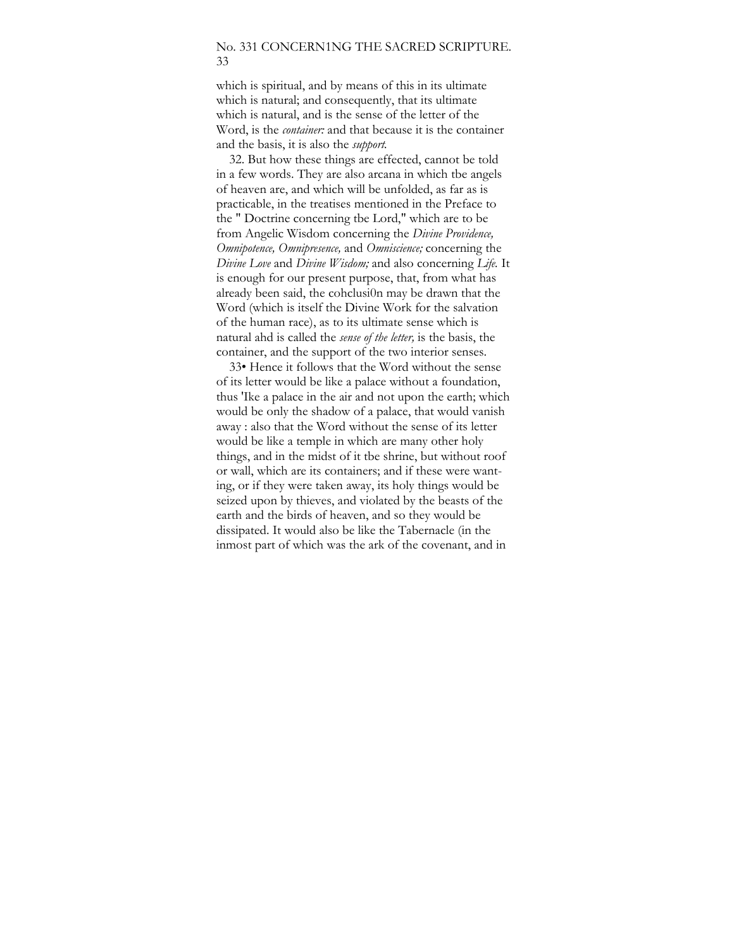## No. 331 CONCERN1NG THE SACRED SCRIPTURE. 33

which is spiritual, and by means of this in its ultimate which is natural; and consequently, that its ultimate which is natural, and is the sense of the letter of the Word, is the *container:* and that because it is the container and the basis, it is also the *support.* 

32. But how these things are effected, cannot be told in a few words. They are also arcana in which tbe angels of heaven are, and which will be unfolded, as far as is practicable, in the treatises mentioned in the Preface to the " Doctrine concerning tbe Lord," which are to be from Angelic Wisdom concerning the *Divine Providence, Omnipotence, Omnipresence,* and *Omniscience;* concerning the *Divine Love* and *Divine Wisdom;* and also concerning *Life.* It is enough for our present purpose, that, from what has already been said, the cohclusi0n may be drawn that the Word (which is itself the Divine Work for the salvation of the human race), as to its ultimate sense which is natural ahd is called the *sense of the letter,* is the basis, the container, and the support of the two interior senses.

33• Hence it follows that the Word without the sense of its letter would be like a palace without a foundation, thus 'Ike a palace in the air and not upon the earth; which would be only the shadow of a palace, that would vanish away : also that the Word without the sense of its letter would be like a temple in which are many other holy things, and in the midst of it tbe shrine, but without roof or wall, which are its containers; and if these were wanting, or if they were taken away, its holy things would be seized upon by thieves, and violated by the beasts of the earth and the birds of heaven, and so they would be dissipated. It would also be like the Tabernacle (in the inmost part of which was the ark of the covenant, and in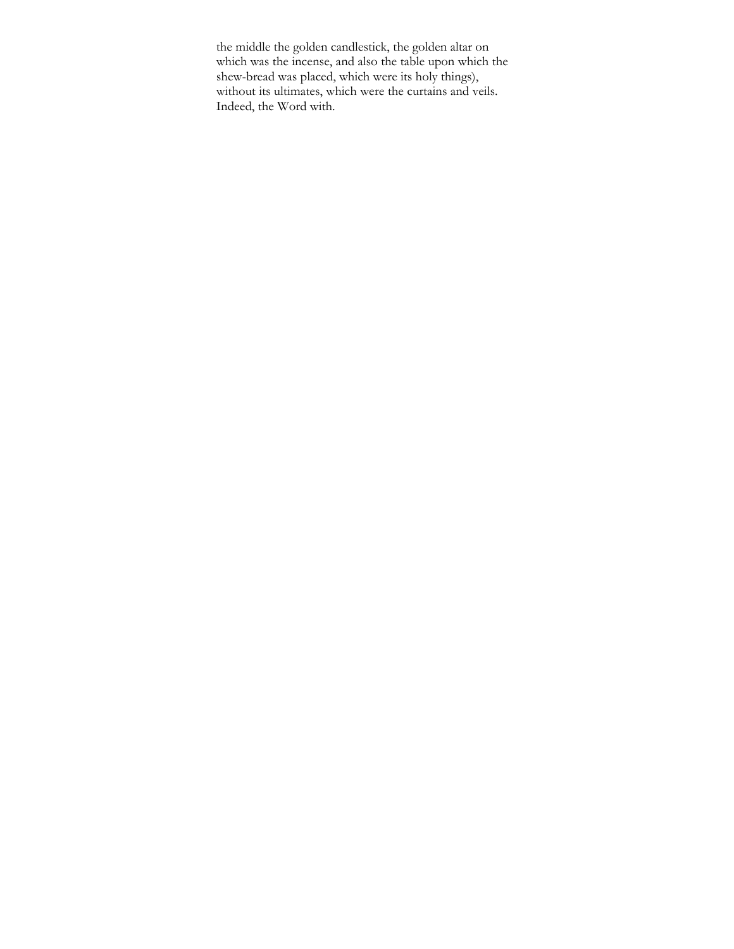the middle the golden candlestick, the golden altar on which was the incense, and also the table upon which the shew-bread was placed, which were its holy things), without its ultimates, which were the curtains and veils. Indeed, the Word with.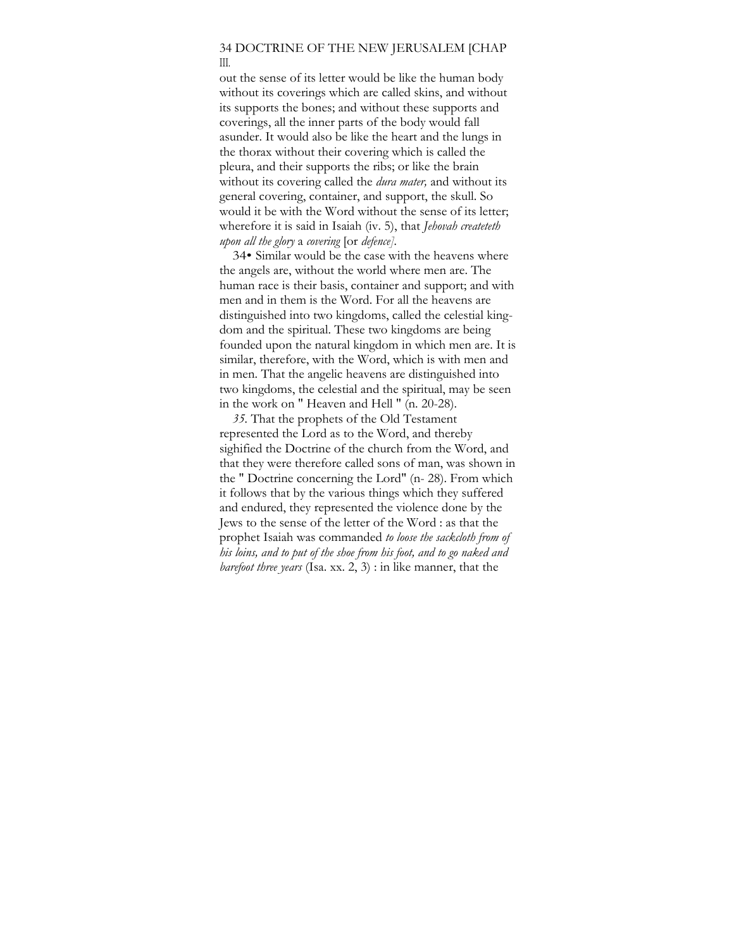### 34 DOCTRINE OF THE NEW JERUSALEM [CHAP III.

out the sense of its letter would be like the human body without its coverings which are called skins, and without its supports the bones; and without these supports and coverings, all the inner parts of the body would fall asunder. It would also be like the heart and the lungs in the thorax without their covering which is called the pleura, and their supports the ribs; or like the brain without its covering called the *dura mater,* and without its general covering, container, and support, the skull. So would it be with the Word without the sense of its letter; wherefore it is said in Isaiah (iv. 5), that *Jehovah createteth upon all the glory* a *covering* [or *defence].* 

34• Similar would be the case with the heavens where the angels are, without the world where men are. The human race is their basis, container and support; and with men and in them is the Word. For all the heavens are distinguished into two kingdoms, called the celestial kingdom and the spiritual. These two kingdoms are being founded upon the natural kingdom in which men are. It is similar, therefore, with the Word, which is with men and in men. That the angelic heavens are distinguished into two kingdoms, the celestial and the spiritual, may be seen in the work on " Heaven and Hell " (n. 20-28).

*35.* That the prophets of the Old Testament represented the Lord as to the Word, and thereby sighified the Doctrine of the church from the Word, and that they were therefore called sons of man, was shown in the " Doctrine concerning the Lord" (n- 28). From which it follows that by the various things which they suffered and endured, they represented the violence done by the Jews to the sense of the letter of the Word : as that the prophet Isaiah was commanded *to loose the sackcloth from of his loins, and to put of the shoe from his foot, and to go naked and barefoot three years* (Isa. xx. 2, 3) : in like manner, that the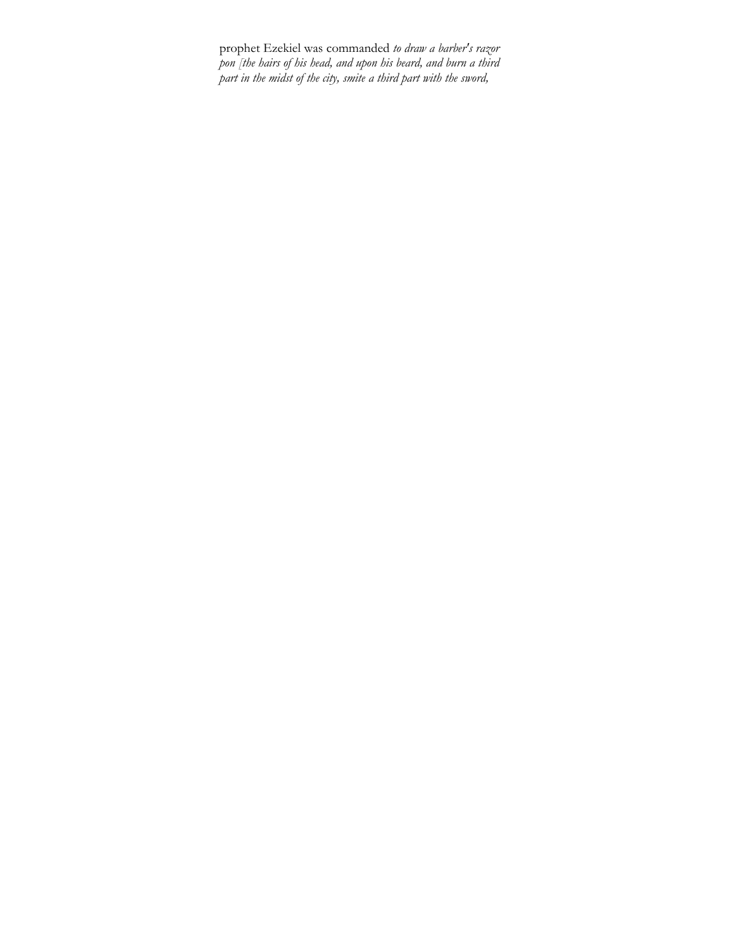prophet Ezekiel was commanded *to draw a barber's razor pon [the hairs of his head, and upon his beard, and burn a third part in the midst of the city, smite a third part with the sword,*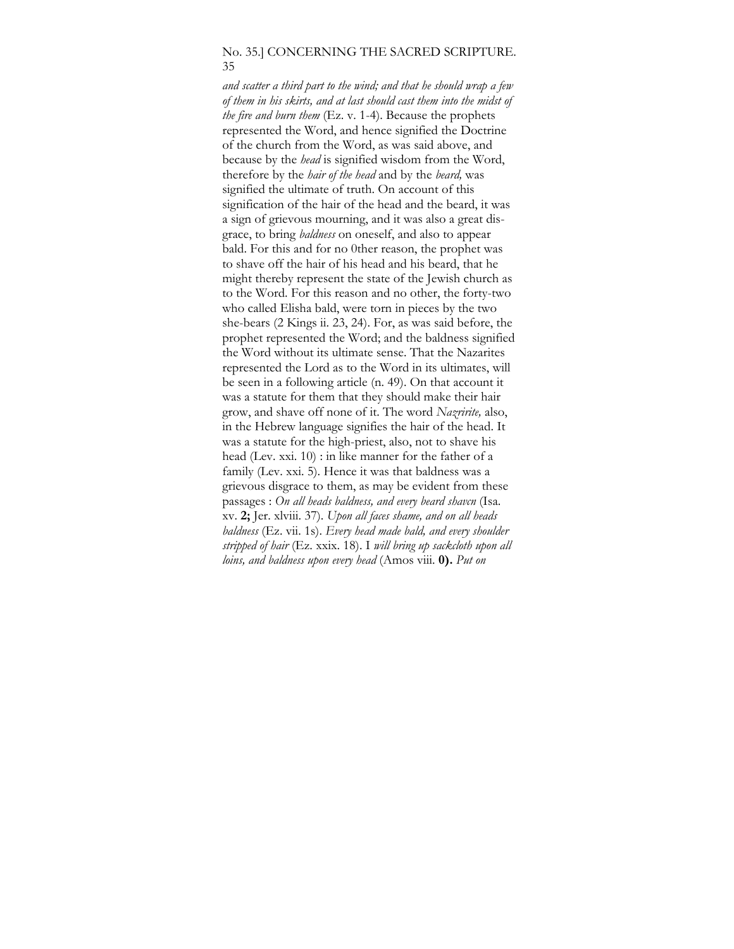# No. 35.] CONCERNING THE SACRED SCRIPTURE. 35

*and scatter a third part to the wind; and that he should wrap a few of them in his skirts, and at last should cast them into the midst of the fire and burn them* (Ez. v. 1-4). Because the prophets represented the Word, and hence signified the Doctrine of the church from the Word, as was said above, and because by the *head* is signified wisdom from the Word, therefore by the *hair of the head* and by the *beard,* was signified the ultimate of truth. On account of this signification of the hair of the head and the beard, it was a sign of grievous mourning, and it was also a great disgrace, to bring *baldness* on oneself, and also to appear bald. For this and for no 0ther reason, the prophet was to shave off the hair of his head and his beard, that he might thereby represent the state of the Jewish church as to the Word. For this reason and no other, the forty-two who called Elisha bald, were torn in pieces by the two she-bears (2 Kings ii. 23, 24). For, as was said before, the prophet represented the Word; and the baldness signified the Word without its ultimate sense. That the Nazarites represented the Lord as to the Word in its ultimates, will be seen in a following article (n. 49). On that account it was a statute for them that they should make their hair grow, and shave off none of it. The word *Nazririte,* also, in the Hebrew language signifies the hair of the head. It was a statute for the high-priest, also, not to shave his head (Lev. xxi. 10) : in like manner for the father of a family (Lev. xxi. 5). Hence it was that baldness was a grievous disgrace to them, as may be evident from these passages : *On all heads baldness, and every beard shavcn* (Isa. xv. **2;** Jer. xlviii. 37). *Upon all faces shame, and on all heads baldness* (Ez. vii. 1s). *Every head made bald, and every shoulder stripped of hair* (Ez. xxix. 18). I *will bring up sackcloth upon all loins, and baldness upon every head* (Amos viii. **0).** *Put on*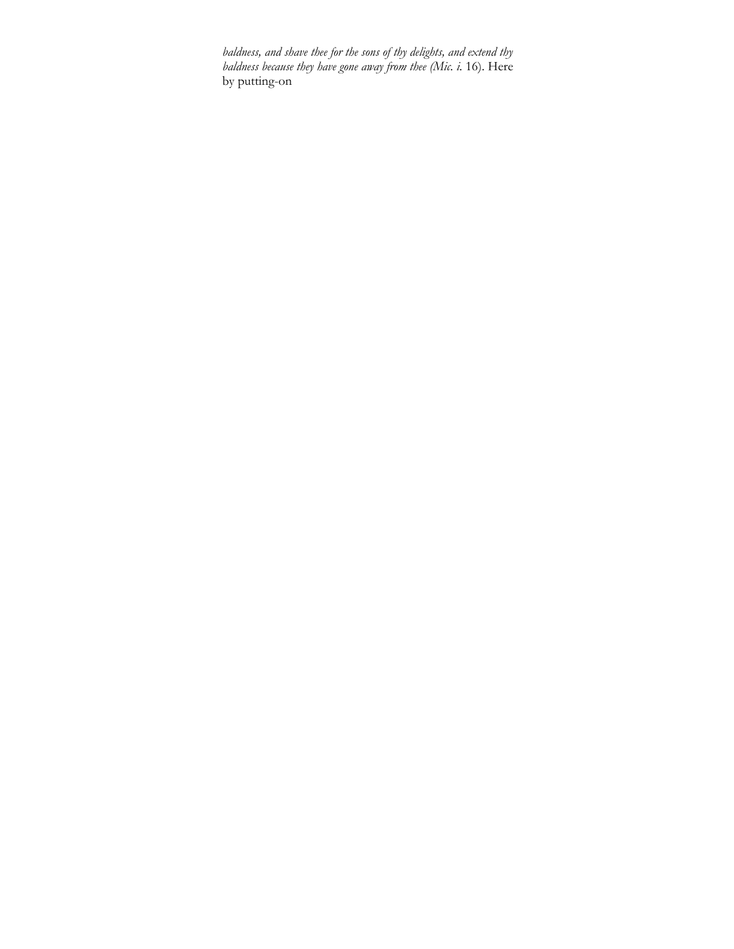*baldness, and shave thee for the sons of thy delights, and extend thy baldness because they have gone away from thee (Mic. i.* 16). Here by putting-on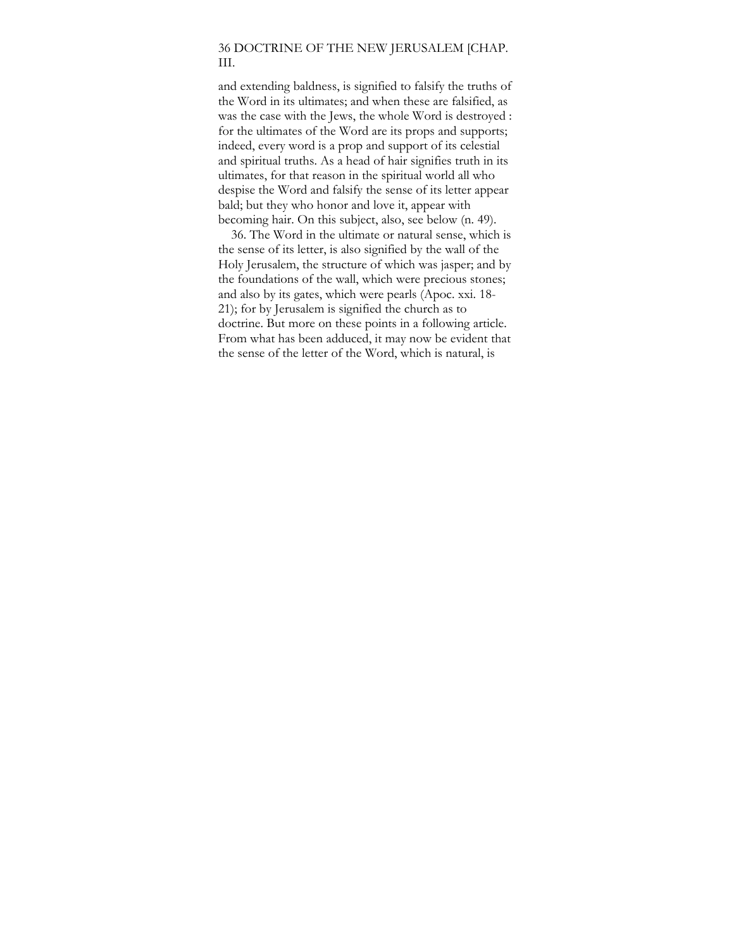## 36 DOCTRINE OF THE NEW JERUSALEM [CHAP. III.

and extending baldness, is signified to falsify the truths of the Word in its ultimates; and when these are falsified, as was the case with the Jews, the whole Word is destroyed : for the ultimates of the Word are its props and supports; indeed, every word is a prop and support of its celestial and spiritual truths. As a head of hair signifies truth in its ultimates, for that reason in the spiritual world all who despise the Word and falsify the sense of its letter appear bald; but they who honor and love it, appear with becoming hair. On this subject, also, see below (n. 49).

36. The Word in the ultimate or natural sense, which is the sense of its letter, is also signified by the wall of the Holy Jerusalem, the structure of which was jasper; and by the foundations of the wall, which were precious stones; and also by its gates, which were pearls (Apoc. xxi. 18- 21); for by Jerusalem is signified the church as to doctrine. But more on these points in a following article. From what has been adduced, it may now be evident that the sense of the letter of the Word, which is natural, is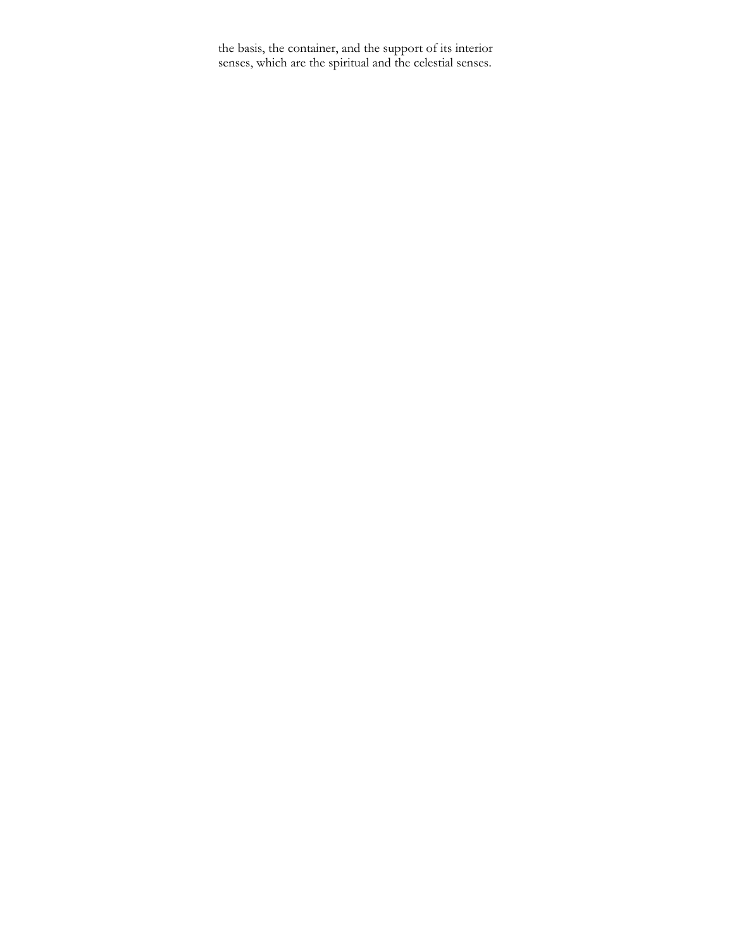the basis, the container, and the support of its interior senses, which are the spiritual and the celestial senses.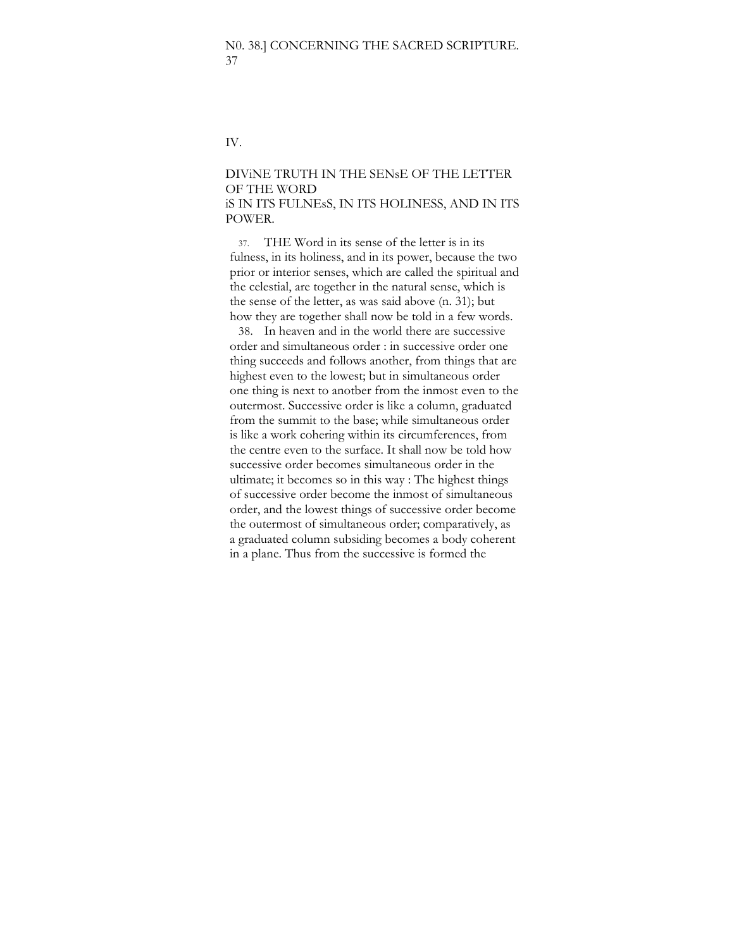IV.

# DIViNE TRUTH IN THE SENsE OF THE LETTER OF THE WORD iS IN ITS FULNEsS, IN ITS HOLINESS, AND IN ITS POWER.

37. THE Word in its sense of the letter is in its fulness, in its holiness, and in its power, because the two prior or interior senses, which are called the spiritual and the celestial, are together in the natural sense, which is the sense of the letter, as was said above (n. 31); but how they are together shall now be told in a few words.

38. In heaven and in the world there are successive order and simultaneous order : in successive order one thing succeeds and follows another, from things that are highest even to the lowest; but in simultaneous order one thing is next to anotber from the inmost even to the outermost. Successive order is like a column, graduated from the summit to the base; while simultaneous order is like a work cohering within its circumferences, from the centre even to the surface. It shall now be told how successive order becomes simultaneous order in the ultimate; it becomes so in this way : The highest things of successive order become the inmost of simultaneous order, and the lowest things of successive order become the outermost of simultaneous order; comparatively, as a graduated column subsiding becomes a body coherent in a plane. Thus from the successive is formed the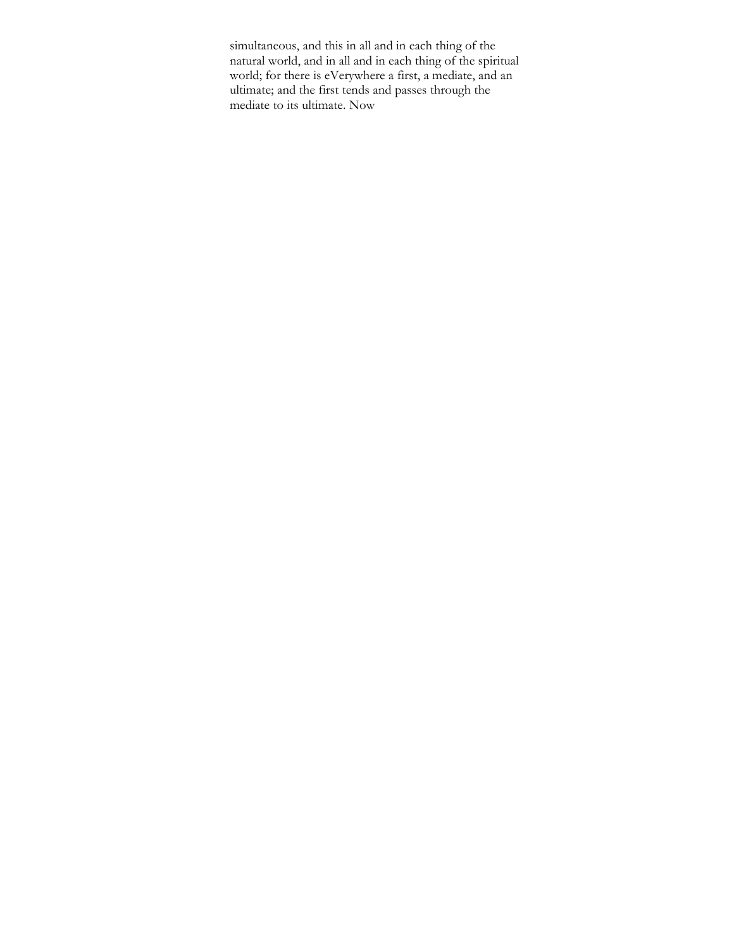simultaneous, and this in all and in each thing of the natural world, and in all and in each thing of the spiritual world; for there is eVerywhere a first, a mediate, and an ultimate; and the first tends and passes through the mediate to its ultimate. Now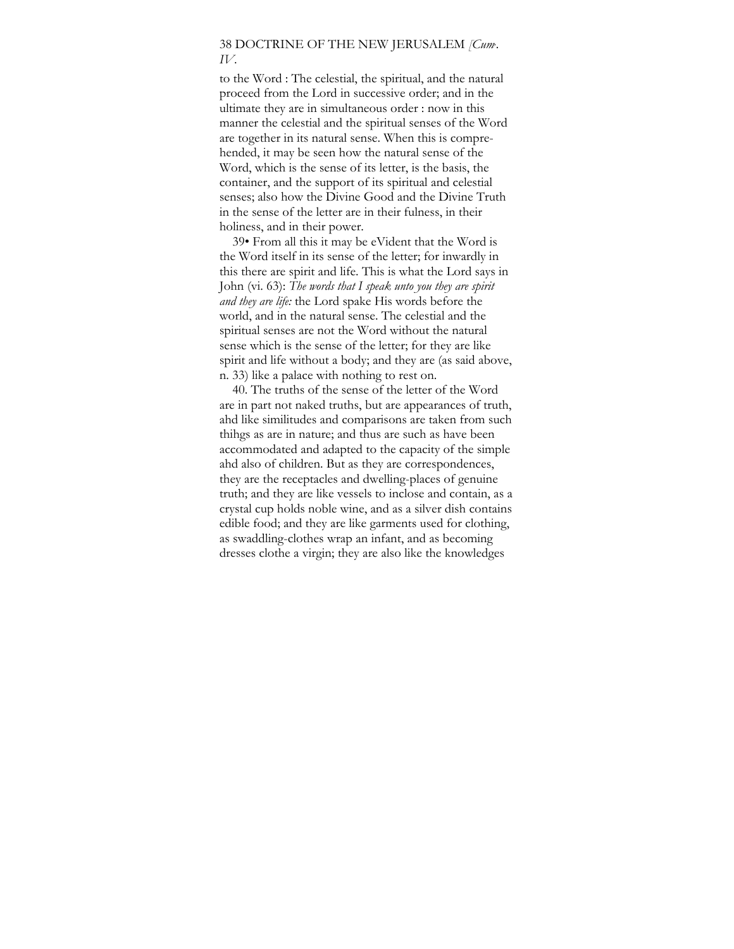# 38 DOCTRINE OF THE NEW JERUSALEM *[Cum, . IV*.

to the Word : The celestial, the spiritual, and the natural proceed from the Lord in successive order; and in the ultimate they are in simultaneous order : now in this manner the celestial and the spiritual senses of the Word are together in its natural sense. When this is comprehended, it may be seen how the natural sense of the Word, which is the sense of its letter, is the basis, the container, and the support of its spiritual and celestial senses; also how the Divine Good and the Divine Truth in the sense of the letter are in their fulness, in their holiness, and in their power.

39• From all this it may be eVident that the Word is the Word itself in its sense of the letter; for inwardly in this there are spirit and life. This is what the Lord says in John (vi. 63): *The words that I speak unto you they are spirit and they are life:* the Lord spake His words before the world, and in the natural sense. The celestial and the spiritual senses are not the Word without the natural sense which is the sense of the letter; for they are like spirit and life without a body; and they are (as said above, n. 33) like a palace with nothing to rest on.

40. The truths of the sense of the letter of the Word are in part not naked truths, but are appearances of truth, ahd like similitudes and comparisons are taken from such thihgs as are in nature; and thus are such as have been accommodated and adapted to the capacity of the simple ahd also of children. But as they are correspondences, they are the receptacles and dwelling-places of genuine truth; and they are like vessels to inclose and contain, as a crystal cup holds noble wine, and as a silver dish contains edible food; and they are like garments used for clothing, as swaddling-clothes wrap an infant, and as becoming dresses clothe a virgin; they are also like the knowledges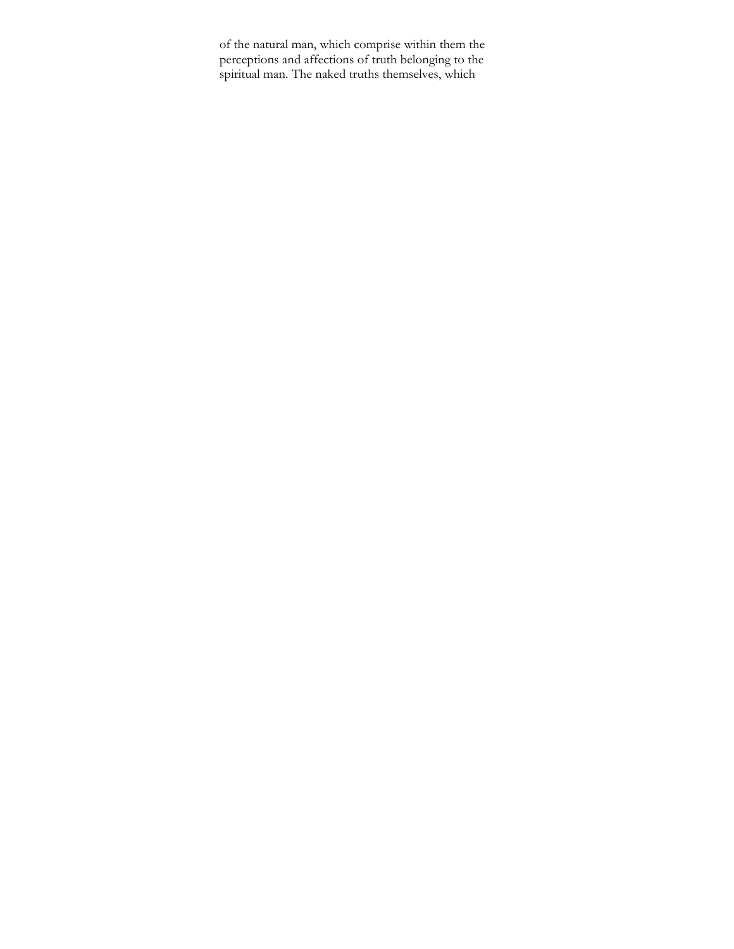of the natural man, which comprise within them the perceptions and affections of truth belonging to the spiritual man. The naked truths themselves, which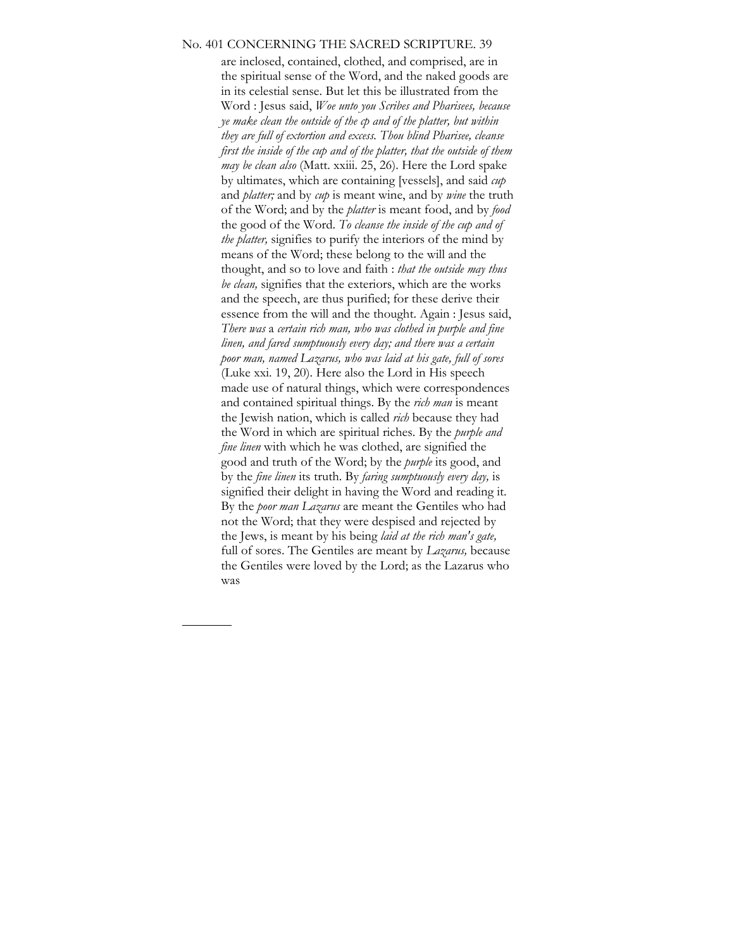#### No. 401 CONCERNING THE SACRED SCRIPTURE. 39

are inclosed, contained, clothed, and comprised, are in the spiritual sense of the Word, and the naked goods are in its celestial sense. But let this be illustrated from the Word : Jesus said, *Woe unto you Scribes and Pharisees, because ye make clean the outside of the cp and of the platter, but within they are full of extortion and excess. Thou blind Pharisee, cleanse first the inside of the cup and of the platter, that the outside of them may be clean also* (Matt. xxiii. 25, 26). Here the Lord spake by ultimates, which are containing [vessels], and said *cup*  and *platter;* and by *cup* is meant wine, and by *wine* the truth of the Word; and by the *platter* is meant food, and by *food*  the good of the Word. *To cleanse the inside of the cup and of the platter,* signifies to purify the interiors of the mind by means of the Word; these belong to the will and the thought, and so to love and faith : *that the outside may thus be clean,* signifies that the exteriors, which are the works and the speech, are thus purified; for these derive their essence from the will and the thought. Again : Jesus said, *There was* a *certain rich man, who was clothed in purple and fine linen, and fared sumptuously every day; and there was a certain poor man, named Lazarus, who was laid at his gate, full of sores*  (Luke xxi. 19, 20). Here also the Lord in His speech made use of natural things, which were correspondences and contained spiritual things. By the *rich man* is meant the Jewish nation, which is called *rich* because they had the Word in which are spiritual riches. By the *purple and fine linen* with which he was clothed, are signified the good and truth of the Word; by the *purple* its good, and by the *fine linen* its truth. By *faring sumptuously every day,* is signified their delight in having the Word and reading it. By the *poor man Lazarus* are meant the Gentiles who had not the Word; that they were despised and rejected by the Jews, is meant by his being *laid at the rich man's gate,*  full of sores. The Gentiles are meant by *Lazarus,* because the Gentiles were loved by the Lord; as the Lazarus who was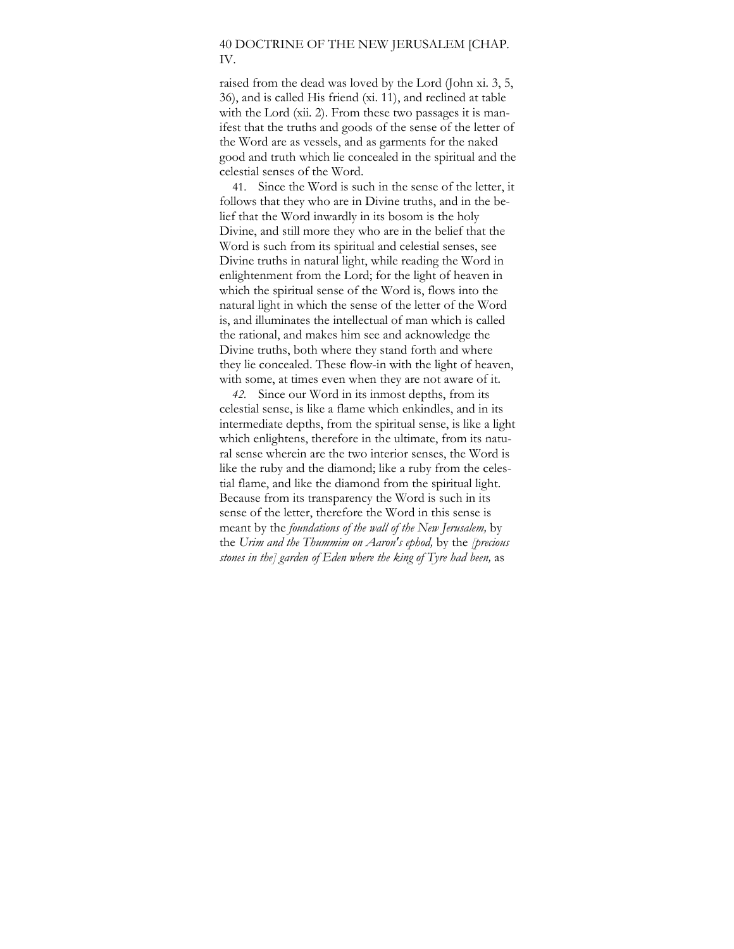# 40 DOCTRINE OF THE NEW JERUSALEM [CHAP. IV.

raised from the dead was loved by the Lord (John xi. 3, 5, 36), and is called His friend (xi. 11), and reclined at table with the Lord (xii. 2). From these two passages it is manifest that the truths and goods of the sense of the letter of the Word are as vessels, and as garments for the naked good and truth which lie concealed in the spiritual and the celestial senses of the Word.

41. Since the Word is such in the sense of the letter, it follows that they who are in Divine truths, and in the belief that the Word inwardly in its bosom is the holy Divine, and still more they who are in the belief that the Word is such from its spiritual and celestial senses, see Divine truths in natural light, while reading the Word in enlightenment from the Lord; for the light of heaven in which the spiritual sense of the Word is, flows into the natural light in which the sense of the letter of the Word is, and illuminates the intellectual of man which is called the rational, and makes him see and acknowledge the Divine truths, both where they stand forth and where they lie concealed. These flow-in with the light of heaven, with some, at times even when they are not aware of it.

*42.* Since our Word in its inmost depths, from its celestial sense, is like a flame which enkindles, and in its intermediate depths, from the spiritual sense, is like a light which enlightens, therefore in the ultimate, from its natural sense wherein are the two interior senses, the Word is like the ruby and the diamond; like a ruby from the celestial flame, and like the diamond from the spiritual light. Because from its transparency the Word is such in its sense of the letter, therefore the Word in this sense is meant by the *foundations of the wall of the New Jerusalem,* by the *Urim and the Thummim on Aaron's ephod,* by the *[precious stones in the] garden of Eden where the king of Tyre had been,* as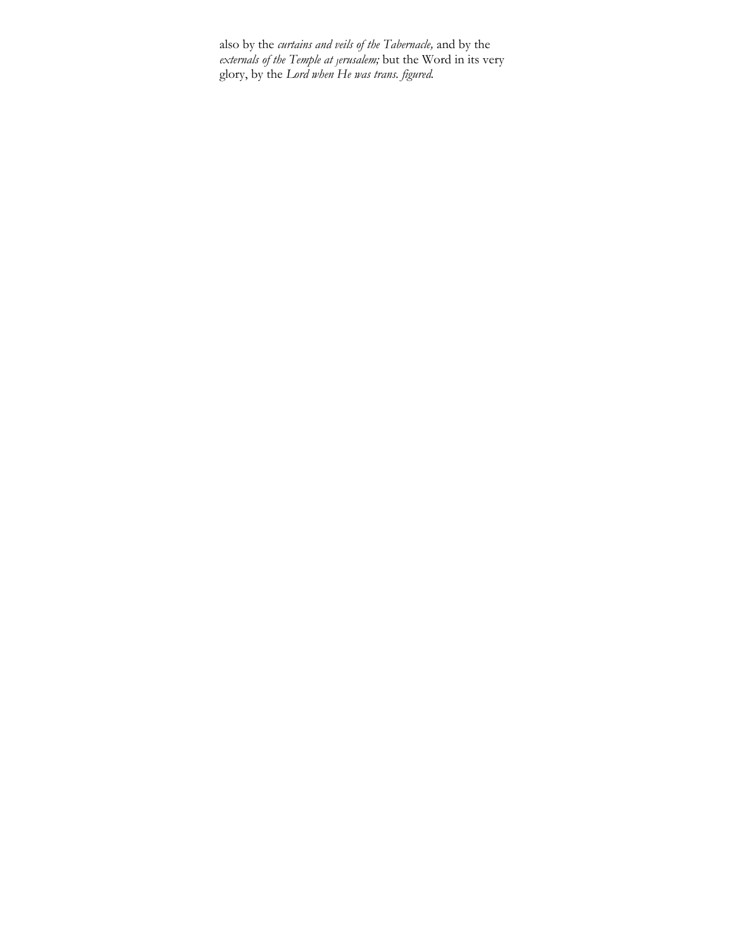also by the *curtains and veils of the Tabernacle,* and by the *externals of the Temple at Jerusalem;* but the Word in its very glory, by the *Lord when He was trans. figured.*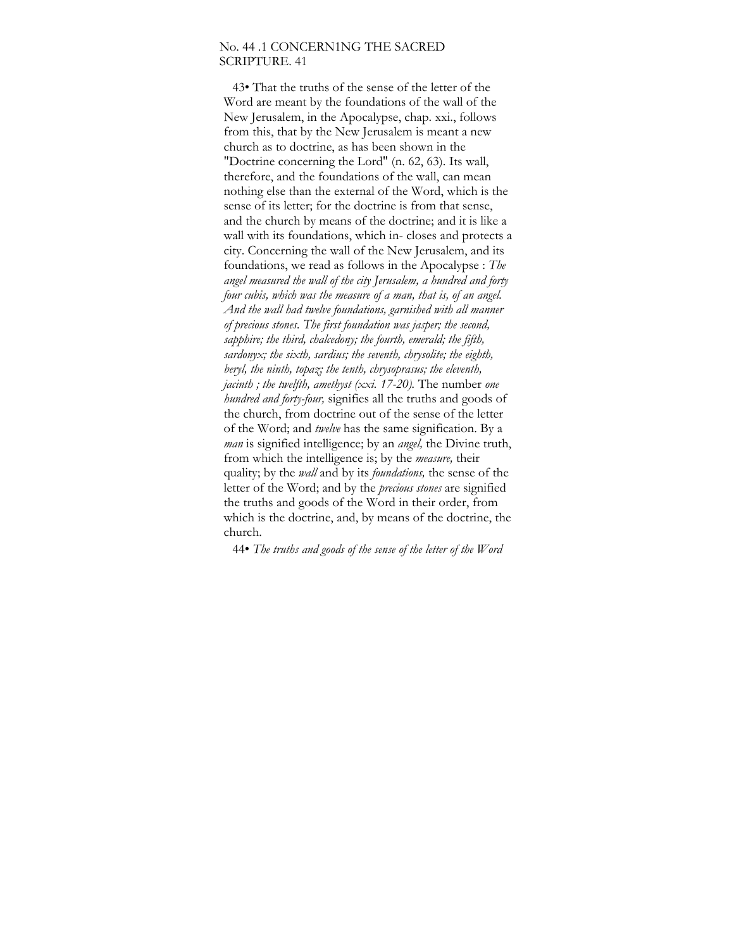### No. 44 .1 CONCERN1NG THE SACRED SCRIPTURE. 41

43• That the truths of the sense of the letter of the Word are meant by the foundations of the wall of the New Jerusalem, in the Apocalypse, chap. xxi., follows from this, that by the New Jerusalem is meant a new church as to doctrine, as has been shown in the "Doctrine concerning the Lord" (n. 62, 63). Its wall, therefore, and the foundations of the wall, can mean nothing else than the external of the Word, which is the sense of its letter; for the doctrine is from that sense, and the church by means of the doctrine; and it is like a wall with its foundations, which in- closes and protects a city. Concerning the wall of the New Jerusalem, and its foundations, we read as follows in the Apocalypse : *The angel measured the wall of the city Jerusalem, a hundred and forty four cubis, which was the measure of a man, that is, of an angel. And the wall had twelve foundations, garnished with all manner of precious stones. The first foundation was jasper; the second, sapphire; the third, chalcedony; the fourth, emerald; the fifth, sardonyx; the sixth, sardius; the seventh, chrysolite; the eighth, beryl, the ninth, topaz; the tenth, chrysoprasus; the eleventh, jacinth ; the twelfth, amethyst (xxi. 17-20).* The number *one hundred and forty-four,* signifies all the truths and goods of the church, from doctrine out of the sense of the letter of the Word; and *twelve* has the same signification. By a *man* is signified intelligence; by an *angel,* the Divine truth, from which the intelligence is; by the *measure,* their quality; by the *wall* and by its *foundations,* the sense of the letter of the Word; and by the *precious stones* are signified the truths and goods of the Word in their order, from which is the doctrine, and, by means of the doctrine, the church.

44• *The truths and goods of the sense of the letter of the Word*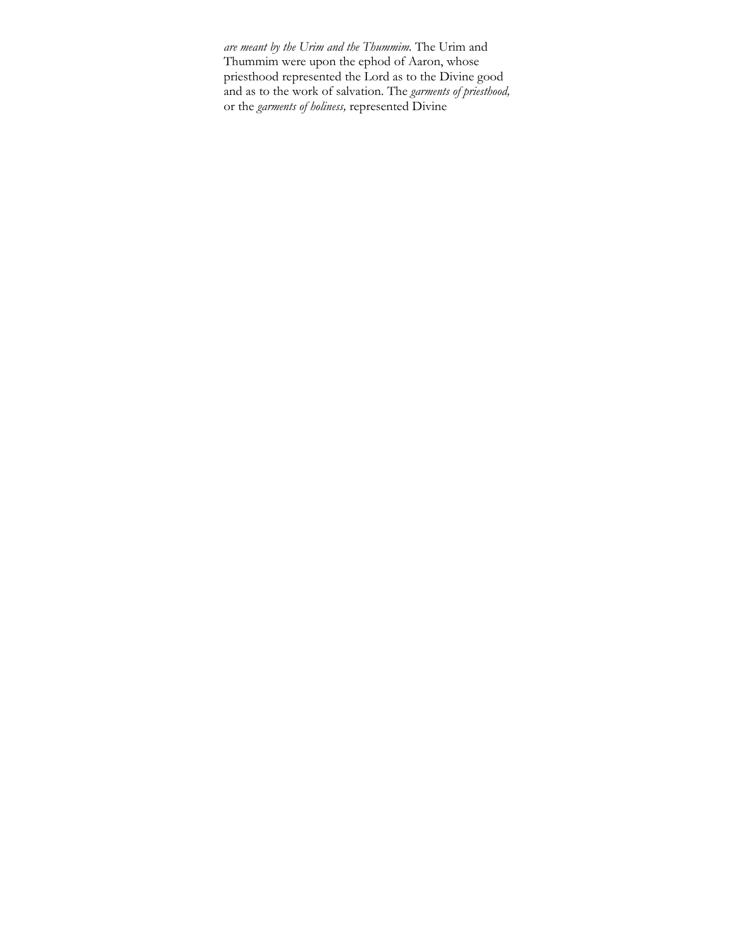*are meant by the Urim and the Thummim.* The Urim and Thummim were upon the ephod of Aaron, whose priesthood represented the Lord as to the Divine good and as to the work of salvation. The *garments of priesthood,*  or the *garments of holiness,* represented Divine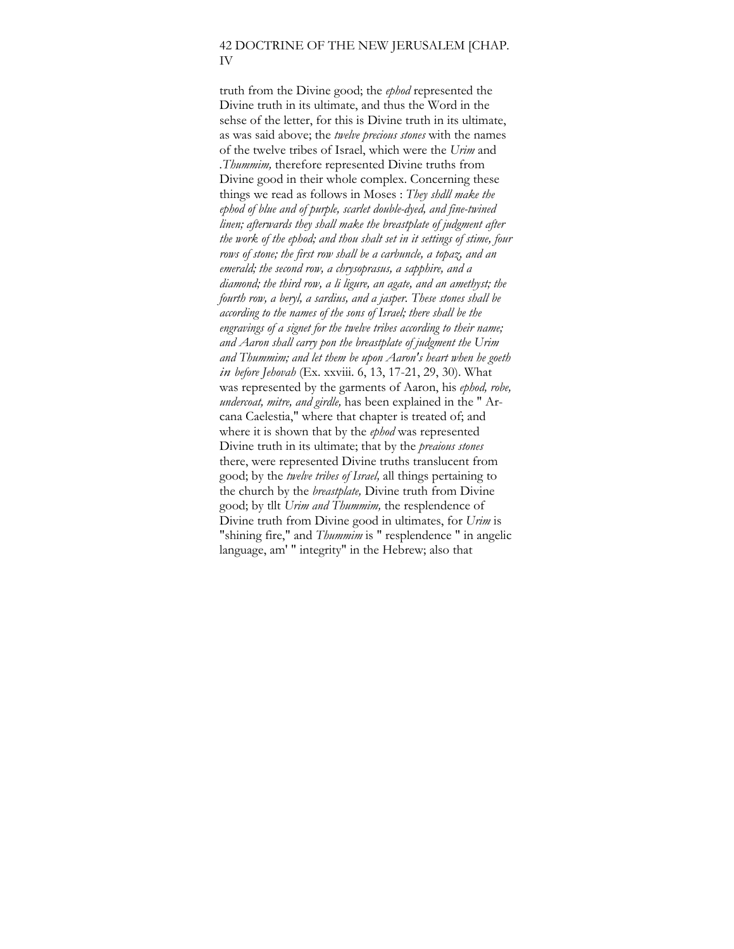## 42 DOCTRINE OF THE NEW JERUSALEM [CHAP. IV

truth from the Divine good; the *ephod* represented the Divine truth in its ultimate, and thus the Word in the sehse of the letter, for this is Divine truth in its ultimate, as was said above; the *twelve precious stones* with the names of the twelve tribes of Israel, which were the *Urim* and *.Thummim,* therefore represented Divine truths from Divine good in their whole complex. Concerning these things we read as follows in Moses : *They shdll make the ephod of blue and of purple, scarlet double-dyed, and fine-twined linen; afterwards they shall make the breastplate of judgment after the work of the ephod; and thou shalt set in it settings of stime, four rows of stone; the first row shall be a carbuncle, a topaz, and an emerald; the second row, a chrysoprasus, a sapphire, and a diamond; the third row, a li ligure, an agate, and an amethyst; the fourth row, a beryl, a sardius, and a jasper. These stones shall be according to the names of the sons of Israel; there shall be the engravings of a signet for the twelve tribes according to their name; and Aaron shall carry pon the breastplate of judgment the Urim and Thummim; and let them be upon Aaron's heart when he goeth in before Jehovah* (Ex. xxviii. 6, 13, 17-21, 29, 30). What was represented by the garments of Aaron, his *ephod, robe, undercoat, mitre, and girdle,* has been explained in the " Arcana Caelestia," where that chapter is treated of; and where it is shown that by the *ephod* was represented Divine truth in its ultimate; that by the *preaious stones*  there, were represented Divine truths translucent from good; by the *twelve tribes of Israel,* all things pertaining to the church by the *breastplate,* Divine truth from Divine good; by tllt *Urim and Thummim,* the resplendence of Divine truth from Divine good in ultimates, for *Urim* is "shining fire," and *Thummim* is " resplendence " in angelic language, am' " integrity" in the Hebrew; also that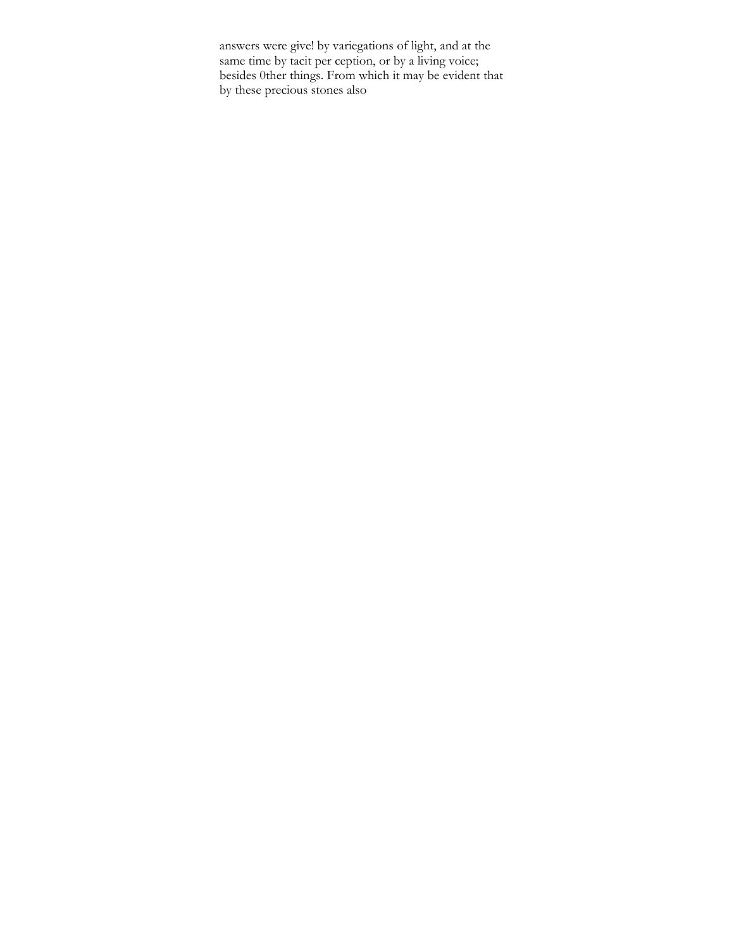answers were give! by variegations of light, and at the same time by tacit per ception, or by a living voice; besides 0ther things. From which it may be evident that by these precious stones also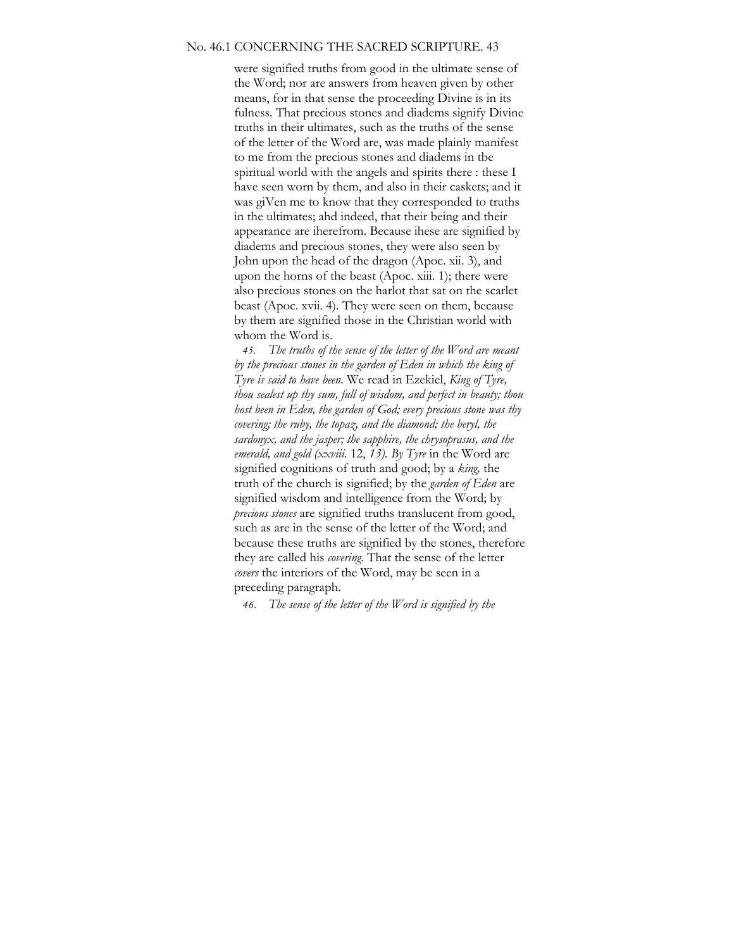#### No. 46.1 CONCERNING THE SACRED SCRIPTURE. 43

were signified truths from good in the ultimate sense of the Word; nor are answers from heaven given by other means, for in that sense the proceeding Divine is in its fulness. That precious stones and diadems signify Divine truths in their ultimates, such as the truths of the sense of the letter of the Word are, was made plainly manifest to me from the precious stones and diadems in tbe spiritual world with the angels and spirits there : these I have seen worn by them, and also in their caskets; and it was giVen me to know that they corresponded to truths in the ultimates; ahd indeed, that their being and their appearance are iherefrom. Because ihese are signified by diadems and precious stones, they were also seen by John upon the head of the dragon (Apoc. xii. 3), and upon the horns of the beast (Apoc. xiii. 1); there were also precious stones on the harlot that sat on the scarlet beast (Apoc. xvii. 4). They were seen on them, because by them are signified those in the Christian world with whom the Word is.

*45. The truths of the sense of the letter of the Word are meant by the precious stones in the garden of Eden in which the king of Tyre is said to have been.* We read in Ezekiel, *King of Tyre, thou sealest up thy sum, full of wisdom, and perfect in beauty; thou host been in Eden, the garden of God; every precious stone was thy covering; the ruby, the topaz, and the diamond; the beryl, the sardonyx, and the jasper; the sapphire, the chrysoprasus, and the emerald, and gold (xxviii.* 12, *13). By Tyre* in the Word are signified cognitions of truth and good; by a *king,* the truth of the church is signified; by the *garden of Eden* are signified wisdom and intelligence from the Word; by *precious stones* are signified truths translucent from good, such as are in the sense of the letter of the Word; and because these truths are signified by the stones, therefore they are called his *covering.* That the sense of the letter *covers* the interiors of the Word, may be seen in a preceding paragraph.

*46. The sense of the letter of the Word is signified by the*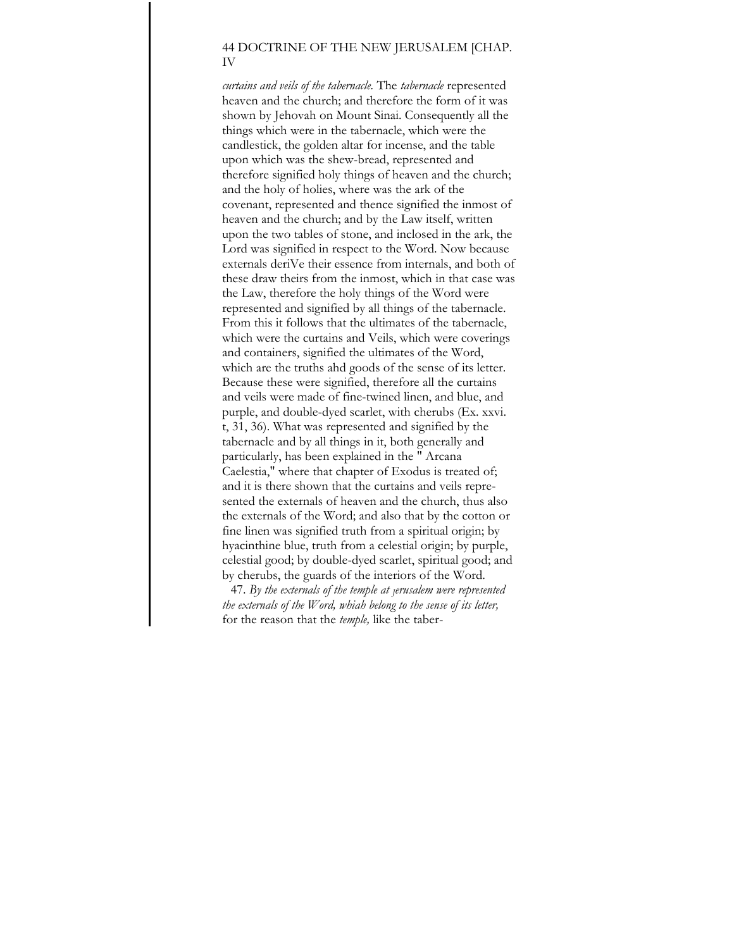## 44 DOCTRINE OF THE NEW JERUSALEM [CHAP. IV

*curtains and veils of the tabernacle.* The *tabernacle* represented heaven and the church; and therefore the form of it was shown by Jehovah on Mount Sinai. Consequently all the things which were in the tabernacle, which were the candlestick, the golden altar for incense, and the table upon which was the shew-bread, represented and therefore signified holy things of heaven and the church; and the holy of holies, where was the ark of the covenant, represented and thence signified the inmost of heaven and the church; and by the Law itself, written upon the two tables of stone, and inclosed in the ark, the Lord was signified in respect to the Word. Now because externals deriVe their essence from internals, and both of these draw theirs from the inmost, which in that case was the Law, therefore the holy things of the Word were represented and signified by all things of the tabernacle. From this it follows that the ultimates of the tabernacle, which were the curtains and Veils, which were coverings and containers, signified the ultimates of the Word, which are the truths ahd goods of the sense of its letter. Because these were signified, therefore all the curtains and veils were made of fine-twined linen, and blue, and purple, and double-dyed scarlet, with cherubs (Ex. xxvi. t, 31, 36). What was represented and signified by the tabernacle and by all things in it, both generally and particularly, has been explained in the " Arcana Caelestia," where that chapter of Exodus is treated of; and it is there shown that the curtains and veils represented the externals of heaven and the church, thus also the externals of the Word; and also that by the cotton or fine linen was signified truth from a spiritual origin; by hyacinthine blue, truth from a celestial origin; by purple, celestial good; by double-dyed scarlet, spiritual good; and by cherubs, the guards of the interiors of the Word.

47. *By the externals of the temple at Jerusalem were represented the externals of the Word, whiah belong to the sense of its letter,*  for the reason that the *temple,* like the taber-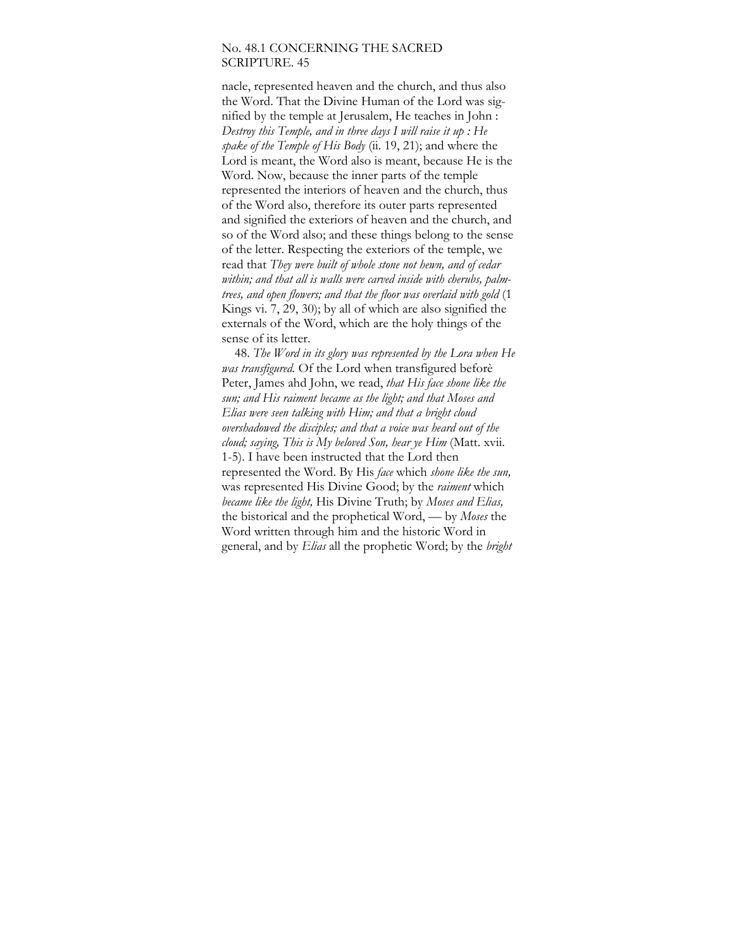### No. 48.1 CONCERNING THE SACRED SCRIPTURE. 45

nacle, represented heaven and the church, and thus also the Word. That the Divine Human of the Lord was signified by the temple at Jerusalem, He teaches in John : *Destroy this Temple, and in three days I will raise it up : He spake of the Temple of His Body* (ii. 19, 21); and where the Lord is meant, the Word also is meant, because He is the Word. Now, because the inner parts of the temple represented the interiors of heaven and the church, thus of the Word also, therefore its outer parts represented and signified the exteriors of heaven and the church, and so of the Word also; and these things belong to the sense of the letter. Respecting the exteriors of the temple, we read that *They were built of whole stone not hewn, and of cedar within; and that all is walls were carved inside with cherubs, palmtrees, and open flowers; and that the floor was overlaid with gold* (1 Kings vi. 7, 29, 30); by all of which are also signified the externals of the Word, which are the holy things of the sense of its letter.

48. *The Word in its glory was represented by the Lora when He was transfigured.* Of the Lord when transfigured beforè Peter, James ahd John, we read, *that His face shone like the sun; and His raiment became as the light; and that Moses and Elias were seen talking with Him; and that a bright cloud overshadowed the disciples; and that a voice was heard out of the cloud; saying, This is My beloved Son, hear ye Him* (Matt. xvii. 1-5). I have been instructed that the Lord then represented the Word. By His *face* which *shone like the sun,*  was represented His Divine Good; by the *raiment* which *became like the light,* His Divine Truth; by *Moses and Elias,*  the bistorical and the prophetical Word, — by *Moses* the Word written through him and the historic Word in general, and by *Elias* all the prophetic Word; by the *bright*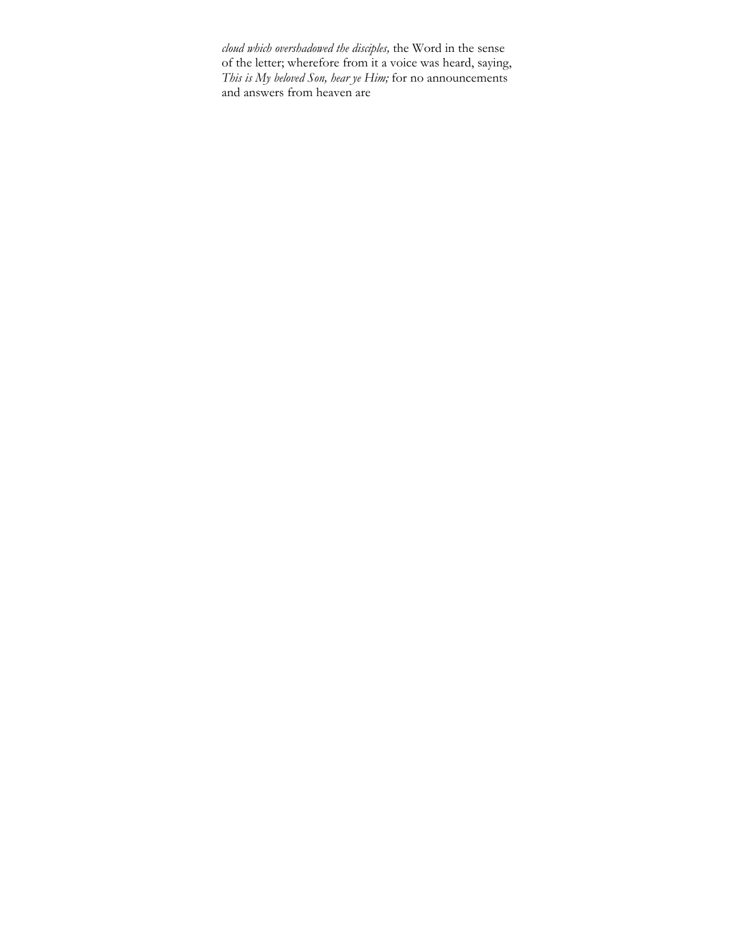*cloud which overshadowed the disciples,* the Word in the sense of the letter; wherefore from it a voice was heard, saying, *This is My beloved Son, hear ye Him;* for no announcements and answers from heaven are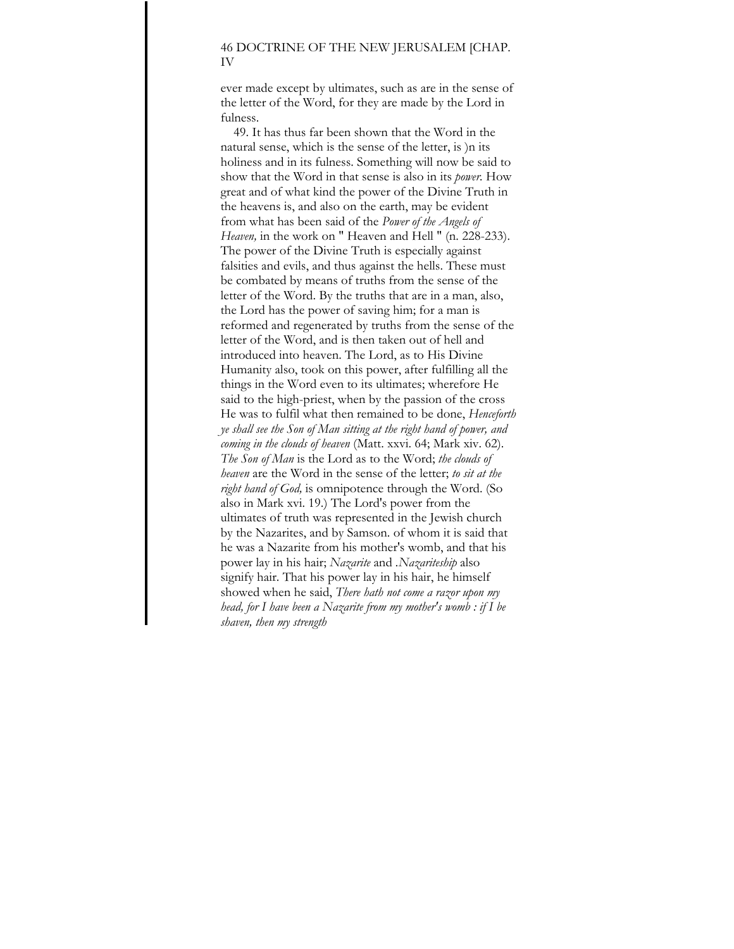### 46 DOCTRINE OF THE NEW JERUSALEM [CHAP. IV

ever made except by ultimates, such as are in the sense of the letter of the Word, for they are made by the Lord in fulness.

49. It has thus far been shown that the Word in the natural sense, which is the sense of the letter, is )n its holiness and in its fulness. Something will now be said to show that the Word in that sense is also in its *power.* How great and of what kind the power of the Divine Truth in the heavens is, and also on the earth, may be evident from what has been said of the *Power of the Angels of Heaven,* in the work on " Heaven and Hell " (n. 228-233). The power of the Divine Truth is especially against falsities and evils, and thus against the hells. These must be combated by means of truths from the sense of the letter of the Word. By the truths that are in a man, also, the Lord has the power of saving him; for a man is reformed and regenerated by truths from the sense of the letter of the Word, and is then taken out of hell and introduced into heaven. The Lord, as to His Divine Humanity also, took on this power, after fulfilling all the things in the Word even to its ultimates; wherefore He said to the high-priest, when by the passion of the cross He was to fulfil what then remained to be done, *Henceforth ye shall see the Son of Man sitting at the right hand of power, and coming in the clouds of heaven* (Matt. xxvi. 64; Mark xiv. 62). *The Son of Man* is the Lord as to the Word; *the clouds of heaven* are the Word in the sense of the letter; *to sit at the right hand of God,* is omnipotence through the Word. (So also in Mark xvi. 19.) The Lord's power from the ultimates of truth was represented in the Jewish church by the Nazarites, and by Samson. of whom it is said that he was a Nazarite from his mother's womb, and that his power lay in his hair; *Nazarite* and *.Nazariteship* also signify hair. That his power lay in his hair, he himself showed when he said, *There hath not come a razor upon my head, for I have been a Nazarite from my mother's womb : if I be shaven, then my strength*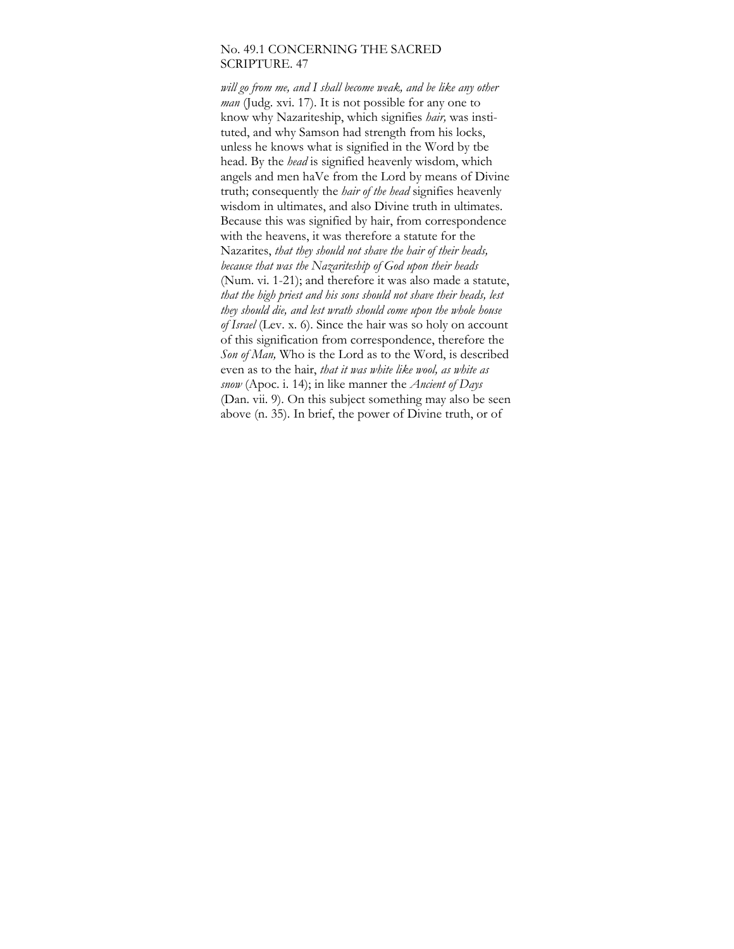## No. 49.1 CONCERNING THE SACRED SCRIPTURE. 47

*will go from me, and I shall become weak, and be like any other man* (Judg. xvi. 17). It is not possible for any one to know why Nazariteship, which signifies *hair,* was instituted, and why Samson had strength from his locks, unless he knows what is signified in the Word by tbe head. By the *head* is signified heavenly wisdom, which angels and men haVe from the Lord by means of Divine truth; consequently the *hair of the head* signifies heavenly wisdom in ultimates, and also Divine truth in ultimates. Because this was signified by hair, from correspondence with the heavens, it was therefore a statute for the Nazarites, *that they should not shave the hair of their heads, because that was the Nazariteship of God upon their heads*  (Num. vi. 1-21); and therefore it was also made a statute, *that the high priest and his sons should not shave their heads, lest they should die, and lest wrath should come upon the whole house of Israel* (Lev. x. 6). Since the hair was so holy on account of this signification from correspondence, therefore the *Son of Man,* Who is the Lord as to the Word, is described even as to the hair, *that it was white like wool, as white as snow* (Apoc. i. 14); in like manner the *Ancient of Days*  (Dan. vii. 9). On this subject something may also be seen above (n. 35). In brief, the power of Divine truth, or of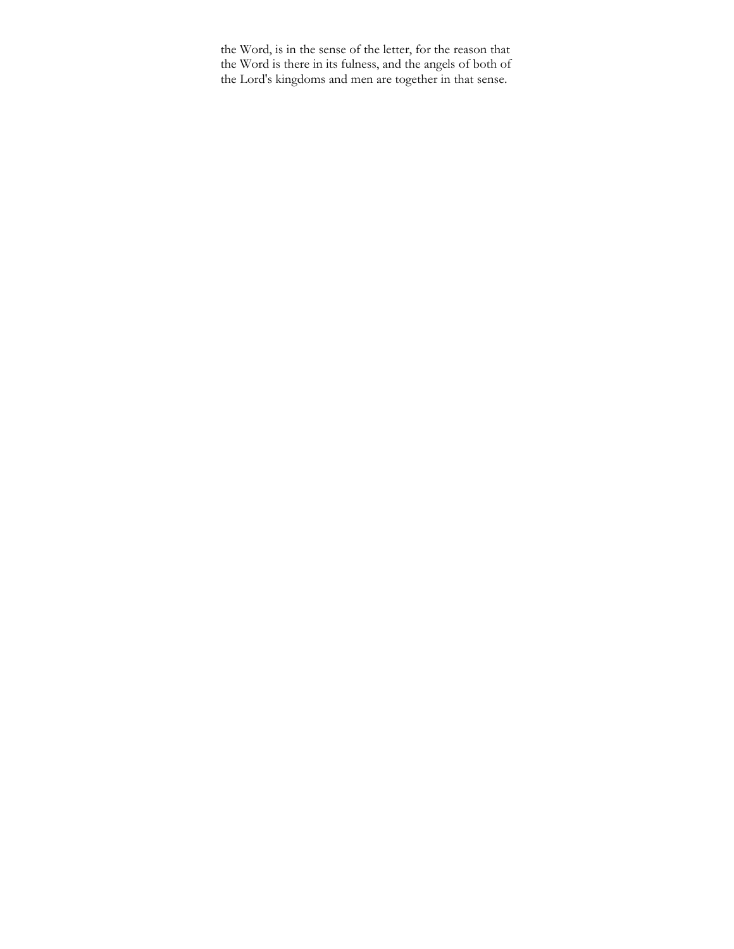the Word, is in the sense of the letter, for the reason that the Word is there in its fulness, and the angels of both of the Lord's kingdoms and men are together in that sense.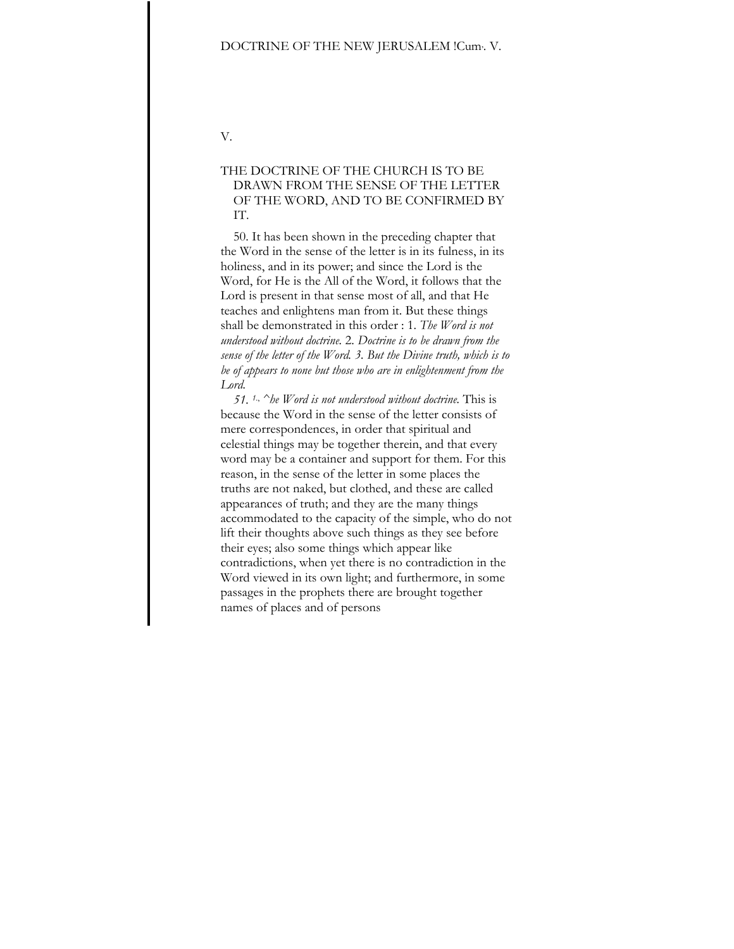### DOCTRINE OF THE NEW JERUSALEM !Cum, . V.

V.

# THE DOCTRINE OF THE CHURCH IS TO BE DRAWN FROM THE SENSE OF THE LETTER OF THE WORD, AND TO BE CONFIRMED BY IT.

50. It has been shown in the preceding chapter that the Word in the sense of the letter is in its fulness, in its holiness, and in its power; and since the Lord is the Word, for He is the All of the Word, it follows that the Lord is present in that sense most of all, and that He teaches and enlightens man from it. But these things shall be demonstrated in this order : 1. *The Word is not understood without doctrine.* 2. *Doctrine is to be drawn from the sense of the letter of the Word. 3. But the Divine truth, which is to be of appears to none but those who are in enlightenment from the Lord.* 

*51. 1.*,  *^he Word is not understood without doctrine.* This is because the Word in the sense of the letter consists of mere correspondences, in order that spiritual and celestial things may be together therein, and that every word may be a container and support for them. For this reason, in the sense of the letter in some places the truths are not naked, but clothed, and these are called appearances of truth; and they are the many things accommodated to the capacity of the simple, who do not lift their thoughts above such things as they see before their eyes; also some things which appear like contradictions, when yet there is no contradiction in the Word viewed in its own light; and furthermore, in some passages in the prophets there are brought together names of places and of persons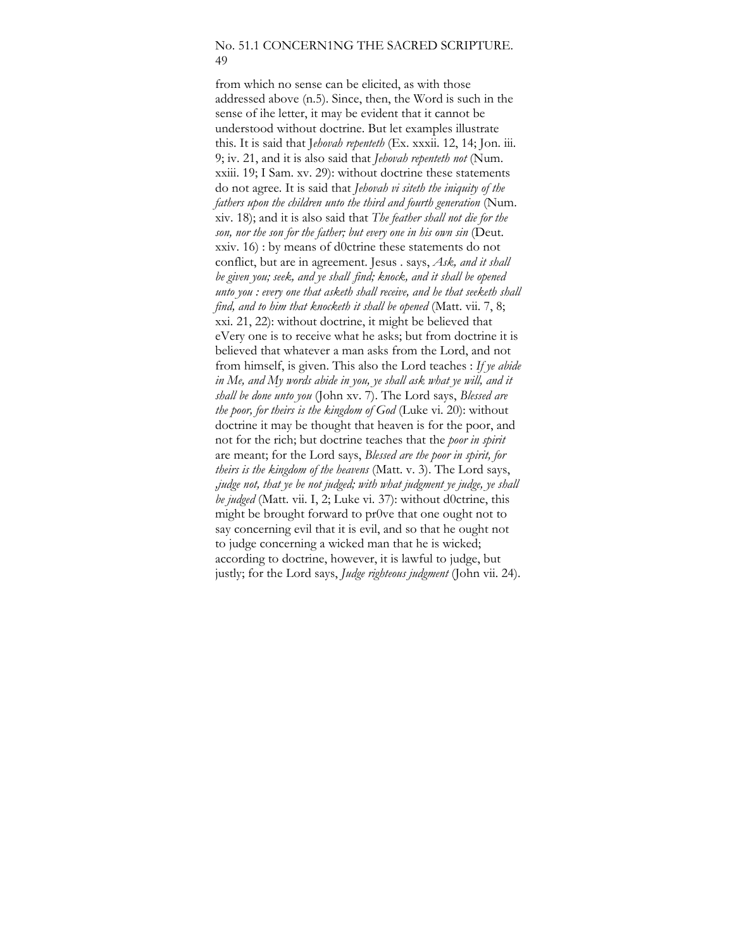## No. 51.1 CONCERN1NG THE SACRED SCRIPTURE. 49

from which no sense can be elicited, as with those addressed above (n.5). Since, then, the Word is such in the sense of ihe letter, it may be evident that it cannot be understood without doctrine. But let examples illustrate this. It is said that J*ehovah repenteth* (Ex. xxxii. 12, 14; Jon. iii. 9; iv. 21, and it is also said that *Jehovah repenteth not* (Num. xxiii. 19; I Sam. xv. 29): without doctrine these statements do not agree. It is said that *Jehovah vi siteth the iniquity of the fathers upon the children unto the third and fourth generation* (Num. xiv. 18); and it is also said that *The feather shall not die for the son, nor the son for the father; but every one in his own sin* (Deut. xxiv. 16) : by means of d0ctrine these statements do not conflict, but are in agreement. Jesus . says, *Ask, and it shall*  be given you; seek, and ye shall find; knock, and it shall be opened *unto you : every one that asketh shall receive, and he that seeketh shall find, and to him that knocketh it shall be opened* (Matt. vii. 7, 8; xxi. 21, 22): without doctrine, it might be believed that eVery one is to receive what he asks; but from doctrine it is believed that whatever a man asks from the Lord, and not from himself, is given. This also the Lord teaches : *If ye abide*  in Me, and My words abide in you, ye shall ask what ye will, and it *shall be done unto you* (John xv. 7). The Lord says, *Blessed are the poor, for theirs is the kingdom of God* (Luke vi. 20): without doctrine it may be thought that heaven is for the poor, and not for the rich; but doctrine teaches that the *poor in spirit*  are meant; for the Lord says, *Blessed are the poor in spirit, for theirs is the kingdom of the heavens* (Matt. v. 3). The Lord says, *,judge not, that ye be not judged; with what judgment ye judge, ye shall be judged* (Matt. vii. I, 2; Luke vi. 37): without d0ctrine, this might be brought forward to pr0ve that one ought not to say concerning evil that it is evil, and so that he ought not to judge concerning a wicked man that he is wicked; according to doctrine, however, it is lawful to judge, but justly; for the Lord says, *Judge righteous judgment* (John vii. 24).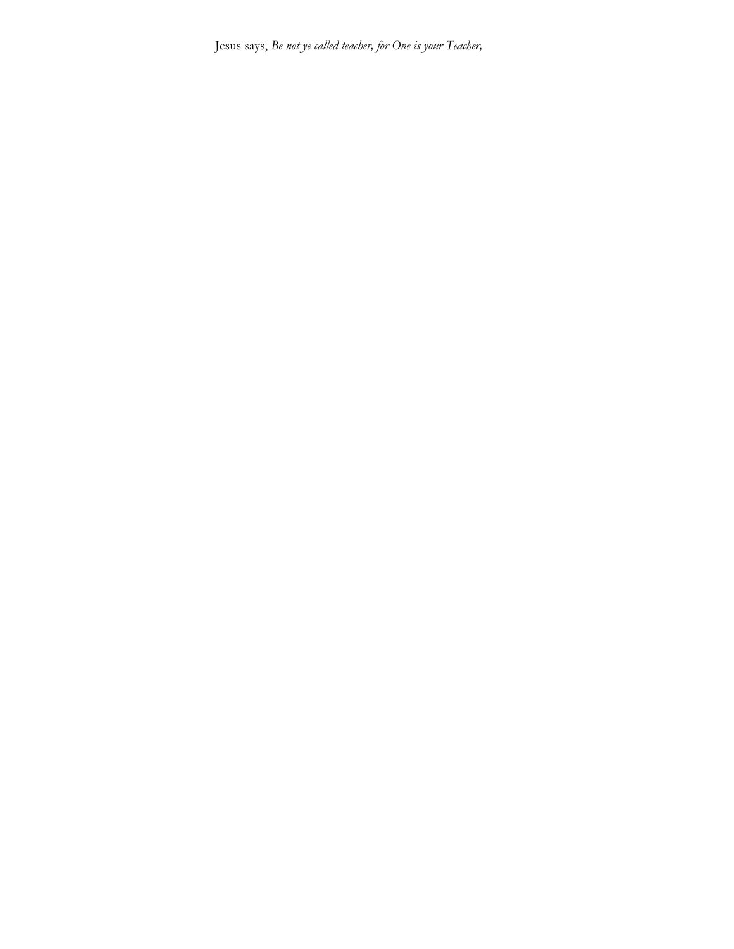Jesus says, *Be not ye called teacher, for One is your Teacher,*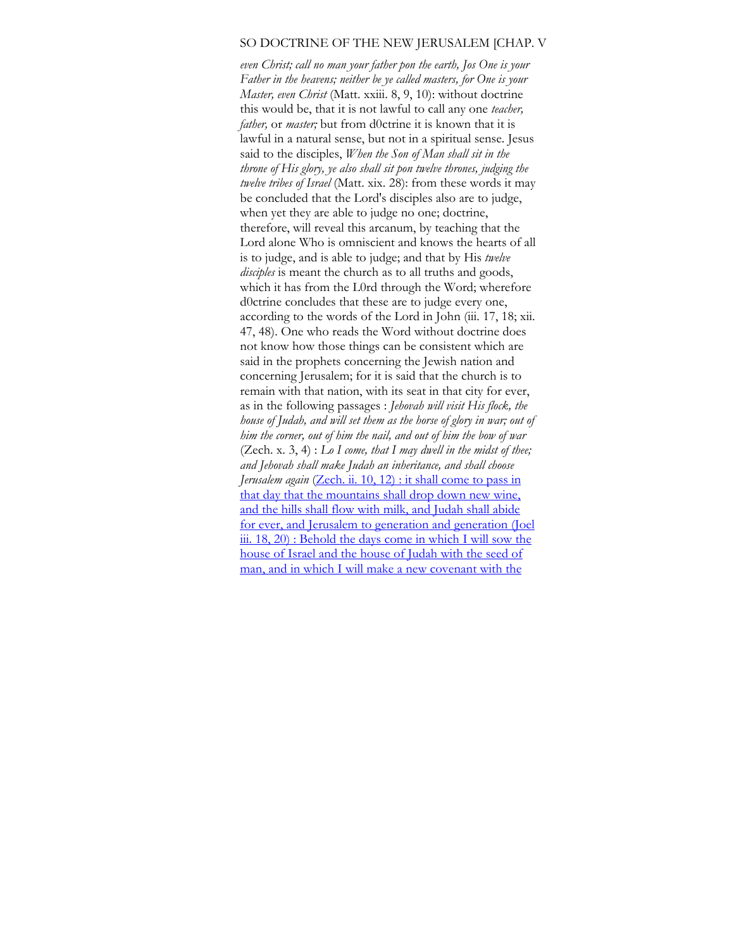### SO DOCTRINE OF THE NEW JERUSALEM [CHAP. V

*even Christ; call no man your father pon the earth, Jos One is your Father in the heavens; neither be ye called masters, for One is your Master, even Christ* (Matt. xxiii. 8, 9, 10): without doctrine this would be, that it is not lawful to call any one *teacher, father,* or *master;* but from d0ctrine it is known that it is lawful in a natural sense, but not in a spiritual sense. Jesus said to the disciples, *When the Son of Man shall sit in the throne of His glory, ye also shall sit pon twelve thrones, judging the twelve tribes of Israel* (Matt. xix. 28): from these words it may be concluded that the Lord's disciples also are to judge, when yet they are able to judge no one; doctrine, therefore, will reveal this arcanum, by teaching that the Lord alone Who is omniscient and knows the hearts of all is to judge, and is able to judge; and that by His *twelve disciples* is meant the church as to all truths and goods, which it has from the L0rd through the Word; wherefore d0ctrine concludes that these are to judge every one, according to the words of the Lord in John (iii. 17, 18; xii. 47, 48). One who reads the Word without doctrine does not know how those things can be consistent which are said in the prophets concerning the Jewish nation and concerning Jerusalem; for it is said that the church is to remain with that nation, with its seat in that city for ever, as in the following passages : *Jehovah will visit His flock, the house of Judah, and will set them as the horse of glory in war; out of him the corner, out of him the nail, and out of him the bow of war*  (Zech. x. 3, 4) : *Lo I come, that I may dwell in the midst of thee; and Jehovah shall make Judah an inheritance, and shall choose Jerusalem again* ([Zech. ii. 10, 12\) : it shall come to pass in](http://zech.ii.io/)  that day that the mountains shall drop down new wine, [and the hills shall flow with milk, and Judah shall abide](http://zech.ii.io/)  [for ever, and Jerusalem to generation and generation \(Joel](http://zech.ii.io/)  [iii. 18, 20\) : Behold the days come in which I will sow the](http://zech.ii.io/)  [house of Israel and the house of Judah with the seed of](http://zech.ii.io/)  [man, and in which I will make a new covenant with the](http://zech.ii.io/)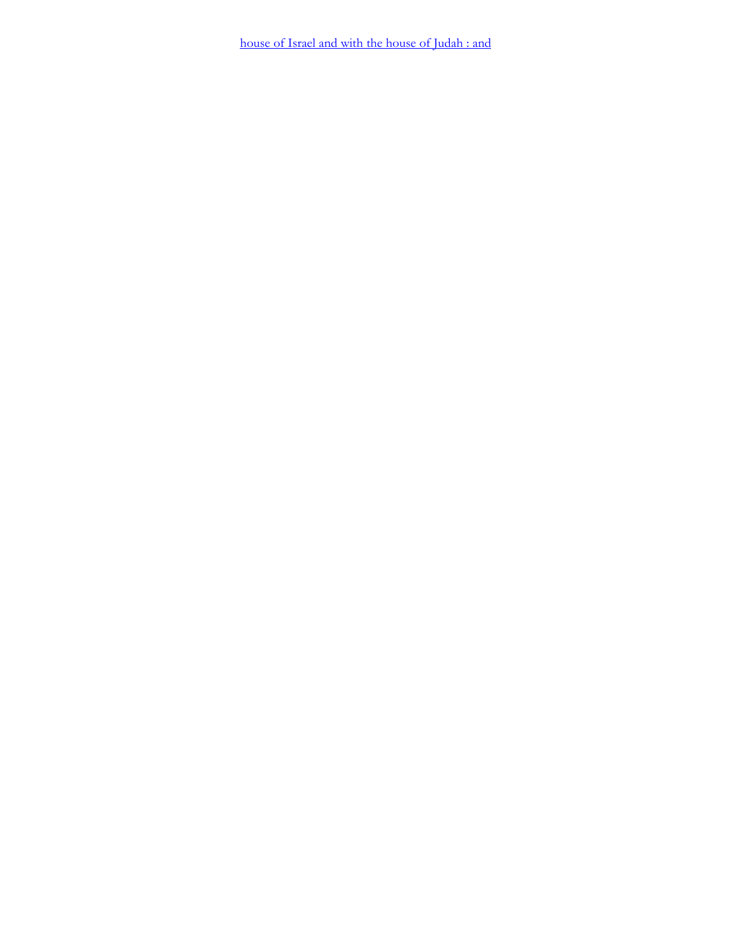house of Israel and with the house of Judah : and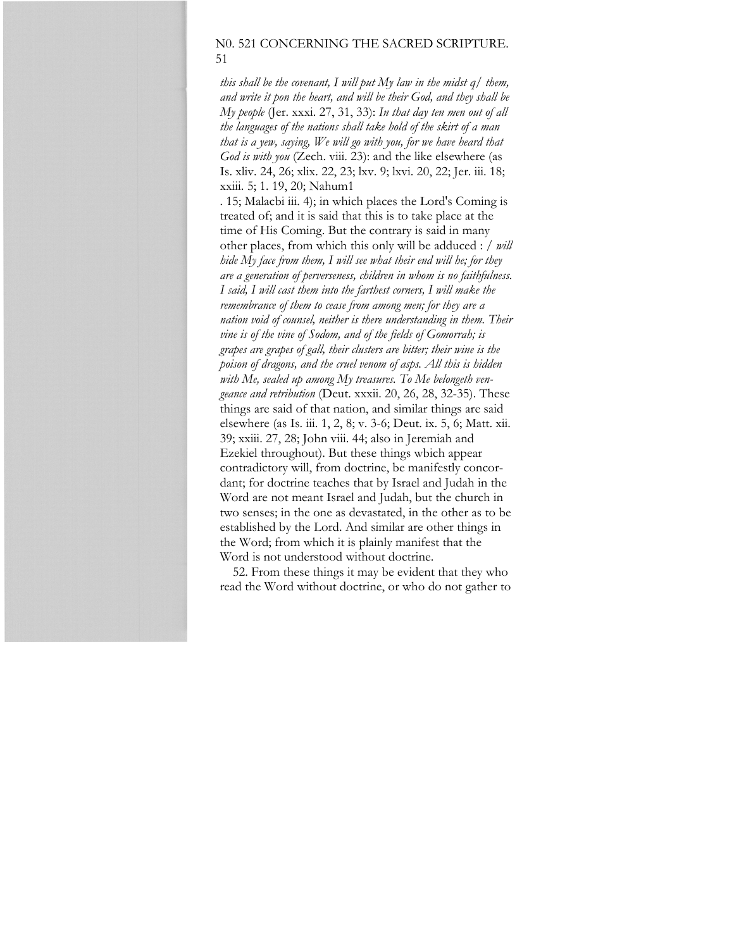# N0. 521 CONCERNING THE SACRED SCRIPTURE. 51

*this shall be the covenant, I will put My law in the midst q/ them, and write it pon the heart, and will be their God, and they shall be My people* (Jer. xxxi. 27, 31, 33): *In that day ten men out of all the languages of the nations shall take hold of the skirt of a man that is a yew, saying, We will go with you, for we have heard that God is with you* (Zech. viii. 23): and the like elsewhere (as Is. xliv. 24, 26; xlix. 22, 23; lxv. 9; lxvi. 20, 22; Jer. iii. 18; xxiii. 5; 1. 19, 20; Nahum1

. 15; Malacbi iii. 4); in which places the Lord's Coming is treated of; and it is said that this is to take place at the time of His Coming. But the contrary is said in many other places, from which this only will be adduced : / *will hide My face from them, I will see what their end will he; for they are a generation of perverseness, children in whom is no faithfulness. I said, I will cast them into the farthest corners, I will make the remembrance of them to cease from among men; for they are a nation void of counsel, neither is there understanding in them. Their vine is of the vine of Sodom, and of the fields of Gomorrah; is grapes are grapes of gall, their clusters are bitter; their wine is the poison of dragons, and the cruel venom of asps. All this is hidden with Me, sealed up among My treasures. To Me belongeth vengeance and retribution* (Deut. xxxii. 20, 26, 28, 32-35). These things are said of that nation, and similar things are said elsewhere (as Is. iii. 1, 2, 8; v. 3-6; Deut. ix. 5, 6; Matt. xii. 39; xxiii. 27, 28; John viii. 44; also in Jeremiah and Ezekiel throughout). But these things wbich appear contradictory will, from doctrine, be manifestly concordant; for doctrine teaches that by Israel and Judah in the Word are not meant Israel and Judah, but the church in two senses; in the one as devastated, in the other as to be established by the Lord. And similar are other things in the Word; from which it is plainly manifest that the Word is not understood without doctrine.

52. From these things it may be evident that they who read the Word without doctrine, or who do not gather to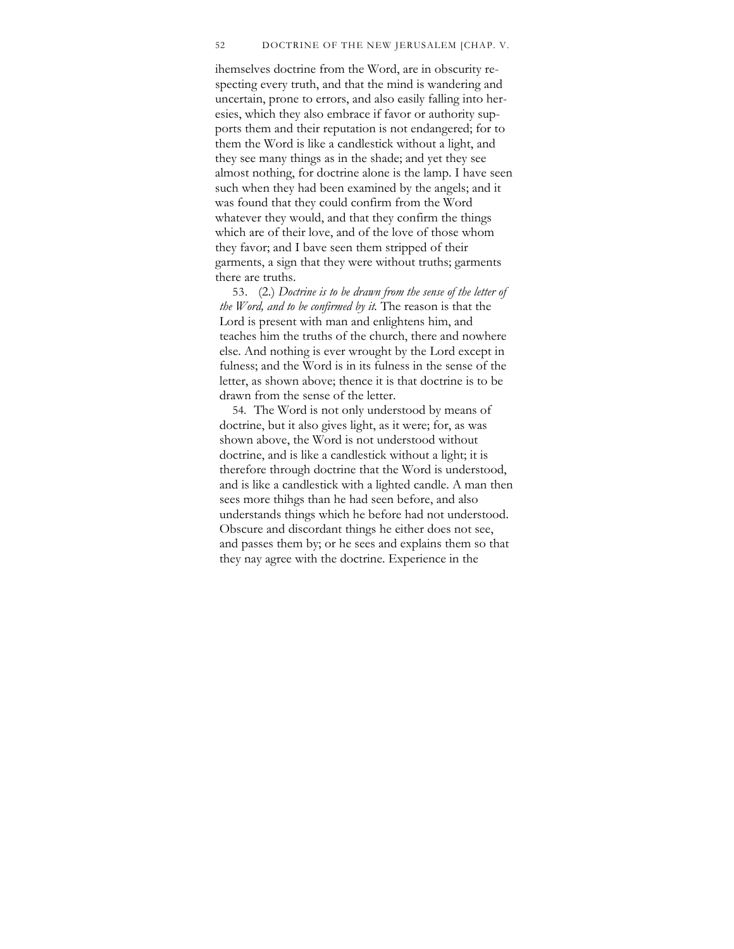#### 52 DOCTRINE OF THE NEW JERUSALEM [CHAP. V.

ihemselves doctrine from the Word, are in obscurity respecting every truth, and that the mind is wandering and uncertain, prone to errors, and also easily falling into heresies, which they also embrace if favor or authority supports them and their reputation is not endangered; for to them the Word is like a candlestick without a light, and they see many things as in the shade; and yet they see almost nothing, for doctrine alone is the lamp. I have seen such when they had been examined by the angels; and it was found that they could confirm from the Word whatever they would, and that they confirm the things which are of their love, and of the love of those whom they favor; and I bave seen them stripped of their garments, a sign that they were without truths; garments there are truths.

53. (2.) *Doctrine is to be drawn from the sense of the letter of the Word, and to be confirmed by it.* The reason is that the Lord is present with man and enlightens him, and teaches him the truths of the church, there and nowhere else. And nothing is ever wrought by the Lord except in fulness; and the Word is in its fulness in the sense of the letter, as shown above; thence it is that doctrine is to be drawn from the sense of the letter.

54. The Word is not only understood by means of doctrine, but it also gives light, as it were; for, as was shown above, the Word is not understood without doctrine, and is like a candlestick without a light; it is therefore through doctrine that the Word is understood, and is like a candlestick with a lighted candle. A man then sees more thihgs than he had seen before, and also understands things which he before had not understood. Obscure and discordant things he either does not see, and passes them by; or he sees and explains them so that they nay agree with the doctrine. Experience in the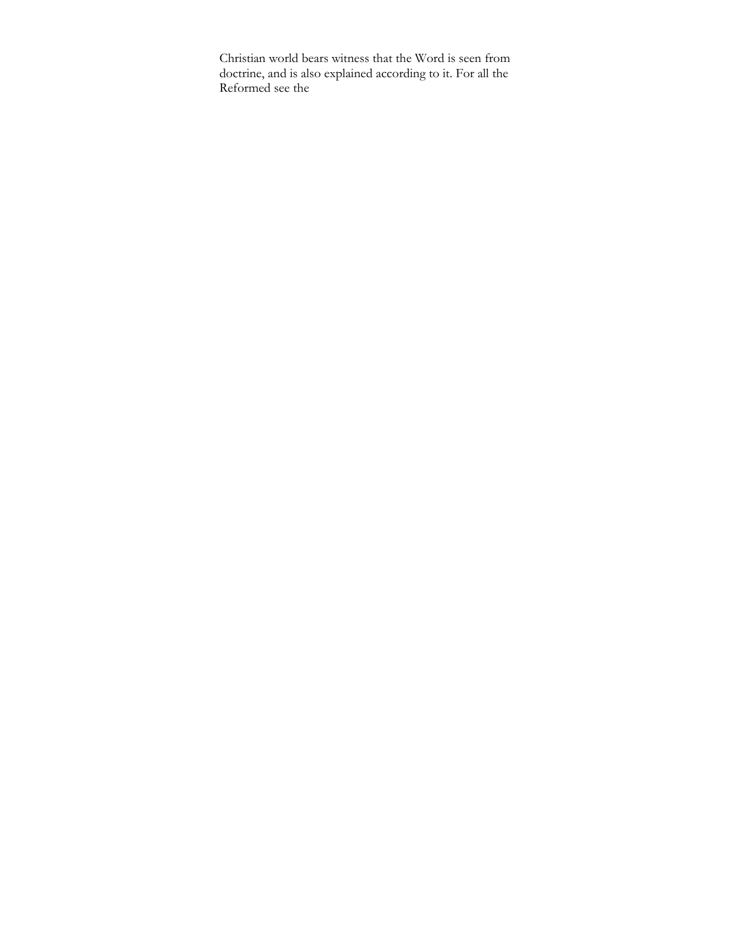Christian world bears witness that the Word is seen from doctrine, and is also explained according to it. For all the Reformed see the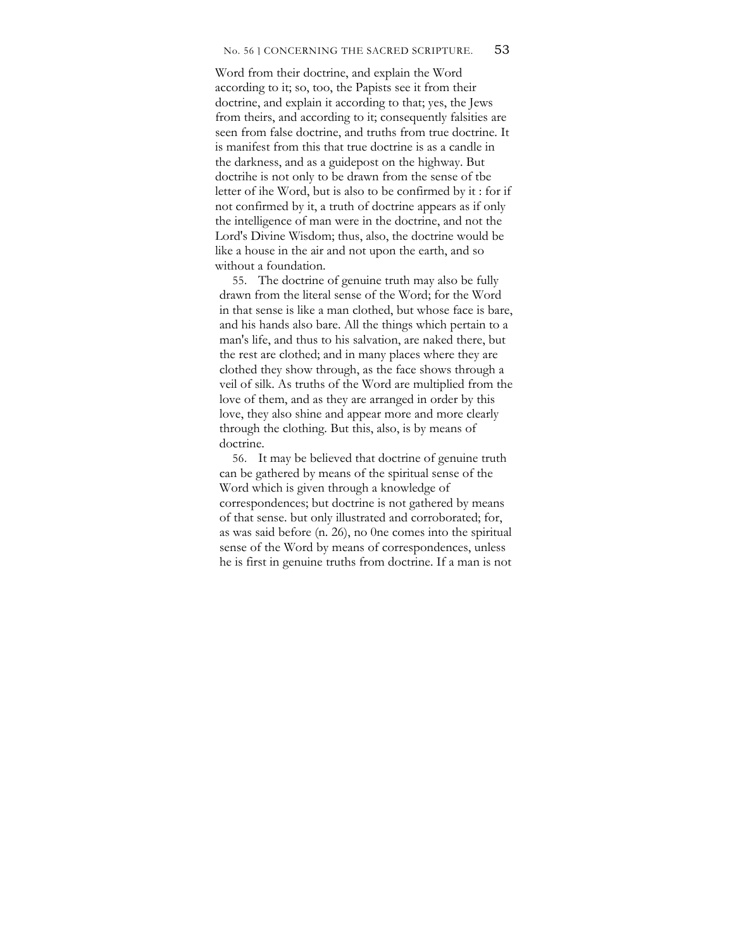#### No. 56 ] CONCERNING THE SACRED SCRIPTURE. 53

Word from their doctrine, and explain the Word according to it; so, too, the Papists see it from their doctrine, and explain it according to that; yes, the Jews from theirs, and according to it; consequently falsities are seen from false doctrine, and truths from true doctrine. It is manifest from this that true doctrine is as a candle in the darkness, and as a guidepost on the highway. But doctrihe is not only to be drawn from the sense of tbe letter of ihe Word, but is also to be confirmed by it : for if not confirmed by it, a truth of doctrine appears as if only the intelligence of man were in the doctrine, and not the Lord's Divine Wisdom; thus, also, the doctrine would be like a house in the air and not upon the earth, and so without a foundation.

55. The doctrine of genuine truth may also be fully drawn from the literal sense of the Word; for the Word in that sense is like a man clothed, but whose face is bare, and his hands also bare. All the things which pertain to a man's life, and thus to his salvation, are naked there, but the rest are clothed; and in many places where they are clothed they show through, as the face shows through a veil of silk. As truths of the Word are multiplied from the love of them, and as they are arranged in order by this love, they also shine and appear more and more clearly through the clothing. But this, also, is by means of doctrine.

56. It may be believed that doctrine of genuine truth can be gathered by means of the spiritual sense of the Word which is given through a knowledge of correspondences; but doctrine is not gathered by means of that sense. but only illustrated and corroborated; for, as was said before (n. 26), no 0ne comes into the spiritual sense of the Word by means of correspondences, unless he is first in genuine truths from doctrine. If a man is not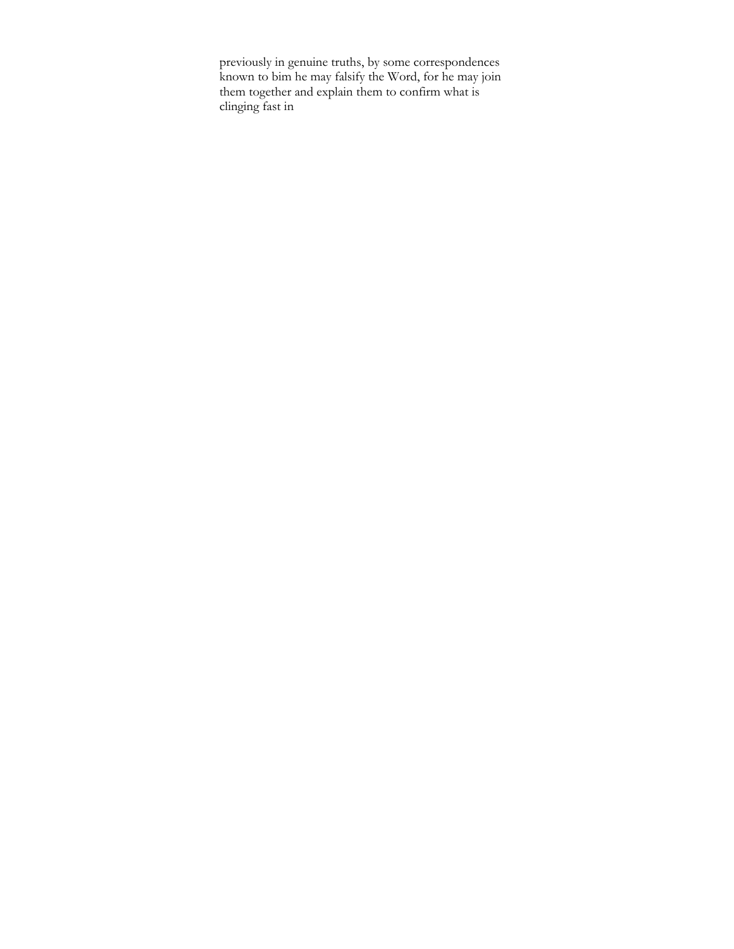previously in genuine truths, by some correspondences known to bim he may falsify the Word, for he may join them together and explain them to confirm what is clinging fast in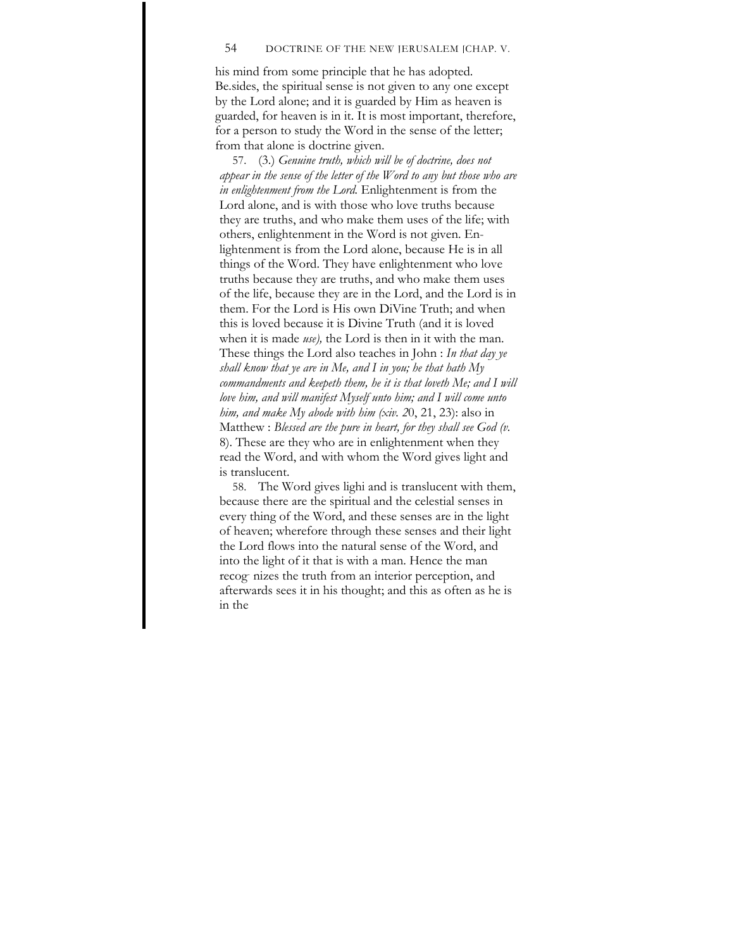### 54 DOCTRINE OF THE NEW JERUSALEM [CHAP. V.

his mind from some principle that he has adopted. Be.sides, the spiritual sense is not given to any one except by the Lord alone; and it is guarded by Him as heaven is guarded, for heaven is in it. It is most important, therefore, for a person to study the Word in the sense of the letter; from that alone is doctrine given.

57. (3.) *Genuine truth, which will be of doctrine, does not appear in the sense of the letter of the Word to any but those who are in enlightenment from the Lord.* Enlightenment is from the Lord alone, and is with those who love truths because they are truths, and who make them uses of the life; with others, enlightenment in the Word is not given. Enlightenment is from the Lord alone, because He is in all things of the Word. They have enlightenment who love truths because they are truths, and who make them uses of the life, because they are in the Lord, and the Lord is in them. For the Lord is His own DiVine Truth; and when this is loved because it is Divine Truth (and it is loved when it is made *use),* the Lord is then in it with the man. These things the Lord also teaches in John : *In that day ye shall know that ye are in Me, and I in you; he that hath My commandments and keepeth them, he it is that loveth Me; and I will love him, and will manifest Myself unto him; and I will come unto him, and make My abode with him (xiv. 2*0, 21, 23): also in Matthew : *Blessed are the pure in heart, for they shall see God (v.*  8). These are they who are in enlightenment when they read the Word, and with whom the Word gives light and is translucent.

58. The Word gives lighi and is translucent with them, because there are the spiritual and the celestial senses in every thing of the Word, and these senses are in the light of heaven; wherefore through these senses and their light the Lord flows into the natural sense of the Word, and into the light of it that is with a man. Hence the man recog- nizes the truth from an interior perception, and afterwards sees it in his thought; and this as often as he is in the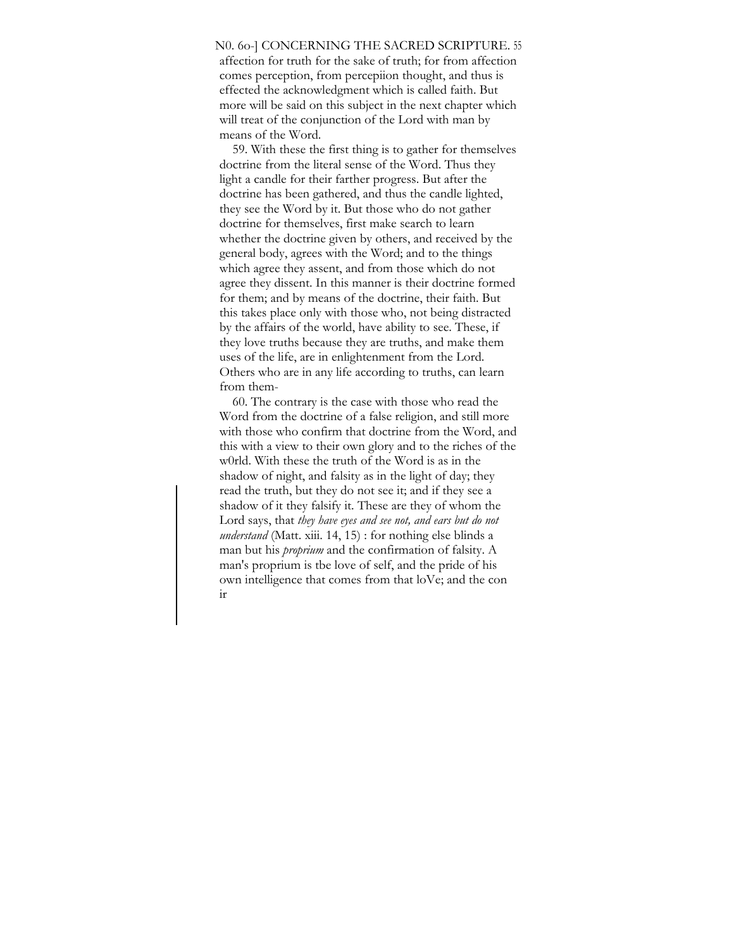### N0. 6o-] CONCERNING THE SACRED SCRIPTURE. 55

affection for truth for the sake of truth; for from affection comes perception, from percepiion thought, and thus is effected the acknowledgment which is called faith. But more will be said on this subject in the next chapter which will treat of the conjunction of the Lord with man by means of the Word.

59. With these the first thing is to gather for themselves doctrine from the literal sense of the Word. Thus they light a candle for their farther progress. But after the doctrine has been gathered, and thus the candle lighted, they see the Word by it. But those who do not gather doctrine for themselves, first make search to learn whether the doctrine given by others, and received by the general body, agrees with the Word; and to the things which agree they assent, and from those which do not agree they dissent. In this manner is their doctrine formed for them; and by means of the doctrine, their faith. But this takes place only with those who, not being distracted by the affairs of the world, have ability to see. These, if they love truths because they are truths, and make them uses of the life, are in enlightenment from the Lord. Others who are in any life according to truths, can learn from them-

60. The contrary is the case with those who read the Word from the doctrine of a false religion, and still more with those who confirm that doctrine from the Word, and this with a view to their own glory and to the riches of the w0rld. With these the truth of the Word is as in the shadow of night, and falsity as in the light of day; they read the truth, but they do not see it; and if they see a shadow of it they falsify it. These are they of whom the Lord says, that *they have eyes and see not, and ears but do not understand* (Matt. xiii. 14, 15) : for nothing else blinds a man but his *proprium* and the confirmation of falsity. A man's proprium is tbe love of self, and the pride of his own intelligence that comes from that loVe; and the con ir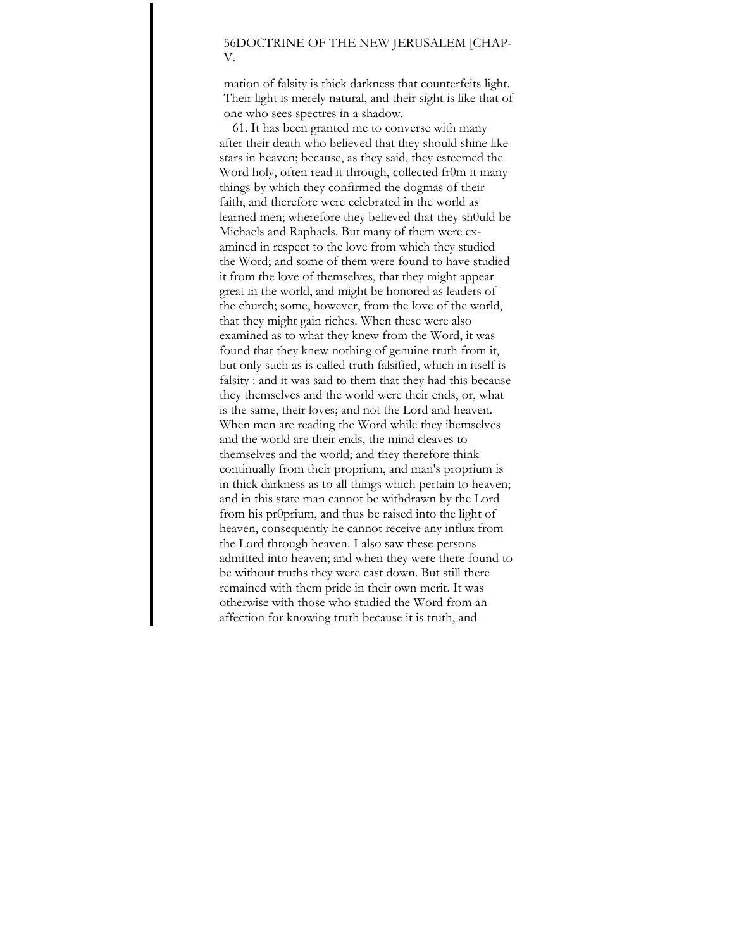## 56DOCTRINE OF THE NEW JERUSALEM [CHAP-V.

mation of falsity is thick darkness that counterfeits light. Their light is merely natural, and their sight is like that of one who sees spectres in a shadow.

61. It has been granted me to converse with many after their death who believed that they should shine like stars in heaven; because, as they said, they esteemed the Word holy, often read it through, collected fr0m it many things by which they confirmed the dogmas of their faith, and therefore were celebrated in the world as learned men; wherefore they believed that they sh0uld be Michaels and Raphaels. But many of them were examined in respect to the love from which they studied the Word; and some of them were found to have studied it from the love of themselves, that they might appear great in the world, and might be honored as leaders of the church; some, however, from the love of the world, that they might gain riches. When these were also examined as to what they knew from the Word, it was found that they knew nothing of genuine truth from it, but only such as is called truth falsified, which in itself is falsity : and it was said to them that they had this because they themselves and the world were their ends, or, what is the same, their loves; and not the Lord and heaven. When men are reading the Word while they ihemselves and the world are their ends, the mind cleaves to themselves and the world; and they therefore think continually from their proprium, and man's proprium is in thick darkness as to all things which pertain to heaven; and in this state man cannot be withdrawn by the Lord from his pr0prium, and thus be raised into the light of heaven, consequently he cannot receive any influx from the Lord through heaven. I also saw these persons admitted into heaven; and when they were there found to be without truths they were cast down. But still there remained with them pride in their own merit. It was otherwise with those who studied the Word from an affection for knowing truth because it is truth, and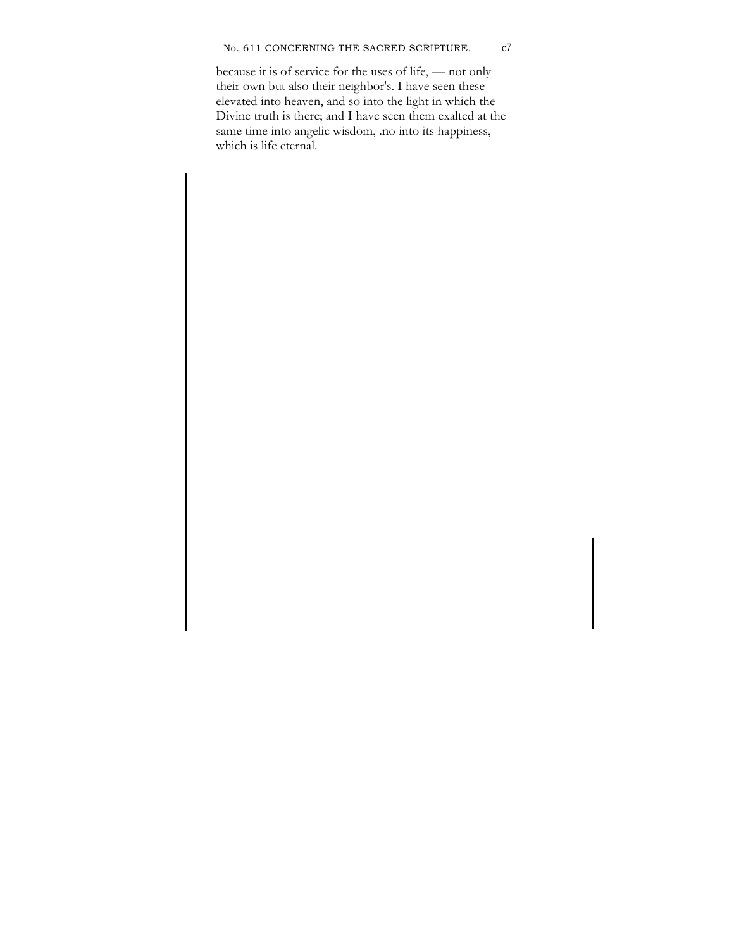## No. 611 CONCERNING THE SACRED SCRIPTURE. c7

because it is of service for the uses of life, — not only their own but also their neighbor's. I have seen these elevated into heaven, and so into the light in which the Divine truth is there; and I have seen them exalted at the same time into angelic wisdom, .no into its happiness, which is life eternal.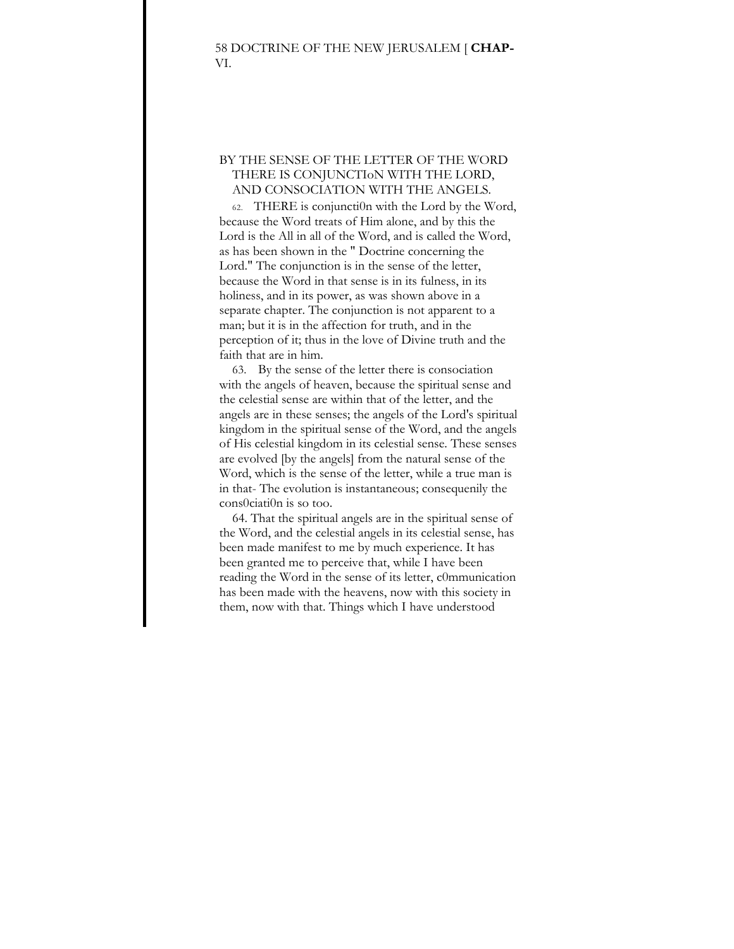# BY THE SENSE OF THE LETTER OF THE WORD THERE IS CONJUNCTIoN WITH THE LORD, AND CONSOCIATION WITH THE ANGELS.

62. THERE is conjuncti0n with the Lord by the Word, because the Word treats of Him alone, and by this the Lord is the All in all of the Word, and is called the Word, as has been shown in the " Doctrine concerning the Lord." The conjunction is in the sense of the letter, because the Word in that sense is in its fulness, in its holiness, and in its power, as was shown above in a separate chapter. The conjunction is not apparent to a man; but it is in the affection for truth, and in the perception of it; thus in the love of Divine truth and the faith that are in him.

63. By the sense of the letter there is consociation with the angels of heaven, because the spiritual sense and the celestial sense are within that of the letter, and the angels are in these senses; the angels of the Lord's spiritual kingdom in the spiritual sense of the Word, and the angels of His celestial kingdom in its celestial sense. These senses are evolved [by the angels] from the natural sense of the Word, which is the sense of the letter, while a true man is in that- The evolution is instantaneous; consequenily the cons0ciati0n is so too.

64. That the spiritual angels are in the spiritual sense of the Word, and the celestial angels in its celestial sense, has been made manifest to me by much experience. It has been granted me to perceive that, while I have been reading the Word in the sense of its letter, c0mmunication has been made with the heavens, now with this society in them, now with that. Things which I have understood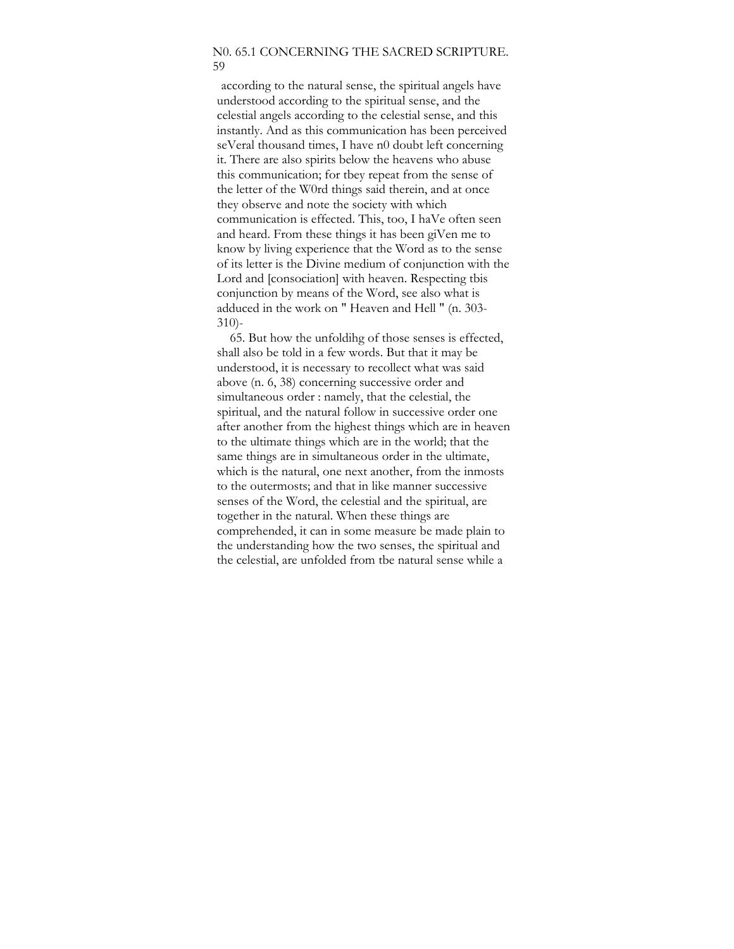## N0. 65.1 CONCERNING THE SACRED SCRIPTURE. 59

according to the natural sense, the spiritual angels have understood according to the spiritual sense, and the celestial angels according to the celestial sense, and this instantly. And as this communication has been perceived seVeral thousand times, I have n0 doubt left concerning it. There are also spirits below the heavens who abuse this communication; for tbey repeat from the sense of the letter of the W0rd things said therein, and at once they observe and note the society with which communication is effected. This, too, I haVe often seen and heard. From these things it has been giVen me to know by living experience that the Word as to the sense of its letter is the Divine medium of conjunction with the Lord and [consociation] with heaven. Respecting tbis conjunction by means of the Word, see also what is adduced in the work on " Heaven and Hell " (n. 303- 310)-

65. But how the unfoldihg of those senses is effected, shall also be told in a few words. But that it may be understood, it is necessary to recollect what was said above (n. 6, 38) concerning successive order and simultaneous order : namely, that the celestial, the spiritual, and the natural follow in successive order one after another from the highest things which are in heaven to the ultimate things which are in the world; that the same things are in simultaneous order in the ultimate, which is the natural, one next another, from the inmosts to the outermosts; and that in like manner successive senses of the Word, the celestial and the spiritual, are together in the natural. When these things are comprehended, it can in some measure be made plain to the understanding how the two senses, the spiritual and the celestial, are unfolded from tbe natural sense while a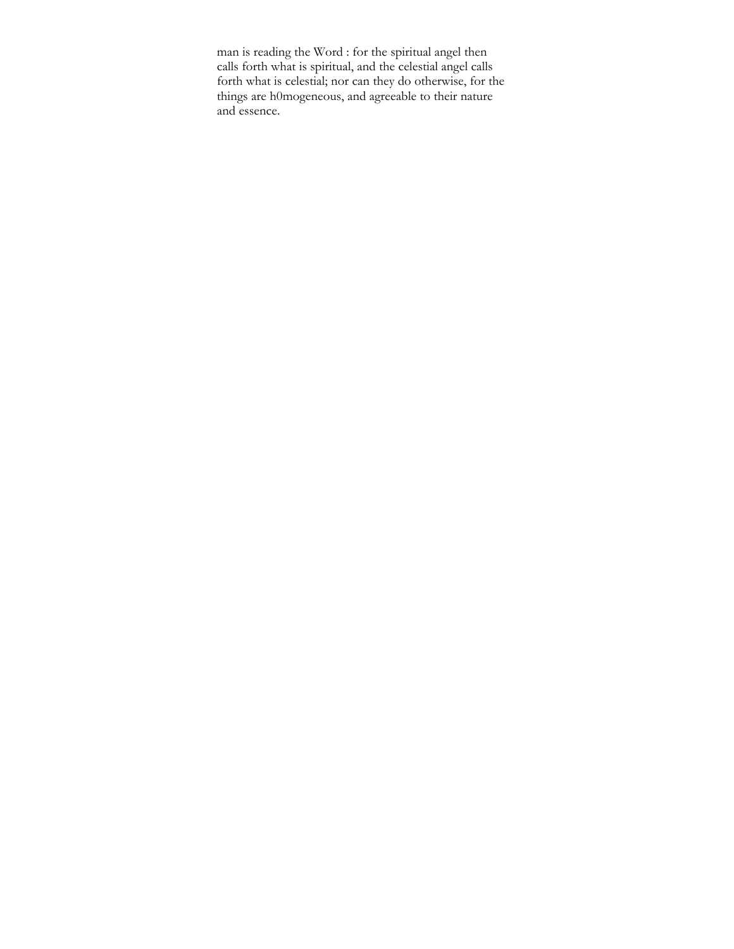man is reading the Word : for the spiritual angel then calls forth what is spiritual, and the celestial angel calls forth what is celestial; nor can they do otherwise, for the things are h0mogeneous, and agreeable to their nature and essence.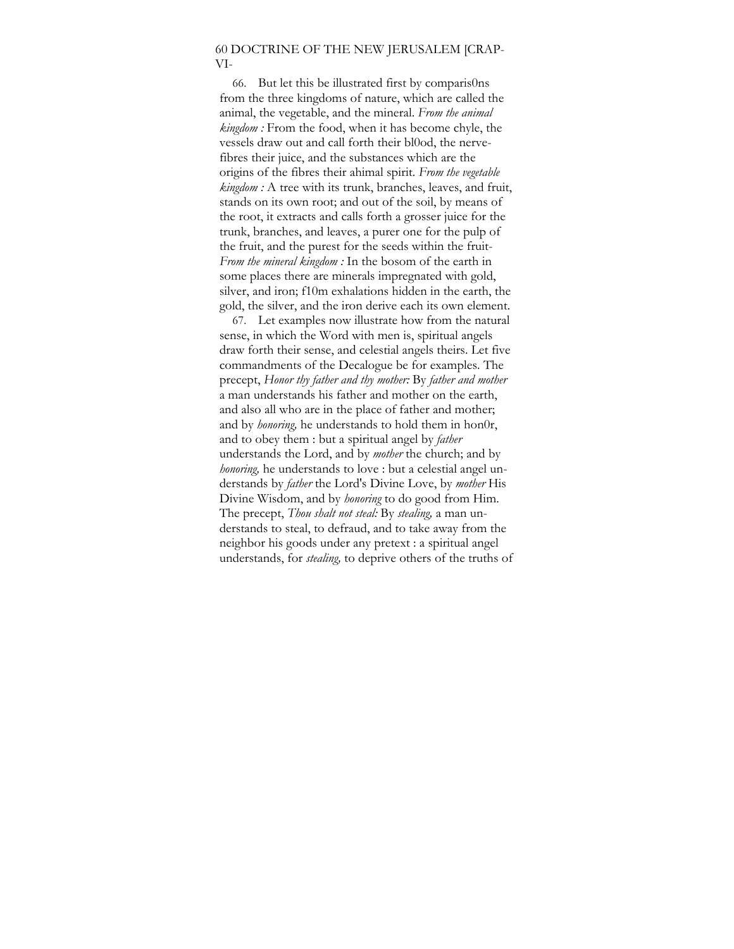# 60 DOCTRINE OF THE NEW JERUSALEM [CRAP-VI-

66. But let this be illustrated first by comparis0ns from the three kingdoms of nature, which are called the animal, the vegetable, and the mineral. *From the animal kingdom :* From the food, when it has become chyle, the vessels draw out and call forth their bl0od, the nervefibres their juice, and the substances which are the origins of the fibres their ahimal spirit. *From the vegetable kingdom :* A tree with its trunk, branches, leaves, and fruit, stands on its own root; and out of the soil, by means of the root, it extracts and calls forth a grosser juice for the trunk, branches, and leaves, a purer one for the pulp of the fruit, and the purest for the seeds within the fruit-*From the mineral kingdom :* In the bosom of the earth in some places there are minerals impregnated with gold, silver, and iron; f10m exhalations hidden in the earth, the gold, the silver, and the iron derive each its own element.

67. Let examples now illustrate how from the natural sense, in which the Word with men is, spiritual angels draw forth their sense, and celestial angels theirs. Let five commandments of the Decalogue be for examples. The precept, *Honor thy father and thy mother:* By *father and mother*  a man understands his father and mother on the earth, and also all who are in the place of father and mother; and by *honoring*, he understands to hold them in hon0r, and to obey them : but a spiritual angel by *father*  understands the Lord, and by *mother* the church; and by *honoring*, he understands to love : but a celestial angel understands by *father* the Lord's Divine Love, by *mother* His Divine Wisdom, and by *honoring* to do good from Him. The precept, *Thou shalt not steal:* By *stealing,* a man understands to steal, to defraud, and to take away from the neighbor his goods under any pretext : a spiritual angel understands, for *stealing,* to deprive others of the truths of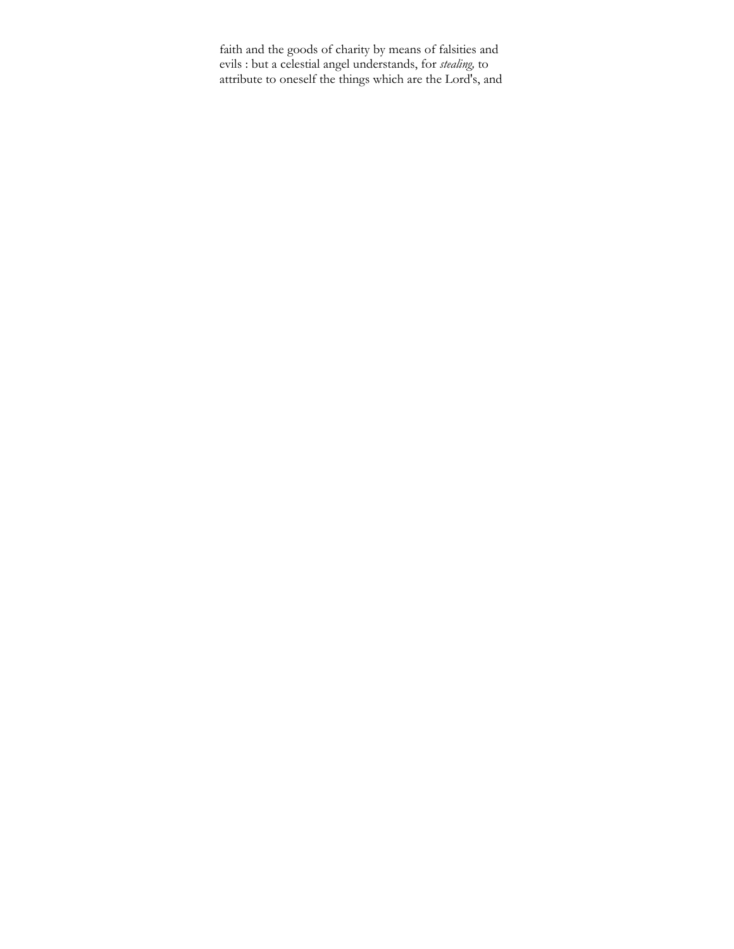faith and the goods of charity by means of falsities and evils : but a celestial angel understands, for *stealing,* to attribute to oneself the things which are the Lord's, and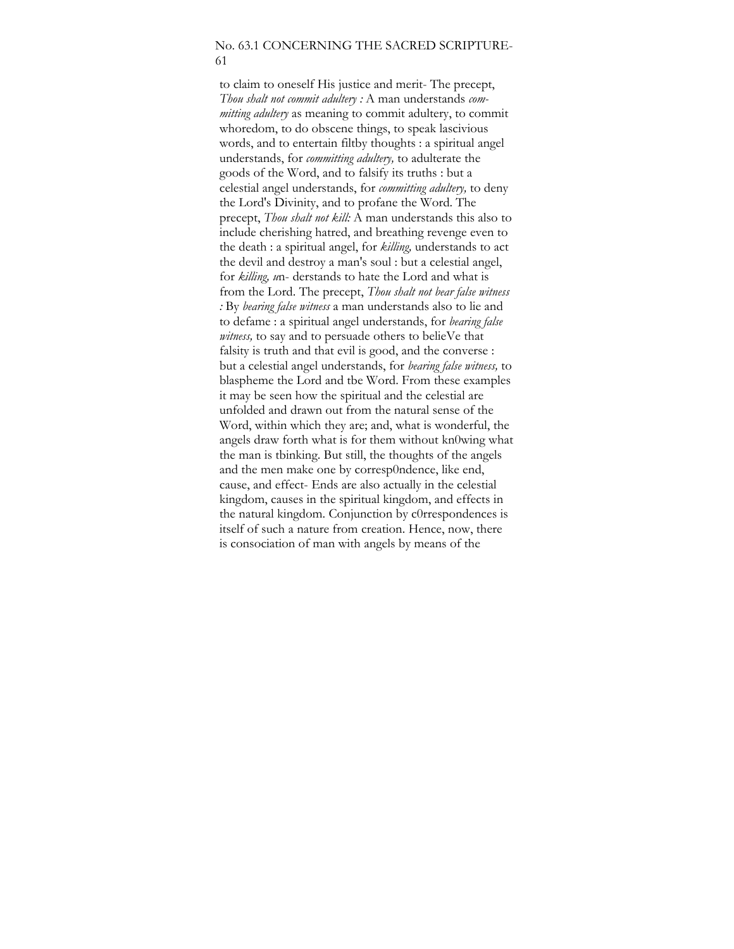## No. 63.1 CONCERNING THE SACRED SCRIPTURE-61

to claim to oneself His justice and merit- The precept, *Thou shalt not commit adultery :* A man understands *committing adultery* as meaning to commit adultery, to commit whoredom, to do obscene things, to speak lascivious words, and to entertain filtby thoughts : a spiritual angel understands, for *committing adultery,* to adulterate the goods of the Word, and to falsify its truths : but a celestial angel understands, for *committing adultery,* to deny the Lord's Divinity, and to profane the Word. The precept, *Thou shalt not kill:* A man understands this also to include cherishing hatred, and breathing revenge even to the death : a spiritual angel, for *killing,* understands to act the devil and destroy a man's soul : but a celestial angel, for *killing, u*n- derstands to hate the Lord and what is from the Lord. The precept, *Thou shalt not bear false witness :* By *bearing false witness* a man understands also to lie and to defame : a spiritual angel understands, for *bearing false witness,* to say and to persuade others to belieVe that falsity is truth and that evil is good, and the converse : but a celestial angel understands, for *bearing false witness,* to blaspheme the Lord and tbe Word. From these examples it may be seen how the spiritual and the celestial are unfolded and drawn out from the natural sense of the Word, within which they are; and, what is wonderful, the angels draw forth what is for them without kn0wing what the man is tbinking. But still, the thoughts of the angels and the men make one by corresp0ndence, like end, cause, and effect- Ends are also actually in the celestial kingdom, causes in the spiritual kingdom, and effects in the natural kingdom. Conjunction by c0rrespondences is itself of such a nature from creation. Hence, now, there is consociation of man with angels by means of the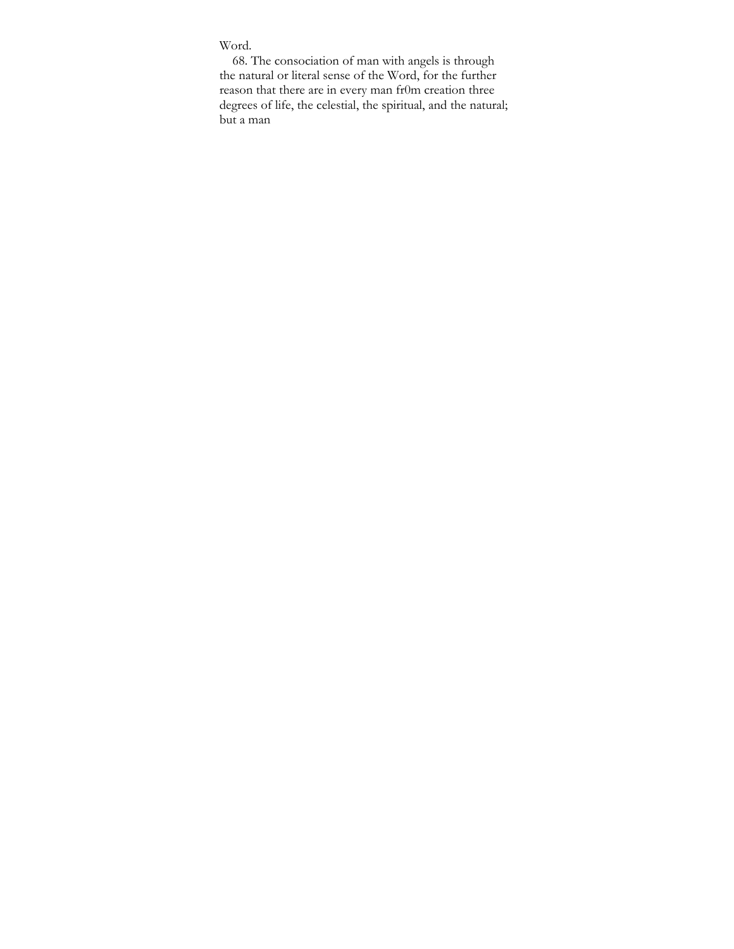# Word.

68. The consociation of man with angels is through the natural or literal sense of the Word, for the further reason that there are in every man fr0m creation three degrees of life, the celestial, the spiritual, and the natural; but a man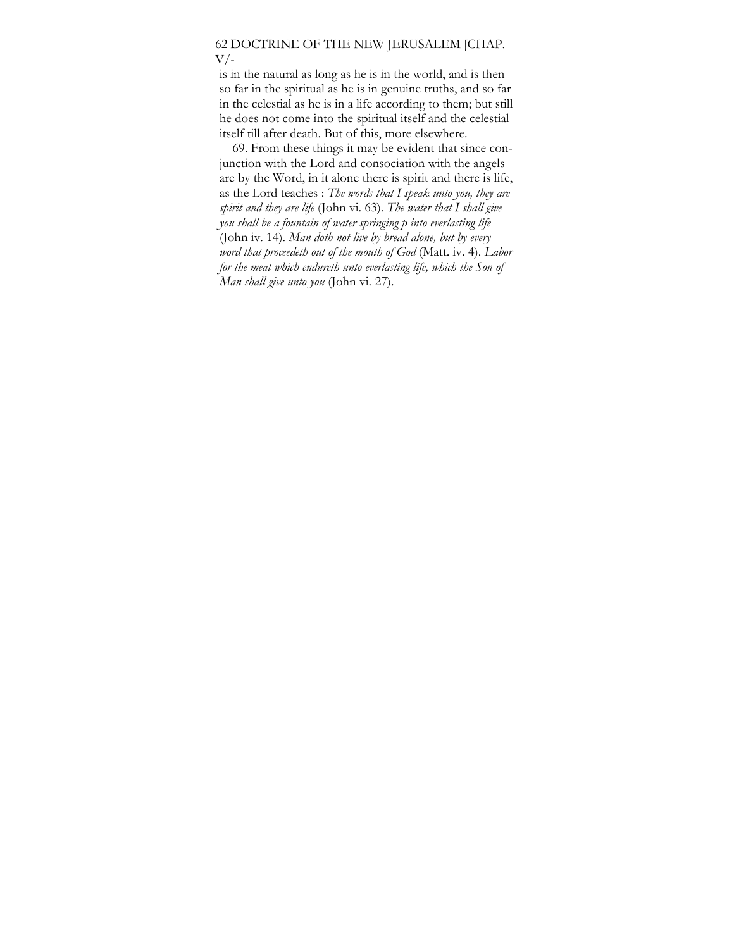### 62 DOCTRINE OF THE NEW JERUSALEM [CHAP.  $V/-$

is in the natural as long as he is in the world, and is then so far in the spiritual as he is in genuine truths, and so far in the celestial as he is in a life according to them; but still he does not come into the spiritual itself and the celestial itself till after death. But of this, more elsewhere.

69. From these things it may be evident that since conjunction with the Lord and consociation with the angels are by the Word, in it alone there is spirit and there is life, as the Lord teaches : *The words that I speak unto you, they are spirit and they are life* (John vi. 63). *The water that I shall give you shall be a fountain of water springing p into everlasting life*  (John iv. 14). *Man doth not live by bread alone, but by every word that proceedeth out of the mouth of God* (Matt. iv. 4). *Labor for the meat which endureth unto everlasting life, which the Son of Man shall give unto you* (John vi. 27).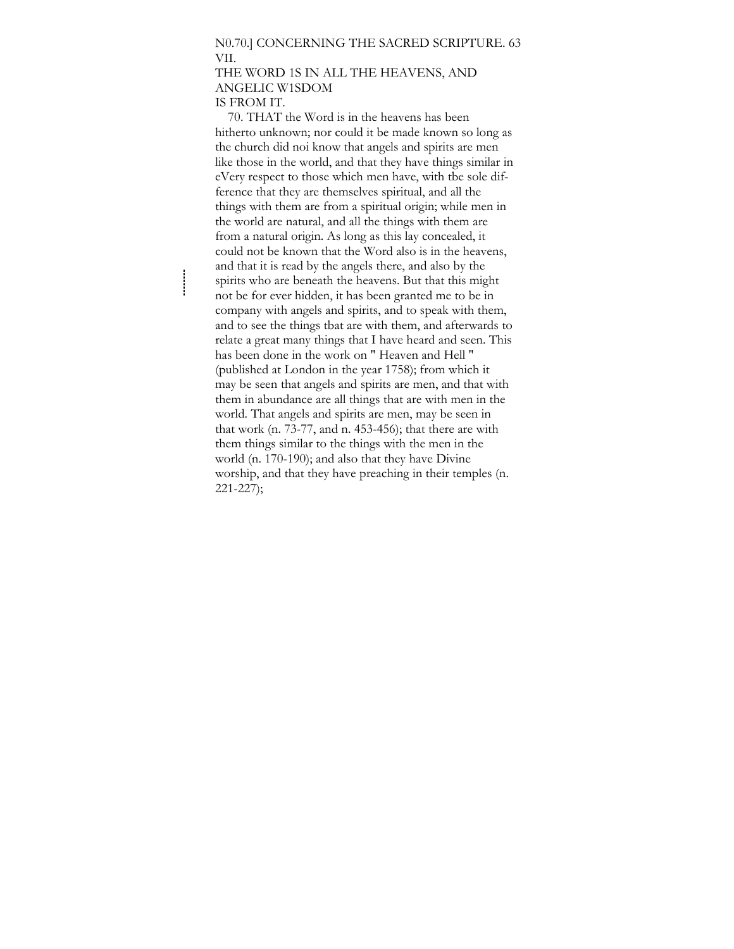#### N0.70.] CONCERNING THE SACRED SCRIPTURE. 63 VII.

### THE WORD 1S IN ALL THE HEAVENS, AND ANGELIC W1SDOM IS FROM IT.

70. THAT the Word is in the heavens has been hitherto unknown; nor could it be made known so long as the church did noi know that angels and spirits are men like those in the world, and that they have things similar in eVery respect to those which men have, with tbe sole difference that they are themselves spiritual, and all the things with them are from a spiritual origin; while men in the world are natural, and all the things with them are from a natural origin. As long as this lay concealed, it could not be known that the Word also is in the heavens, and that it is read by the angels there, and also by the spirits who are beneath the heavens. But that this might not be for ever hidden, it has been granted me to be in company with angels and spirits, and to speak with them, and to see the things tbat are with them, and afterwards to relate a great many things that I have heard and seen. This has been done in the work on " Heaven and Hell " (published at London in the year 1758); from which it may be seen that angels and spirits are men, and that with them in abundance are all things that are with men in the world. That angels and spirits are men, may be seen in that work (n. 73-77, and n. 453-456); that there are with them things similar to the things with the men in the world (n. 170-190); and also that they have Divine worship, and that they have preaching in their temples (n. 221-227);

 $\frac{1}{2}$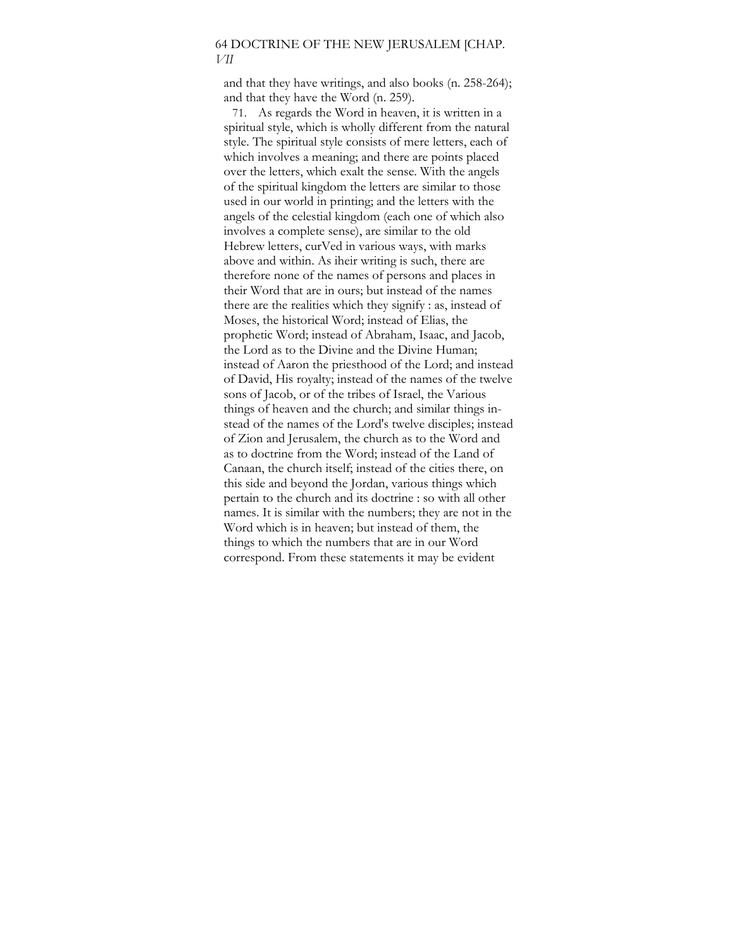## 64 DOCTRINE OF THE NEW JERUSALEM [CHAP. *VII*

and that they have writings, and also books (n. 258-264); and that they have the Word (n. 259).

71. As regards the Word in heaven, it is written in a spiritual style, which is wholly different from the natural style. The spiritual style consists of mere letters, each of which involves a meaning; and there are points placed over the letters, which exalt the sense. With the angels of the spiritual kingdom the letters are similar to those used in our world in printing; and the letters with the angels of the celestial kingdom (each one of which also involves a complete sense), are similar to the old Hebrew letters, curVed in various ways, with marks above and within. As iheir writing is such, there are therefore none of the names of persons and places in their Word that are in ours; but instead of the names there are the realities which they signify : as, instead of Moses, the historical Word; instead of Elias, the prophetic Word; instead of Abraham, Isaac, and Jacob, the Lord as to the Divine and the Divine Human; instead of Aaron the priesthood of the Lord; and instead of David, His royalty; instead of the names of the twelve sons of Jacob, or of the tribes of Israel, the Various things of heaven and the church; and similar things instead of the names of the Lord's twelve disciples; instead of Zion and Jerusalem, the church as to the Word and as to doctrine from the Word; instead of the Land of Canaan, the church itself; instead of the cities there, on this side and beyond the Jordan, various things which pertain to the church and its doctrine : so with all other names. It is similar with the numbers; they are not in the Word which is in heaven; but instead of them, the things to which the numbers that are in our Word correspond. From these statements it may be evident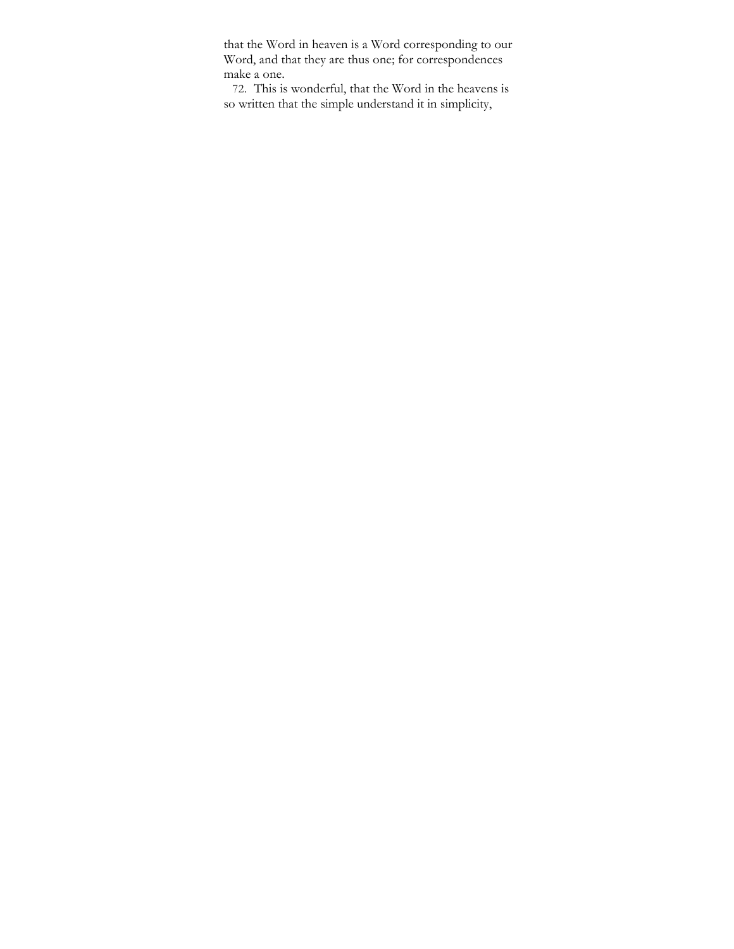that the Word in heaven is a Word corresponding to our Word, and that they are thus one; for correspondences make a one.

72. This is wonderful, that the Word in the heavens is so written that the simple understand it in simplicity,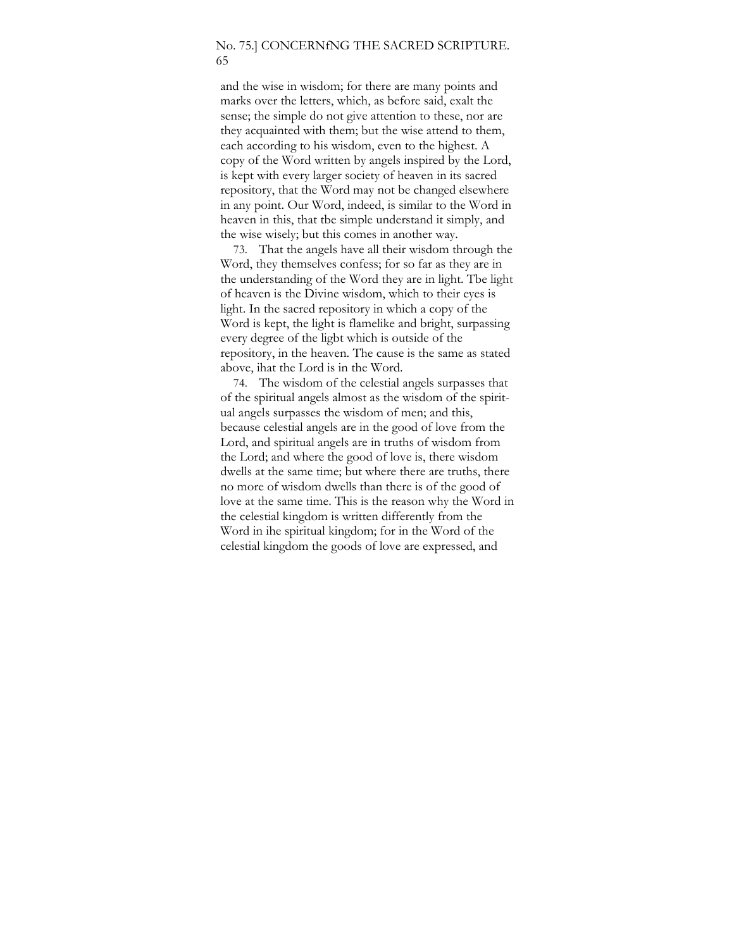## No. 75.] CONCERNfNG THE SACRED SCRIPTURE. 65

and the wise in wisdom; for there are many points and marks over the letters, which, as before said, exalt the sense; the simple do not give attention to these, nor are they acquainted with them; but the wise attend to them, each according to his wisdom, even to the highest. A copy of the Word written by angels inspired by the Lord, is kept with every larger society of heaven in its sacred repository, that the Word may not be changed elsewhere in any point. Our Word, indeed, is similar to the Word in heaven in this, that tbe simple understand it simply, and the wise wisely; but this comes in another way.

73. That the angels have all their wisdom through the Word, they themselves confess; for so far as they are in the understanding of the Word they are in light. Tbe light of heaven is the Divine wisdom, which to their eyes is light. In the sacred repository in which a copy of the Word is kept, the light is flamelike and bright, surpassing every degree of the ligbt which is outside of the repository, in the heaven. The cause is the same as stated above, ihat the Lord is in the Word.

74. The wisdom of the celestial angels surpasses that of the spiritual angels almost as the wisdom of the spiritual angels surpasses the wisdom of men; and this, because celestial angels are in the good of love from the Lord, and spiritual angels are in truths of wisdom from the Lord; and where the good of love is, there wisdom dwells at the same time; but where there are truths, there no more of wisdom dwells than there is of the good of love at the same time. This is the reason why the Word in the celestial kingdom is written differently from the Word in ihe spiritual kingdom; for in the Word of the celestial kingdom the goods of love are expressed, and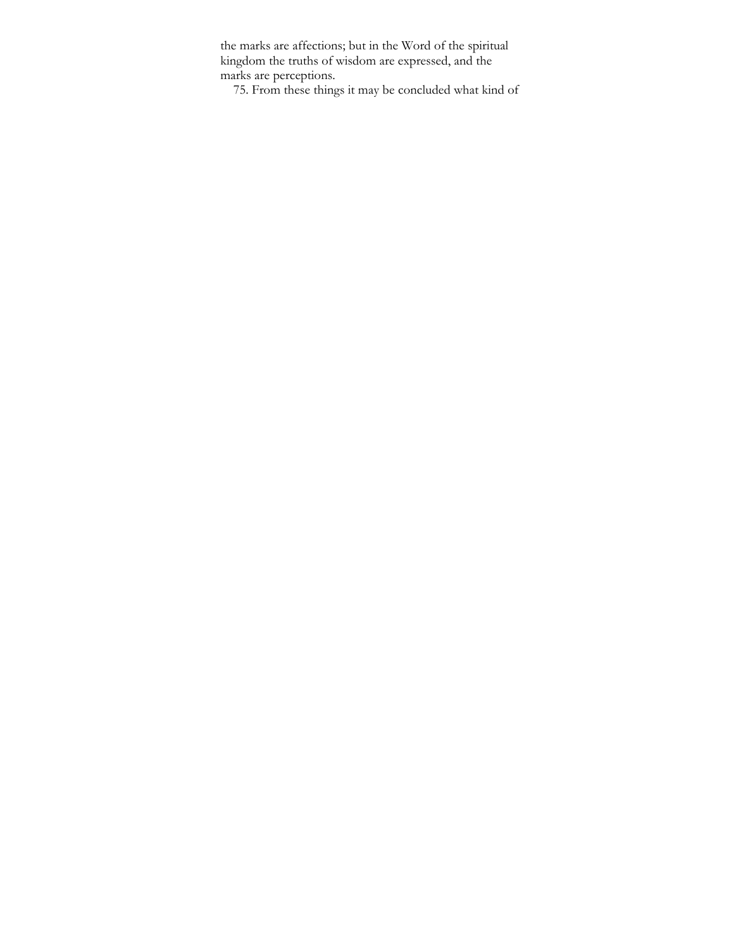the marks are affections; but in the Word of the spiritual kingdom the truths of wisdom are expressed, and the marks are perceptions.

75. From these things it may be concluded what kind of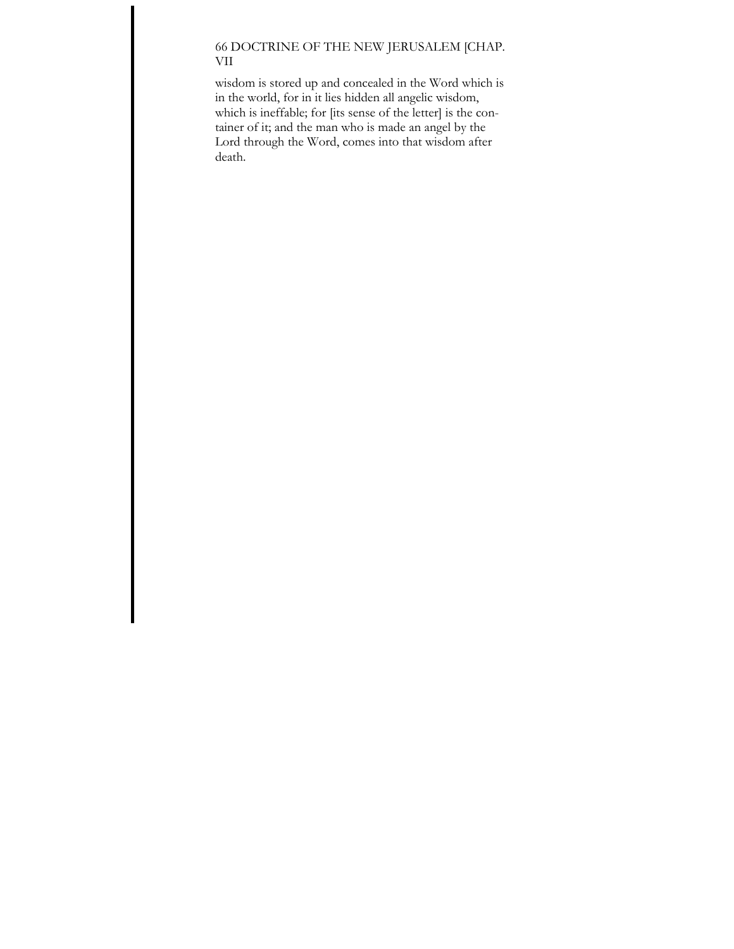# 66 DOCTRINE OF THE NEW JERUSALEM [CHAP. VII

wisdom is stored up and concealed in the Word which is in the world, for in it lies hidden all angelic wisdom, which is ineffable; for [its sense of the letter] is the container of it; and the man who is made an angel by the Lord through the Word, comes into that wisdom after death.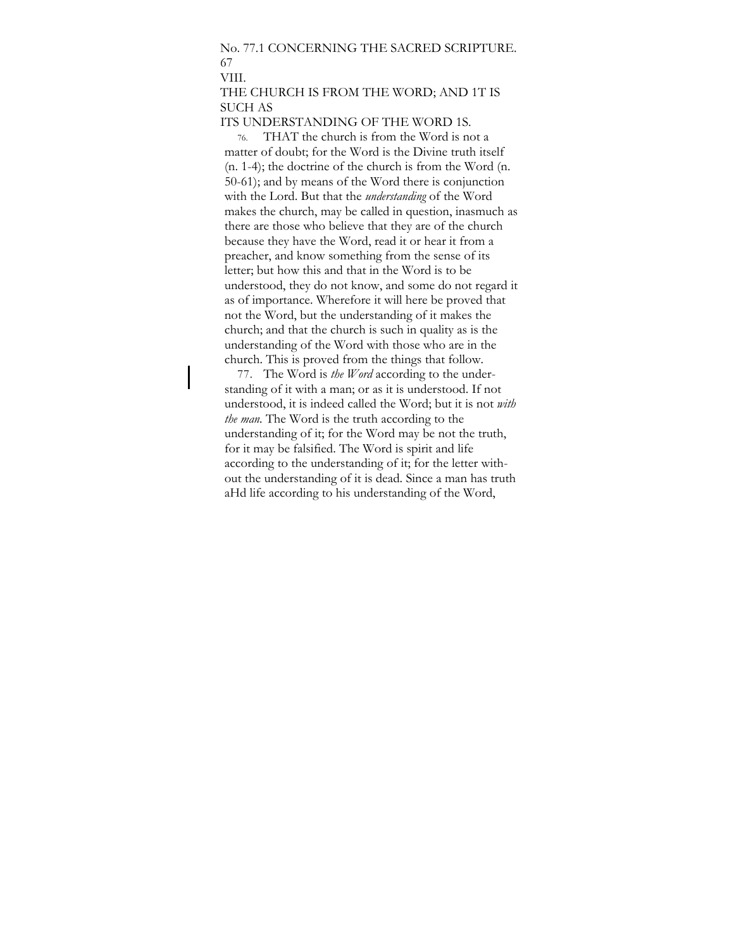# No. 77.1 CONCERNING THE SACRED SCRIPTURE. 67

VIII.

## THE CHURCH IS FROM THE WORD; AND 1T IS SUCH AS

#### ITS UNDERSTANDING OF THE WORD 1S.

76. THAT the church is from the Word is not a matter of doubt; for the Word is the Divine truth itself (n. 1-4); the doctrine of the church is from the Word (n. 50-61); and by means of the Word there is conjunction with the Lord. But that the *understanding* of the Word makes the church, may be called in question, inasmuch as there are those who believe that they are of the church because they have the Word, read it or hear it from a preacher, and know something from the sense of its letter; but how this and that in the Word is to be understood, they do not know, and some do not regard it as of importance. Wherefore it will here be proved that not the Word, but the understanding of it makes the church; and that the church is such in quality as is the understanding of the Word with those who are in the church. This is proved from the things that follow.

77. The Word is *the Word* according to the understanding of it with a man; or as it is understood. If not understood, it is indeed called the Word; but it is not *with the man.* The Word is the truth according to the understanding of it; for the Word may be not the truth, for it may be falsified. The Word is spirit and life according to the understanding of it; for the letter without the understanding of it is dead. Since a man has truth aHd life according to his understanding of the Word,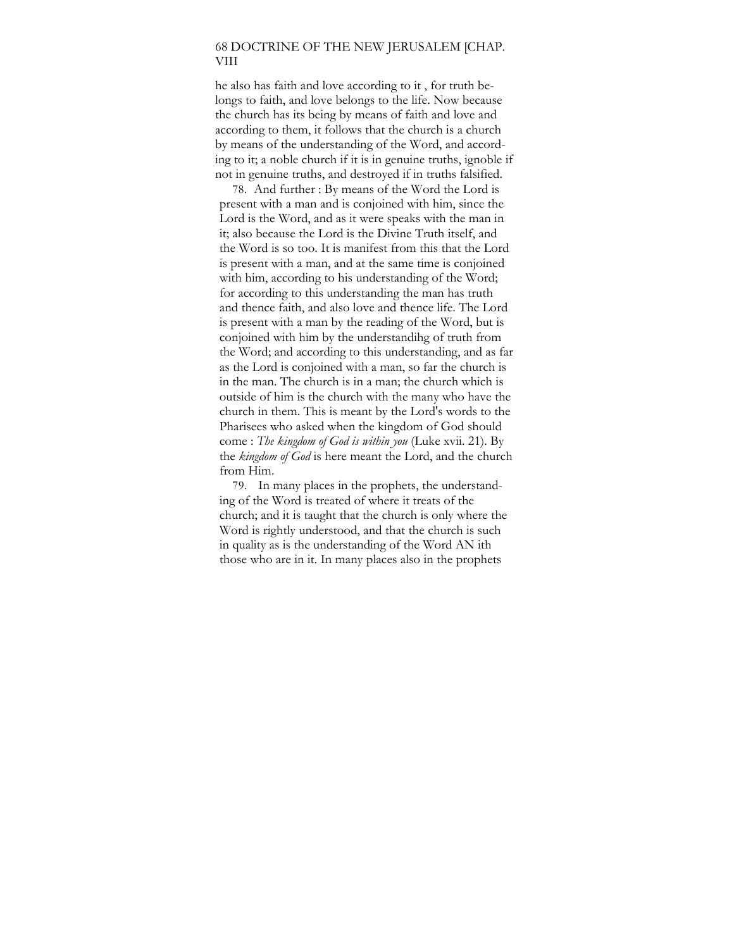### 68 DOCTRINE OF THE NEW JERUSALEM [CHAP. VIII

he also has faith and love according to it , for truth belongs to faith, and love belongs to the life. Now because the church has its being by means of faith and love and according to them, it follows that the church is a church by means of the understanding of the Word, and according to it; a noble church if it is in genuine truths, ignoble if not in genuine truths, and destroyed if in truths falsified.

78. And further : By means of the Word the Lord is present with a man and is conjoined with him, since the Lord is the Word, and as it were speaks with the man in it; also because the Lord is the Divine Truth itself, and the Word is so too. It is manifest from this that the Lord is present with a man, and at the same time is conjoined with him, according to his understanding of the Word; for according to this understanding the man has truth and thence faith, and also love and thence life. The Lord is present with a man by the reading of the Word, but is conjoined with him by the understandihg of truth from the Word; and according to this understanding, and as far as the Lord is conjoined with a man, so far the church is in the man. The church is in a man; the church which is outside of him is the church with the many who have the church in them. This is meant by the Lord's words to the Pharisees who asked when the kingdom of God should come : *The kingdom of God is within you* (Luke xvii. 21). By the *kingdom of God* is here meant the Lord, and the church from Him.

79. In many places in the prophets, the understanding of the Word is treated of where it treats of the church; and it is taught that the church is only where the Word is rightly understood, and that the church is such in quality as is the understanding of the Word AN ith those who are in it. In many places also in the prophets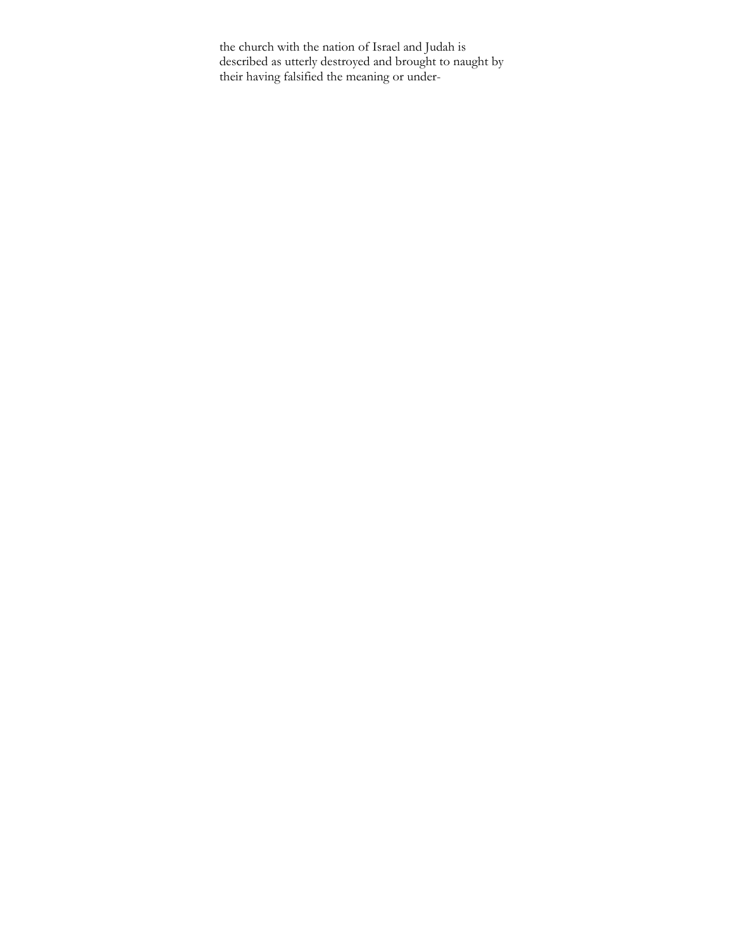the church with the nation of Israel and Judah is described as utterly destroyed and brought to naught by their having falsified the meaning or under-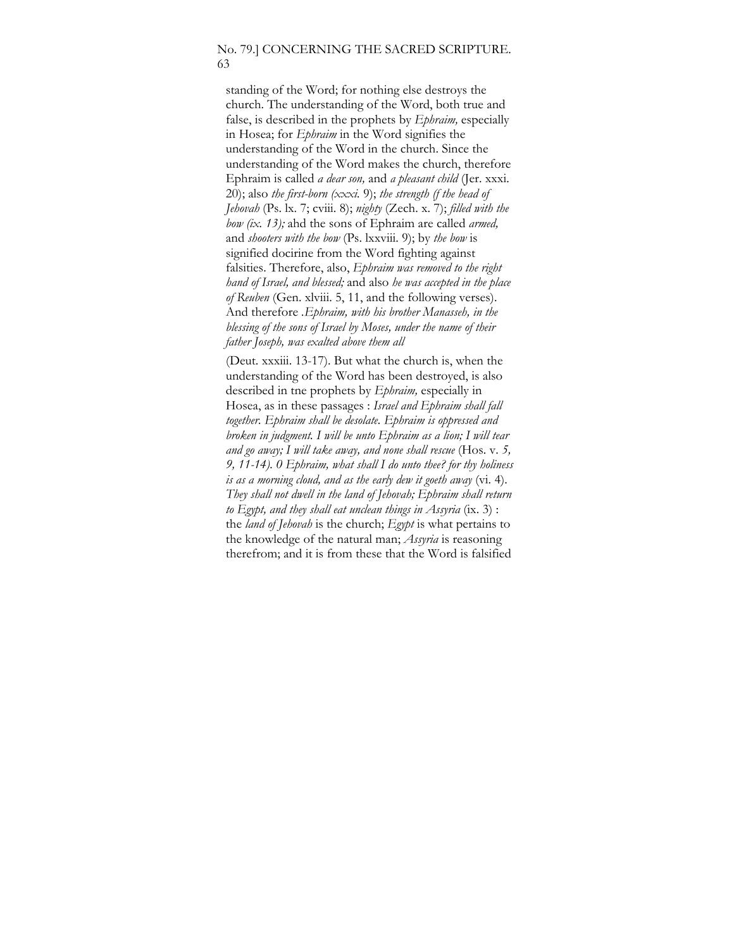### No. 79.] CONCERNING THE SACRED SCRIPTURE. 63

standing of the Word; for nothing else destroys the church. The understanding of the Word, both true and false, is described in the prophets by *Ephraim,* especially in Hosea; for *Ephraim* in the Word signifies the understanding of the Word in the church. Since the understanding of the Word makes the church, therefore Ephraim is called *a dear son,* and *a pleasant child* (Jer. xxxi. 20); also *the first-born (xxxi.* 9); *the strength (f the head of Jehovah* (Ps. lx. 7; cviii. 8); *nighty* (Zech. x. 7); *filled with the bow (ix. 13);* ahd the sons of Ephraim are called *armed,*  and *shooters with the bow* (Ps. lxxviii. 9); by *the bow* is signified docirine from the Word fighting against falsities. Therefore, also, *Ephraim was removed to the right hand of Israel, and blessed;* and also *he was accepted in the place of Reuben* (Gen. xlviii. 5, 11, and the following verses). And therefore *.Ephraim, with his brother Manasseh, in the blessing of the sons of Israel by Moses, under the name of their father Joseph, was exalted above them all* 

(Deut. xxxiii. 13-17). But what the church is, when the understanding of the Word has been destroyed, is also described in tne prophets by *Ephraim,* especially in Hosea, as in these passages : *Israel and Ephraim shall fall together. Ephraim shall be desolate. Ephraim is oppressed and broken in judgment. I will be unto Ephraim as a lion; I will tear and go away; I will take away, and none shall rescue* (Hos. v. *5, 9, 11-14). 0 Ephraim, what shall I do unto thee? for thy holiness is as a morning cloud, and as the early dew it goeth away* (vi. 4). *They shall not dwell in the land of Jehovah; Ephraim shall return to Egypt, and they shall eat unclean things in Assyria* (ix. 3) : the *land of Jehovah* is the church; *Egypt* is what pertains to the knowledge of the natural man; *Assyria* is reasoning therefrom; and it is from these that the Word is falsified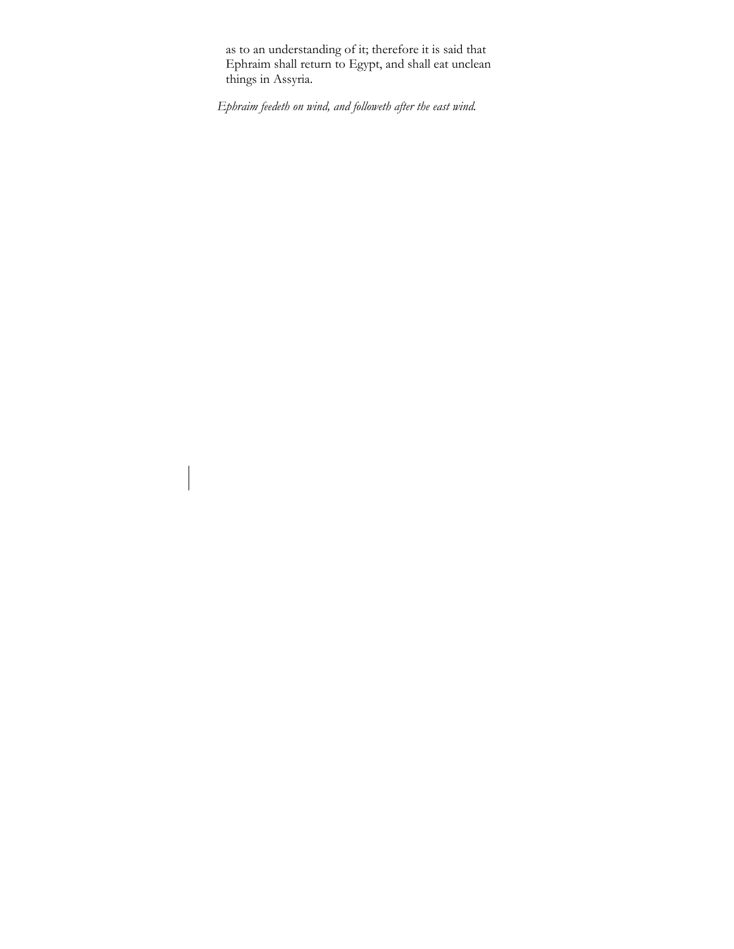as to an understanding of it; therefore it is said that Ephraim shall return to Egypt, and shall eat unclean things in Assyria.

*Ephraim feedeth on wind, and followeth after the east wind.*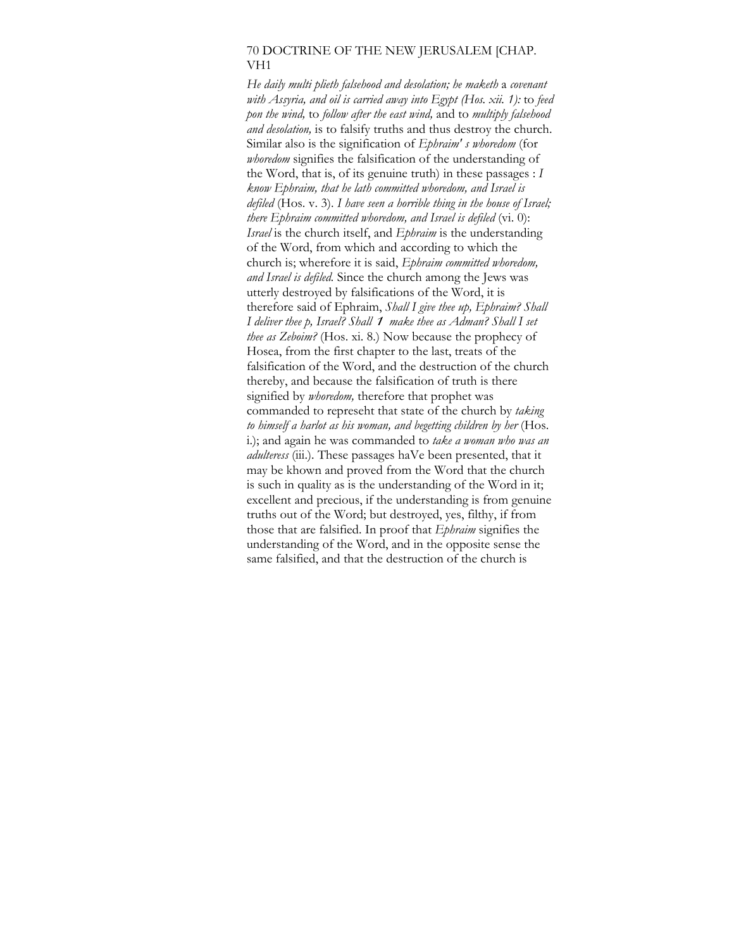#### 70 DOCTRINE OF THE NEW JERUSALEM [CHAP. VH1

*He daily multi plieth falsehood and desolation; he maketh* a *covenant with Assyria, and oil is carried away into Egypt (Hos. xii. 1):* to *feed pon the wind,* to *follow after the east wind,* and to *multiply falsehood and desolation,* is to falsify truths and thus destroy the church. Similar also is the signification of *Ephraim' s whoredom* (for *whoredom* signifies the falsification of the understanding of the Word, that is, of its genuine truth) in these passages : *I know Ephraim, that he lath committed whoredom, and Israel is defiled* (Hos. v. 3). *I have seen a horrible thing in the house of Israel; there Ephraim committed whoredom, and Israel is defiled* (vi. 0): *Israel* is the church itself, and *Ephraim* is the understanding of the Word, from which and according to which the church is; wherefore it is said, *Ephraim committed whoredom, and Israel is defiled.* Since the church among the Jews was utterly destroyed by falsifications of the Word, it is therefore said of Ephraim, *Shall I give thee up, Ephraim? Shall I deliver thee p, Israel? Shall 1 make thee as Adman? Shall I set thee as Zeboim?* (Hos. xi. 8.) Now because the prophecy of Hosea, from the first chapter to the last, treats of the falsification of the Word, and the destruction of the church thereby, and because the falsification of truth is there signified by *whoredom,* therefore that prophet was commanded to represeht that state of the church by *taking to himself a harlot as his woman, and begetting children by her* (Hos. i.); and again he was commanded to *take a woman who was an adulteress* (iii.). These passages haVe been presented, that it may be khown and proved from the Word that the church is such in quality as is the understanding of the Word in it; excellent and precious, if the understanding is from genuine truths out of the Word; but destroyed, yes, filthy, if from those that are falsified. In proof that *Ephraim* signifies the understanding of the Word, and in the opposite sense the same falsified, and that the destruction of the church is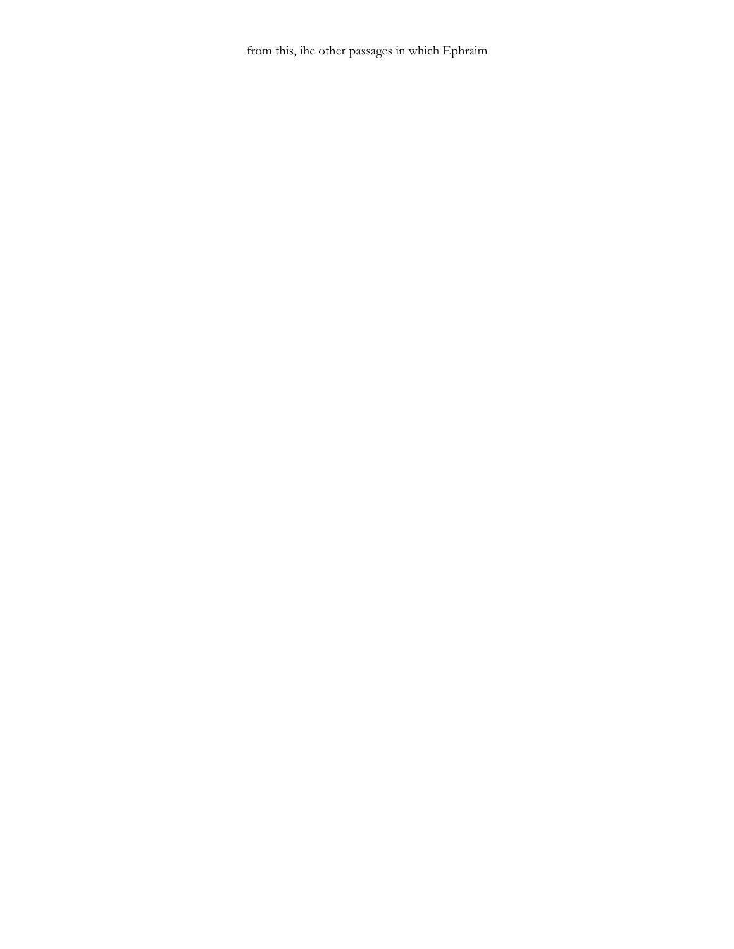from this, ihe other passages in which Ephraim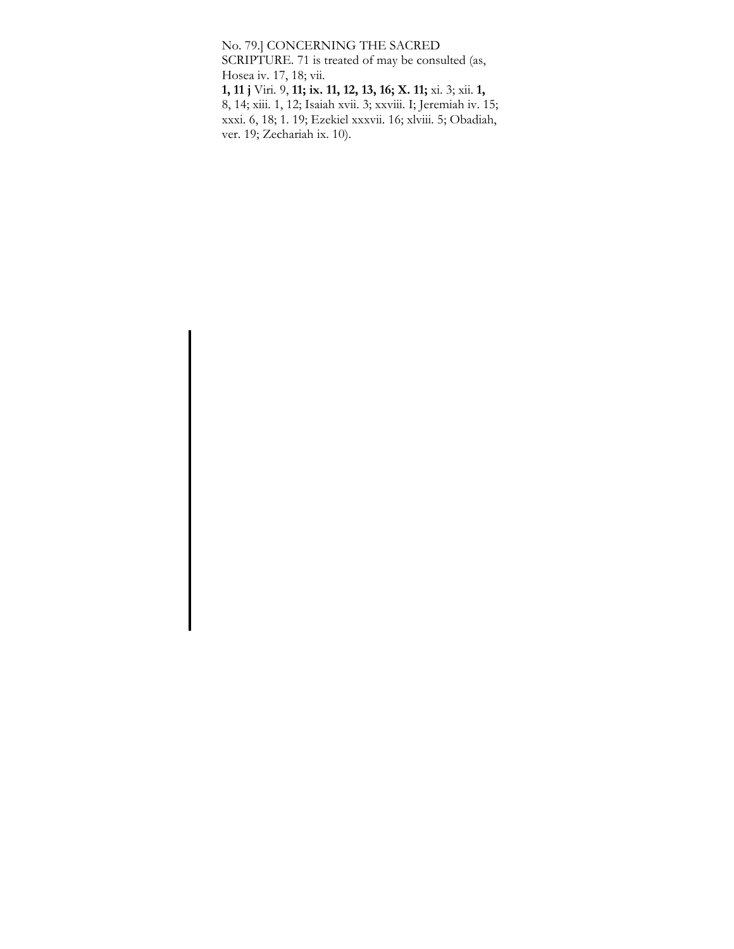No. 79.] CONCERNING THE SACRED

SCRIPTURE. 71 is treated of may be consulted (as, Hosea iv. 17, 18; vii.

**1, 11 j** Viri. 9, **11; ix. 11, 12, 13, 16; X. 11;** xi. 3; xii. **1,**  8, 14; xiii. 1, 12; Isaiah xvii. 3; xxviii. I; Jeremiah iv. 15; xxxi. 6, 18; 1. 19; Ezekiel xxxvii. 16; xlviii. 5; Obadiah, ver. 19; Zechariah ix. 10).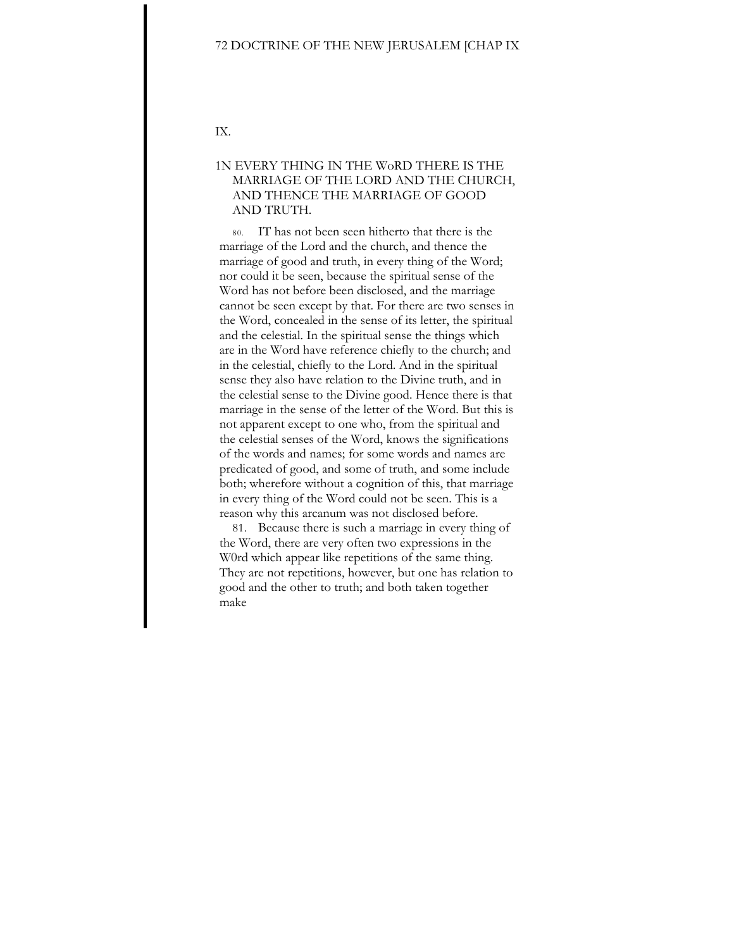#### 72 DOCTRINE OF THE NEW JERUSALEM [CHAP IX

IX.

## 1N EVERY THING IN THE WoRD THERE IS THE MARRIAGE OF THE LORD AND THE CHURCH, AND THENCE THE MARRIAGE OF GOOD AND TRUTH.

80. IT has not been seen hitherto that there is the marriage of the Lord and the church, and thence the marriage of good and truth, in every thing of the Word; nor could it be seen, because the spiritual sense of the Word has not before been disclosed, and the marriage cannot be seen except by that. For there are two senses in the Word, concealed in the sense of its letter, the spiritual and the celestial. In the spiritual sense the things which are in the Word have reference chiefly to the church; and in the celestial, chiefly to the Lord. And in the spiritual sense they also have relation to the Divine truth, and in the celestial sense to the Divine good. Hence there is that marriage in the sense of the letter of the Word. But this is not apparent except to one who, from the spiritual and the celestial senses of the Word, knows the significations of the words and names; for some words and names are predicated of good, and some of truth, and some include both; wherefore without a cognition of this, that marriage in every thing of the Word could not be seen. This is a reason why this arcanum was not disclosed before.

81. Because there is such a marriage in every thing of the Word, there are very often two expressions in the W0rd which appear like repetitions of the same thing. They are not repetitions, however, but one has relation to good and the other to truth; and both taken together make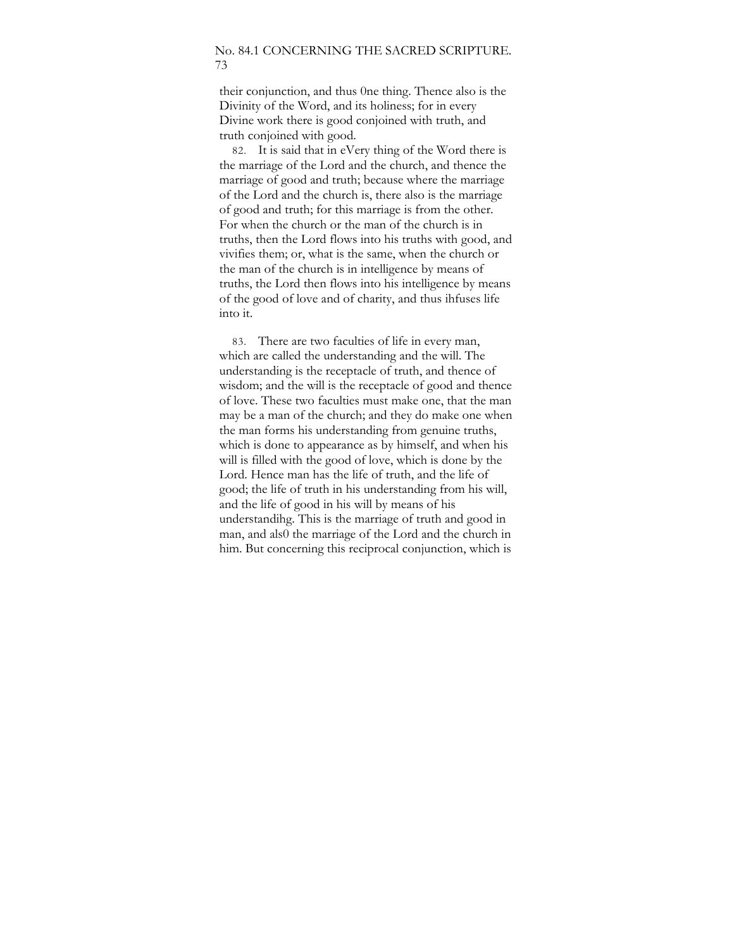#### No. 84.1 CONCERNING THE SACRED SCRIPTURE. 73

their conjunction, and thus 0ne thing. Thence also is the Divinity of the Word, and its holiness; for in every Divine work there is good conjoined with truth, and truth conjoined with good.

82. It is said that in eVery thing of the Word there is the marriage of the Lord and the church, and thence the marriage of good and truth; because where the marriage of the Lord and the church is, there also is the marriage of good and truth; for this marriage is from the other. For when the church or the man of the church is in truths, then the Lord flows into his truths with good, and vivifies them; or, what is the same, when the church or the man of the church is in intelligence by means of truths, the Lord then flows into his intelligence by means of the good of love and of charity, and thus ihfuses life into it.

83. There are two faculties of life in every man, which are called the understanding and the will. The understanding is the receptacle of truth, and thence of wisdom; and the will is the receptacle of good and thence of love. These two faculties must make one, that the man may be a man of the church; and they do make one when the man forms his understanding from genuine truths, which is done to appearance as by himself, and when his will is filled with the good of love, which is done by the Lord. Hence man has the life of truth, and the life of good; the life of truth in his understanding from his will, and the life of good in his will by means of his understandihg. This is the marriage of truth and good in man, and als0 the marriage of the Lord and the church in him. But concerning this reciprocal conjunction, which is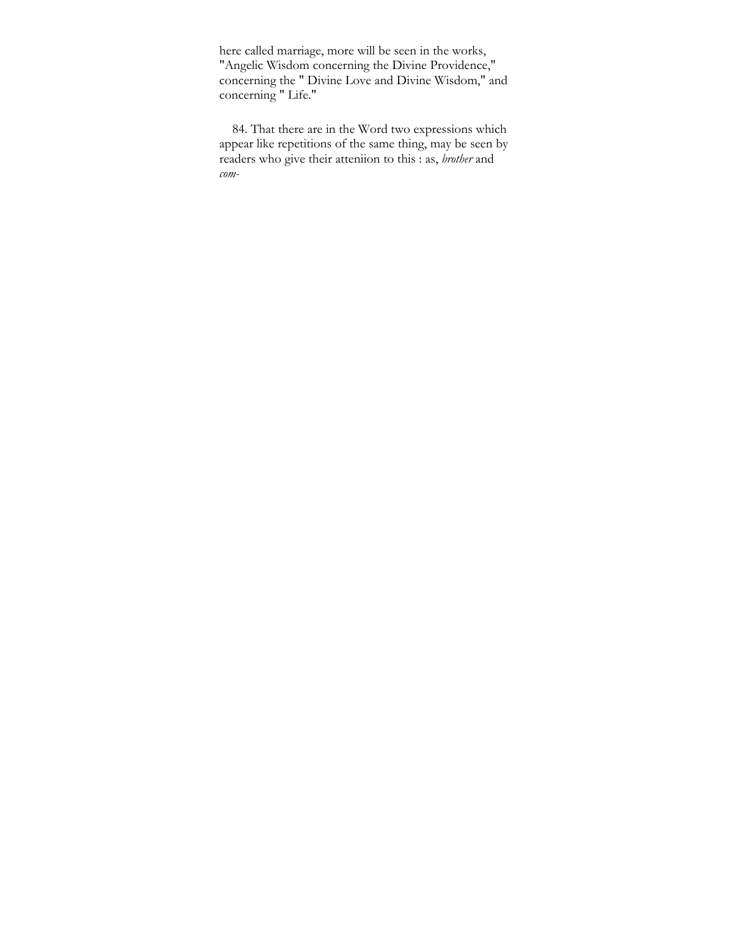here called marriage, more will be seen in the works, "Angelic Wisdom concerning the Divine Providence," concerning the " Divine Love and Divine Wisdom," and concerning " Life."

84. That there are in the Word two expressions which appear like repetitions of the same thing, may be seen by readers who give their atteniion to this : as, *brother* and *com-*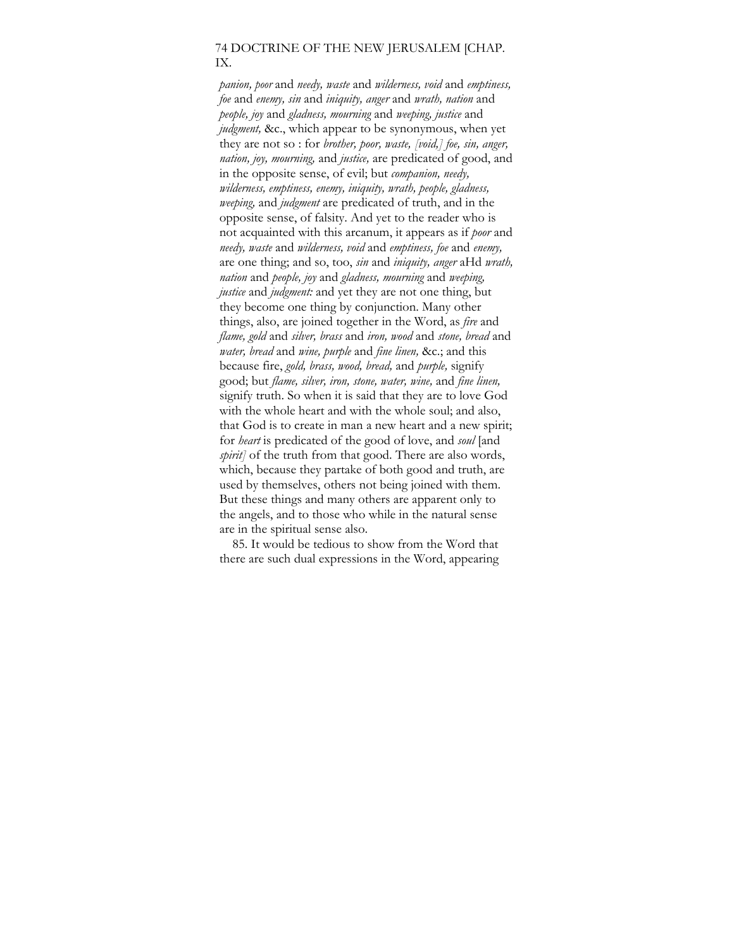## 74 DOCTRINE OF THE NEW JERUSALEM [CHAP. IX.

*panion, poor* and *needy, waste* and *wilderness, void* and *emptiness, foe* and *enemy, sin* and *iniquity, anger* and *wrath, nation* and *people, joy* and *gladness, mourning* and *weeping, justice* and *judgment*, &c., which appear to be synonymous, when yet they are not so : for *brother, poor, waste, [void,] foe, sin, anger, nation, joy, mourning,* and *justice,* are predicated of good, and in the opposite sense, of evil; but *companion, needy, wilderness, emptiness, enemy, iniquity, wrath, people, gladness, weeping,* and *judgment* are predicated of truth, and in the opposite sense, of falsity. And yet to the reader who is not acquainted with this arcanum, it appears as if *poor* and *needy, waste* and *wilderness, void* and *emptiness, foe* and *enemy,*  are one thing; and so, too, *sin* and *iniquity, anger* aHd *wrath, nation* and *people, joy* and *gladness, mourning* and *weeping, justice* and *judgment*: and yet they are not one thing, but they become one thing by conjunction. Many other things, also, are joined together in the Word, as *fire* and *flame, gold* and *silver, brass* and *iron, wood* and *stone, bread* and *water, bread* and *wine, purple* and *fine linen,* &c.; and this because fire, *gold, brass, wood, bread,* and *purple,* signify good; but *flame, silver, iron, stone, water, wine,* and *fine linen,*  signify truth. So when it is said that they are to love God with the whole heart and with the whole soul; and also, that God is to create in man a new heart and a new spirit; for *heart* is predicated of the good of love, and *soul* [and *spirit]* of the truth from that good. There are also words, which, because they partake of both good and truth, are used by themselves, others not being joined with them. But these things and many others are apparent only to the angels, and to those who while in the natural sense are in the spiritual sense also.

85. It would be tedious to show from the Word that there are such dual expressions in the Word, appearing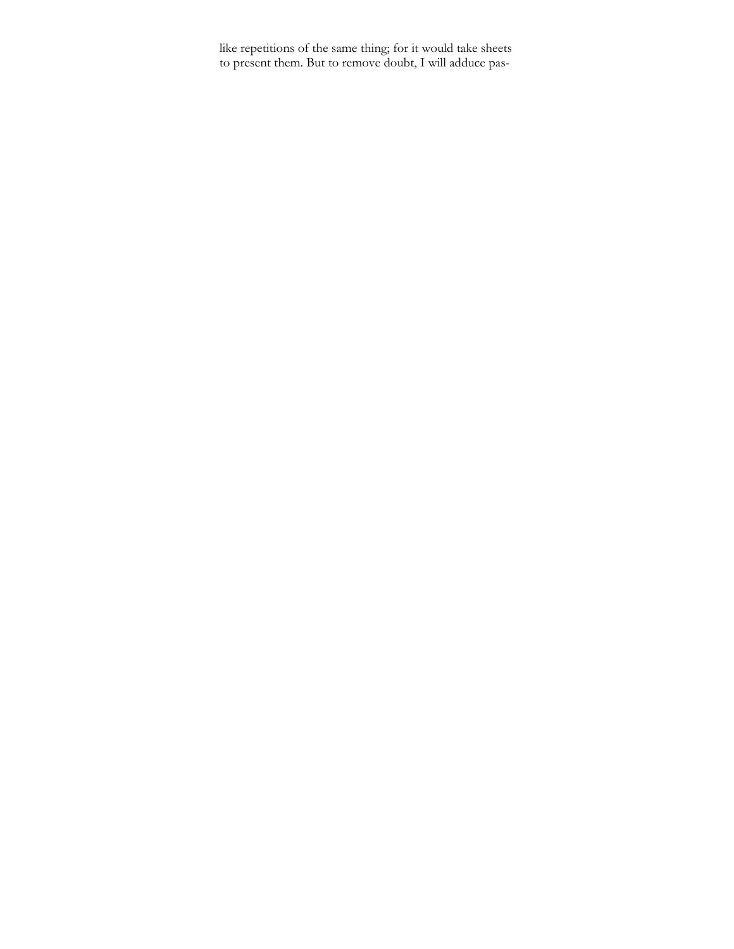like repetitions of the same thing; for it would take sheets to present them. But to remove doubt, I will adduce pas-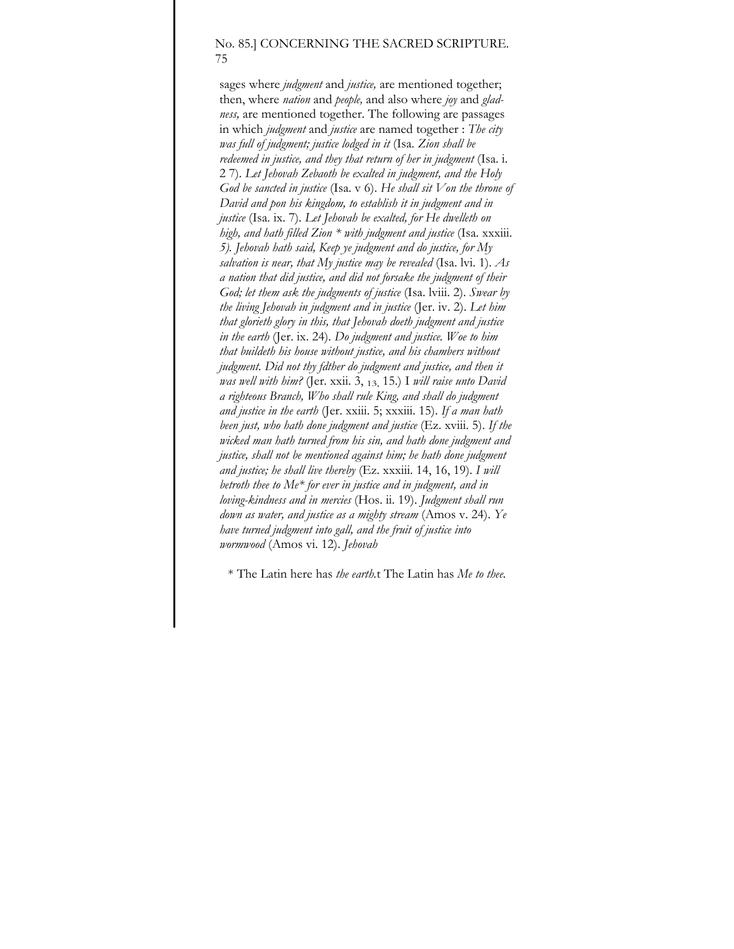## No. 85.] CONCERNING THE SACRED SCRIPTURE. 75

sages where *judgment* and *justice,* are mentioned together; then, where *nation* and *people,* and also where *joy* and *gladness,* are mentioned together. The following are passages in which *judgment* and *justice* are named together : *The city was full of judgment; justice lodged in it* (Isa. *Zion shall be redeemed in justice, and they that return of her in judgment* (Isa. i. 2 7). *Let Jehovah Zebaoth be exalted in judgment, and the Holy God be sancted in justice* (Isa. v 6). *He shall sit Von the throne of David and pon his kingdom, to establish it in judgment and in justice* (Isa. ix. 7). *Let Jehovah be exalted, for He dwelleth on high, and hath filled Zion \* with judgment and justice* (Isa. xxxiii. *5). Jehovah hath said, Keep ye judgment and do justice, for My salvation is near, that My justice may be revealed* (Isa. lvi. 1). *As a nation that did justice, and did not forsake the judgment of their God; let them ask the judgments of justice* (Isa. lviii. 2). *Swear by the living Jehovah in judgment and in justice* (Jer. iv. 2). *Let him that glorieth glory in this, that Jehovah doeth judgment and justice in the earth* (Jer. ix. 24). *Do judgment and justice. Woe to him that buildeth his house without justice, and his chambers without judgment. Did not thy fdther do judgment and justice, and then it was well with him?* (Jer. xxii. 3, 13, 15.) I *will raise unto David a righteous Branch, Who shall rule King, and shall do judgment and justice in the earth* (Jer. xxiii. 5; xxxiii. 15). *If a man hath been just, who hath done judgment and justice* (Ez. xviii. 5). *If the wicked man hath turned from his sin, and hath done judgment and justice, shall not be mentioned against him; he hath done judgment and justice; he shall live thereby* (Ez. xxxiii. 14, 16, 19). *I will betroth thee to Me\* for ever in justice and in judgment, and in loving-kindness and in mercies* (Hos. ii. 19). *Judgment shall run down as water, and justice as a mighty stream* (Amos v. 24). *Ye have turned judgment into gall, and the fruit of justice into wormwood* (Amos vi. 12). *Jehovah* 

\* The Latin here has *the earth.*t The Latin has *Me to thee.*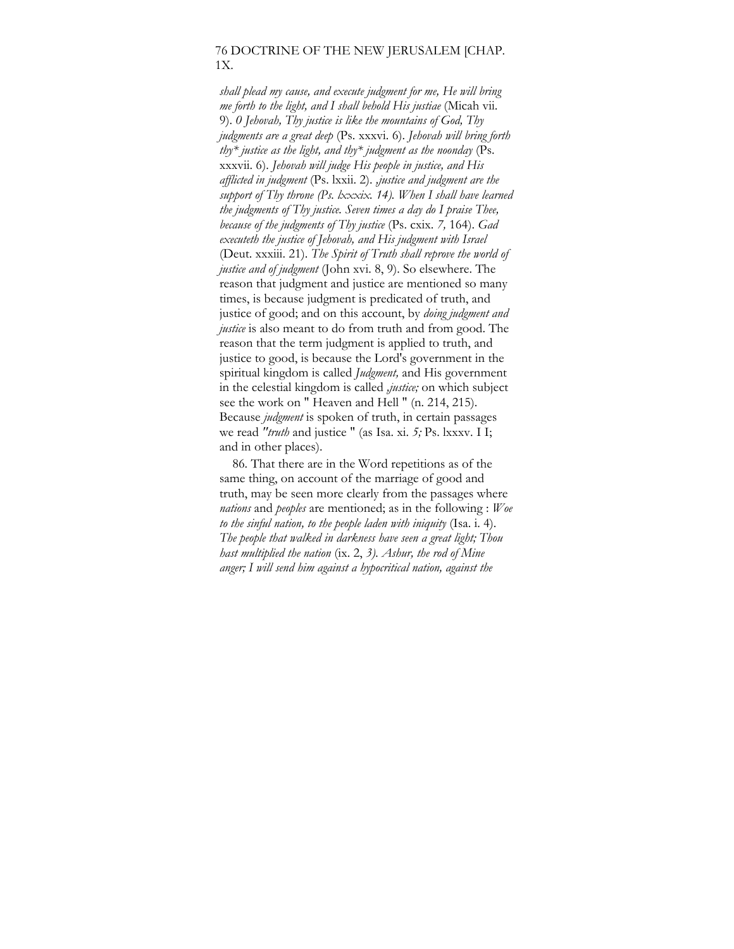#### 76 DOCTRINE OF THE NEW JERUSALEM [CHAP. 1X.

*shall plead my cause, and execute judgment for me, He will bring me forth to the light, and I shall behold His justiae* (Micah vii. 9). *0 Jehovah, Thy justice is like the mountains of God, Thy judgments are a great deep* (Ps. xxxvi. 6). *Jehovah will bring forth thy\* justice as the light, and thy\* judgment as the noonday* (Ps. xxxvii. 6). *Jehovah will judge His people in justice, and His afflicted in judgment* (Ps. lxxii. 2). *,justice and judgment are the support of Thy throne (Ps. lxxxix. 14). When I shall have learned the judgments of Thy justice. Seven times a day do I praise Thee, because of the judgments of Thy justice* (Ps. cxix. *7,* 164). *Gad executeth the justice of Jehovah, and His judgment with Israel*  (Deut. xxxiii. 21). *The Spirit of Truth shall reprove the world of justice and of judgment* (John xvi. 8, 9). So elsewhere. The reason that judgment and justice are mentioned so many times, is because judgment is predicated of truth, and justice of good; and on this account, by *doing judgment and justice* is also meant to do from truth and from good. The reason that the term judgment is applied to truth, and justice to good, is because the Lord's government in the spiritual kingdom is called *Judgment,* and His government in the celestial kingdom is called *,justice;* on which subject see the work on " Heaven and Hell " (n. 214, 215). Because *judgment* is spoken of truth, in certain passages we read *"truth* and justice " (as Isa. xi. *5;* Ps. lxxxv. I I; and in other places).

86. That there are in the Word repetitions as of the same thing, on account of the marriage of good and truth, may be seen more clearly from the passages where *nations* and *peoples* are mentioned; as in the following : *Woe to the sinful nation, to the people laden with iniquity* (Isa. i. 4). *The people that walked in darkness have seen a great light; Thou hast multiplied the nation* (ix. 2, *3). Ashur, the rod of Mine anger; I will send him against a hypocritical nation, against the*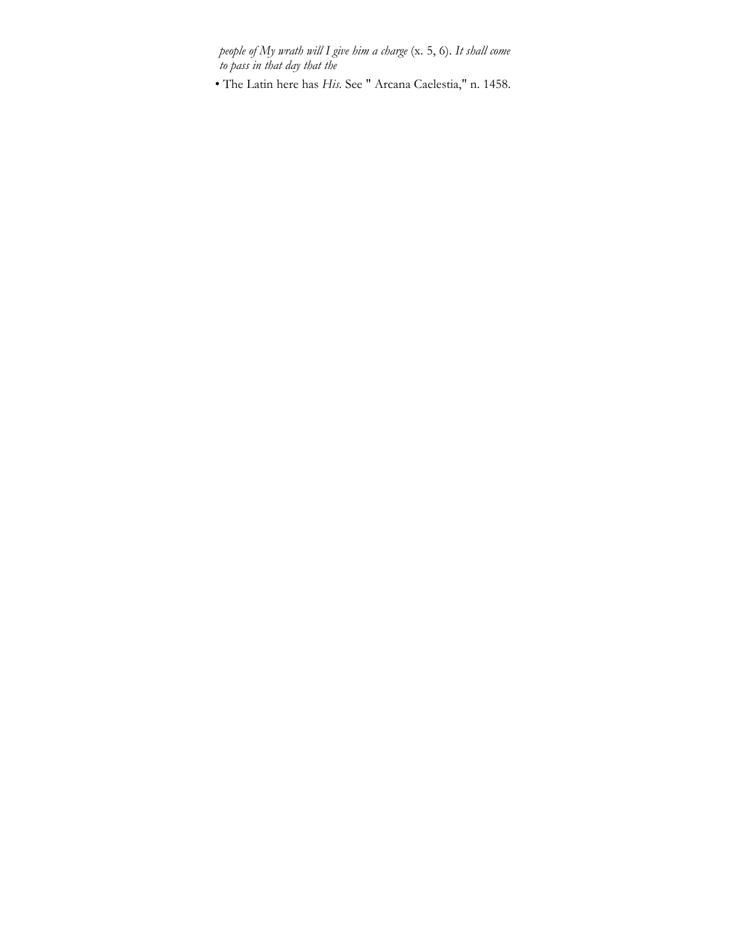*people of My wrath will I give him a charge* (x. 5, 6). *It shall come to pass in that day that the* 

• The Latin here has *His.* See " Arcana Caelestia," n. 1458.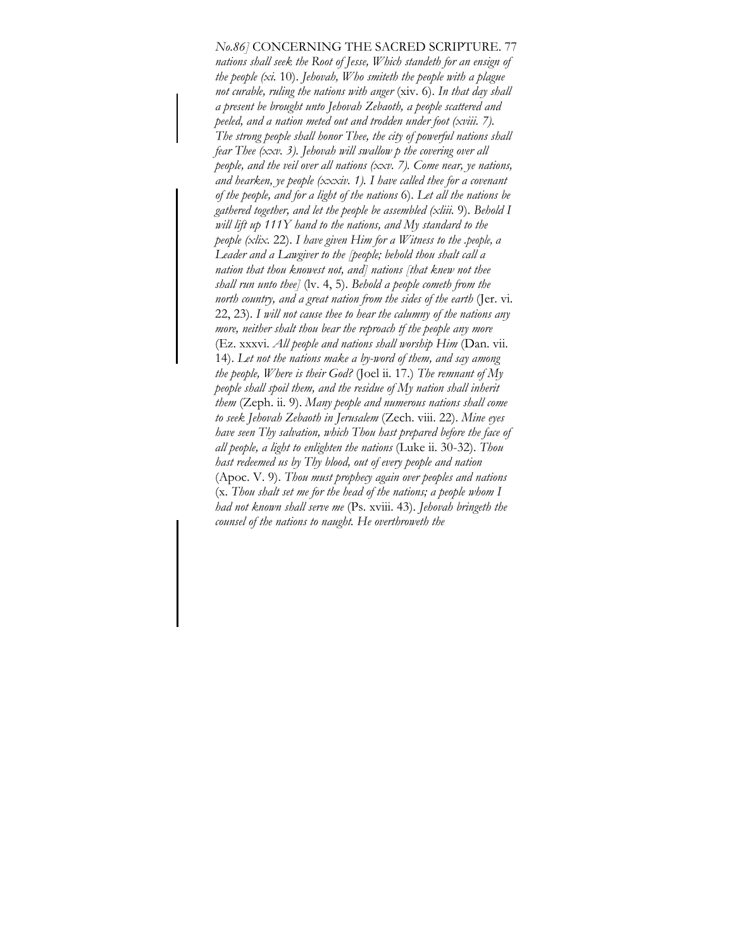# *No.86]* CONCERNING THE SACRED SCRIPTURE. 77

*nations shall seek the Root of Jesse, Which standeth for an ensign of the people (xi.* 10). *Jehovah, Who smiteth the people with a plague not curable, ruling the nations with anger* (xiv. 6). *In that day shall a present be brought unto Jehovah Zebaoth, a people scattered and peeled, and a nation meted out and trodden under foot (xviii. 7). The strong people shall honor Thee, the city of powerful nations shall fear Thee (xxv. 3). Jehovah will swallow p the covering over all people, and the veil over all nations (xxv. 7). Come near, ye nations, and hearken, ye people (xxxiv. 1). I have called thee for a covenant of the people, and for a light of the nations* 6). *Let all the nations be gathered together, and let the people be assembled (xliii.* 9). *Behold I will lift up 111Y hand to the nations, and My standard to the people (xlix.* 22). *I have given Him for a Witness to the .people, a Leader and a Lawgiver to the [people; behold thou shalt call a nation that thou knowest not, and] nations [that knew not thee shall run unto thee]* (lv. 4, 5). *Behold a people cometh from the north country, and a great nation from the sides of the earth* (Jer. vi. 22, 23). *I will not cause thee to hear the calumny of the nations any more, neither shalt thou bear the reproach tf the people any more*  (Ez. xxxvi. *All people and nations shall worship Him* (Dan. vii. 14). *Let not the nations make a by-word of them, and say among the people, Where is their God?* (Joel ii. 17.) *The remnant of My people shall spoil them, and the residue of My nation shall inherit them* (Zeph. ii. 9). *Many people and numerous nations shall come to seek Jehovah Zebaoth in Jerusalem* (Zech. viii. 22). *Mine eyes have seen Thy salvation, which Thou hast prepared before the face of all people, a light to enlighten the nations* (Luke ii. 30-32). *Thou hast redeemed us by Thy blood, out of every people and nation*  (Apoc. V. 9). *Thou must prophecy again over peoples and nations*  (x. *Thou shalt set me for the head of the nations; a people whom I had not known shall serve me* (Ps. xviii. 43). *Jehovah bringeth the counsel of the nations to naught. He overthroweth the*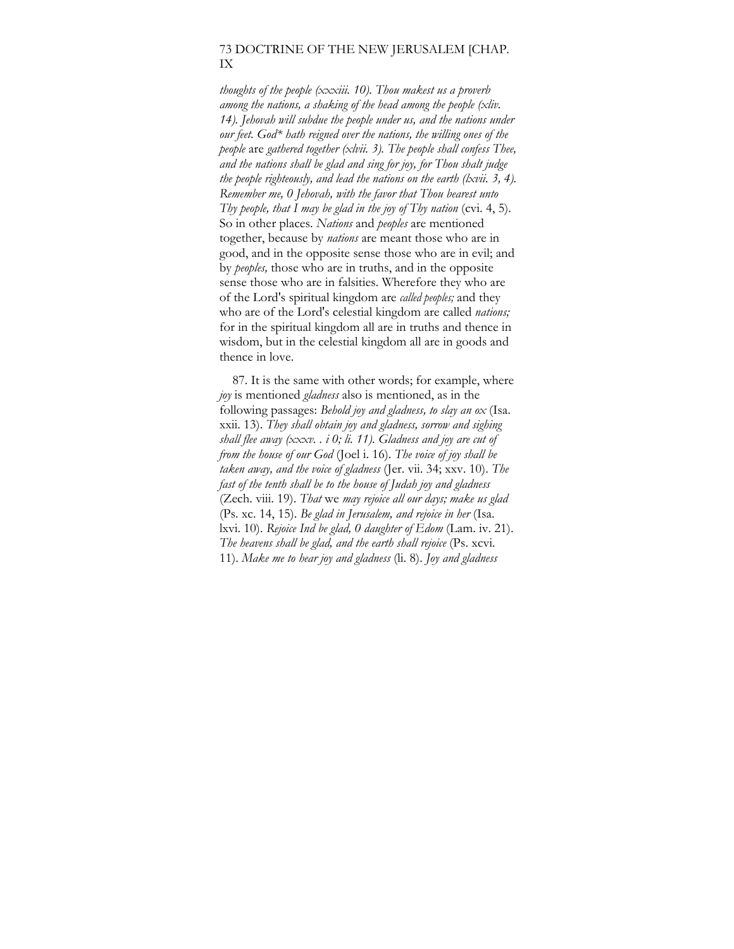## 73 DOCTRINE OF THE NEW JERUSALEM [CHAP. IX

*thoughts of the people (xxxiii. 10). Thou makest us a proverb among the nations, a shaking of the head among the people (xliv. 14). Jehovah will subdue the people under us, and the nations under our feet. God\* hath reigned over the nations, the willing ones of the people* are *gathered together (xlvii. 3). The people shall confess Thee, and the nations shall be glad and sing for joy, for Thou shalt judge the people righteously, and lead the nations on the earth (lxvii. 3, 4). Remember me, 0 Jehovah, with the favor that Thou bearest unto Thy people, that I may be glad in the joy of Thy nation* (cvi. 4, 5). So in other places. *Nations* and *peoples* are mentioned together, because by *nations* are meant those who are in good, and in the opposite sense those who are in evil; and by *peoples,* those who are in truths, and in the opposite sense those who are in falsities. Wherefore they who are of the Lord's spiritual kingdom are *called peoples;* and they who are of the Lord's celestial kingdom are called *nations;*  for in the spiritual kingdom all are in truths and thence in wisdom, but in the celestial kingdom all are in goods and thence in love.

87. It is the same with other words; for example, where *joy* is mentioned *gladness* also is mentioned, as in the following passages: *Behold joy and gladness, to slay an ox* (Isa. xxii. 13). *They shall obtain joy and gladness, sorrow and sighing shall flee away (xxxv. . i 0; li. 11). Gladness and joy are cut of from the house of our God* (Joel i. 16). *The voice of joy shall be taken away, and the voice of gladness* (Jer. vii. 34; xxv. 10). *The fast of the tenth shall be to the house of Judah joy and gladness*  (Zech. viii. 19). *That* we *may rejoice all our days; make us glad*  (Ps. xc. 14, 15). *Be glad in Jerusalem, and rejoice in her* (Isa. lxvi. 10). *Rejoice Ind be glad, 0 daughter of Edom* (Lam. iv. 21). *The heavens shall be glad, and the earth shall rejoice* (Ps. xcvi. 11). *Make me to hear joy and gladness* (li. 8). *Joy and gladness*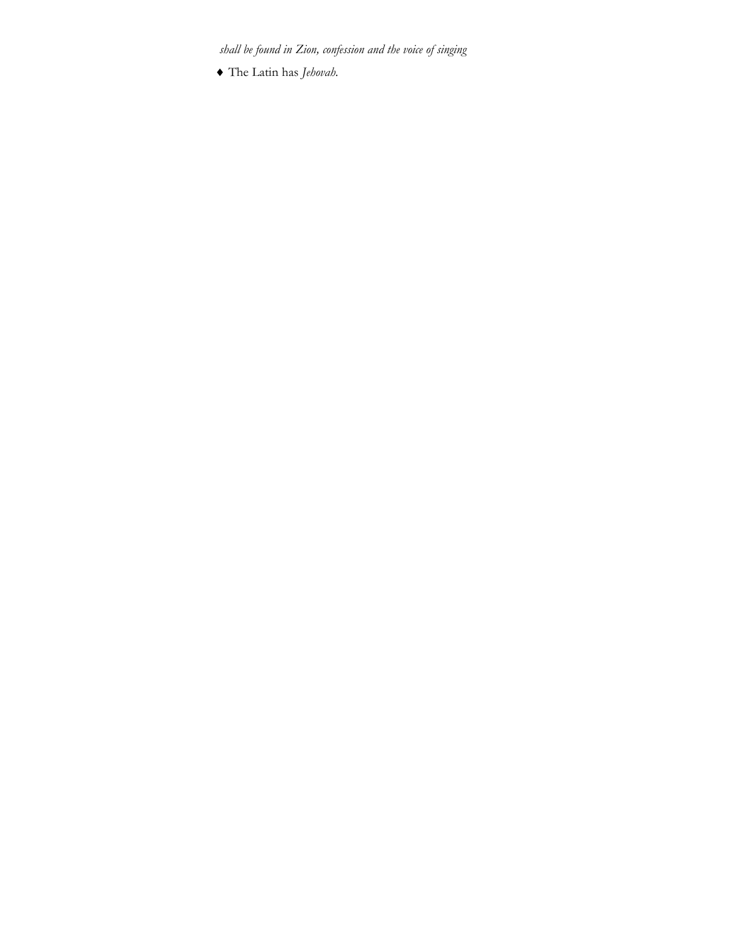*shall be found in Zion, confession and the voice of singing* 

♦ The Latin has *Jehovah.*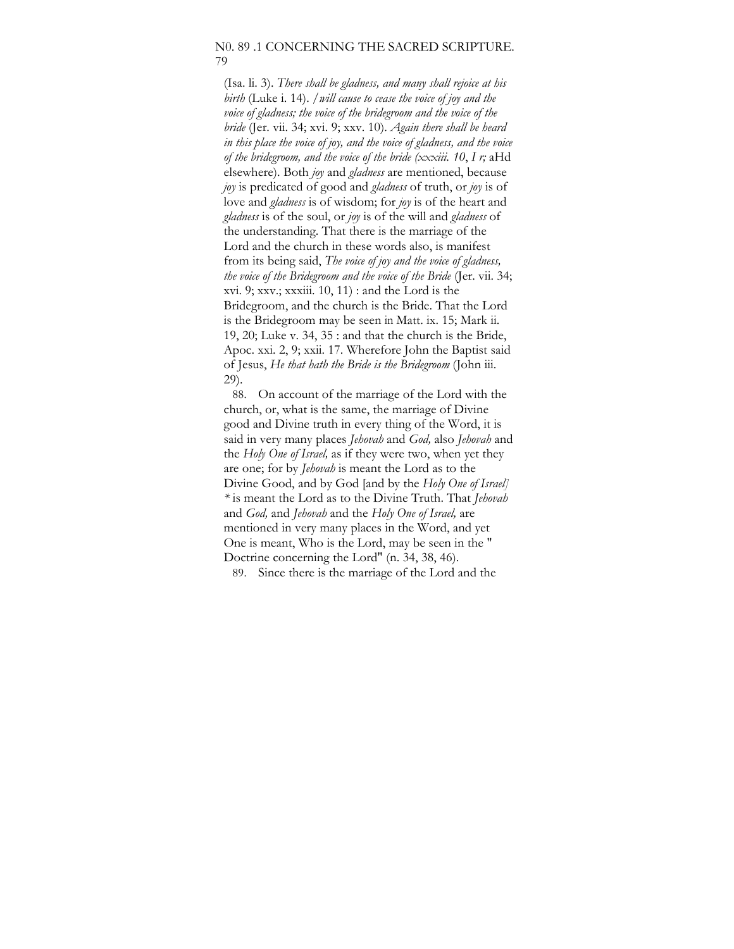### N0. 89 .1 CONCERNING THE SACRED SCRIPTURE. 79

(Isa. li. 3). *There shall be gladness, and many shall rejoice at his birth* (Luke i. 14). */will cause to cease the voice of joy and the voice of gladness; the voice of the bridegroom and the voice of the bride* (Jer. vii. 34; xvi. 9; xxv. 10). *Again there shall be heard in this place the voice of joy, and the voice of gladness, and the voice of the bridegroom, and the voice of the bride (xxxiii. 10*, *I r;* aHd elsewhere). Both *joy* and *gladness* are mentioned, because *joy* is predicated of good and *gladness* of truth, or *joy* is of love and *gladness* is of wisdom; for *joy* is of the heart and *gladness* is of the soul, or *joy* is of the will and *gladness* of the understanding. That there is the marriage of the Lord and the church in these words also, is manifest from its being said, *The voice of joy and the voice of gladness, the voice of the Bridegroom and the voice of the Bride* (Jer. vii. 34; xvi. 9; xxv.; xxxiii. 10, 11) : and the Lord is the Bridegroom, and the church is the Bride. That the Lord is the Bridegroom may be seen in Matt. ix. 15; Mark ii. 19, 20; Luke v. 34, 35 : and that the church is the Bride, Apoc. xxi. 2, 9; xxii. 17. Wherefore John the Baptist said of Jesus, *He that hath the Bride is the Bridegroom* (John iii. 29).

88. On account of the marriage of the Lord with the church, or, what is the same, the marriage of Divine good and Divine truth in every thing of the Word, it is said in very many places *Jehovah* and *God,* also *Jehovah* and the *Holy One of Israel,* as if they were two, when yet they are one; for by *Jehovah* is meant the Lord as to the Divine Good, and by God [and by the *Holy One of Israel] \** is meant the Lord as to the Divine Truth. That *Jehovah*  and *God,* and *Jehovah* and the *Holy One of Israel,* are mentioned in very many places in the Word, and yet One is meant, Who is the Lord, may be seen in the " Doctrine concerning the Lord" (n. 34, 38, 46).

89. Since there is the marriage of the Lord and the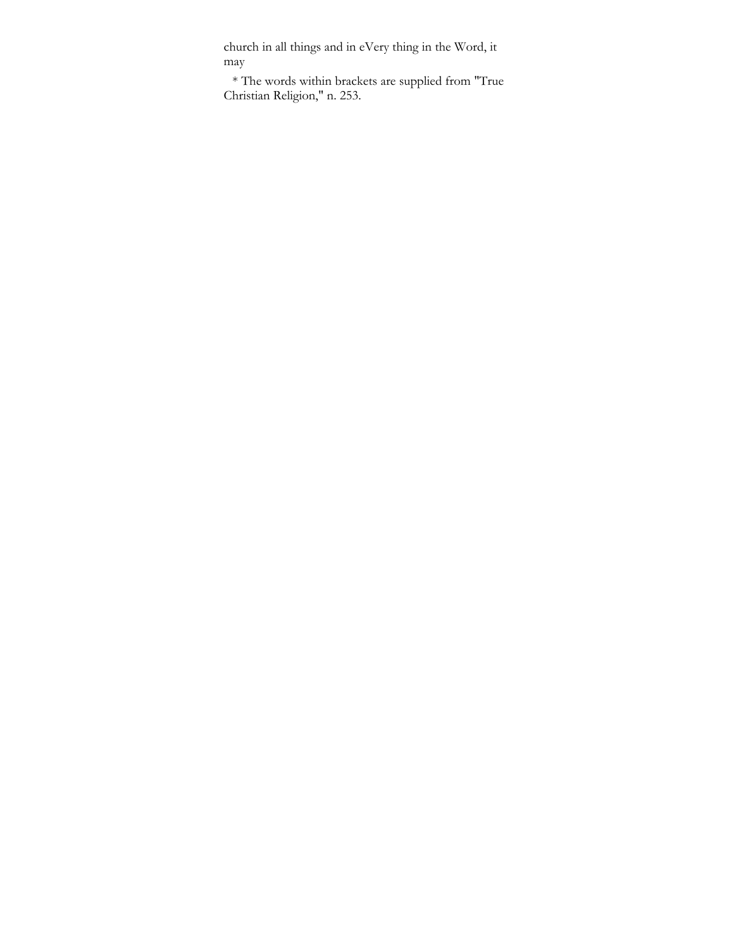church in all things and in eVery thing in the Word, it may

\* The words within brackets are supplied from "True Christian Religion," n. 253.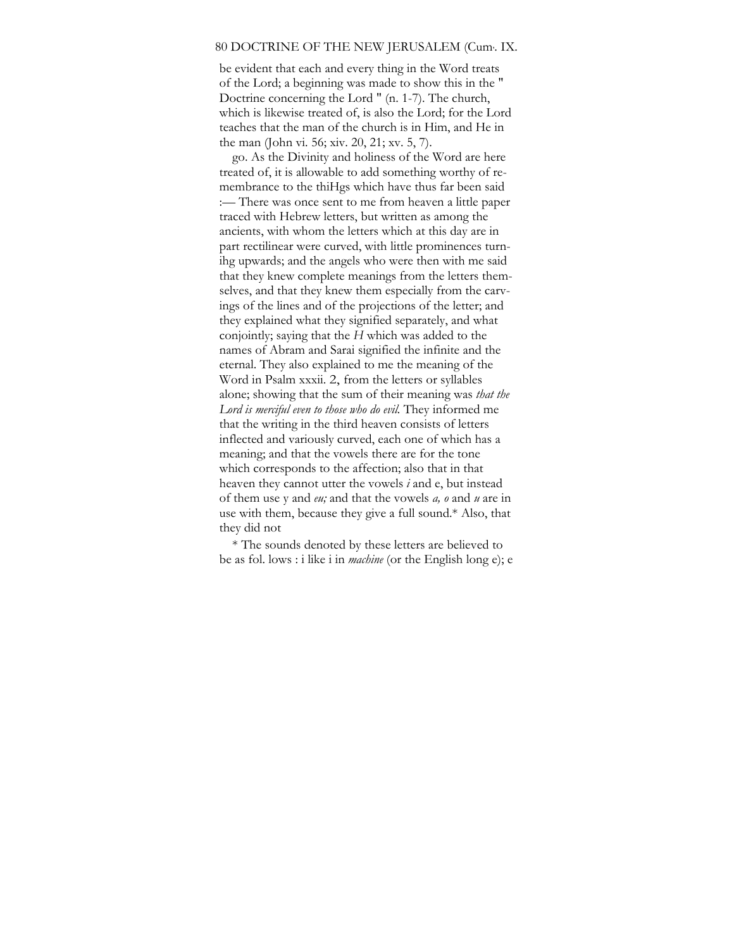#### 80 DOCTRINE OF THE NEW JERUSALEM (Cum, . IX.

be evident that each and every thing in the Word treats of the Lord; a beginning was made to show this in the " Doctrine concerning the Lord " (n. 1-7). The church, which is likewise treated of, is also the Lord; for the Lord teaches that the man of the church is in Him, and He in the man (John vi. 56; xiv. 20, 21; xv. 5, 7).

go. As the Divinity and holiness of the Word are here treated of, it is allowable to add something worthy of remembrance to the thiHgs which have thus far been said :— There was once sent to me from heaven a little paper traced with Hebrew letters, but written as among the ancients, with whom the letters which at this day are in part rectilinear were curved, with little prominences turnihg upwards; and the angels who were then with me said that they knew complete meanings from the letters themselves, and that they knew them especially from the carvings of the lines and of the projections of the letter; and they explained what they signified separately, and what conjointly; saying that the *H* which was added to the names of Abram and Sarai signified the infinite and the eternal. They also explained to me the meaning of the Word in Psalm xxxii. 2, from the letters or syllables alone; showing that the sum of their meaning was *that the Lord is merciful even to those who do evil.* They informed me that the writing in the third heaven consists of letters inflected and variously curved, each one of which has a meaning; and that the vowels there are for the tone which corresponds to the affection; also that in that heaven they cannot utter the vowels *i* and e, but instead of them use y and *eu;* and that the vowels *a, o* and *u* are in use with them, because they give a full sound.\* Also, that they did not

\* The sounds denoted by these letters are believed to be as fol. lows : i like i in *machine* (or the English long e); e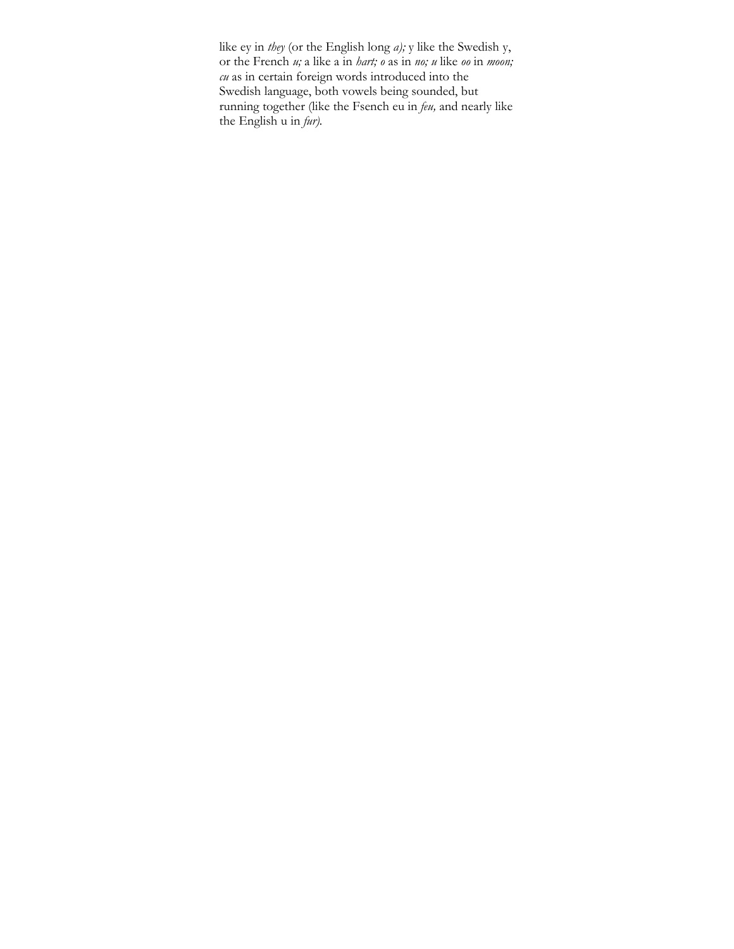like ey in *they* (or the English long *a);* y like the Swedish y, or the French *u;* a like a in *hart; o* as in *no; u* like *oo* in *moon; cu* as in certain foreign words introduced into the Swedish language, both vowels being sounded, but running together (like the Fsench eu in *feu,* and nearly like the English u in *fur).*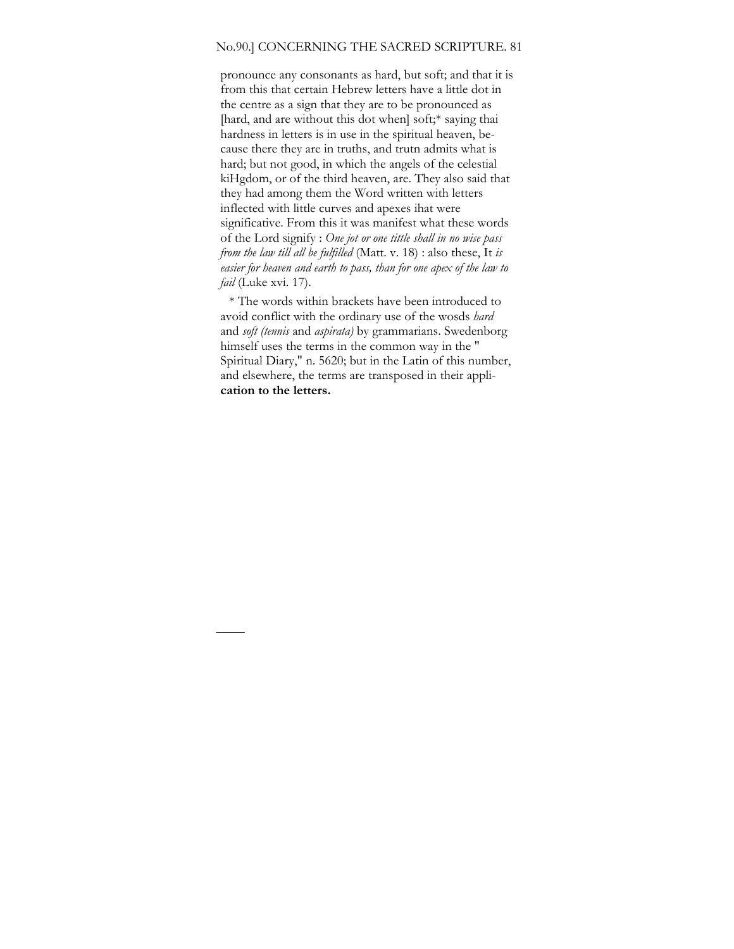#### No.90.] CONCERNING THE SACRED SCRIPTURE. 81

pronounce any consonants as hard, but soft; and that it is from this that certain Hebrew letters have a little dot in the centre as a sign that they are to be pronounced as [hard, and are without this dot when] soft;\* saying thai hardness in letters is in use in the spiritual heaven, because there they are in truths, and trutn admits what is hard; but not good, in which the angels of the celestial kiHgdom, or of the third heaven, are. They also said that they had among them the Word written with letters inflected with little curves and apexes ihat were significative. From this it was manifest what these words of the Lord signify : *One jot or one tittle shall in no wise pass from the law till all be fulfilled* (Matt. v. 18) : also these, It *is easier for heaven and earth to pass, than for one apex of the law to fail* (Luke xvi. 17).

\* The words within brackets have been introduced to avoid conflict with the ordinary use of the wosds *hard*  and *soft (tennis* and *aspirata)* by grammarians. Swedenborg himself uses the terms in the common way in the " Spiritual Diary," n. 5620; but in the Latin of this number, and elsewhere, the terms are transposed in their appli**cation to the letters.**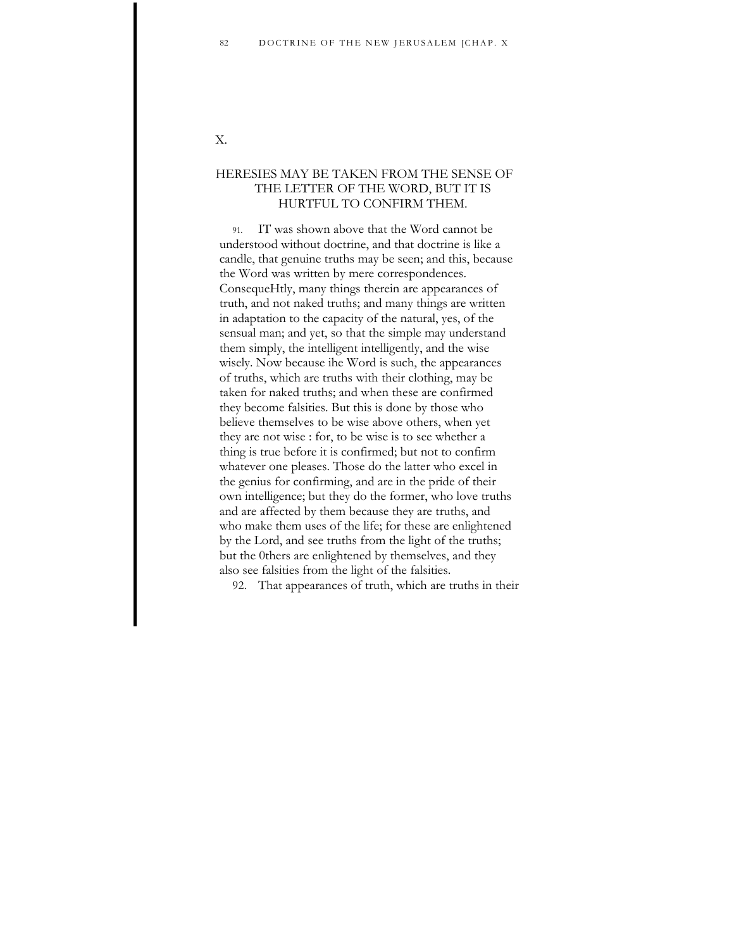## X.

## HERESIES MAY BE TAKEN FROM THE SENSE OF THE LETTER OF THE WORD, BUT IT IS HURTFUL TO CONFIRM THEM.

91. IT was shown above that the Word cannot be understood without doctrine, and that doctrine is like a candle, that genuine truths may be seen; and this, because the Word was written by mere correspondences. ConsequeHtly, many things therein are appearances of truth, and not naked truths; and many things are written in adaptation to the capacity of the natural, yes, of the sensual man; and yet, so that the simple may understand them simply, the intelligent intelligently, and the wise wisely. Now because ihe Word is such, the appearances of truths, which are truths with their clothing, may be taken for naked truths; and when these are confirmed they become falsities. But this is done by those who believe themselves to be wise above others, when yet they are not wise : for, to be wise is to see whether a thing is true before it is confirmed; but not to confirm whatever one pleases. Those do the latter who excel in the genius for confirming, and are in the pride of their own intelligence; but they do the former, who love truths and are affected by them because they are truths, and who make them uses of the life; for these are enlightened by the Lord, and see truths from the light of the truths; but the 0thers are enlightened by themselves, and they also see falsities from the light of the falsities.

92. That appearances of truth, which are truths in their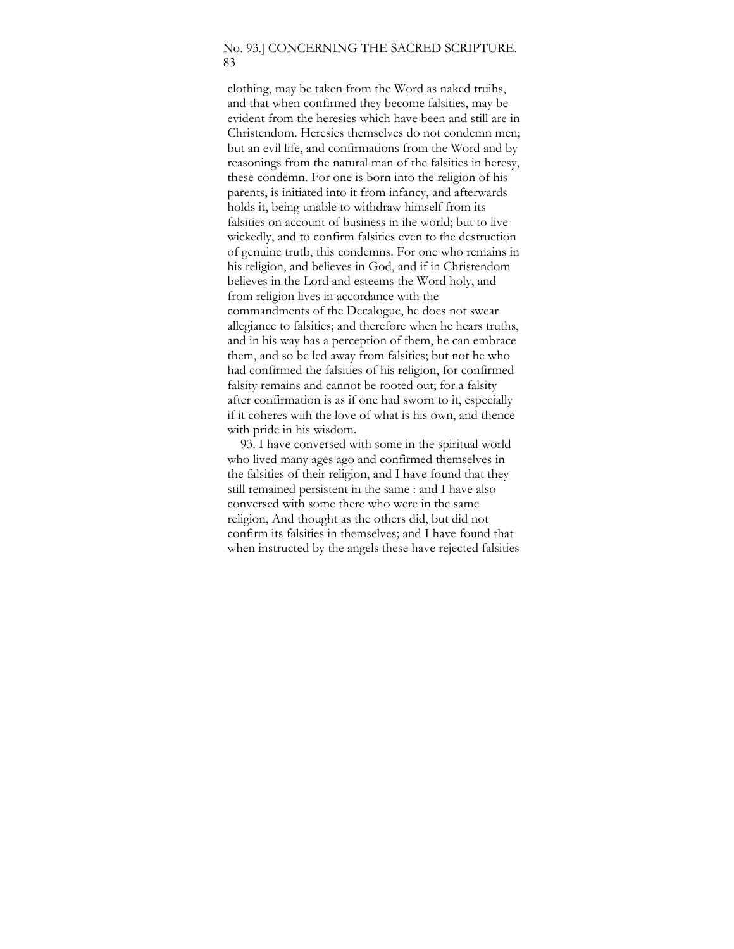#### No. 93.] CONCERNING THE SACRED SCRIPTURE. 83

clothing, may be taken from the Word as naked truihs, and that when confirmed they become falsities, may be evident from the heresies which have been and still are in Christendom. Heresies themselves do not condemn men; but an evil life, and confirmations from the Word and by reasonings from the natural man of the falsities in heresy, these condemn. For one is born into the religion of his parents, is initiated into it from infancy, and afterwards holds it, being unable to withdraw himself from its falsities on account of business in ihe world; but to live wickedly, and to confirm falsities even to the destruction of genuine trutb, this condemns. For one who remains in his religion, and believes in God, and if in Christendom believes in the Lord and esteems the Word holy, and from religion lives in accordance with the commandments of the Decalogue, he does not swear allegiance to falsities; and therefore when he hears truths, and in his way has a perception of them, he can embrace them, and so be led away from falsities; but not he who had confirmed the falsities of his religion, for confirmed falsity remains and cannot be rooted out; for a falsity after confirmation is as if one had sworn to it, especially if it coheres wiih the love of what is his own, and thence with pride in his wisdom.

93. I have conversed with some in the spiritual world who lived many ages ago and confirmed themselves in the falsities of their religion, and I have found that they still remained persistent in the same : and I have also conversed with some there who were in the same religion, And thought as the others did, but did not confirm its falsities in themselves; and I have found that when instructed by the angels these have rejected falsities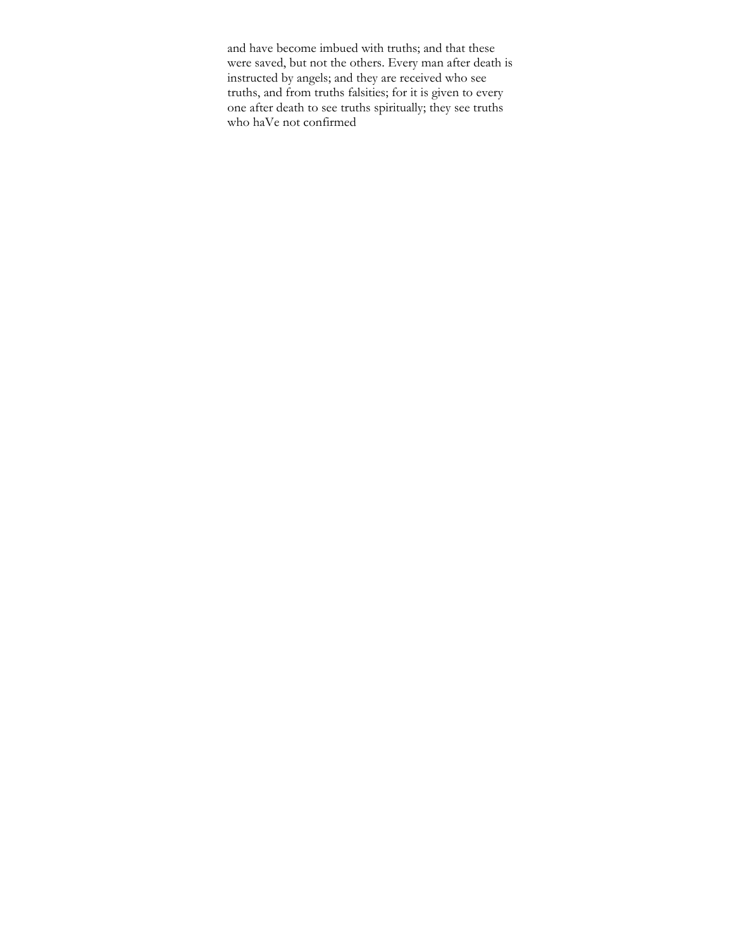and have become imbued with truths; and that these were saved, but not the others. Every man after death is instructed by angels; and they are received who see truths, and from truths falsities; for it is given to every one after death to see truths spiritually; they see truths who haVe not confirmed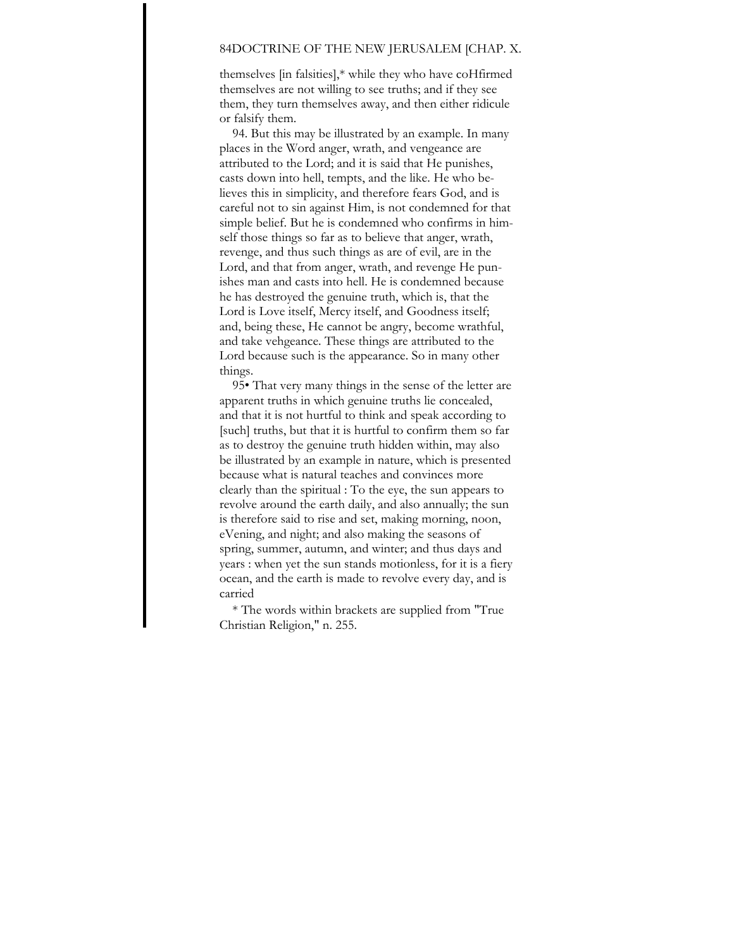## 84DOCTRINE OF THE NEW JERUSALEM [CHAP. X.

themselves [in falsities],\* while they who have coHfirmed themselves are not willing to see truths; and if they see them, they turn themselves away, and then either ridicule or falsify them.

94. But this may be illustrated by an example. In many places in the Word anger, wrath, and vengeance are attributed to the Lord; and it is said that He punishes, casts down into hell, tempts, and the like. He who believes this in simplicity, and therefore fears God, and is careful not to sin against Him, is not condemned for that simple belief. But he is condemned who confirms in himself those things so far as to believe that anger, wrath, revenge, and thus such things as are of evil, are in the Lord, and that from anger, wrath, and revenge He punishes man and casts into hell. He is condemned because he has destroyed the genuine truth, which is, that the Lord is Love itself, Mercy itself, and Goodness itself; and, being these, He cannot be angry, become wrathful, and take vehgeance. These things are attributed to the Lord because such is the appearance. So in many other things.

95• That very many things in the sense of the letter are apparent truths in which genuine truths lie concealed, and that it is not hurtful to think and speak according to [such] truths, but that it is hurtful to confirm them so far as to destroy the genuine truth hidden within, may also be illustrated by an example in nature, which is presented because what is natural teaches and convinces more clearly than the spiritual : To the eye, the sun appears to revolve around the earth daily, and also annually; the sun is therefore said to rise and set, making morning, noon, eVening, and night; and also making the seasons of spring, summer, autumn, and winter; and thus days and years : when yet the sun stands motionless, for it is a fiery ocean, and the earth is made to revolve every day, and is carried

\* The words within brackets are supplied from "True Christian Religion," n. 255.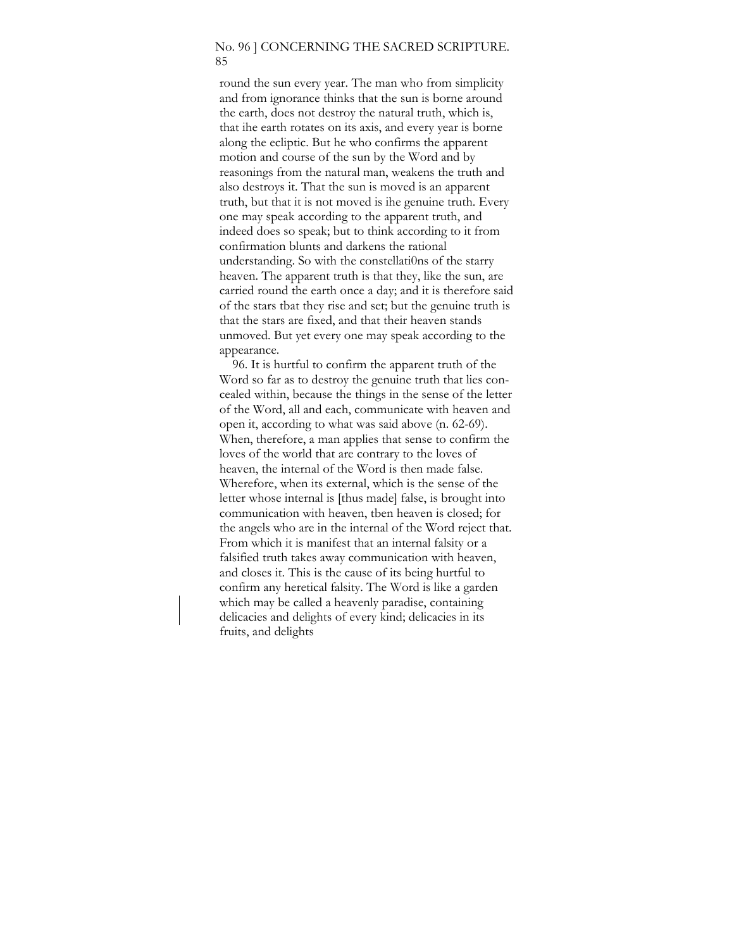#### No. 96 ] CONCERNING THE SACRED SCRIPTURE. 85

round the sun every year. The man who from simplicity and from ignorance thinks that the sun is borne around the earth, does not destroy the natural truth, which is, that ihe earth rotates on its axis, and every year is borne along the ecliptic. But he who confirms the apparent motion and course of the sun by the Word and by reasonings from the natural man, weakens the truth and also destroys it. That the sun is moved is an apparent truth, but that it is not moved is ihe genuine truth. Every one may speak according to the apparent truth, and indeed does so speak; but to think according to it from confirmation blunts and darkens the rational understanding. So with the constellati0ns of the starry heaven. The apparent truth is that they, like the sun, are carried round the earth once a day; and it is therefore said of the stars tbat they rise and set; but the genuine truth is that the stars are fixed, and that their heaven stands unmoved. But yet every one may speak according to the appearance.

96. It is hurtful to confirm the apparent truth of the Word so far as to destroy the genuine truth that lies concealed within, because the things in the sense of the letter of the Word, all and each, communicate with heaven and open it, according to what was said above (n. 62-69). When, therefore, a man applies that sense to confirm the loves of the world that are contrary to the loves of heaven, the internal of the Word is then made false. Wherefore, when its external, which is the sense of the letter whose internal is [thus made] false, is brought into communication with heaven, tben heaven is closed; for the angels who are in the internal of the Word reject that. From which it is manifest that an internal falsity or a falsified truth takes away communication with heaven, and closes it. This is the cause of its being hurtful to confirm any heretical falsity. The Word is like a garden which may be called a heavenly paradise, containing delicacies and delights of every kind; delicacies in its fruits, and delights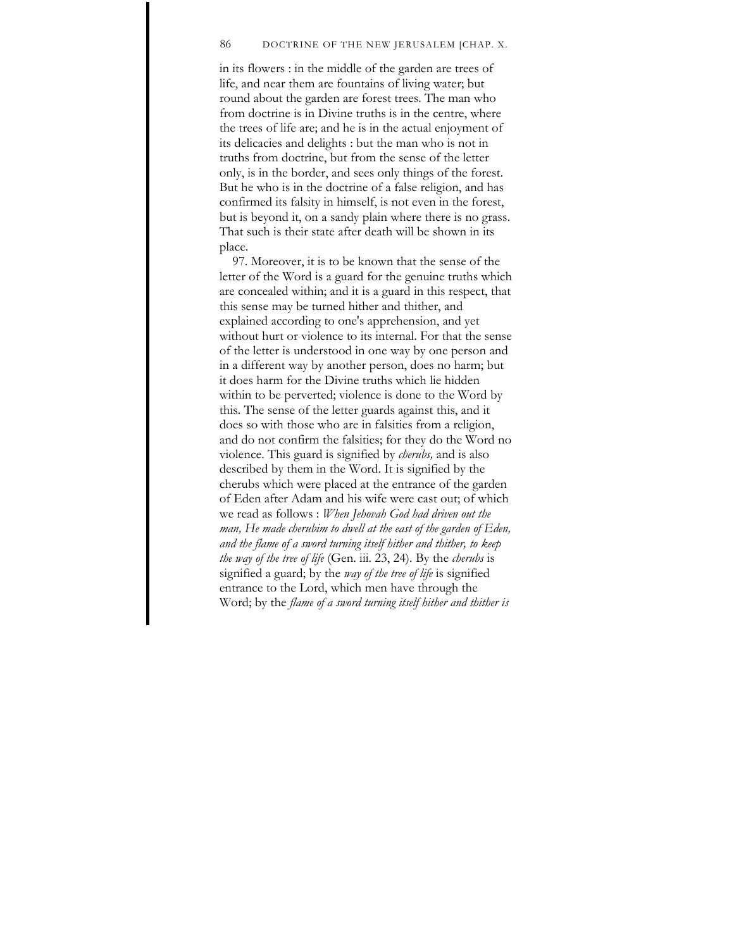#### 86 DOCTRINE OF THE NEW JERUSALEM [CHAP. X.

in its flowers : in the middle of the garden are trees of life, and near them are fountains of living water; but round about the garden are forest trees. The man who from doctrine is in Divine truths is in the centre, where the trees of life are; and he is in the actual enjoyment of its delicacies and delights : but the man who is not in truths from doctrine, but from the sense of the letter only, is in the border, and sees only things of the forest. But he who is in the doctrine of a false religion, and has confirmed its falsity in himself, is not even in the forest, but is beyond it, on a sandy plain where there is no grass. That such is their state after death will be shown in its place.

97. Moreover, it is to be known that the sense of the letter of the Word is a guard for the genuine truths which are concealed within; and it is a guard in this respect, that this sense may be turned hither and thither, and explained according to one's apprehension, and yet without hurt or violence to its internal. For that the sense of the letter is understood in one way by one person and in a different way by another person, does no harm; but it does harm for the Divine truths which lie hidden within to be perverted; violence is done to the Word by this. The sense of the letter guards against this, and it does so with those who are in falsities from a religion, and do not confirm the falsities; for they do the Word no violence. This guard is signified by *cherubs,* and is also described by them in the Word. It is signified by the cherubs which were placed at the entrance of the garden of Eden after Adam and his wife were cast out; of which we read as follows : *When Jehovah God had driven out the man, He made cherubim to dwell at the east of the garden of Eden, and the flame of a sword turning itself hither and thither, to keep the way of the tree of life* (Gen. iii. 23, 24). By the *cherubs* is signified a guard; by the *way of the tree of life* is signified entrance to the Lord, which men have through the Word; by the *flame of a sword turning itself hither and thither is*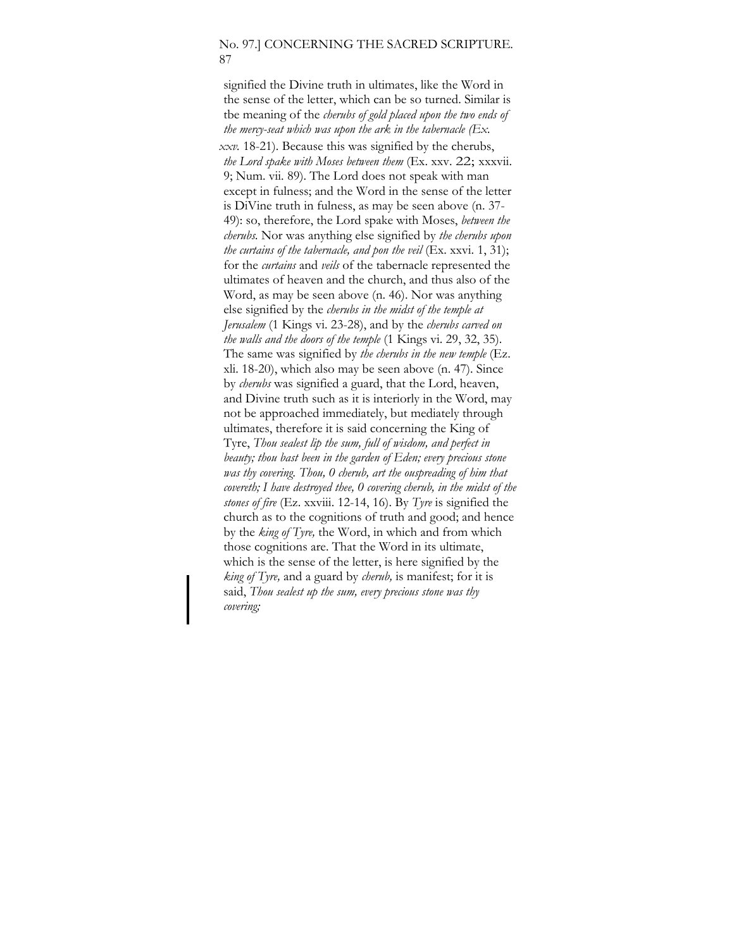#### No. 97.] CONCERNING THE SACRED SCRIPTURE. 87

signified the Divine truth in ultimates, like the Word in the sense of the letter, which can be so turned. Similar is tbe meaning of the *cherubs of gold placed upon the two ends of the mercy-seat which was upon the ark in the tabernacle (Ex. xxv.* 18-21). Because this was signified by the cherubs, *the Lord spake with Moses between them* (Ex. xxv. 22; xxxvii. 9; Num. vii. 89). The Lord does not speak with man except in fulness; and the Word in the sense of the letter is DiVine truth in fulness, as may be seen above (n. 37- 49): so, therefore, the Lord spake with Moses, *between the cherubs.* Nor was anything else signified by *the cherubs upon the curtains of the tabernacle, and pon the veil* (Ex. xxvi. 1, 31); for the *curtains* and *veils* of the tabernacle represented the ultimates of heaven and the church, and thus also of the Word, as may be seen above (n. 46). Nor was anything else signified by the *cherubs in the midst of the temple at Jerusalem* (1 Kings vi. 23-28), and by the *cherubs carved on the walls and the doors of the temple* (1 Kings vi. 29, 32, 35). The same was signified by *the cherubs in the new temple* (Ez. xli. 18-20), which also may be seen above (n. 47). Since by *cherubs* was signified a guard, that the Lord, heaven, and Divine truth such as it is interiorly in the Word, may not be approached immediately, but mediately through ultimates, therefore it is said concerning the King of Tyre, *Thou sealest lip the sum, full of wisdom, and perfect in beauty; thou bast been in the garden of Eden; every precious stone was thy covering. Thou, 0 cherub, art the ouspreading of him that covereth; I have destroyed thee, 0 covering cherub, in the midst of the stones of fire* (Ez. xxviii. 12-14, 16). By *Tyre* is signified the church as to the cognitions of truth and good; and hence by the *king of Tyre,* the Word, in which and from which those cognitions are. That the Word in its ultimate, which is the sense of the letter, is here signified by the *king of Tyre,* and a guard by *cherub,* is manifest; for it is said, *Thou sealest up the sum, every precious stone was thy covering;*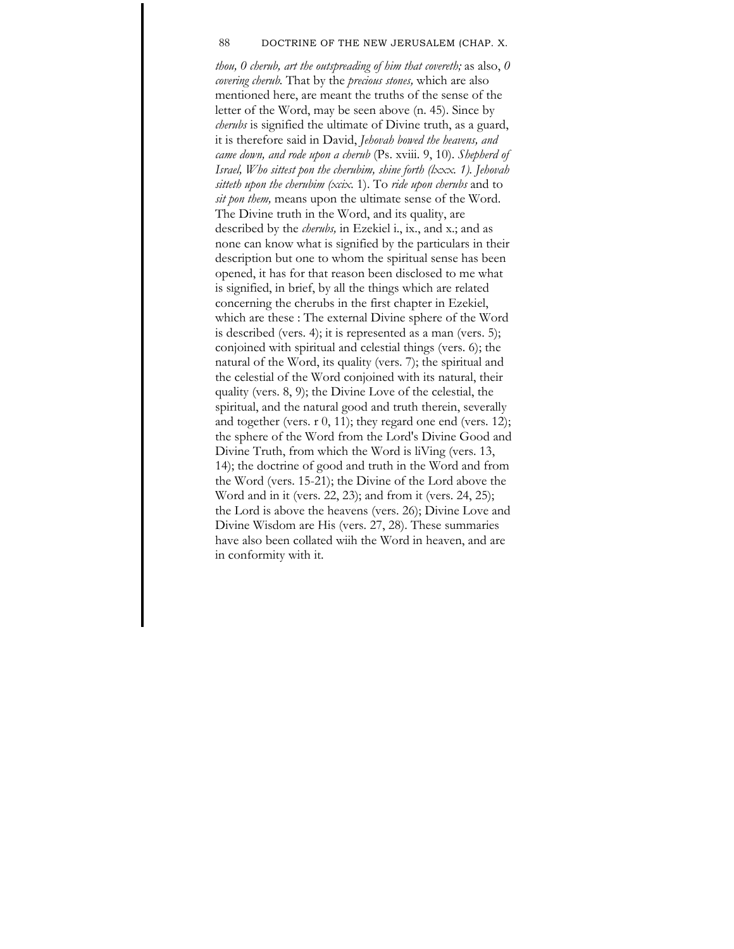#### 88 DOCTRINE OF THE NEW JERUSALEM (CHAP. X.

*thou, 0 cherub, art the outspreading of him that covereth;* as also, *0 covering cherub.* That by the *precious stones,* which are also mentioned here, are meant the truths of the sense of the letter of the Word, may be seen above (n. 45). Since by *cherubs* is signified the ultimate of Divine truth, as a guard, it is therefore said in David, *Jehovah bowed the heavens, and came down, and rode upon a cherub* (Ps. xviii. 9, 10). *Shepherd of Israel, Who sittest pon the cherubim, shine forth (lxxx. 1). Jehovah sitteth upon the cherubim (xcix.* 1). To *ride upon cherubs* and to *sit pon them,* means upon the ultimate sense of the Word. The Divine truth in the Word, and its quality, are described by the *cherubs,* in Ezekiel i., ix., and x.; and as none can know what is signified by the particulars in their description but one to whom the spiritual sense has been opened, it has for that reason been disclosed to me what is signified, in brief, by all the things which are related concerning the cherubs in the first chapter in Ezekiel, which are these : The external Divine sphere of the Word is described (vers. 4); it is represented as a man (vers. 5); conjoined with spiritual and celestial things (vers. 6); the natural of the Word, its quality (vers. 7); the spiritual and the celestial of the Word conjoined with its natural, their quality (vers. 8, 9); the Divine Love of the celestial, the spiritual, and the natural good and truth therein, severally and together (vers. r 0, 11); they regard one end (vers. 12); the sphere of the Word from the Lord's Divine Good and Divine Truth, from which the Word is liVing (vers. 13, 14); the doctrine of good and truth in the Word and from the Word (vers. 15-21); the Divine of the Lord above the Word and in it (vers. 22, 23); and from it (vers. 24, 25); the Lord is above the heavens (vers. 26); Divine Love and Divine Wisdom are His (vers. 27, 28). These summaries have also been collated wiih the Word in heaven, and are in conformity with it.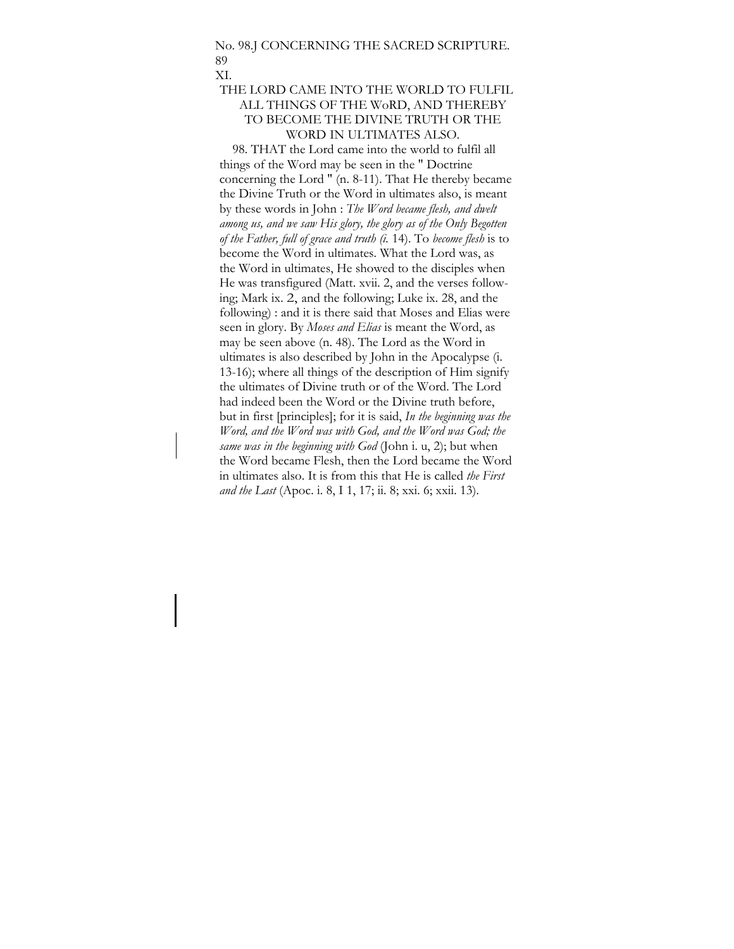#### No. 98.J CONCERNING THE SACRED SCRIPTURE. 89 XI.

## THE LORD CAME INTO THE WORLD TO FULFIL ALL THINGS OF THE WoRD, AND THEREBY TO BECOME THE DIVINE TRUTH OR THE WORD IN ULTIMATES ALSO.

98. THAT the Lord came into the world to fulfil all things of the Word may be seen in the " Doctrine concerning the Lord " (n. 8-11). That He thereby became the Divine Truth or the Word in ultimates also, is meant by these words in John : *The Word became flesh, and dwelt among us, and we saw His glory, the glory as of the Only Begotten of the Father, full of grace and truth (i.* 14). To *become flesh* is to become the Word in ultimates. What the Lord was, as the Word in ultimates, He showed to the disciples when He was transfigured (Matt. xvii. 2, and the verses following; Mark ix. 2, and the following; Luke ix. 28, and the following) : and it is there said that Moses and Elias were seen in glory. By *Moses and Elias* is meant the Word, as may be seen above (n. 48). The Lord as the Word in ultimates is also described by John in the Apocalypse (i. 13-16); where all things of the description of Him signify the ultimates of Divine truth or of the Word. The Lord had indeed been the Word or the Divine truth before, but in first [principles]; for it is said, *In the beginning was the Word, and the Word was with God, and the Word was God; the same was in the beginning with God* (John i. u, 2); but when the Word became Flesh, then the Lord became the Word in ultimates also. It is from this that He is called *the First and the Last* (Apoc. i. 8, I 1, 17; ii. 8; xxi. 6; xxii. 13).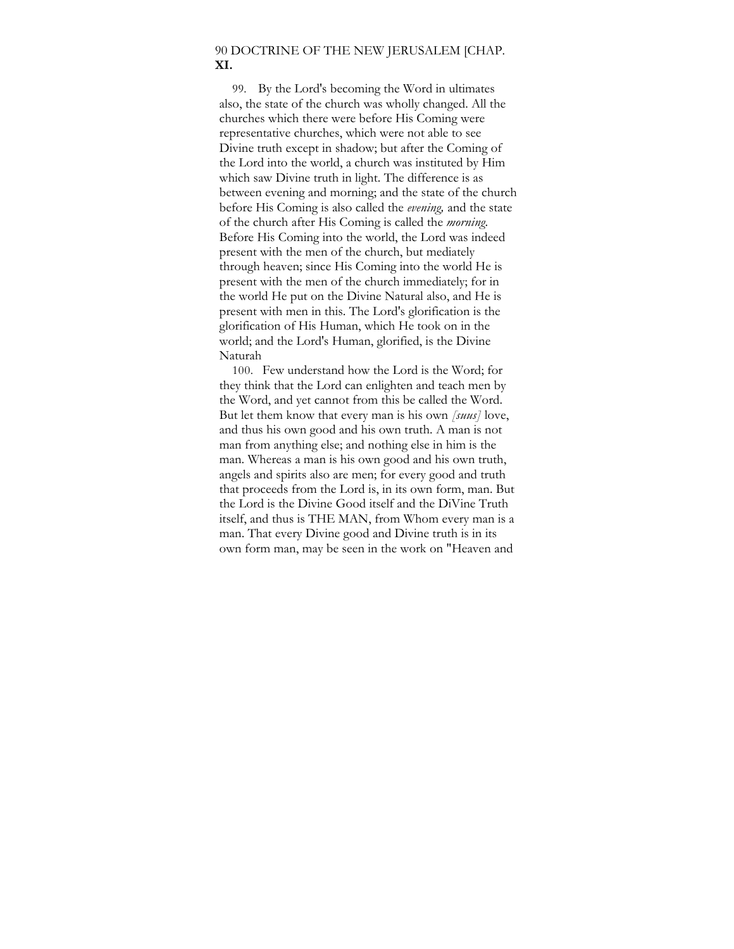## 90 DOCTRINE OF THE NEW JERUSALEM [CHAP. **XI.**

99. By the Lord's becoming the Word in ultimates also, the state of the church was wholly changed. All the churches which there were before His Coming were representative churches, which were not able to see Divine truth except in shadow; but after the Coming of the Lord into the world, a church was instituted by Him which saw Divine truth in light. The difference is as between evening and morning; and the state of the church before His Coming is also called the *evening,* and the state of the church after His Coming is called the *morning.*  Before His Coming into the world, the Lord was indeed present with the men of the church, but mediately through heaven; since His Coming into the world He is present with the men of the church immediately; for in the world He put on the Divine Natural also, and He is present with men in this. The Lord's glorification is the glorification of His Human, which He took on in the world; and the Lord's Human, glorified, is the Divine Naturah

100. Few understand how the Lord is the Word; for they think that the Lord can enlighten and teach men by the Word, and yet cannot from this be called the Word. But let them know that every man is his own *[suus]* love, and thus his own good and his own truth. A man is not man from anything else; and nothing else in him is the man. Whereas a man is his own good and his own truth, angels and spirits also are men; for every good and truth that proceeds from the Lord is, in its own form, man. But the Lord is the Divine Good itself and the DiVine Truth itself, and thus is THE MAN, from Whom every man is a man. That every Divine good and Divine truth is in its own form man, may be seen in the work on "Heaven and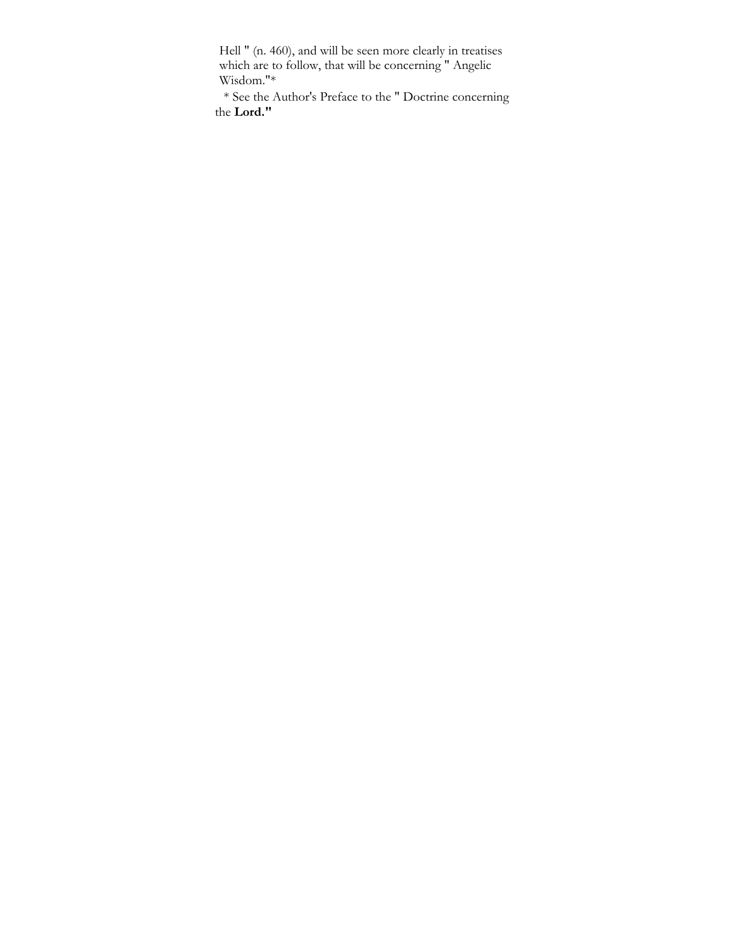Hell " (n. 460), and will be seen more clearly in treatises which are to follow, that will be concerning " Angelic Wisdom."\*

\* See the Author's Preface to the " Doctrine concerning the **Lord."**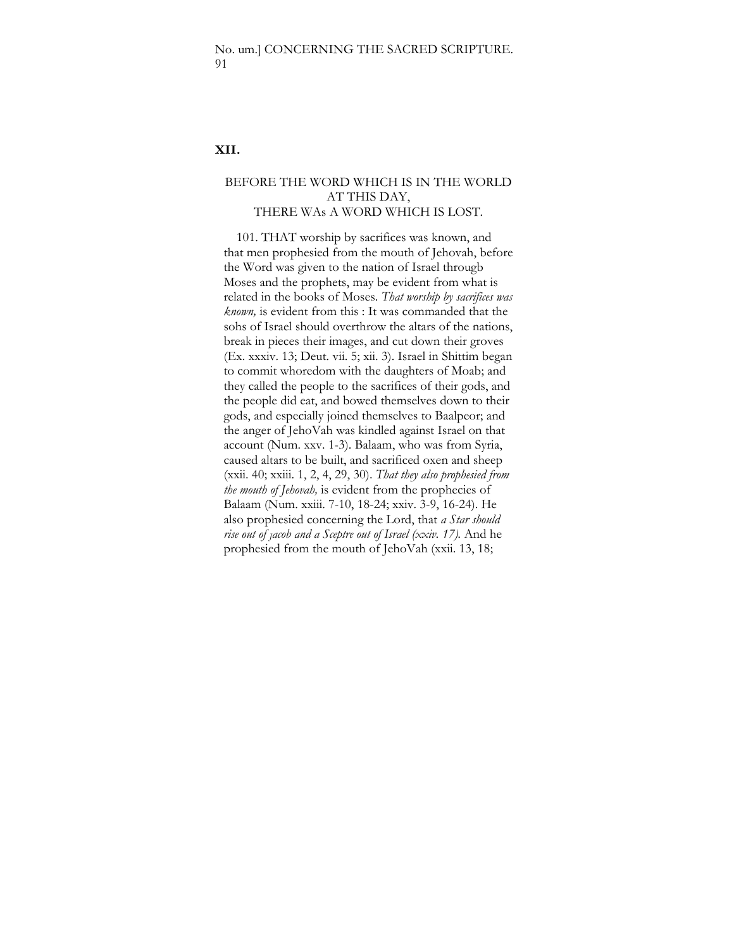### **XII.**

## BEFORE THE WORD WHICH IS IN THE WORLD AT THIS DAY, THERE WAs A WORD WHICH IS LOST.

101. THAT worship by sacrifices was known, and that men prophesied from the mouth of Jehovah, before the Word was given to the nation of Israel througb Moses and the prophets, may be evident from what is related in the books of Moses. *That worship by sacrifices was known,* is evident from this : It was commanded that the sohs of Israel should overthrow the altars of the nations, break in pieces their images, and cut down their groves (Ex. xxxiv. 13; Deut. vii. 5; xii. 3). Israel in Shittim began to commit whoredom with the daughters of Moab; and they called the people to the sacrifices of their gods, and the people did eat, and bowed themselves down to their gods, and especially joined themselves to Baalpeor; and the anger of JehoVah was kindled against Israel on that account (Num. xxv. 1-3). Balaam, who was from Syria, caused altars to be built, and sacrificed oxen and sheep (xxii. 40; xxiii. 1, 2, 4, 29, 30). *That they also prophesied from the mouth of Jehovah,* is evident from the prophecies of Balaam (Num. xxiii. 7-10, 18-24; xxiv. 3-9, 16-24). He also prophesied concerning the Lord, that *a Star should rise out of Jacob and a Sceptre out of Israel (xxiv. 17).* And he prophesied from the mouth of JehoVah (xxii. 13, 18;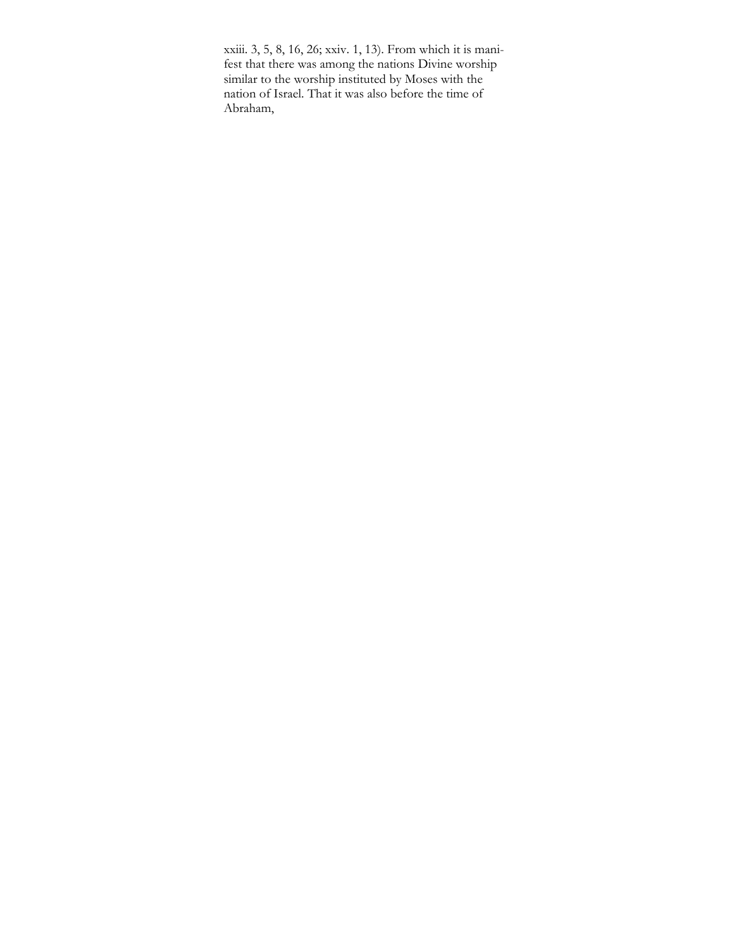xxiii. 3, 5, 8, 16, 26; xxiv. 1, 13). From which it is manifest that there was among the nations Divine worship similar to the worship instituted by Moses with the nation of Israel. That it was also before the time of Abraham,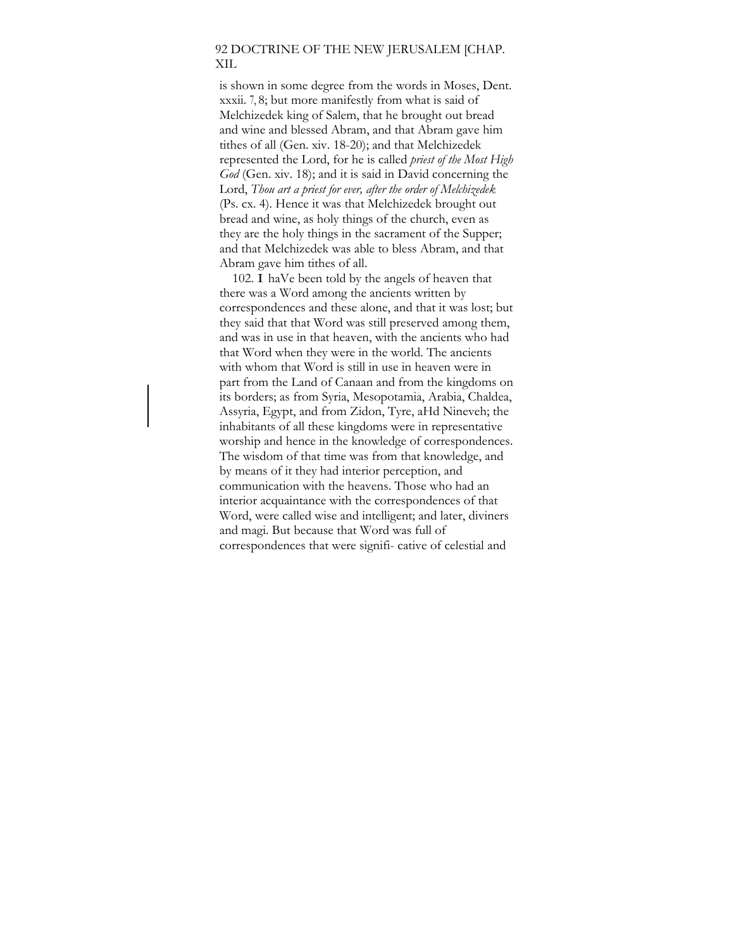# 92 DOCTRINE OF THE NEW JERUSALEM [CHAP. XIL

is shown in some degree from the words in Moses, Dent. xxxii. 7, 8; but more manifestly from what is said of Melchizedek king of Salem, that he brought out bread and wine and blessed Abram, and that Abram gave him tithes of all (Gen. xiv. 18-20); and that Melchizedek represented the Lord, for he is called *priest of the Most High God* (Gen. xiv. 18); and it is said in David concerning the Lord, *Thou art a priest for ever, after the order of Melchizedek*  (Ps. cx. 4). Hence it was that Melchizedek brought out bread and wine, as holy things of the church, even as they are the holy things in the sacrament of the Supper; and that Melchizedek was able to bless Abram, and that Abram gave him tithes of all.

102. I haVe been told by the angels of heaven that there was a Word among the ancients written by correspondences and these alone, and that it was lost; but they said that that Word was still preserved among them, and was in use in that heaven, with the ancients who had that Word when they were in the world. The ancients with whom that Word is still in use in heaven were in part from the Land of Canaan and from the kingdoms on its borders; as from Syria, Mesopotamia, Arabia, Chaldea, Assyria, Egypt, and from Zidon, Tyre, aHd Nineveh; the inhabitants of all these kingdoms were in representative worship and hence in the knowledge of correspondences. The wisdom of that time was from that knowledge, and by means of it they had interior perception, and communication with the heavens. Those who had an interior acquaintance with the correspondences of that Word, were called wise and intelligent; and later, diviners and magi. But because that Word was full of correspondences that were signifi- cative of celestial and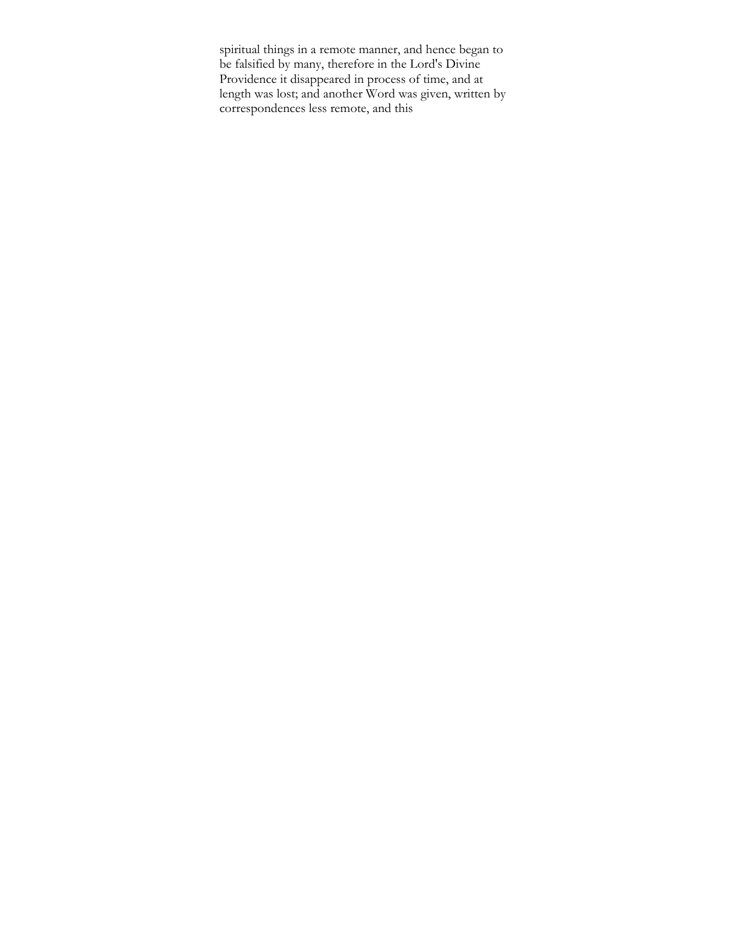spiritual things in a remote manner, and hence began to be falsified by many, therefore in the Lord's Divine Providence it disappeared in process of time, and at length was lost; and another Word was given, written by correspondences less remote, and this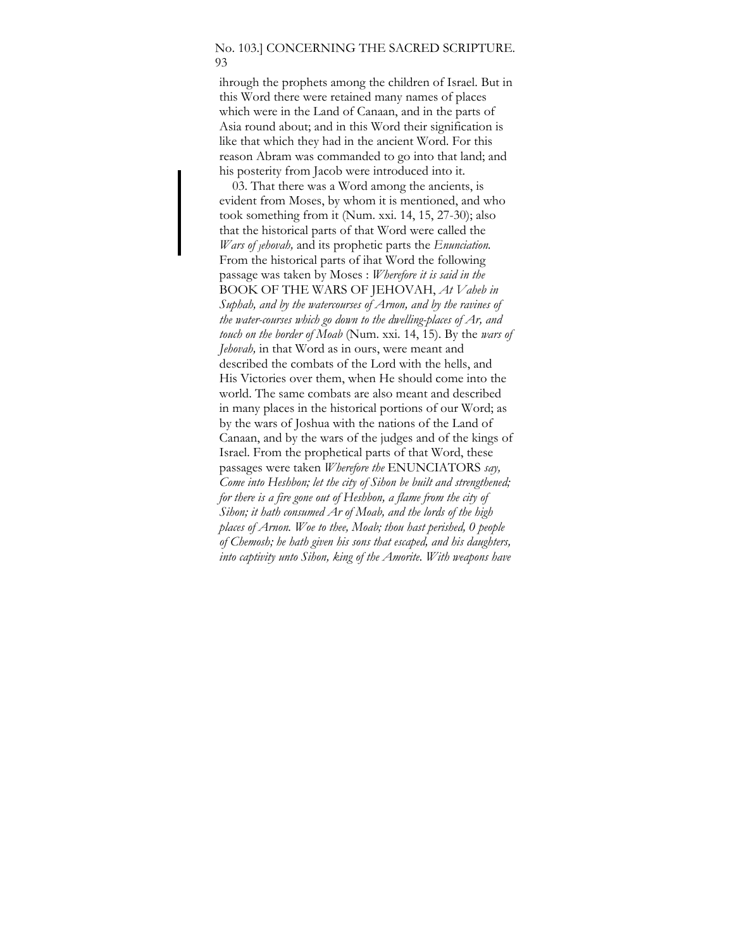### No. 103.] CONCERNING THE SACRED SCRIPTURE. 93

ihrough the prophets among the children of Israel. But in this Word there were retained many names of places which were in the Land of Canaan, and in the parts of Asia round about; and in this Word their signification is like that which they had in the ancient Word. For this reason Abram was commanded to go into that land; and his posterity from Jacob were introduced into it.

03. That there was a Word among the ancients, is evident from Moses, by whom it is mentioned, and who took something from it (Num. xxi. 14, 15, 27-30); also that the historical parts of that Word were called the *Wars of Jehovah,* and its prophetic parts the *Enunciation.*  From the historical parts of ihat Word the following passage was taken by Moses : *Wherefore it is said in the*  BOOK OF THE WARS OF JEHOVAH, *At Vaheb in Suphah, and by the watercourses of Arnon, and by the ravines of the water-courses which go down to the dwelling-places of Ar, and touch on the border of Moab* (Num. xxi. 14, 15). By the *wars of Jehovah,* in that Word as in ours, were meant and described the combats of the Lord with the hells, and His Victories over them, when He should come into the world. The same combats are also meant and described in many places in the historical portions of our Word; as by the wars of Joshua with the nations of the Land of Canaan, and by the wars of the judges and of the kings of Israel. From the prophetical parts of that Word, these passages were taken *Wherefore the* ENUNCIATORS *say, Come into Heshbon; let the city of Sihon be built and strengthened; for there is a fire gone out of Heshbon, a flame from the city of Sihon; it hath consumed Ar of Moab, and the lords of the high places of Arnon. Woe to thee, Moab; thou hast perished, 0 people of Chemosh; he hath given his sons that escaped, and his daughters, into captivity unto Sihon, king of the Amorite. With weapons have*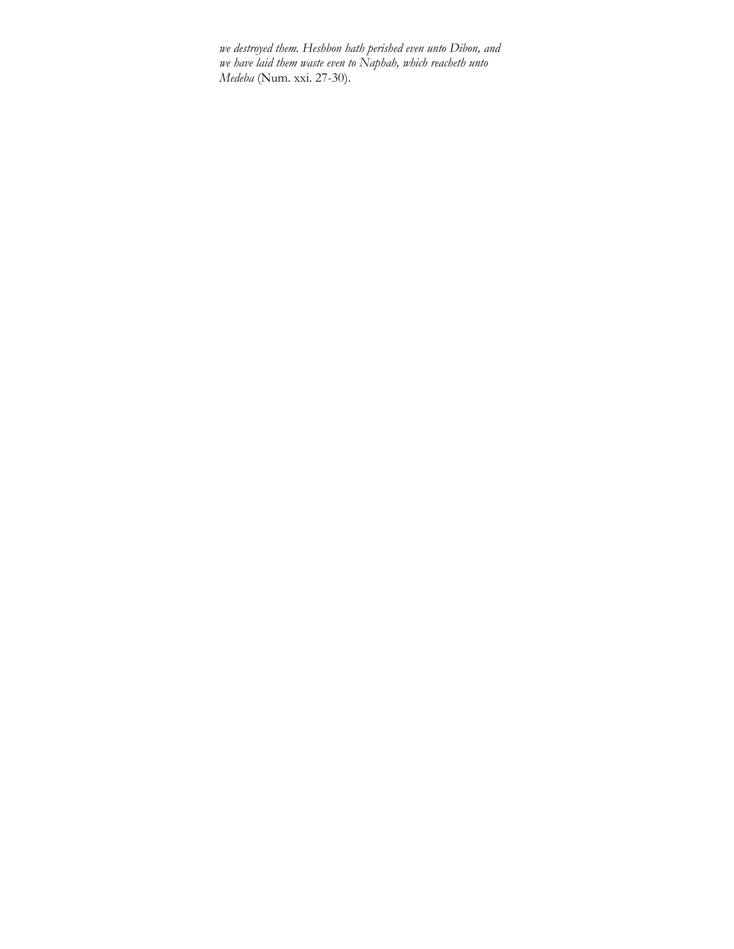*we destroyed them. Heshbon hath perished even unto Dibon, and we have laid them waste even to Naphah, which reacheth unto Medeba* (Num. xxi. 27-30).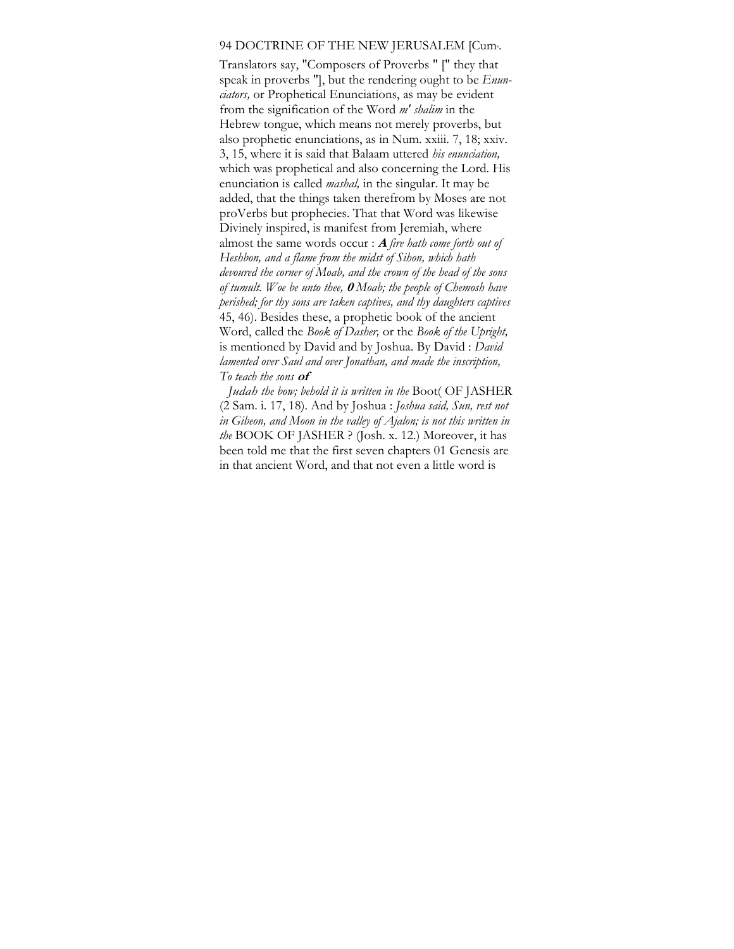#### 94 DOCTRINE OF THE NEW JERUSALEM [Cum, .

Translators say, "Composers of Proverbs " [" they that speak in proverbs "], but the rendering ought to be *Enunciators,* or Prophetical Enunciations, as may be evident from the signification of the Word *m' shalim* in the Hebrew tongue, which means not merely proverbs, but also prophetic enunciations, as in Num. xxiii. 7, 18; xxiv. 3, 15, where it is said that Balaam uttered *his enunciation,*  which was prophetical and also concerning the Lord. His enunciation is called *mashal,* in the singular. It may be added, that the things taken therefrom by Moses are not proVerbs but prophecies. That that Word was likewise Divinely inspired, is manifest from Jeremiah, where almost the same words occur : **A** *fire hath come forth out of Heshbon, and a flame from the midst of Sihon, which hath devoured the corner of Moab, and the crown of the head of the sons of tumult. Woe be unto thee,* **0** *Moab; the people of Chemosh have perished; for thy sons are taken captives, and thy daughters captives*  45, 46). Besides these, a prophetic book of the ancient Word, called the *Book of Dasher,* or the *Book of the Upright,*  is mentioned by David and by Joshua. By David : *David lamented over Saul and over Jonathan, and made the inscription, To teach the sons* **of** 

*Judah the bow; behold it is written in the* Boot( OF JASHER (2 Sam. i. 17, 18). And by Joshua : *Joshua said, Sun, rest not in Gibeon, and Moon in the valley of Ajalon; is not this written in the* BOOK OF JASHER ? (Josh. x. 12.) Moreover, it has been told me that the first seven chapters 01 Genesis are in that ancient Word, and that not even a little word is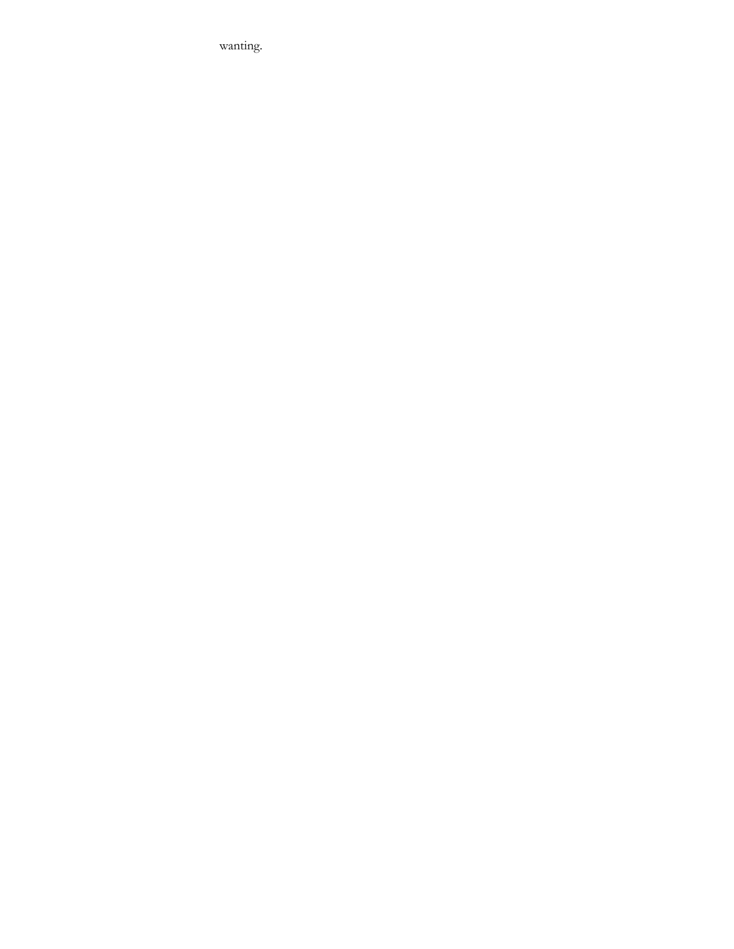wanting.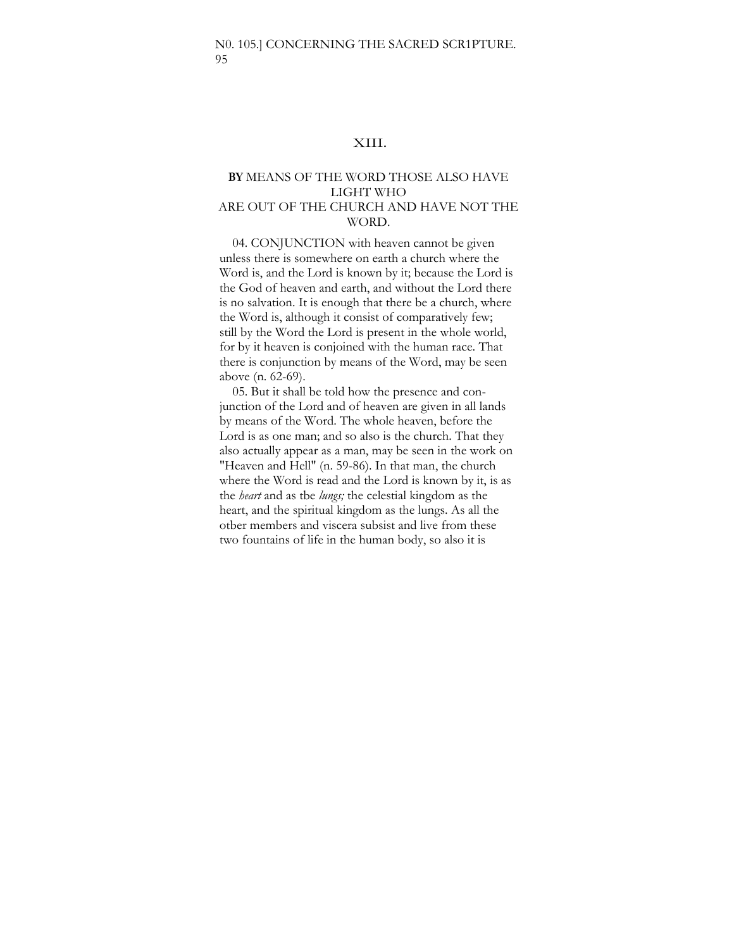### XIII.

### **BY** MEANS OF THE WORD THOSE ALSO HAVE LIGHT WHO ARE OUT OF THE CHURCH AND HAVE NOT THE WORD.

04. CONJUNCTION with heaven cannot be given unless there is somewhere on earth a church where the Word is, and the Lord is known by it; because the Lord is the God of heaven and earth, and without the Lord there is no salvation. It is enough that there be a church, where the Word is, although it consist of comparatively few; still by the Word the Lord is present in the whole world, for by it heaven is conjoined with the human race. That there is conjunction by means of the Word, may be seen above (n. 62-69).

05. But it shall be told how the presence and conjunction of the Lord and of heaven are given in all lands by means of the Word. The whole heaven, before the Lord is as one man; and so also is the church. That they also actually appear as a man, may be seen in the work on "Heaven and Hell" (n. 59-86). In that man, the church where the Word is read and the Lord is known by it, is as the *heart* and as tbe *lungs;* the celestial kingdom as the heart, and the spiritual kingdom as the lungs. As all the otber members and viscera subsist and live from these two fountains of life in the human body, so also it is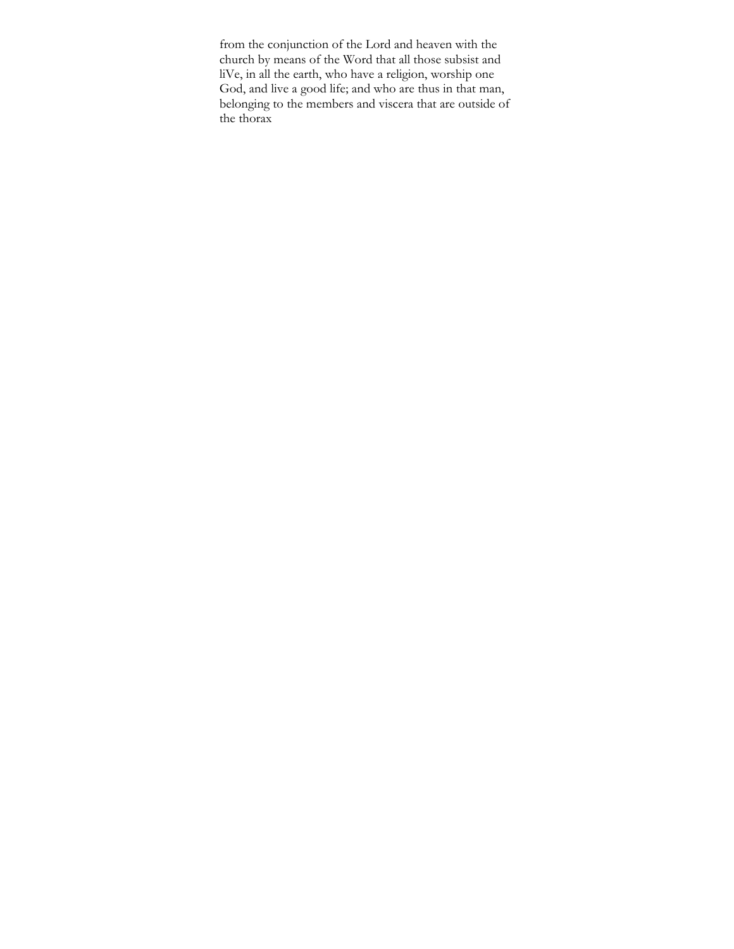from the conjunction of the Lord and heaven with the church by means of the Word that all those subsist and liVe, in all the earth, who have a religion, worship one God, and live a good life; and who are thus in that man, belonging to the members and viscera that are outside of the thorax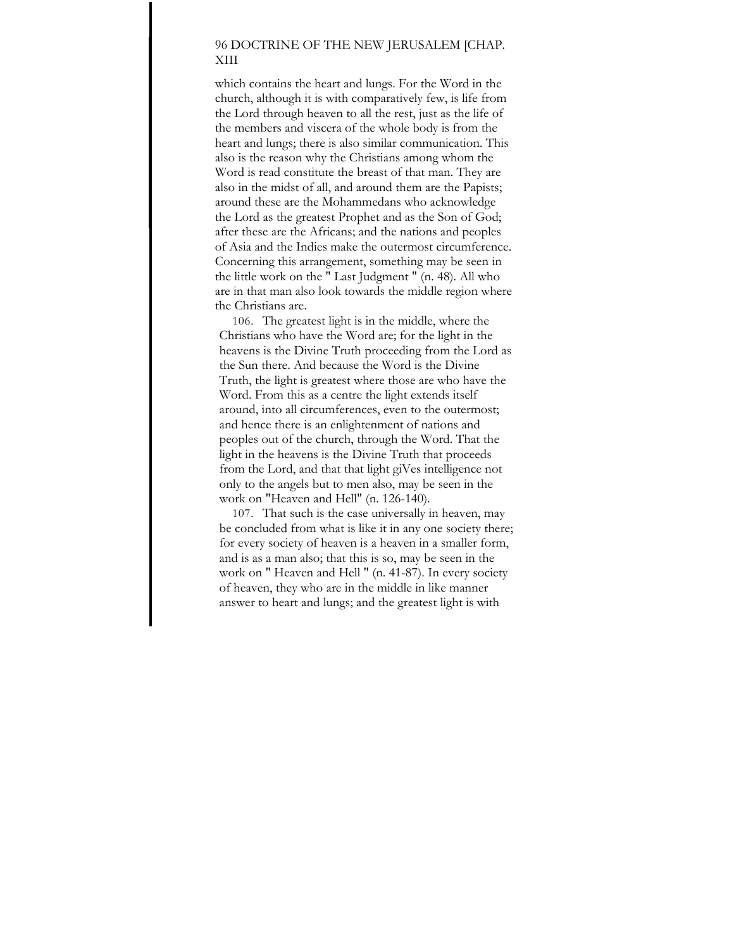# 96 DOCTRINE OF THE NEW JERUSALEM [CHAP. XIII

which contains the heart and lungs. For the Word in the church, although it is with comparatively few, is life from the Lord through heaven to all the rest, just as the life of the members and viscera of the whole body is from the heart and lungs; there is also similar communication. This also is the reason why the Christians among whom the Word is read constitute the breast of that man. They are also in the midst of all, and around them are the Papists; around these are the Mohammedans who acknowledge the Lord as the greatest Prophet and as the Son of God; after these are the Africans; and the nations and peoples of Asia and the Indies make the outermost circumference. Concerning this arrangement, something may be seen in the little work on the " Last Judgment " (n. 48). All who are in that man also look towards the middle region where the Christians are.

106. The greatest light is in the middle, where the Christians who have the Word are; for the light in the heavens is the Divine Truth proceeding from the Lord as the Sun there. And because the Word is the Divine Truth, the light is greatest where those are who have the Word. From this as a centre the light extends itself around, into all circumferences, even to the outermost; and hence there is an enlightenment of nations and peoples out of the church, through the Word. That the light in the heavens is the Divine Truth that proceeds from the Lord, and that that light giVes intelligence not only to the angels but to men also, may be seen in the work on "Heaven and Hell" (n. 126-140).

107. That such is the case universally in heaven, may be concluded from what is like it in any one society there; for every society of heaven is a heaven in a smaller form, and is as a man also; that this is so, may be seen in the work on " Heaven and Hell " (n. 41-87). In every society of heaven, they who are in the middle in like manner answer to heart and lungs; and the greatest light is with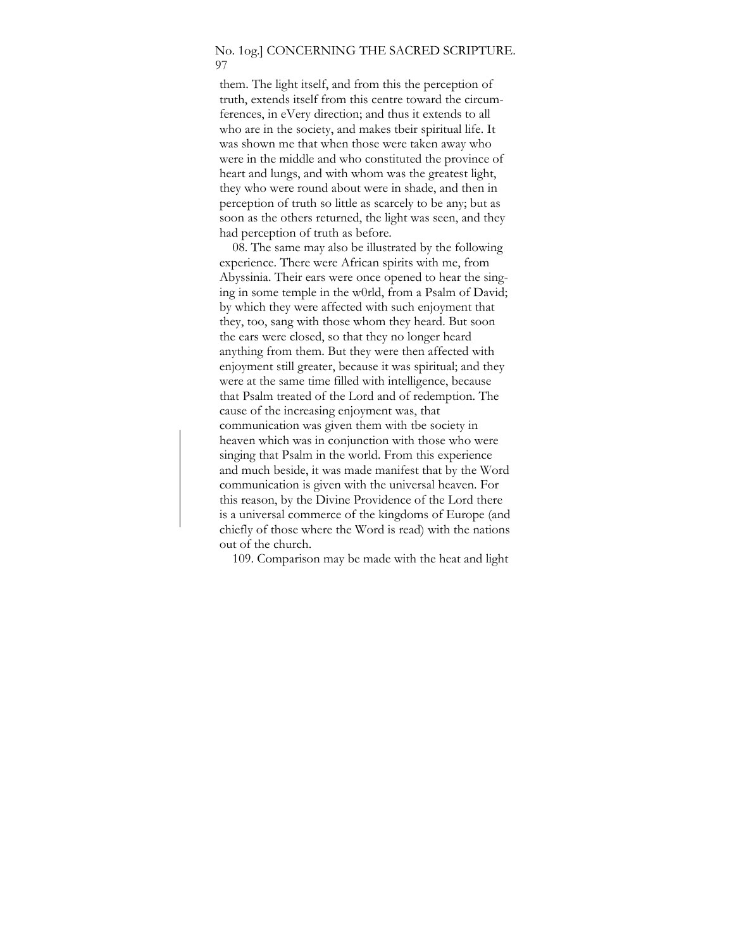#### No. 1og.] CONCERNING THE SACRED SCRIPTURE. 97

them. The light itself, and from this the perception of truth, extends itself from this centre toward the circumferences, in eVery direction; and thus it extends to all who are in the society, and makes tbeir spiritual life. It was shown me that when those were taken away who were in the middle and who constituted the province of heart and lungs, and with whom was the greatest light, they who were round about were in shade, and then in perception of truth so little as scarcely to be any; but as soon as the others returned, the light was seen, and they had perception of truth as before.

08. The same may also be illustrated by the following experience. There were African spirits with me, from Abyssinia. Their ears were once opened to hear the singing in some temple in the w0rld, from a Psalm of David; by which they were affected with such enjoyment that they, too, sang with those whom they heard. But soon the ears were closed, so that they no longer heard anything from them. But they were then affected with enjoyment still greater, because it was spiritual; and they were at the same time filled with intelligence, because that Psalm treated of the Lord and of redemption. The cause of the increasing enjoyment was, that communication was given them with tbe society in heaven which was in conjunction with those who were singing that Psalm in the world. From this experience and much beside, it was made manifest that by the Word communication is given with the universal heaven. For this reason, by the Divine Providence of the Lord there is a universal commerce of the kingdoms of Europe (and chiefly of those where the Word is read) with the nations out of the church.

109. Comparison may be made with the heat and light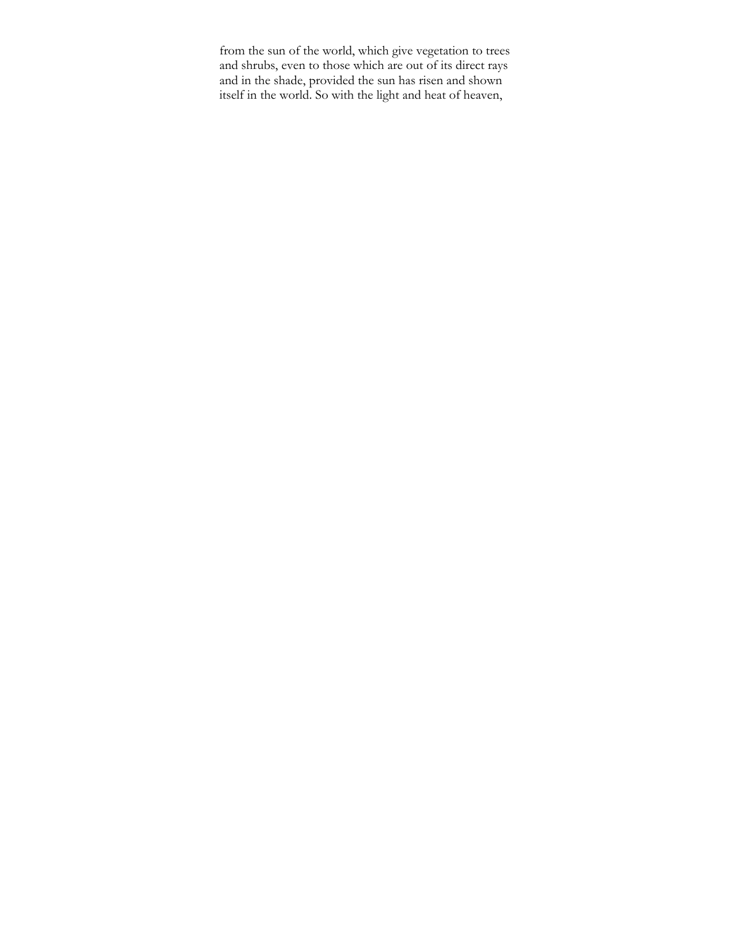from the sun of the world, which give vegetation to trees and shrubs, even to those which are out of its direct rays and in the shade, provided the sun has risen and shown itself in the world. So with the light and heat of heaven,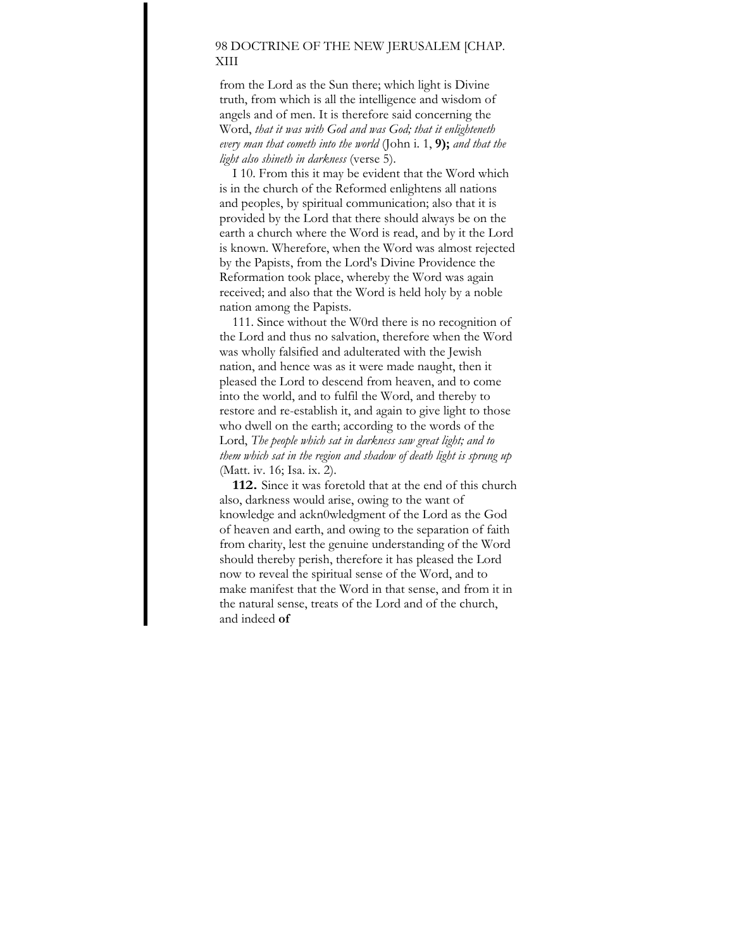## 98 DOCTRINE OF THE NEW JERUSALEM [CHAP. XIII

from the Lord as the Sun there; which light is Divine truth, from which is all the intelligence and wisdom of angels and of men. It is therefore said concerning the Word, *that it was with God and was God; that it enlighteneth every man that cometh into the world* (John i. 1, **9);** *and that the light also shineth in darkness* (verse 5).

I 10. From this it may be evident that the Word which is in the church of the Reformed enlightens all nations and peoples, by spiritual communication; also that it is provided by the Lord that there should always be on the earth a church where the Word is read, and by it the Lord is known. Wherefore, when the Word was almost rejected by the Papists, from the Lord's Divine Providence the Reformation took place, whereby the Word was again received; and also that the Word is held holy by a noble nation among the Papists.

111. Since without the W0rd there is no recognition of the Lord and thus no salvation, therefore when the Word was wholly falsified and adulterated with the Jewish nation, and hence was as it were made naught, then it pleased the Lord to descend from heaven, and to come into the world, and to fulfil the Word, and thereby to restore and re-establish it, and again to give light to those who dwell on the earth; according to the words of the Lord, *The people which sat in darkness saw great light; and to them which sat in the region and shadow of death light is sprung up*  (Matt. iv. 16; Isa. ix. 2).

**112.** Since it was foretold that at the end of this church also, darkness would arise, owing to the want of knowledge and ackn0wledgment of the Lord as the God of heaven and earth, and owing to the separation of faith from charity, lest the genuine understanding of the Word should thereby perish, therefore it has pleased the Lord now to reveal the spiritual sense of the Word, and to make manifest that the Word in that sense, and from it in the natural sense, treats of the Lord and of the church, and indeed **of**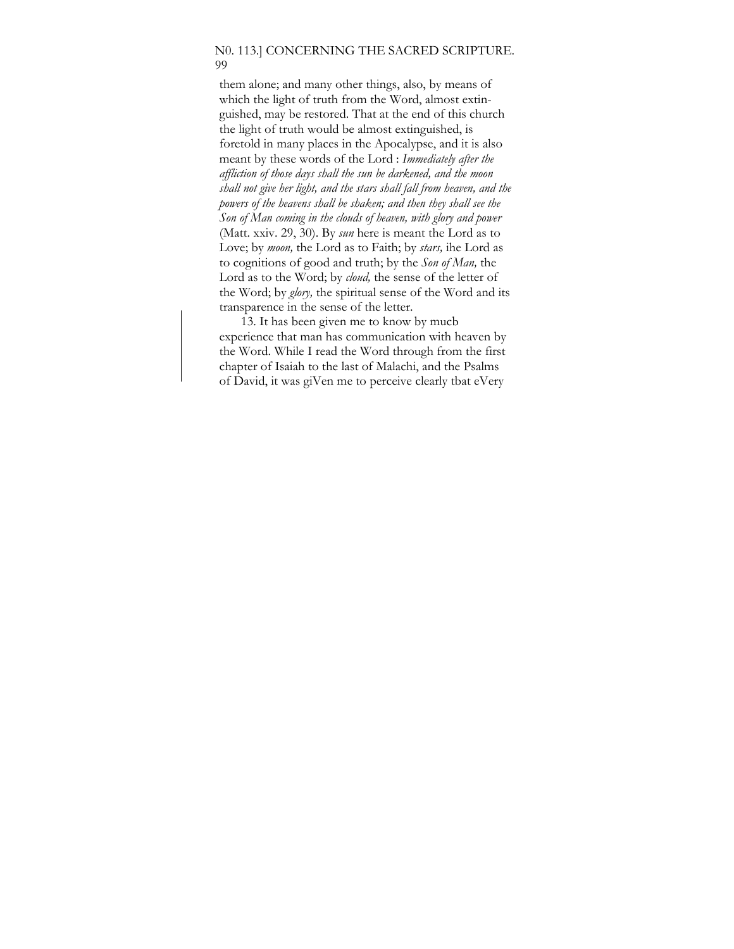#### N0. 113.] CONCERNING THE SACRED SCRIPTURE. 99

them alone; and many other things, also, by means of which the light of truth from the Word, almost extinguished, may be restored. That at the end of this church the light of truth would be almost extinguished, is foretold in many places in the Apocalypse, and it is also meant by these words of the Lord : *Immediately after the affliction of those days shall the sun be darkened, and the moon shall not give her light, and the stars shall fall from heaven, and the powers of the heavens shall be shaken; and then they shall see the Son of Man coming in the clouds of heaven, with glory and power*  (Matt. xxiv. 29, 30). By *sun* here is meant the Lord as to Love; by *moon,* the Lord as to Faith; by *stars,* ihe Lord as to cognitions of good and truth; by the *Son of Man,* the Lord as to the Word; by *cloud,* the sense of the letter of the Word; by *glory,* the spiritual sense of the Word and its transparence in the sense of the letter.

13. It has been given me to know by mucb experience that man has communication with heaven by the Word. While I read the Word through from the first chapter of Isaiah to the last of Malachi, and the Psalms of David, it was giVen me to perceive clearly tbat eVery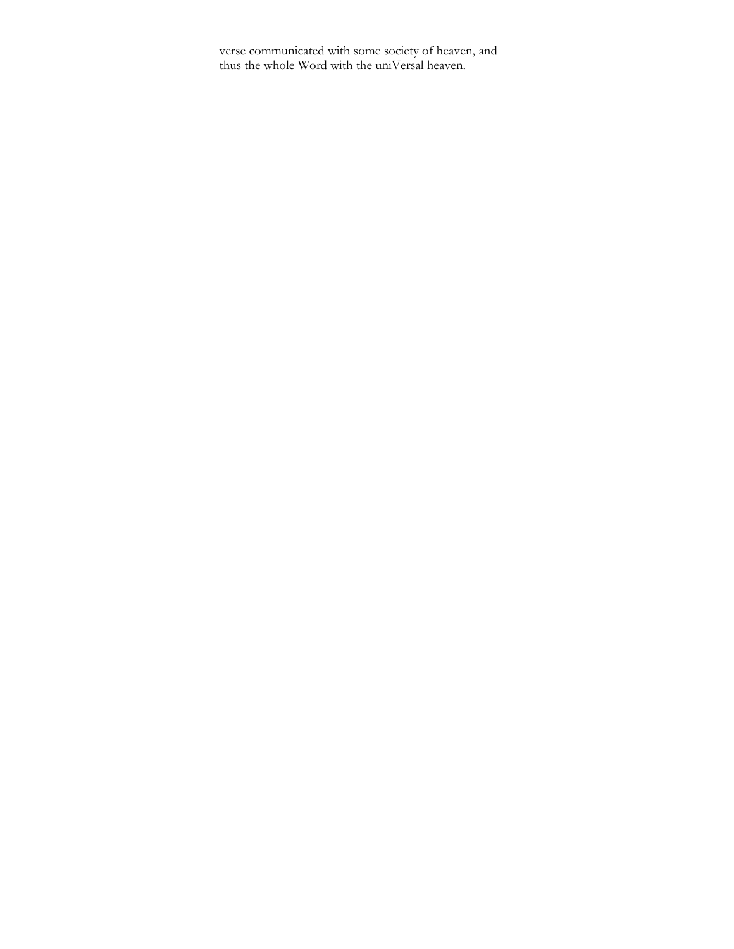verse communicated with some society of heaven, and thus the whole Word with the uniVersal heaven.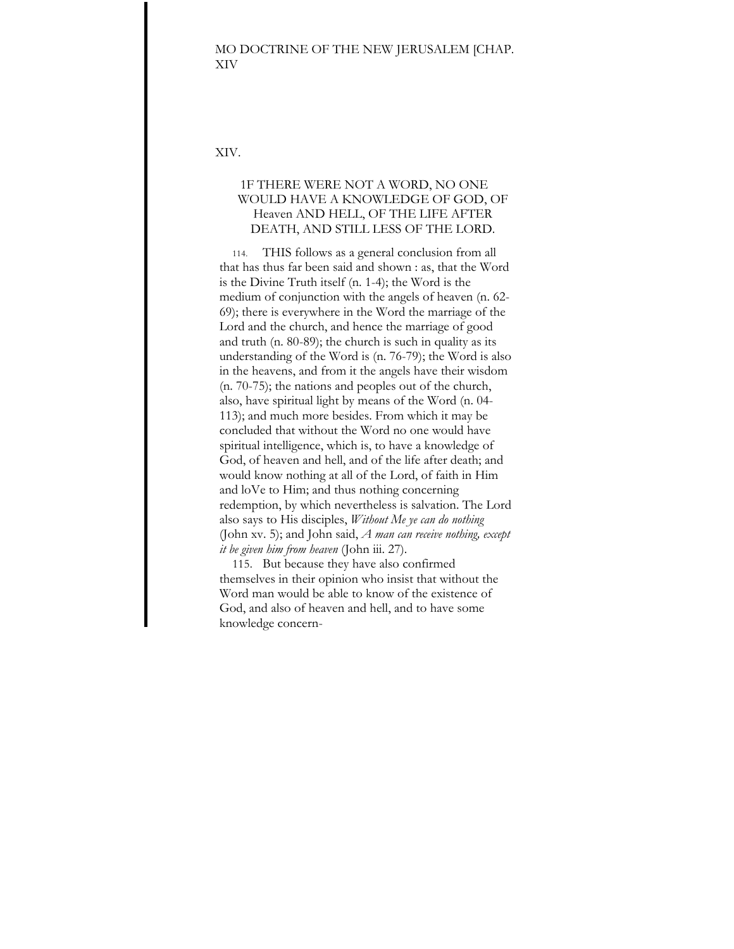### MO DOCTRINE OF THE NEW JERUSALEM [CHAP. XIV

XIV.

# 1F THERE WERE NOT A WORD, NO ONE WOULD HAVE A KNOWLEDGE OF GOD, OF Heaven AND HELL, OF THE LIFE AFTER DEATH, AND STILL LESS OF THE LORD.

114. THIS follows as a general conclusion from all that has thus far been said and shown : as, that the Word is the Divine Truth itself (n. 1-4); the Word is the medium of conjunction with the angels of heaven (n. 62- 69); there is everywhere in the Word the marriage of the Lord and the church, and hence the marriage of good and truth (n. 80-89); the church is such in quality as its understanding of the Word is (n. 76-79); the Word is also in the heavens, and from it the angels have their wisdom (n. 70-75); the nations and peoples out of the church, also, have spiritual light by means of the Word (n. 04- 113); and much more besides. From which it may be concluded that without the Word no one would have spiritual intelligence, which is, to have a knowledge of God, of heaven and hell, and of the life after death; and would know nothing at all of the Lord, of faith in Him and loVe to Him; and thus nothing concerning redemption, by which nevertheless is salvation. The Lord also says to His disciples, *Without Me ye can do nothing*  (John xv. 5); and John said, *A man can receive nothing, except it be given him from heaven* (John iii. 27).

115. But because they have also confirmed themselves in their opinion who insist that without the Word man would be able to know of the existence of God, and also of heaven and hell, and to have some knowledge concern-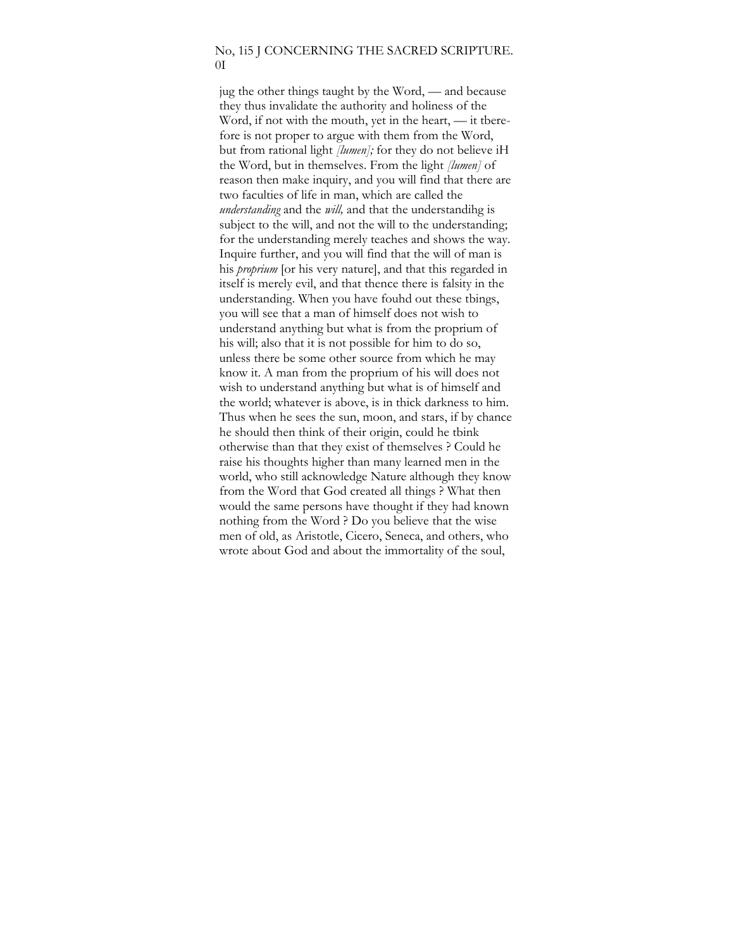#### No, 1i5 J CONCERNING THE SACRED SCRIPTURE.  $\overline{0}$

jug the other things taught by the Word, — and because they thus invalidate the authority and holiness of the Word, if not with the mouth, yet in the heart, — it tberefore is not proper to argue with them from the Word, but from rational light *[lumen];* for they do not believe iH the Word, but in themselves. From the light *[lumen]* of reason then make inquiry, and you will find that there are two faculties of life in man, which are called the *understanding* and the *will,* and that the understandihg is subject to the will, and not the will to the understanding; for the understanding merely teaches and shows the way. Inquire further, and you will find that the will of man is his *proprium* [or his very nature], and that this regarded in itself is merely evil, and that thence there is falsity in the understanding. When you have fouhd out these tbings, you will see that a man of himself does not wish to understand anything but what is from the proprium of his will; also that it is not possible for him to do so, unless there be some other source from which he may know it. A man from the proprium of his will does not wish to understand anything but what is of himself and the world; whatever is above, is in thick darkness to him. Thus when he sees the sun, moon, and stars, if by chance he should then think of their origin, could he tbink otherwise than that they exist of themselves ? Could he raise his thoughts higher than many learned men in the world, who still acknowledge Nature although they know from the Word that God created all things ? What then would the same persons have thought if they had known nothing from the Word ? Do you believe that the wise men of old, as Aristotle, Cicero, Seneca, and others, who wrote about God and about the immortality of the soul,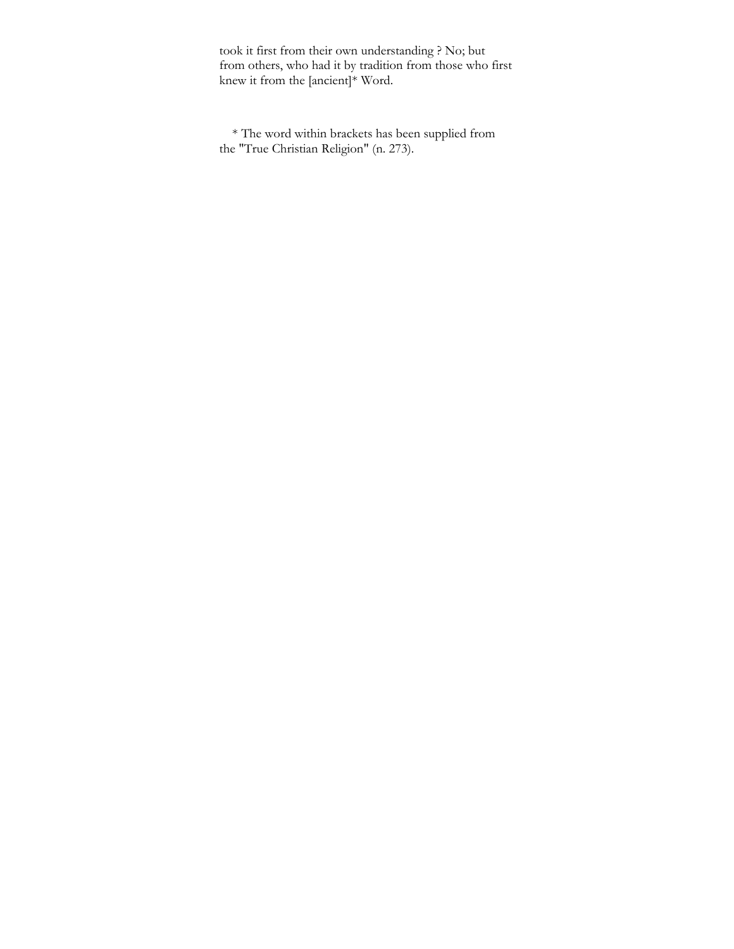took it first from their own understanding ? No; but from others, who had it by tradition from those who first knew it from the [ancient]\* Word.

\* The word within brackets has been supplied from the "True Christian Religion" (n. 273).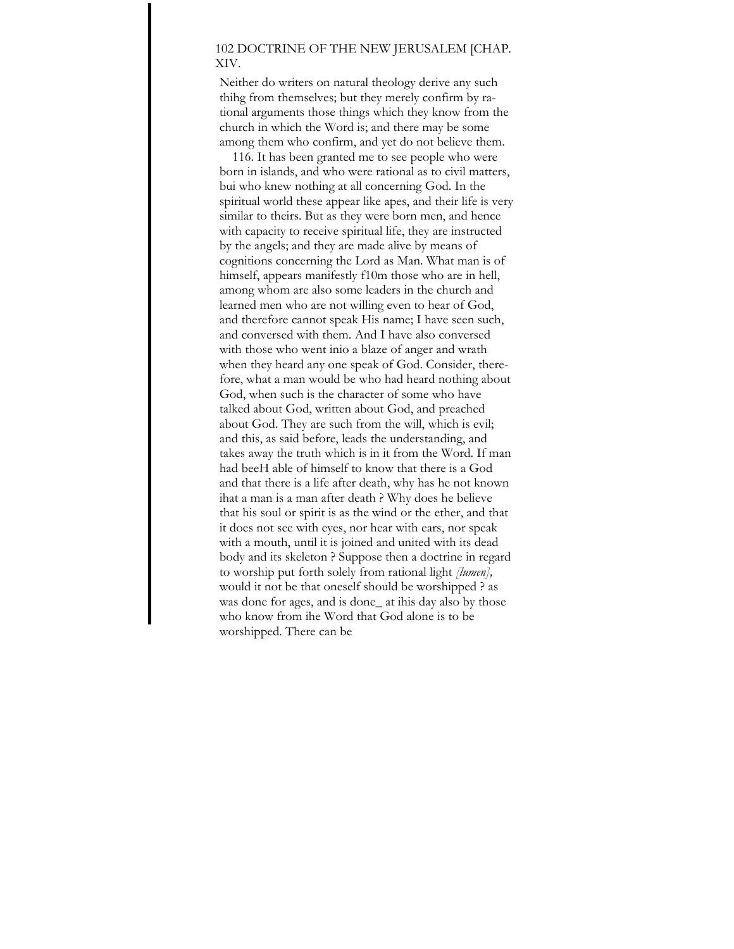## 102 DOCTRINE OF THE NEW JERUSALEM [CHAP. XIV.

Neither do writers on natural theology derive any such thihg from themselves; but they merely confirm by rational arguments those things which they know from the church in which the Word is; and there may be some among them who confirm, and yet do not believe them.

116. It has been granted me to see people who were born in islands, and who were rational as to civil matters, bui who knew nothing at all concerning God. In the spiritual world these appear like apes, and their life is very similar to theirs. But as they were born men, and hence with capacity to receive spiritual life, they are instructed by the angels; and they are made alive by means of cognitions concerning the Lord as Man. What man is of himself, appears manifestly f10m those who are in hell, among whom are also some leaders in the church and learned men who are not willing even to hear of God, and therefore cannot speak His name; I have seen such, and conversed with them. And I have also conversed with those who went inio a blaze of anger and wrath when they heard any one speak of God. Consider, therefore, what a man would be who had heard nothing about God, when such is the character of some who have talked about God, written about God, and preached about God. They are such from the will, which is evil; and this, as said before, leads the understanding, and takes away the truth which is in it from the Word. If man had beeH able of himself to know that there is a God and that there is a life after death, why has he not known ihat a man is a man after death ? Why does he believe that his soul or spirit is as the wind or the ether, and that it does not see with eyes, nor hear with ears, nor speak with a mouth, until it is joined and united with its dead body and its skeleton ? Suppose then a doctrine in regard to worship put forth solely from rational light *[lumen],*  would it not be that oneself should be worshipped ? as was done for ages, and is done at ihis day also by those who know from ihe Word that God alone is to be worshipped. There can be